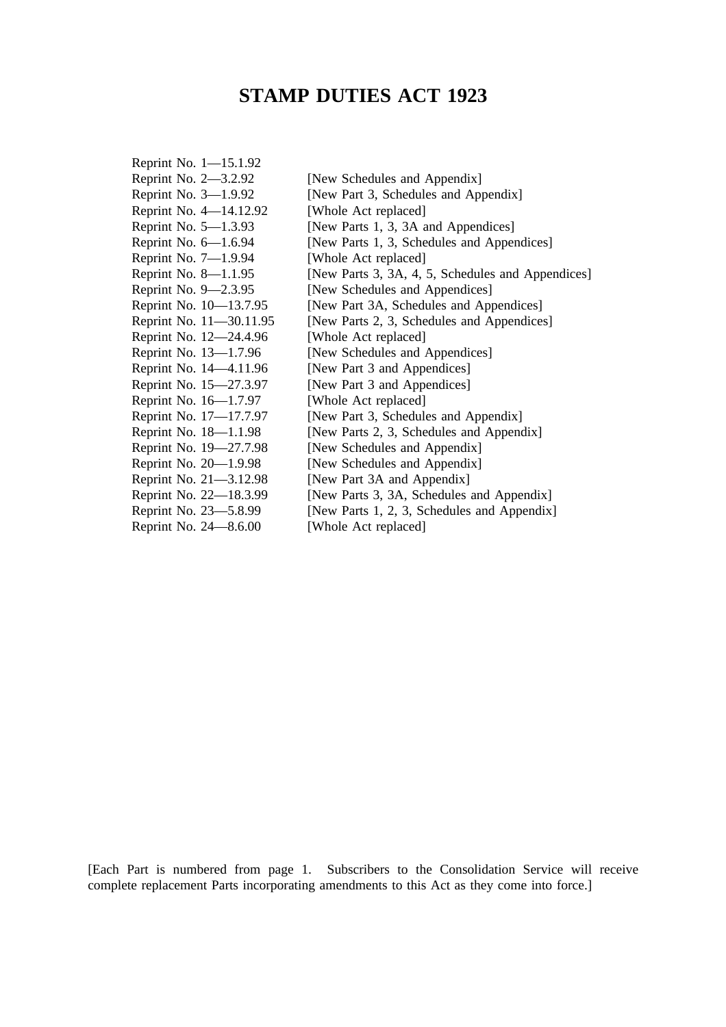# **STAMP DUTIES ACT 1923**

| [New Schedules and Appendix]                      |
|---------------------------------------------------|
| [New Part 3, Schedules and Appendix]              |
| [Whole Act replaced]                              |
| [New Parts 1, 3, 3A and Appendices]               |
| [New Parts 1, 3, Schedules and Appendices]        |
| [Whole Act replaced]                              |
| [New Parts 3, 3A, 4, 5, Schedules and Appendices] |
| [New Schedules and Appendices]                    |
| [New Part 3A, Schedules and Appendices]           |
| [New Parts 2, 3, Schedules and Appendices]        |
| [Whole Act replaced]                              |
| [New Schedules and Appendices]                    |
| [New Part 3 and Appendices]                       |
| [New Part 3 and Appendices]                       |
| [Whole Act replaced]                              |
| [New Part 3, Schedules and Appendix]              |
| [New Parts 2, 3, Schedules and Appendix]          |
| [New Schedules and Appendix]                      |
| [New Schedules and Appendix]                      |
| [New Part 3A and Appendix]                        |
| [New Parts 3, 3A, Schedules and Appendix]         |
| [New Parts 1, 2, 3, Schedules and Appendix]       |
| [Whole Act replaced]                              |
|                                                   |

[Each Part is numbered from page 1. Subscribers to the Consolidation Service will receive complete replacement Parts incorporating amendments to this Act as they come into force.]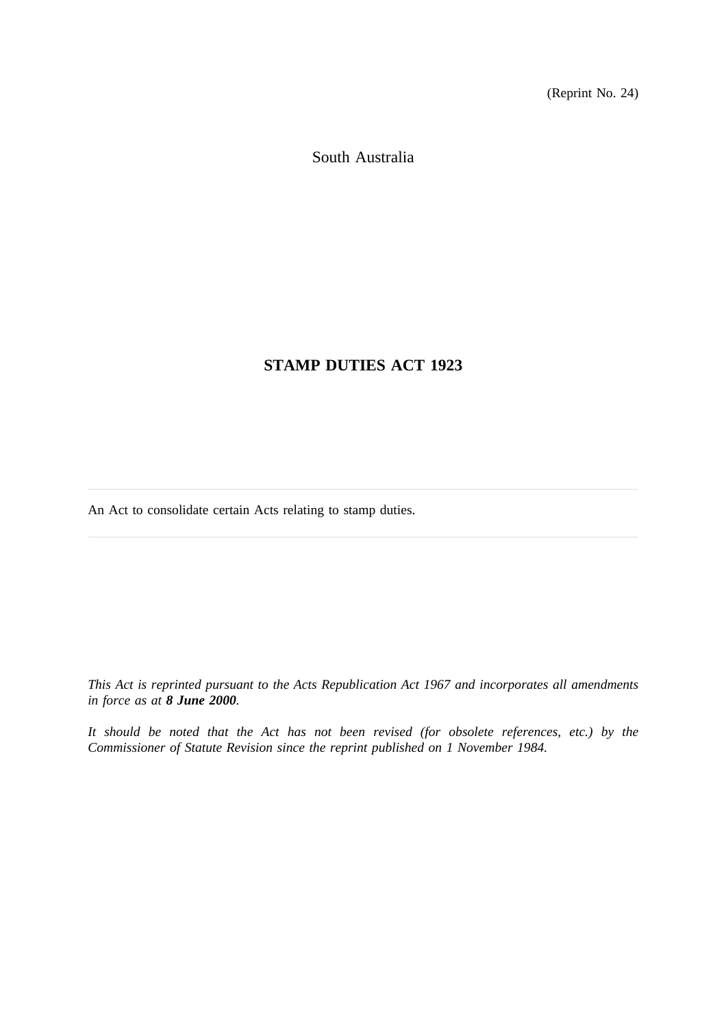(Reprint No. 24)

South Australia

# **STAMP DUTIES ACT 1923**

An Act to consolidate certain Acts relating to stamp duties.

*This Act is reprinted pursuant to the Acts Republication Act 1967 and incorporates all amendments in force as at 8 June 2000.*

*It should be noted that the Act has not been revised (for obsolete references, etc.) by the Commissioner of Statute Revision since the reprint published on 1 November 1984.*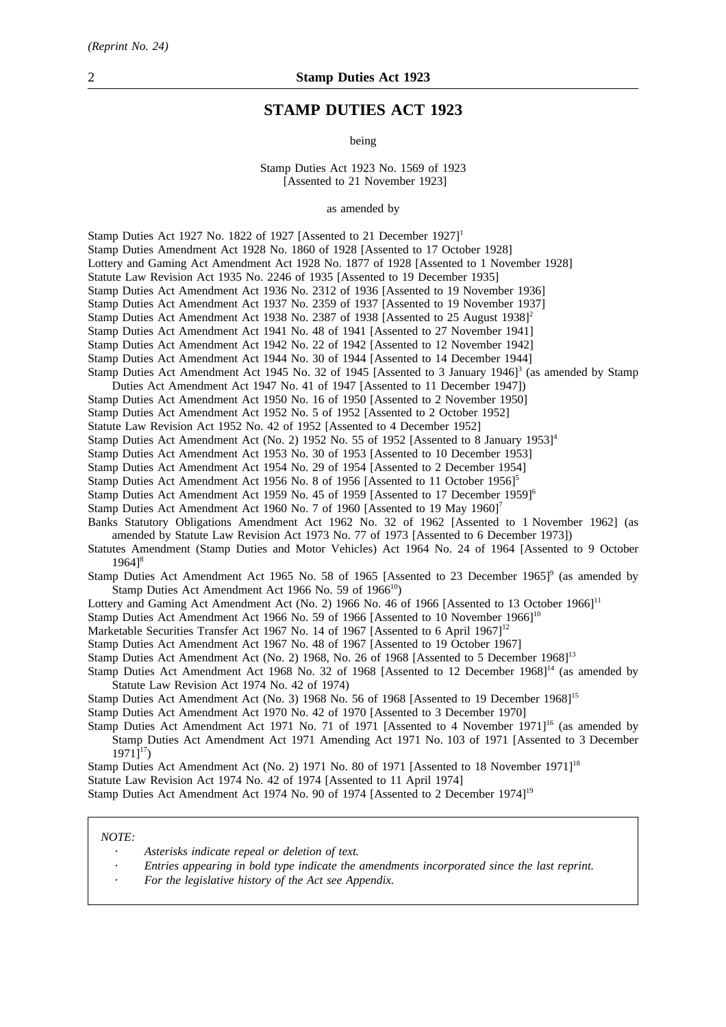# **STAMP DUTIES ACT 1923**

being

Stamp Duties Act 1923 No. 1569 of 1923 [Assented to 21 November 1923]

as amended by

Stamp Duties Act 1927 No. 1822 of 1927 [Assented to 21 December 1927]<sup>1</sup> Stamp Duties Amendment Act 1928 No. 1860 of 1928 [Assented to 17 October 1928] Lottery and Gaming Act Amendment Act 1928 No. 1877 of 1928 [Assented to 1 November 1928] Statute Law Revision Act 1935 No. 2246 of 1935 [Assented to 19 December 1935] Stamp Duties Act Amendment Act 1936 No. 2312 of 1936 [Assented to 19 November 1936] Stamp Duties Act Amendment Act 1937 No. 2359 of 1937 [Assented to 19 November 1937] Stamp Duties Act Amendment Act 1938 No. 2387 of 1938 [Assented to 25 August 1938]<sup>2</sup> Stamp Duties Act Amendment Act 1941 No. 48 of 1941 [Assented to 27 November 1941] Stamp Duties Act Amendment Act 1942 No. 22 of 1942 [Assented to 12 November 1942] Stamp Duties Act Amendment Act 1944 No. 30 of 1944 [Assented to 14 December 1944] Stamp Duties Act Amendment Act 1945 No. 32 of 1945 [Assented to 3 January 1946]<sup>3</sup> (as amended by Stamp Duties Act Amendment Act 1947 No. 41 of 1947 [Assented to 11 December 1947]) Stamp Duties Act Amendment Act 1950 No. 16 of 1950 [Assented to 2 November 1950] Stamp Duties Act Amendment Act 1952 No. 5 of 1952 [Assented to 2 October 1952] Statute Law Revision Act 1952 No. 42 of 1952 [Assented to 4 December 1952] Stamp Duties Act Amendment Act (No. 2) 1952 No. 55 of 1952 [Assented to 8 January 1953]<sup>4</sup> Stamp Duties Act Amendment Act 1953 No. 30 of 1953 [Assented to 10 December 1953] Stamp Duties Act Amendment Act 1954 No. 29 of 1954 [Assented to 2 December 1954] Stamp Duties Act Amendment Act 1956 No. 8 of 1956 [Assented to 11 October 1956]<sup>5</sup> Stamp Duties Act Amendment Act 1959 No. 45 of 1959 [Assented to 17 December 1959]6 Stamp Duties Act Amendment Act 1960 No. 7 of 1960 [Assented to 19 May 1960]<sup>7</sup> Banks Statutory Obligations Amendment Act 1962 No. 32 of 1962 [Assented to 1 November 1962] (as amended by Statute Law Revision Act 1973 No. 77 of 1973 [Assented to 6 December 1973]) Statutes Amendment (Stamp Duties and Motor Vehicles) Act 1964 No. 24 of 1964 [Assented to 9 October  $1964$ <sup>8</sup> Stamp Duties Act Amendment Act 1965 No. 58 of 1965 [Assented to 23 December 1965]<sup>9</sup> (as amended by Stamp Duties Act Amendment Act 1966 No. 59 of  $1966^{10}$ ) Lottery and Gaming Act Amendment Act (No. 2) 1966 No. 46 of 1966 [Assented to 13 October 1966]<sup>11</sup> Stamp Duties Act Amendment Act 1966 No. 59 of 1966 [Assented to 10 November 1966]<sup>10</sup> Marketable Securities Transfer Act 1967 No. 14 of 1967 [Assented to 6 April 1967]<sup>12</sup> Stamp Duties Act Amendment Act 1967 No. 48 of 1967 [Assented to 19 October 1967] Stamp Duties Act Amendment Act (No. 2) 1968, No. 26 of 1968 [Assented to 5 December 1968]<sup>13</sup> Stamp Duties Act Amendment Act 1968 No. 32 of 1968 [Assented to 12 December 1968]<sup>14</sup> (as amended by Statute Law Revision Act 1974 No. 42 of 1974) Stamp Duties Act Amendment Act (No. 3) 1968 No. 56 of 1968 [Assented to 19 December 1968]<sup>15</sup> Stamp Duties Act Amendment Act 1970 No. 42 of 1970 [Assented to 3 December 1970] Stamp Duties Act Amendment Act 1971 No. 71 of 1971 [Assented to 4 November 1971]<sup>16</sup> (as amended by Stamp Duties Act Amendment Act 1971 Amending Act 1971 No. 103 of 1971 [Assented to 3 December  $1971$ <sup>17</sup>) Stamp Duties Act Amendment Act (No. 2) 1971 No. 80 of 1971 [Assented to 18 November 1971]<sup>18</sup> Statute Law Revision Act 1974 No. 42 of 1974 [Assented to 11 April 1974] Stamp Duties Act Amendment Act 1974 No. 90 of 1974 [Assented to 2 December 1974]19

#### *NOTE:*

- *Asterisks indicate repeal or deletion of text.*
- *Entries appearing in bold type indicate the amendments incorporated since the last reprint.*
- *For the legislative history of the Act see Appendix.*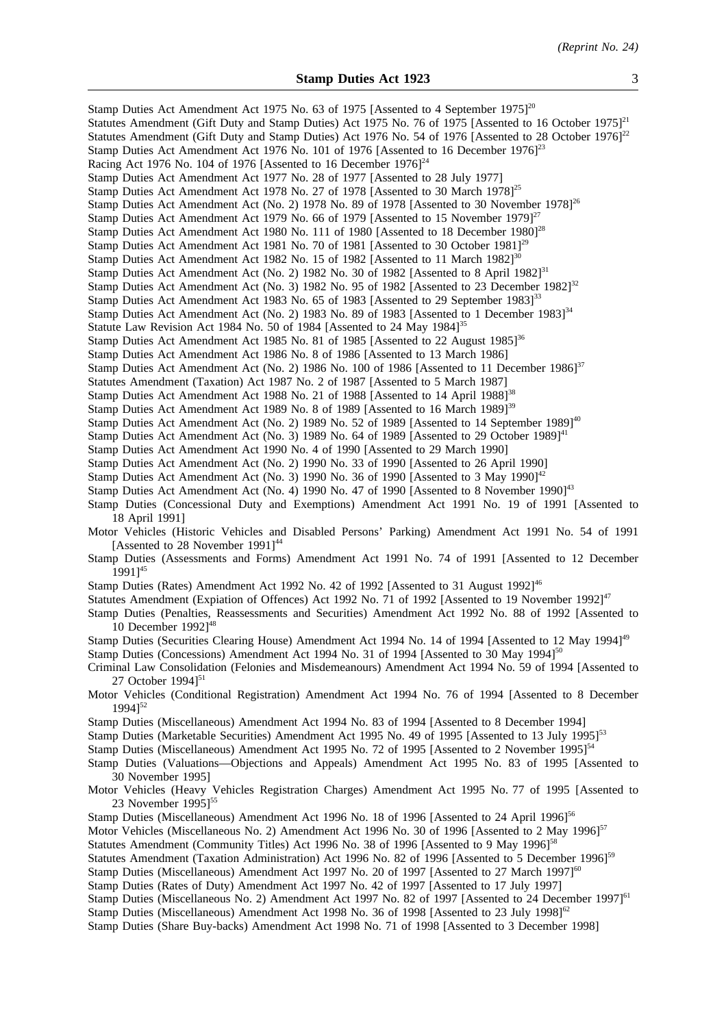| Stamp Duties Act Amendment Act 1975 No. 63 of 1975 [Assented to 4 September 1975] <sup>20</sup><br>Statutes Amendment (Gift Duty and Stamp Duties) Act 1975 No. 76 of 1975 [Assented to 16 October 1975] <sup>21</sup><br>Statutes Amendment (Gift Duty and Stamp Duties) Act 1976 No. 54 of 1976 [Assented to 28 October 1976] <sup>22</sup><br>Stamp Duties Act Amendment Act 1976 No. 101 of 1976 [Assented to 16 December 1976] <sup>23</sup><br>Racing Act 1976 No. 104 of 1976 [Assented to 16 December $1976$ ] <sup>24</sup><br>Stamp Duties Act Amendment Act 1977 No. 28 of 1977 [Assented to 28 July 1977]<br>Stamp Duties Act Amendment Act 1978 No. 27 of 1978 [Assented to 30 March 1978] <sup>25</sup><br>Stamp Duties Act Amendment Act (No. 2) 1978 No. 89 of 1978 [Assented to 30 November 1978] <sup>26</sup><br>Stamp Duties Act Amendment Act 1979 No. 66 of 1979 [Assented to 15 November 1979] $^{27}$<br>Stamp Duties Act Amendment Act 1980 No. 111 of 1980 [Assented to 18 December 1980] <sup>28</sup><br>Stamp Duties Act Amendment Act 1981 No. 70 of 1981 [Assented to 30 October 1981] <sup>29</sup><br>Stamp Duties Act Amendment Act 1982 No. 15 of 1982 [Assented to 11 March 1982] <sup>30</sup><br>Stamp Duties Act Amendment Act (No. 2) 1982 No. 30 of 1982 [Assented to 8 April 1982] <sup>31</sup><br>Stamp Duties Act Amendment Act (No. 3) 1982 No. 95 of 1982 [Assented to 23 December 1982] <sup>32</sup> |
|-------------------------------------------------------------------------------------------------------------------------------------------------------------------------------------------------------------------------------------------------------------------------------------------------------------------------------------------------------------------------------------------------------------------------------------------------------------------------------------------------------------------------------------------------------------------------------------------------------------------------------------------------------------------------------------------------------------------------------------------------------------------------------------------------------------------------------------------------------------------------------------------------------------------------------------------------------------------------------------------------------------------------------------------------------------------------------------------------------------------------------------------------------------------------------------------------------------------------------------------------------------------------------------------------------------------------------------------------------------------------------------------------------------------------------------------------------|
| Stamp Duties Act Amendment Act 1983 No. 65 of 1983 [Assented to 29 September 1983] <sup>33</sup><br>Stamp Duties Act Amendment Act (No. 2) 1983 No. 89 of 1983 [Assented to 1 December 1983] <sup>34</sup><br>Statute Law Revision Act 1984 No. 50 of 1984 [Assented to 24 May 1984] <sup>35</sup><br>Stamp Duties Act Amendment Act 1985 No. 81 of 1985 [Assented to 22 August 1985] <sup>36</sup><br>Stamp Duties Act Amendment Act 1986 No. 8 of 1986 [Assented to 13 March 1986]<br>Stamp Duties Act Amendment Act (No. 2) 1986 No. 100 of 1986 [Assented to 11 December 1986] <sup>37</sup><br>Statutes Amendment (Taxation) Act 1987 No. 2 of 1987 [Assented to 5 March 1987]<br>Stamp Duties Act Amendment Act 1988 No. 21 of 1988 [Assented to 14 April 1988] <sup>38</sup>                                                                                                                                                                                                                                                                                                                                                                                                                                                                                                                                                                                                                                                                   |
| Stamp Duties Act Amendment Act 1989 No. 8 of 1989 [Assented to 16 March 1989] <sup>39</sup>                                                                                                                                                                                                                                                                                                                                                                                                                                                                                                                                                                                                                                                                                                                                                                                                                                                                                                                                                                                                                                                                                                                                                                                                                                                                                                                                                           |
| Stamp Duties Act Amendment Act (No. 2) 1989 No. 52 of 1989 [Assented to 14 September 1989] <sup>40</sup>                                                                                                                                                                                                                                                                                                                                                                                                                                                                                                                                                                                                                                                                                                                                                                                                                                                                                                                                                                                                                                                                                                                                                                                                                                                                                                                                              |
| Stamp Duties Act Amendment Act (No. 3) 1989 No. 64 of 1989 [Assented to 29 October 1989] <sup>41</sup>                                                                                                                                                                                                                                                                                                                                                                                                                                                                                                                                                                                                                                                                                                                                                                                                                                                                                                                                                                                                                                                                                                                                                                                                                                                                                                                                                |
| Stamp Duties Act Amendment Act 1990 No. 4 of 1990 [Assented to 29 March 1990]                                                                                                                                                                                                                                                                                                                                                                                                                                                                                                                                                                                                                                                                                                                                                                                                                                                                                                                                                                                                                                                                                                                                                                                                                                                                                                                                                                         |
| Stamp Duties Act Amendment Act (No. 2) 1990 No. 33 of 1990 [Assented to 26 April 1990]                                                                                                                                                                                                                                                                                                                                                                                                                                                                                                                                                                                                                                                                                                                                                                                                                                                                                                                                                                                                                                                                                                                                                                                                                                                                                                                                                                |
| Stamp Duties Act Amendment Act (No. 3) 1990 No. 36 of 1990 [Assented to 3 May 1990] <sup>42</sup><br>Stamp Duties Act Amendment Act (No. 4) 1990 No. 47 of 1990 [Assented to 8 November 1990] <sup>43</sup>                                                                                                                                                                                                                                                                                                                                                                                                                                                                                                                                                                                                                                                                                                                                                                                                                                                                                                                                                                                                                                                                                                                                                                                                                                           |
| Stamp Duties (Concessional Duty and Exemptions) Amendment Act 1991 No. 19 of 1991 [Assented to<br>18 April 1991]                                                                                                                                                                                                                                                                                                                                                                                                                                                                                                                                                                                                                                                                                                                                                                                                                                                                                                                                                                                                                                                                                                                                                                                                                                                                                                                                      |
| Motor Vehicles (Historic Vehicles and Disabled Persons' Parking) Amendment Act 1991 No. 54 of 1991<br>[Assented to 28 November 1991] <sup>44</sup>                                                                                                                                                                                                                                                                                                                                                                                                                                                                                                                                                                                                                                                                                                                                                                                                                                                                                                                                                                                                                                                                                                                                                                                                                                                                                                    |
| Stamp Duties (Assessments and Forms) Amendment Act 1991 No. 74 of 1991 [Assented to 12 December<br>$19911^{45}$                                                                                                                                                                                                                                                                                                                                                                                                                                                                                                                                                                                                                                                                                                                                                                                                                                                                                                                                                                                                                                                                                                                                                                                                                                                                                                                                       |
| Stamp Duties (Rates) Amendment Act 1992 No. 42 of 1992 [Assented to 31 August 1992] <sup>46</sup>                                                                                                                                                                                                                                                                                                                                                                                                                                                                                                                                                                                                                                                                                                                                                                                                                                                                                                                                                                                                                                                                                                                                                                                                                                                                                                                                                     |
| Statutes Amendment (Expiation of Offences) Act 1992 No. 71 of 1992 [Assented to 19 November 1992] <sup>47</sup><br>Stamp Duties (Penalties, Reassessments and Securities) Amendment Act 1992 No. 88 of 1992 [Assented to<br>10 December 1992] <sup>48</sup>                                                                                                                                                                                                                                                                                                                                                                                                                                                                                                                                                                                                                                                                                                                                                                                                                                                                                                                                                                                                                                                                                                                                                                                           |
| Stamp Duties (Securities Clearing House) Amendment Act 1994 No. 14 of 1994 [Assented to 12 May 1994] <sup>49</sup>                                                                                                                                                                                                                                                                                                                                                                                                                                                                                                                                                                                                                                                                                                                                                                                                                                                                                                                                                                                                                                                                                                                                                                                                                                                                                                                                    |
| Stamp Duties (Concessions) Amendment Act 1994 No. 31 of 1994 [Assented to 30 May 1994] <sup>50</sup><br>Criminal Law Consolidation (Felonies and Misdemeanours) Amendment Act 1994 No. 59 of 1994 [Assented to                                                                                                                                                                                                                                                                                                                                                                                                                                                                                                                                                                                                                                                                                                                                                                                                                                                                                                                                                                                                                                                                                                                                                                                                                                        |
| 27 October $1994$ <sup>51</sup><br>Motor Vehicles (Conditional Registration) Amendment Act 1994 No. 76 of 1994 [Assented to 8 December                                                                                                                                                                                                                                                                                                                                                                                                                                                                                                                                                                                                                                                                                                                                                                                                                                                                                                                                                                                                                                                                                                                                                                                                                                                                                                                |
| $19941^{52}$                                                                                                                                                                                                                                                                                                                                                                                                                                                                                                                                                                                                                                                                                                                                                                                                                                                                                                                                                                                                                                                                                                                                                                                                                                                                                                                                                                                                                                          |
| Stamp Duties (Miscellaneous) Amendment Act 1994 No. 83 of 1994 [Assented to 8 December 1994]<br>Stamp Duties (Marketable Securities) Amendment Act 1995 No. 49 of 1995 [Assented to 13 July 1995] <sup>53</sup><br>Stamp Duties (Miscellaneous) Amendment Act 1995 No. 72 of 1995 [Assented to 2 November 1995] <sup>54</sup>                                                                                                                                                                                                                                                                                                                                                                                                                                                                                                                                                                                                                                                                                                                                                                                                                                                                                                                                                                                                                                                                                                                         |
| Stamp Duties (Valuations—Objections and Appeals) Amendment Act 1995 No. 83 of 1995 [Assented to                                                                                                                                                                                                                                                                                                                                                                                                                                                                                                                                                                                                                                                                                                                                                                                                                                                                                                                                                                                                                                                                                                                                                                                                                                                                                                                                                       |
| 30 November 1995]<br>Motor Vehicles (Heavy Vehicles Registration Charges) Amendment Act 1995 No. 77 of 1995 [Assented to<br>23 November $1995$ <sup>55</sup>                                                                                                                                                                                                                                                                                                                                                                                                                                                                                                                                                                                                                                                                                                                                                                                                                                                                                                                                                                                                                                                                                                                                                                                                                                                                                          |
| Stamp Duties (Miscellaneous) Amendment Act 1996 No. 18 of 1996 [Assented to 24 April 1996] <sup>56</sup><br>Motor Vehicles (Miscellaneous No. 2) Amendment Act 1996 No. 30 of 1996 [Assented to 2 May 1996] <sup>57</sup><br>Statutes Amendment (Community Titles) Act 1996 No. 38 of 1996 [Assented to 9 May 1996] <sup>58</sup><br>Statutes Amendment (Taxation Administration) Act 1996 No. 82 of 1996 [Assented to 5 December 1996] <sup>59</sup><br>Stamp Duties (Miscellaneous) Amendment Act 1997 No. 20 of 1997 [Assented to 27 March 1997] <sup>60</sup><br>Stamp Duties (Rates of Duty) Amendment Act 1997 No. 42 of 1997 [Assented to 17 July 1997]<br>Stamp Duties (Miscellaneous No. 2) Amendment Act 1997 No. 82 of 1997 [Assented to 24 December 1997] <sup>61</sup>                                                                                                                                                                                                                                                                                                                                                                                                                                                                                                                                                                                                                                                                   |
| Stamp Duties (Miscellaneous) Amendment Act 1998 No. 36 of 1998 [Assented to 23 July 1998] <sup>62</sup><br>Stamp Duties (Share Buy-backs) Amendment Act 1998 No. 71 of 1998 [Assented to 3 December 1998]                                                                                                                                                                                                                                                                                                                                                                                                                                                                                                                                                                                                                                                                                                                                                                                                                                                                                                                                                                                                                                                                                                                                                                                                                                             |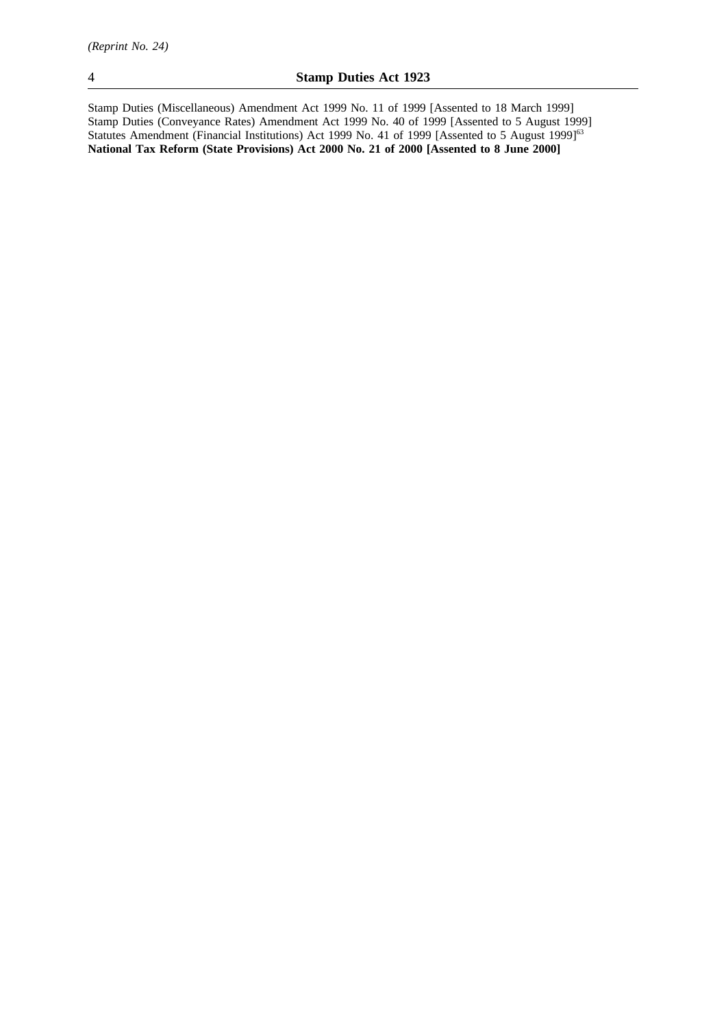Stamp Duties (Miscellaneous) Amendment Act 1999 No. 11 of 1999 [Assented to 18 March 1999] Stamp Duties (Conveyance Rates) Amendment Act 1999 No. 40 of 1999 [Assented to 5 August 1999] Statutes Amendment (Financial Institutions) Act 1999 No. 41 of 1999 [Assented to 5 August 1999]<sup>63</sup> **National Tax Reform (State Provisions) Act 2000 No. 21 of 2000 [Assented to 8 June 2000]**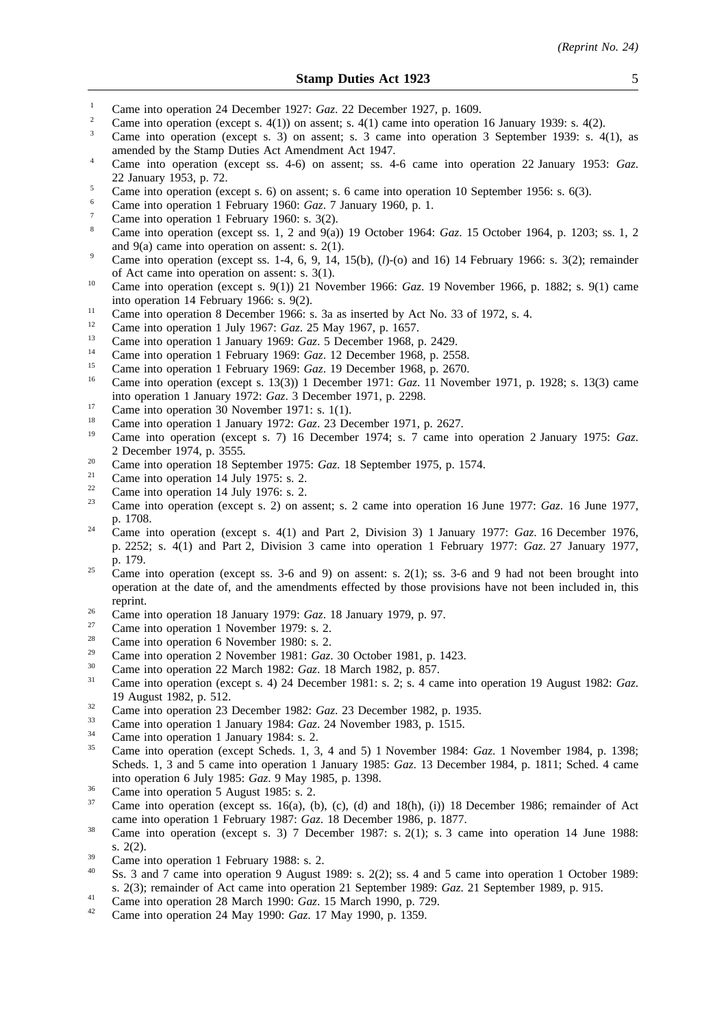- <sup>1</sup> Came into operation 24 December 1927: *Gaz.* 22 December 1927, p. 1609.
- <sup>2</sup> Came into operation (except s. 4(1)) on assent; s. 4(1) came into operation 16 January 1939: s. 4(2).
- <sup>3</sup> Came into operation (except s. 3) on assent; s. 3 came into operation 3 September 1939: s. 4(1), as amended by the Stamp Duties Act Amendment Act 1947.
- <sup>4</sup> Came into operation (except ss. 4-6) on assent; ss. 4-6 came into operation 22 January 1953: *Gaz*. 22 January 1953, p. 72.
- <sup>5</sup> Came into operation (except s. 6) on assent; s. 6 came into operation 10 September 1956: s. 6(3).
- <sup>6</sup> Came into operation 1 February 1960: *Gaz*. 7 January 1960, p. 1.
- Came into operation 1 February 1960: s. 3(2).
- <sup>8</sup> Came into operation (except ss. 1, 2 and 9(a)) 19 October 1964: *Gaz*. 15 October 1964, p. 1203; ss. 1, 2 and 9(a) came into operation on assent: s. 2(1).
- <sup>9</sup> Came into operation (except ss. 1-4, 6, 9, 14, 15(b),  $(l)$ -(o) and 16) 14 February 1966: s. 3(2); remainder of Act came into operation on assent: s. 3(1).
- <sup>10</sup> Came into operation (except s. 9(1)) 21 November 1966: *Gaz*. 19 November 1966, p. 1882; s. 9(1) came into operation 14 February 1966: s. 9(2).
- <sup>11</sup> Came into operation 8 December 1966: s. 3a as inserted by Act No. 33 of 1972, s. 4.
- <sup>12</sup> Came into operation 1 July 1967: *Gaz*. 25 May 1967, p. 1657.
- <sup>13</sup> Came into operation 1 January 1969: *Gaz*. 5 December 1968, p. 2429.
- <sup>14</sup> Came into operation 1 February 1969: *Gaz.* 12 December 1968, p. 2558.<br><sup>15</sup> Came into apartice 1 February 1969: *Gaz.* 19 December 1968, p. 2579.
- <sup>15</sup> Came into operation 1 February 1969: *Gaz*. 19 December 1968, p. 2670.
- <sup>16</sup> Came into operation (except s. 13(3)) 1 December 1971: *Gaz*. 11 November 1971, p. 1928; s. 13(3) came into operation 1 January 1972: *Gaz*. 3 December 1971, p. 2298.
- <sup>17</sup> Came into operation 30 November 1971: s. 1(1).
- <sup>18</sup> Came into operation 1 January 1972: *Gaz*. 23 December 1971, p. 2627.
- <sup>19</sup> Came into operation (except s. 7) 16 December 1974; s. 7 came into operation 2 January 1975: *Gaz*. 2 December 1974, p. 3555.
- <sup>20</sup> Came into operation 18 September 1975: *Gaz*. 18 September 1975, p. 1574.
- <sup>21</sup> Came into operation 14 July 1975: s. 2.<br>
<sup>22</sup> Came into operation 14 July 1976: s. 2.
- <sup>22</sup> Came into operation 14 July 1976: s. 2.<br><sup>23</sup> Came into operation (execute 2) on a
- <sup>23</sup> Came into operation (except s. 2) on assent; s. 2 came into operation 16 June 1977: *Gaz*. 16 June 1977, p. 1708.
- <sup>24</sup> Came into operation (except s. 4(1) and Part 2, Division 3) 1 January 1977: *Gaz*. 16 December 1976, p. 2252; s. 4(1) and Part 2, Division 3 came into operation 1 February 1977: *Gaz*. 27 January 1977, p. 179.
- <sup>25</sup> Came into operation (except ss. 3-6 and 9) on assent: s. 2(1); ss. 3-6 and 9 had not been brought into operation at the date of, and the amendments effected by those provisions have not been included in, this reprint.
- <sup>26</sup> Came into operation 18 January 1979: *Gaz*. 18 January 1979, p. 97.
- $\frac{27}{28}$  Came into operation 1 November 1979: s. 2.
- <sup>28</sup> Came into operation 6 November 1980: s. 2.
- <sup>29</sup> Came into operation 2 November 1981: *Gaz*. 30 October 1981, p. 1423.
- <sup>30</sup> Came into operation 22 March 1982: *Gaz*. 18 March 1982, p. 857.
- <sup>31</sup> Came into operation (except s. 4) 24 December 1981: s. 2; s. 4 came into operation 19 August 1982: *Gaz*. 19 August 1982, p. 512.
- <sup>32</sup> Came into operation 23 December 1982: *Gaz.* 23 December 1982, p. 1935.
- <sup>33</sup> Came into operation 1 January 1984: *Gaz*. 24 November 1983, p. 1515.
- $\frac{34}{35}$  Came into operation 1 January 1984: s. 2.
- <sup>35</sup> Came into operation (except Scheds. 1, 3, 4 and 5) 1 November 1984: *Gaz*. 1 November 1984, p. 1398; Scheds. 1, 3 and 5 came into operation 1 January 1985: *Gaz*. 13 December 1984, p. 1811; Sched. 4 came into operation 6 July 1985: *Gaz*. 9 May 1985, p. 1398.
- $\frac{36}{37}$  Came into operation 5 August 1985: s. 2.
- Came into operation (except ss. 16(a), (b), (c), (d) and  $18(h)$ , (i)) 18 December 1986; remainder of Act came into operation 1 February 1987: *Gaz*. 18 December 1986, p. 1877.
- <sup>38</sup> Came into operation (except s. 3) 7 December 1987: s. 2(1); s. 3 came into operation 14 June 1988: s. 2(2).
- $\frac{39}{40}$  Came into operation 1 February 1988: s. 2.
- Ss. 3 and 7 came into operation 9 August 1989: s. 2(2); ss. 4 and 5 came into operation 1 October 1989: s. 2(3); remainder of Act came into operation 21 September 1989: *Gaz*. 21 September 1989, p. 915.
- <sup>41</sup> Came into operation 28 March 1990: *Gaz*. 15 March 1990, p. 729.
- <sup>42</sup> Came into operation 24 May 1990: *Gaz*. 17 May 1990, p. 1359.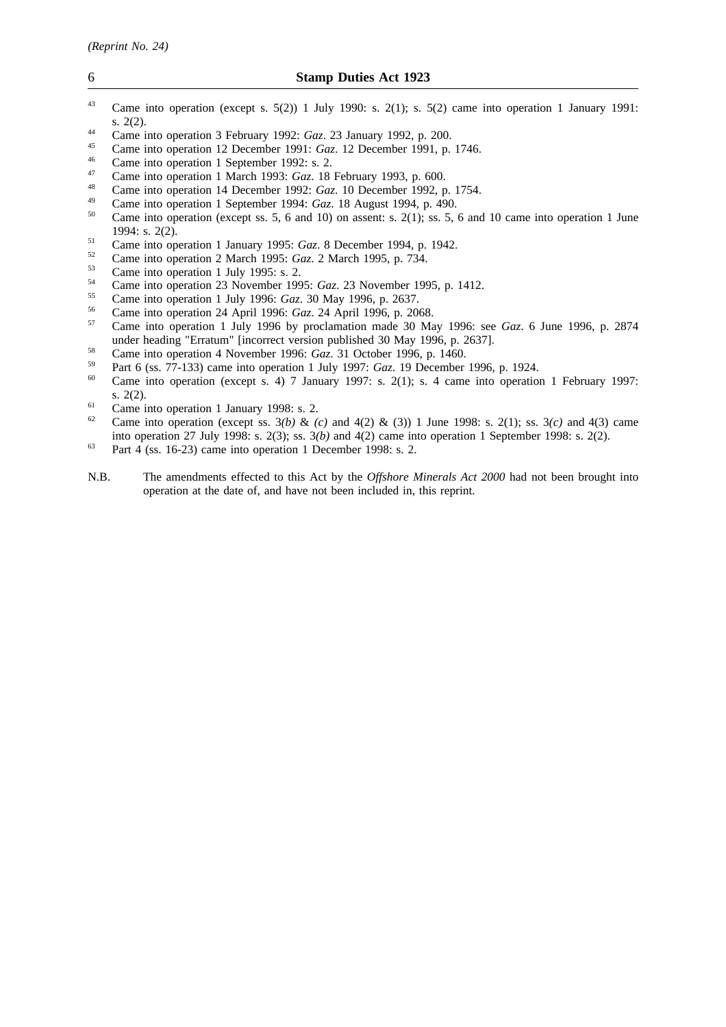- <sup>43</sup> Came into operation (except s. 5(2)) 1 July 1990: s. 2(1); s. 5(2) came into operation 1 January 1991: s. 2(2).
- <sup>44</sup> Came into operation 3 February 1992: *Gaz*. 23 January 1992, p. 200.
- <sup>45</sup> Came into operation 12 December 1991: *Gaz*. 12 December 1991, p. 1746.
- $^{46}$  Came into operation 1 September 1992: s. 2.
- <sup>47</sup> Came into operation 1 March 1993: *Gaz*. 18 February 1993, p. 600.
- <sup>48</sup> Came into operation 14 December 1992: *Gaz*. 10 December 1992, p. 1754.
- <sup>49</sup> Came into operation 1 September 1994: *Gaz*. 18 August 1994, p. 490.
- Came into operation (except ss.  $5, 6$  and 10) on assent: s. 2(1); ss.  $5, 6$  and 10 came into operation 1 June 1994: s. 2(2).
- <sup>51</sup> Came into operation 1 January 1995: *Gaz*. 8 December 1994, p. 1942.
- <sup>52</sup> Came into operation 2 March 1995: *Gaz*. 2 March 1995, p. 734.
- $^{53}$  Came into operation 1 July 1995: s. 2.
- <sup>54</sup> Came into operation 23 November 1995: *Gaz*. 23 November 1995, p. 1412.
- <sup>55</sup> Came into operation 1 July 1996: *Gaz*. 30 May 1996, p. 2637.
- <sup>56</sup> Came into operation 24 April 1996: *Gaz*. 24 April 1996, p. 2068.
- <sup>57</sup> Came into operation 1 July 1996 by proclamation made 30 May 1996: see *Gaz*. 6 June 1996, p. 2874 under heading "Erratum" [incorrect version published 30 May 1996, p. 2637].
- <sup>58</sup> Came into operation 4 November 1996: *Gaz*. 31 October 1996, p. 1460.
- <sup>59</sup> Part 6 (ss. 77-133) came into operation 1 July 1997: *Gaz*. 19 December 1996, p. 1924.
- Came into operation (except s. 4) 7 January 1997: s. 2(1); s. 4 came into operation 1 February 1997: s. 2(2).
- <sup>61</sup> Came into operation 1 January 1998: s. 2.<br><sup>62</sup> Came into operation (queent se.  $2(h)$ , 8-
- <sup>62</sup> Came into operation (except ss. 3*(b)* & *(c)* and 4(2) & (3)) 1 June 1998: s. 2(1); ss. 3*(c)* and 4(3) came into operation 27 July 1998: s. 2(3); ss. 3*(b)* and 4(2) came into operation 1 September 1998: s. 2(2).
- $63$  Part 4 (ss. 16-23) came into operation 1 December 1998: s. 2.
- N.B. The amendments effected to this Act by the *Offshore Minerals Act 2000* had not been brought into operation at the date of, and have not been included in, this reprint.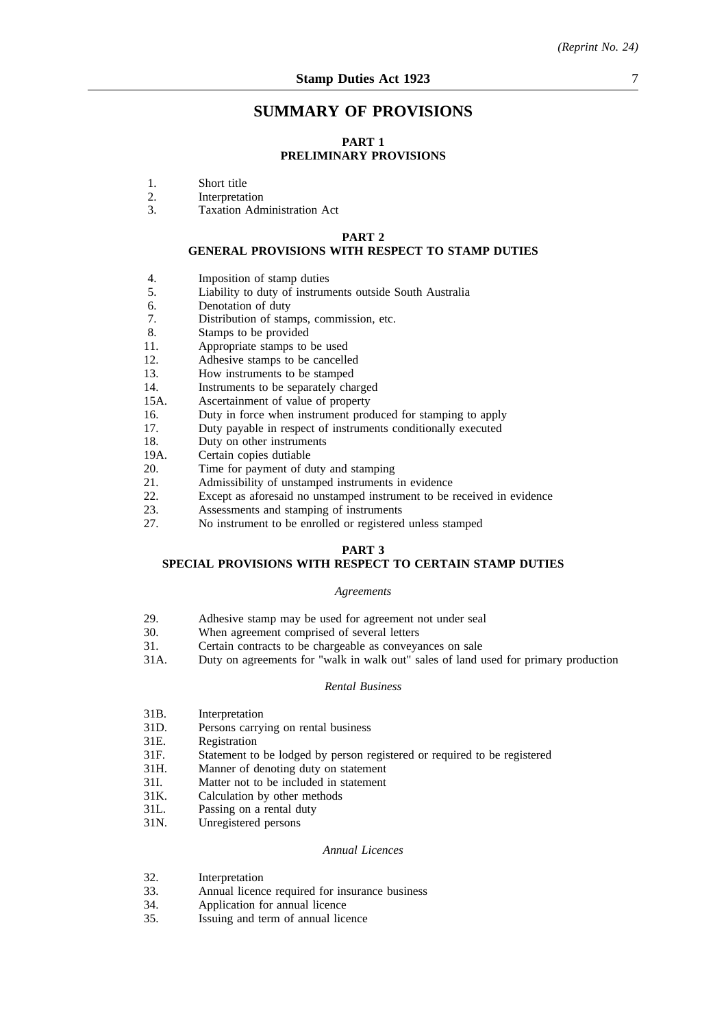# **SUMMARY OF PROVISIONS**

## **PART 1**

# **PRELIMINARY PROVISIONS**

- 1. Short title<br>2. Interpretat
- 2. Interpretation<br>3 Taxation Adm
- Taxation Administration Act

#### **PART 2**

# **GENERAL PROVISIONS WITH RESPECT TO STAMP DUTIES**

- 4. Imposition of stamp duties
- 5. Liability to duty of instruments outside South Australia
- 6. Denotation of duty<br>7. Distribution of star
- 7. Distribution of stamps, commission, etc.<br>8. Stamps to be provided
- Stamps to be provided
- 11. Appropriate stamps to be used
- 12. Adhesive stamps to be cancelled
- 13. How instruments to be stamped
- 14. Instruments to be separately charged
- 15A. Ascertainment of value of property
- 16. Duty in force when instrument produced for stamping to apply
- 17. Duty payable in respect of instruments conditionally executed
- 18. Duty on other instruments
- 19A. Certain copies dutiable
- 20. Time for payment of duty and stamping
- 21. Admissibility of unstamped instruments in evidence
- 22. Except as aforesaid no unstamped instrument to be received in evidence
- 23. Assessments and stamping of instruments
- 27. No instrument to be enrolled or registered unless stamped

#### **PART 3**

# **SPECIAL PROVISIONS WITH RESPECT TO CERTAIN STAMP DUTIES**

#### *Agreements*

- 29. Adhesive stamp may be used for agreement not under seal
- 30. When agreement comprised of several letters
- 31. Certain contracts to be chargeable as conveyances on sale
- 31A. Duty on agreements for "walk in walk out" sales of land used for primary production

## *Rental Business*

- 31B. Interpretation<br>31D. Persons carryi
- Persons carrying on rental business
- 31E. Registration
- 31F. Statement to be lodged by person registered or required to be registered
- 31H. Manner of denoting duty on statement
- 31I. Matter not to be included in statement<br>31K. Calculation by other methods
- 31K. Calculation by other methods<br>31L. Passing on a rental duty
- 31L. Passing on a rental duty<br>31N. Unregistered persons
- Unregistered persons

### *Annual Licences*

- 32. Interpretation
- 33. Annual licence required for insurance business
- 34. Application for annual licence
- 35. Issuing and term of annual licence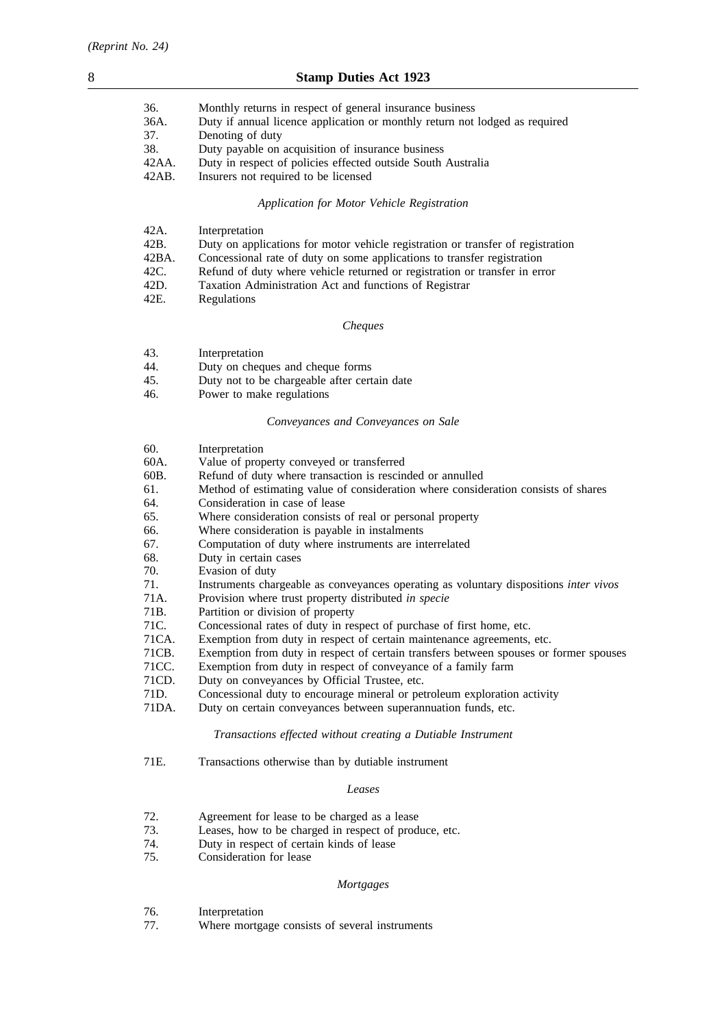| 36.      | Monthly returns in respect of general insurance business                    |
|----------|-----------------------------------------------------------------------------|
| 36A.     | Duty if annual licence application or monthly return not lodged as required |
| 37.      | Denoting of duty                                                            |
| 38.      | Duty payable on acquisition of insurance business                           |
| $42AA$ . | Duty in respect of policies effected outside South Australia                |
| 42AB.    | Insurers not required to be licensed                                        |
|          |                                                                             |

# *Application for Motor Vehicle Registration*

| 42A.  | Interpretation                                                                  |
|-------|---------------------------------------------------------------------------------|
| 42B.  | Duty on applications for motor vehicle registration or transfer of registration |
| 42BA. | Concessional rate of duty on some applications to transfer registration         |
| 42C.  | Refund of duty where vehicle returned or registration or transfer in error      |
| 42D.  | Taxation Administration Act and functions of Registrar                          |
| 42E.  | <b>Regulations</b>                                                              |

# *Cheques*

- 43. Interpretation<br>44. Duty on cheque
- 44. Duty on cheques and cheque forms
- 45. Duty not to be chargeable after certain date
- 46. Power to make regulations

# *Conveyances and Conveyances on Sale*

| 60.   | Interpretation                                                                        |  |  |  |
|-------|---------------------------------------------------------------------------------------|--|--|--|
| 60A.  | Value of property conveyed or transferred                                             |  |  |  |
| 60B.  | Refund of duty where transaction is rescinded or annulled                             |  |  |  |
| 61.   | Method of estimating value of consideration where consideration consists of shares    |  |  |  |
| 64.   | Consideration in case of lease                                                        |  |  |  |
| 65.   | Where consideration consists of real or personal property                             |  |  |  |
| 66.   | Where consideration is payable in instalments                                         |  |  |  |
| 67.   | Computation of duty where instruments are interrelated                                |  |  |  |
| 68.   | Duty in certain cases                                                                 |  |  |  |
| 70.   | Evasion of duty                                                                       |  |  |  |
| 71.   | Instruments chargeable as conveyances operating as voluntary dispositions inter vivos |  |  |  |
| 71A.  | Provision where trust property distributed in specie                                  |  |  |  |
| 71B.  | Partition or division of property                                                     |  |  |  |
| 71C.  | Concessional rates of duty in respect of purchase of first home, etc.                 |  |  |  |
| 71CA. | Exemption from duty in respect of certain maintenance agreements, etc.                |  |  |  |
| 71CB. | Exemption from duty in respect of certain transfers between spouses or former spouses |  |  |  |
| 71CC. | Exemption from duty in respect of conveyance of a family farm                         |  |  |  |
| 71CD. | Duty on conveyances by Official Trustee, etc.                                         |  |  |  |
| 71D.  | Concessional duty to encourage mineral or petroleum exploration activity              |  |  |  |
| 71DA. | Duty on certain conveyances between superannuation funds, etc.                        |  |  |  |
|       | Transactions effected without creating a Dutiable Instrument                          |  |  |  |
| 71E.  | Transactions otherwise than by dutiable instrument                                    |  |  |  |
|       | Leases                                                                                |  |  |  |
| 72.   | Agreement for lease to be charged as a lease                                          |  |  |  |
| 73.   | Leases, how to be charged in respect of produce, etc.                                 |  |  |  |
| 74.   | Duty in respect of certain kinds of lease                                             |  |  |  |
| $- -$ | $\alpha$ is a contract of $\alpha$                                                    |  |  |  |

75. Consideration for lease

# *Mortgages*

- 
- 76. Interpretation<br>77. Where mortga Where mortgage consists of several instruments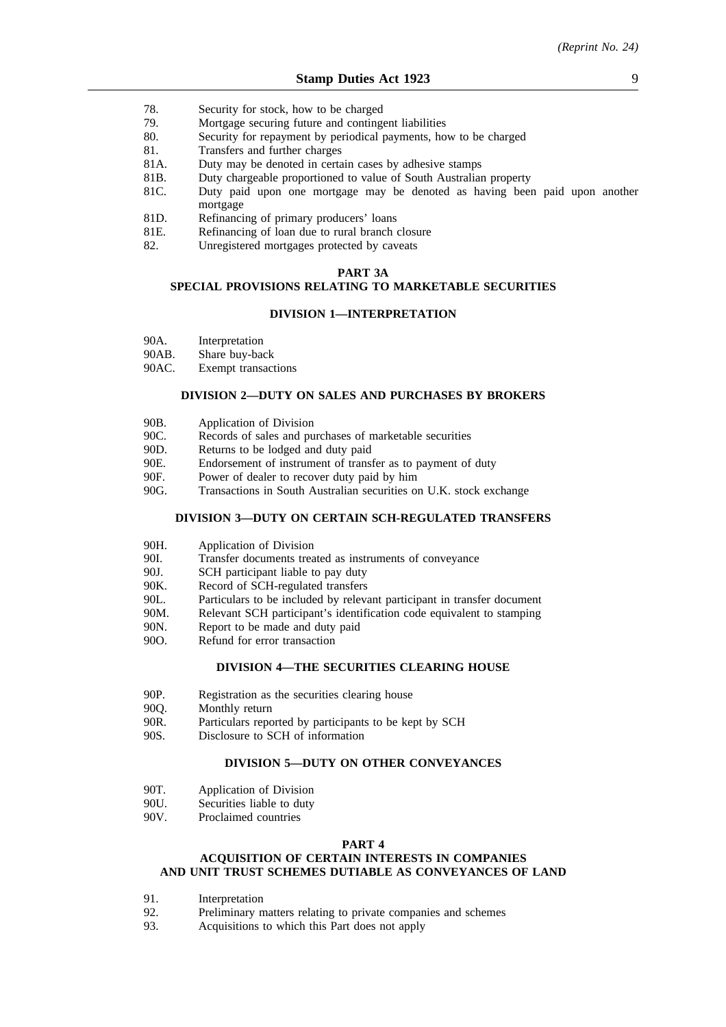- 78. Security for stock, how to be charged
- 79. Mortgage securing future and contingent liabilities
- 80. Security for repayment by periodical payments, how to be charged
- 81. Transfers and further charges
- 81A. Duty may be denoted in certain cases by adhesive stamps
- 81B. Duty chargeable proportioned to value of South Australian property
- 81C. Duty paid upon one mortgage may be denoted as having been paid upon another mortgage
- 81D. Refinancing of primary producers' loans
- 81E. Refinancing of loan due to rural branch closure
- 82. Unregistered mortgages protected by caveats

## **PART 3A**

# **SPECIAL PROVISIONS RELATING TO MARKETABLE SECURITIES**

# **DIVISION 1—INTERPRETATION**

| 90A. | Interpretation |
|------|----------------|
|------|----------------|

90AB. Share buy-back

90AC. Exempt transactions

# **DIVISION 2—DUTY ON SALES AND PURCHASES BY BROKERS**

| 90B.     | Application of Division                                                                                                                                                                                                                                            |
|----------|--------------------------------------------------------------------------------------------------------------------------------------------------------------------------------------------------------------------------------------------------------------------|
|          |                                                                                                                                                                                                                                                                    |
| 90C.     | Records of sales and purchases of marketable securities                                                                                                                                                                                                            |
| 90D.     | Returns to be lodged and duty paid                                                                                                                                                                                                                                 |
| 90E.     | Endorsement of instrument of transfer as to payment of duty                                                                                                                                                                                                        |
| 90F.     | Power of dealer to recover duty paid by him                                                                                                                                                                                                                        |
| $\Omega$ | $T_{\text{non-1}}$ , $\mu$ , $\mu$ , $\mu$ , $\mu$ , $\mu$ , $\mu$ , $\mu$ , $\mu$ , $\mu$ , $\mu$ , $\mu$ , $\mu$ , $\mu$ , $\mu$ , $\mu$ , $\mu$ , $\mu$ , $\mu$ , $\mu$ , $\mu$ , $\mu$ , $\mu$ , $\mu$ , $\mu$ , $\mu$ , $\mu$ , $\mu$ , $\mu$ , $\mu$ , $\mu$ |

90G. Transactions in South Australian securities on U.K. stock exchange

### **DIVISION 3—DUTY ON CERTAIN SCH-REGULATED TRANSFERS**

- 90H. Application of Division<br>90L Transfer documents trea
- 90I. Transfer documents treated as instruments of conveyance<br>90J. SCH participant liable to pay duty
- 90J. SCH participant liable to pay duty<br>90K. Record of SCH-regulated transfers
- Record of SCH-regulated transfers
- 90L. Particulars to be included by relevant participant in transfer document
- 90M. Relevant SCH participant's identification code equivalent to stamping
- 90N. Report to be made and duty paid
- 90O. Refund for error transaction

### **DIVISION 4—THE SECURITIES CLEARING HOUSE**

- 90P. Registration as the securities clearing house
- 90Q. Monthly return
- 90R. Particulars reported by participants to be kept by SCH
- 90S. Disclosure to SCH of information

### **DIVISION 5—DUTY ON OTHER CONVEYANCES**

- 90T. Application of Division
- 90U. Securities liable to duty
- 90V. Proclaimed countries

#### **PART 4**

#### **ACQUISITION OF CERTAIN INTERESTS IN COMPANIES AND UNIT TRUST SCHEMES DUTIABLE AS CONVEYANCES OF LAND**

- 91. Interpretation<br>92. Preliminary n
- Preliminary matters relating to private companies and schemes
- 93. Acquisitions to which this Part does not apply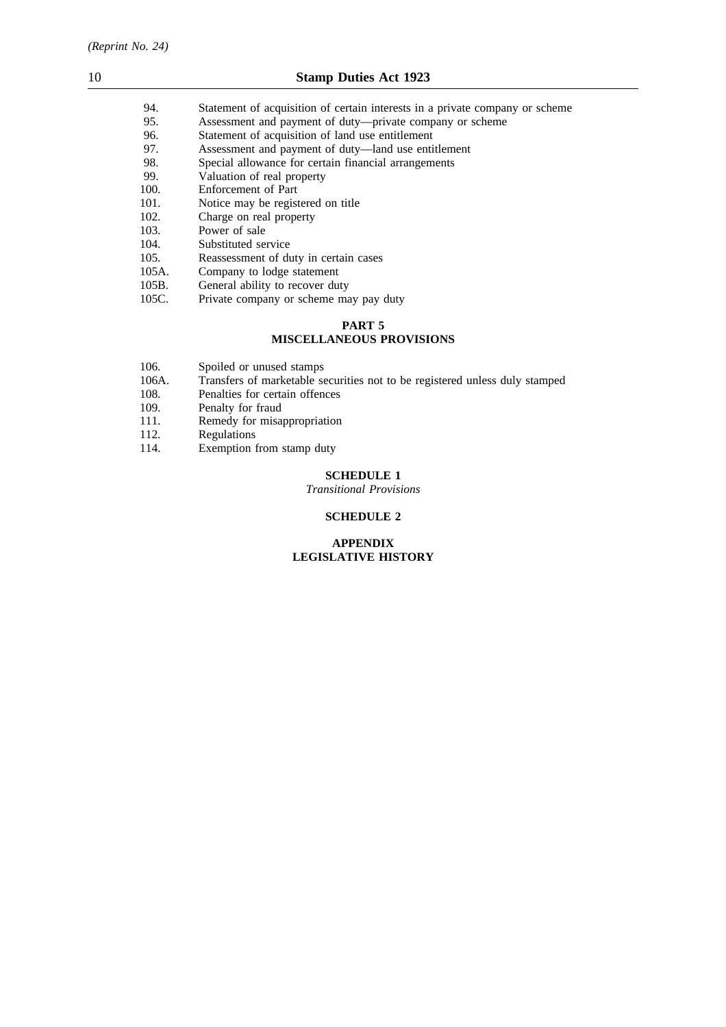- 94. Statement of acquisition of certain interests in a private company or scheme<br>95. Statement and payment of duty—private company or scheme
- 95. Assessment and payment of duty—private company or scheme<br>96. Statement of acquisition of land use entitlement
- 96. Statement of acquisition of land use entitlement<br>97. Assessment and payment of duty—land use entitlement
- 97. Assessment and payment of duty—land use entitlement 98. Special allowance for certain financial arrangements
- Special allowance for certain financial arrangements
- 99. Valuation of real property
- 100. Enforcement of Part
- 101. Notice may be registered on title
- 102. Charge on real property
- 103. Power of sale<br>104. Substituted se
- 104. Substituted service<br>105. Reassessment of du
- 105. Reassessment of duty in certain cases<br>105A. Company to lodge statement
- Company to lodge statement
- 105B. General ability to recover duty
- 105C. Private company or scheme may pay duty

## **PART 5 MISCELLANEOUS PROVISIONS**

- 106. Spoiled or unused stamps<br>106A. Transfers of marketable se
- 106A. Transfers of marketable securities not to be registered unless duly stamped 108. Penalties for certain offences
- 108. Penalties for certain offences<br>109. Penalty for fraud
- Penalty for fraud
- 111. Remedy for misappropriation
- 112. Regulations
- 114. Exemption from stamp duty

# **SCHEDULE 1**

*Transitional Provisions*

### **SCHEDULE 2**

# **APPENDIX LEGISLATIVE HISTORY**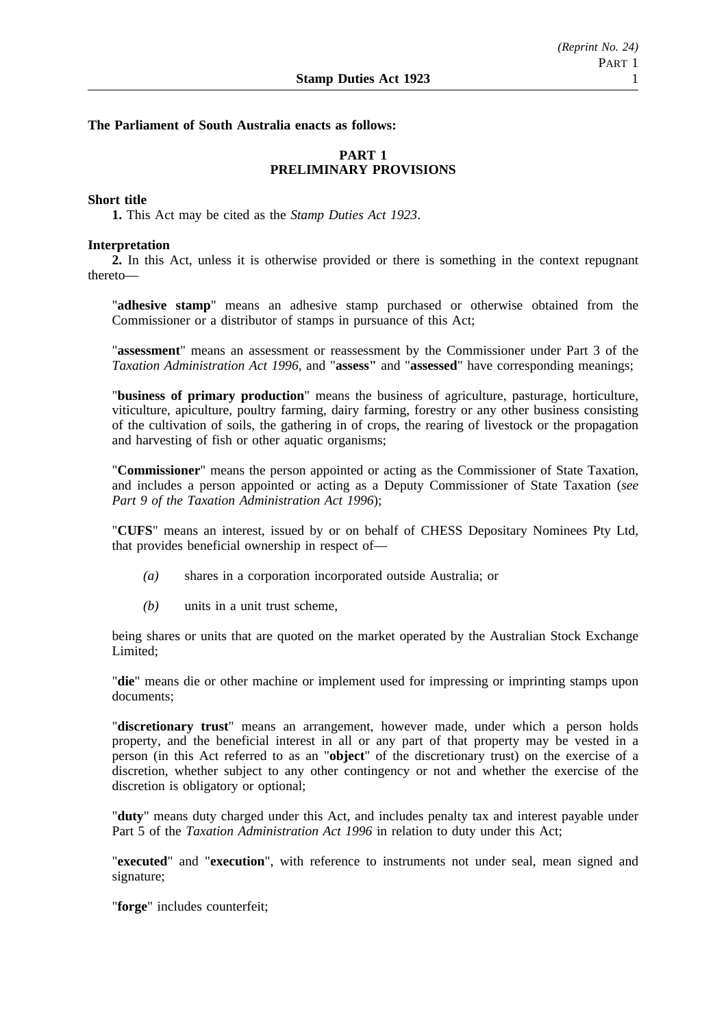# **The Parliament of South Australia enacts as follows:**

# **PART 1 PRELIMINARY PROVISIONS**

## **Short title**

**1.** This Act may be cited as the *Stamp Duties Act 1923*.

## **Interpretation**

**2.** In this Act, unless it is otherwise provided or there is something in the context repugnant thereto—

"**adhesive stamp**" means an adhesive stamp purchased or otherwise obtained from the Commissioner or a distributor of stamps in pursuance of this Act;

"**assessment**" means an assessment or reassessment by the Commissioner under Part 3 of the *Taxation Administration Act 1996*, and "**assess"** and "**assessed**" have corresponding meanings;

"**business of primary production**" means the business of agriculture, pasturage, horticulture, viticulture, apiculture, poultry farming, dairy farming, forestry or any other business consisting of the cultivation of soils, the gathering in of crops, the rearing of livestock or the propagation and harvesting of fish or other aquatic organisms;

"**Commissioner**" means the person appointed or acting as the Commissioner of State Taxation, and includes a person appointed or acting as a Deputy Commissioner of State Taxation (*see Part 9 of the Taxation Administration Act 1996*);

"**CUFS**" means an interest, issued by or on behalf of CHESS Depositary Nominees Pty Ltd, that provides beneficial ownership in respect of—

- *(a)* shares in a corporation incorporated outside Australia; or
- *(b)* units in a unit trust scheme,

being shares or units that are quoted on the market operated by the Australian Stock Exchange Limited<sup>.</sup>

"**die**" means die or other machine or implement used for impressing or imprinting stamps upon documents;

"**discretionary trust**" means an arrangement, however made, under which a person holds property, and the beneficial interest in all or any part of that property may be vested in a person (in this Act referred to as an "**object**" of the discretionary trust) on the exercise of a discretion, whether subject to any other contingency or not and whether the exercise of the discretion is obligatory or optional;

"**duty**" means duty charged under this Act, and includes penalty tax and interest payable under Part 5 of the *Taxation Administration Act 1996* in relation to duty under this Act;

"**executed**" and "**execution**", with reference to instruments not under seal, mean signed and signature;

"**forge**" includes counterfeit;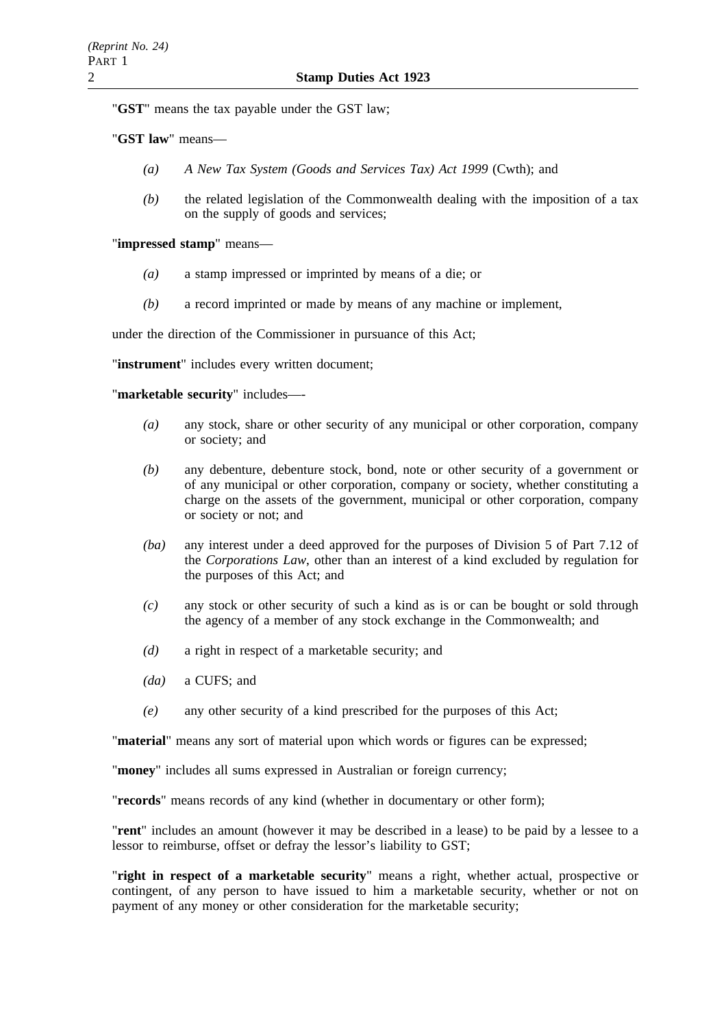"**GST**" means the tax payable under the GST law;

"**GST law**" means—

- *(a) A New Tax System (Goods and Services Tax) Act 1999* (Cwth); and
- *(b)* the related legislation of the Commonwealth dealing with the imposition of a tax on the supply of goods and services;

"**impressed stamp**" means—

- *(a)* a stamp impressed or imprinted by means of a die; or
- *(b)* a record imprinted or made by means of any machine or implement,

under the direction of the Commissioner in pursuance of this Act;

"**instrument**" includes every written document;

"**marketable security**" includes—-

- *(a)* any stock, share or other security of any municipal or other corporation, company or society; and
- *(b)* any debenture, debenture stock, bond, note or other security of a government or of any municipal or other corporation, company or society, whether constituting a charge on the assets of the government, municipal or other corporation, company or society or not; and
- *(ba)* any interest under a deed approved for the purposes of Division 5 of Part 7.12 of the *Corporations Law*, other than an interest of a kind excluded by regulation for the purposes of this Act; and
- *(c)* any stock or other security of such a kind as is or can be bought or sold through the agency of a member of any stock exchange in the Commonwealth; and
- *(d)* a right in respect of a marketable security; and
- *(da)* a CUFS; and
- *(e)* any other security of a kind prescribed for the purposes of this Act;

"**material**" means any sort of material upon which words or figures can be expressed;

"**money**" includes all sums expressed in Australian or foreign currency;

"**records**" means records of any kind (whether in documentary or other form);

"**rent**" includes an amount (however it may be described in a lease) to be paid by a lessee to a lessor to reimburse, offset or defray the lessor's liability to GST;

"**right in respect of a marketable security**" means a right, whether actual, prospective or contingent, of any person to have issued to him a marketable security, whether or not on payment of any money or other consideration for the marketable security;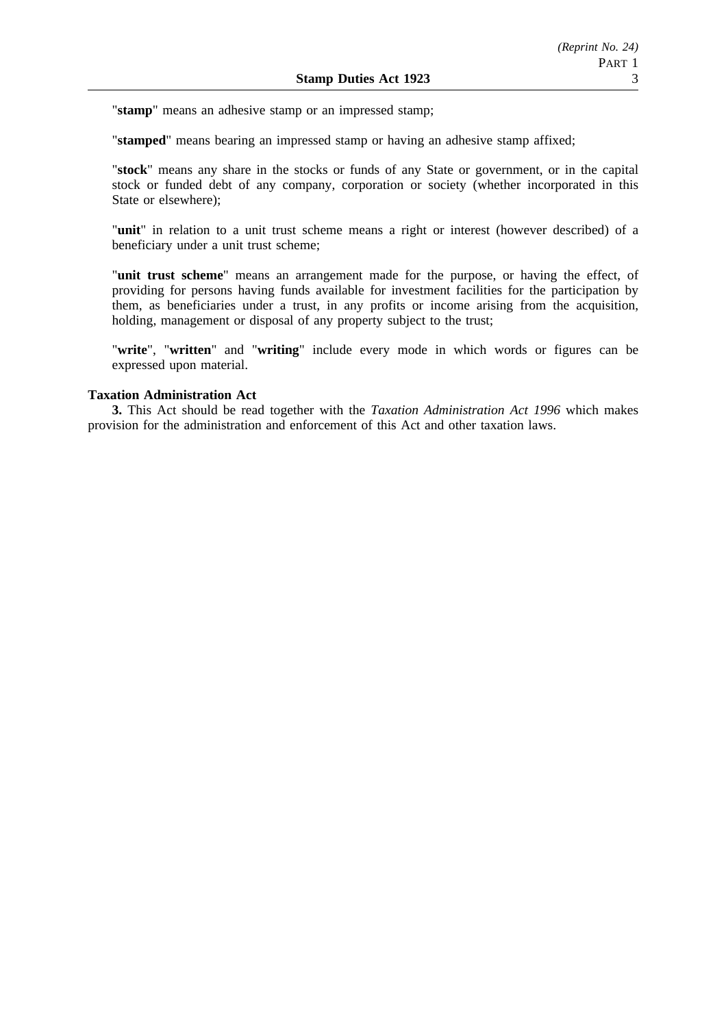"**stamp**" means an adhesive stamp or an impressed stamp;

"**stamped**" means bearing an impressed stamp or having an adhesive stamp affixed;

"**stock**" means any share in the stocks or funds of any State or government, or in the capital stock or funded debt of any company, corporation or society (whether incorporated in this State or elsewhere);

"**unit**" in relation to a unit trust scheme means a right or interest (however described) of a beneficiary under a unit trust scheme;

"**unit trust scheme**" means an arrangement made for the purpose, or having the effect, of providing for persons having funds available for investment facilities for the participation by them, as beneficiaries under a trust, in any profits or income arising from the acquisition, holding, management or disposal of any property subject to the trust;

"**write**", "**written**" and "**writing**" include every mode in which words or figures can be expressed upon material.

# **Taxation Administration Act**

**3.** This Act should be read together with the *Taxation Administration Act 1996* which makes provision for the administration and enforcement of this Act and other taxation laws.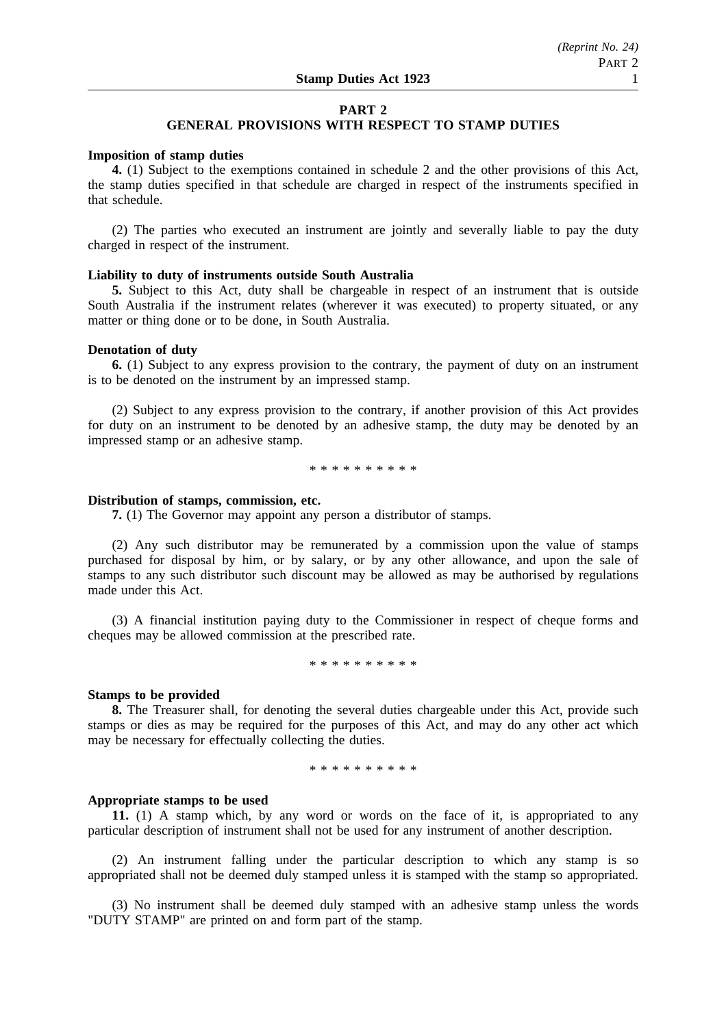### **PART 2**

# **GENERAL PROVISIONS WITH RESPECT TO STAMP DUTIES**

### **Imposition of stamp duties**

**4.** (1) Subject to the exemptions contained in schedule 2 and the other provisions of this Act, the stamp duties specified in that schedule are charged in respect of the instruments specified in that schedule.

(2) The parties who executed an instrument are jointly and severally liable to pay the duty charged in respect of the instrument.

# **Liability to duty of instruments outside South Australia**

**5.** Subject to this Act, duty shall be chargeable in respect of an instrument that is outside South Australia if the instrument relates (wherever it was executed) to property situated, or any matter or thing done or to be done, in South Australia.

### **Denotation of duty**

**6.** (1) Subject to any express provision to the contrary, the payment of duty on an instrument is to be denoted on the instrument by an impressed stamp.

(2) Subject to any express provision to the contrary, if another provision of this Act provides for duty on an instrument to be denoted by an adhesive stamp, the duty may be denoted by an impressed stamp or an adhesive stamp.

\*\*\*\*\*\*\*\*\*\*

# **Distribution of stamps, commission, etc.**

**7.** (1) The Governor may appoint any person a distributor of stamps.

(2) Any such distributor may be remunerated by a commission upon the value of stamps purchased for disposal by him, or by salary, or by any other allowance, and upon the sale of stamps to any such distributor such discount may be allowed as may be authorised by regulations made under this Act.

(3) A financial institution paying duty to the Commissioner in respect of cheque forms and cheques may be allowed commission at the prescribed rate.

\*\*\*\*\*\*\*\*\*\*

#### **Stamps to be provided**

**8.** The Treasurer shall, for denoting the several duties chargeable under this Act, provide such stamps or dies as may be required for the purposes of this Act, and may do any other act which may be necessary for effectually collecting the duties.

\*\*\*\*\*\*\*\*\*\*

### **Appropriate stamps to be used**

**11.** (1) A stamp which, by any word or words on the face of it, is appropriated to any particular description of instrument shall not be used for any instrument of another description.

(2) An instrument falling under the particular description to which any stamp is so appropriated shall not be deemed duly stamped unless it is stamped with the stamp so appropriated.

(3) No instrument shall be deemed duly stamped with an adhesive stamp unless the words "DUTY STAMP" are printed on and form part of the stamp.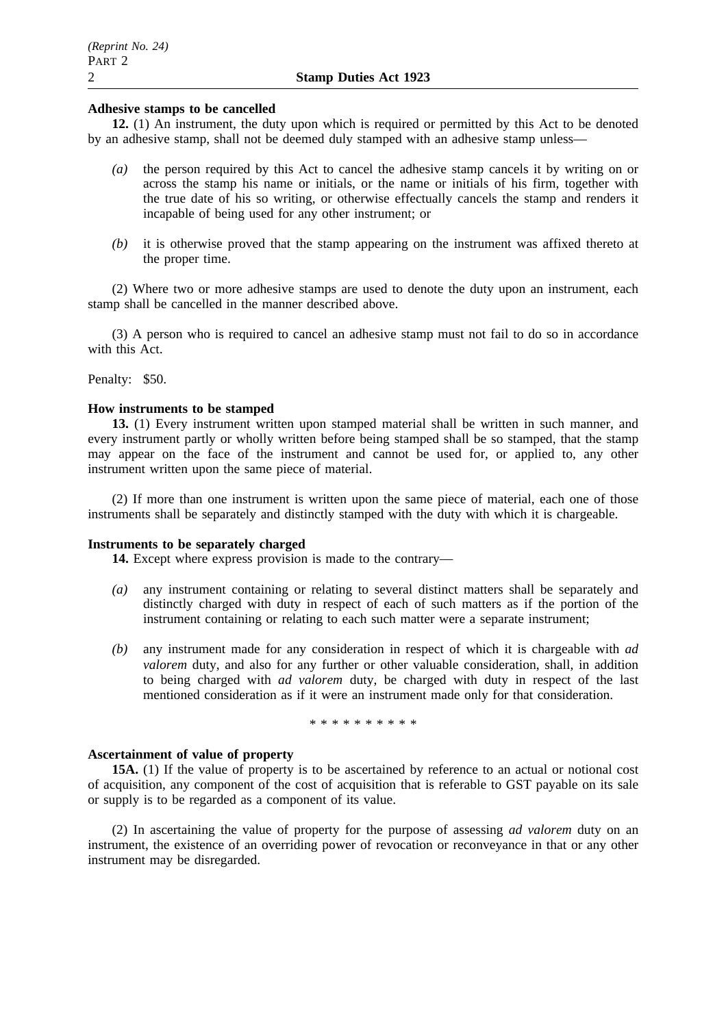# **Adhesive stamps to be cancelled**

**12.** (1) An instrument, the duty upon which is required or permitted by this Act to be denoted by an adhesive stamp, shall not be deemed duly stamped with an adhesive stamp unless—

- *(a)* the person required by this Act to cancel the adhesive stamp cancels it by writing on or across the stamp his name or initials, or the name or initials of his firm, together with the true date of his so writing, or otherwise effectually cancels the stamp and renders it incapable of being used for any other instrument; or
- *(b)* it is otherwise proved that the stamp appearing on the instrument was affixed thereto at the proper time.

(2) Where two or more adhesive stamps are used to denote the duty upon an instrument, each stamp shall be cancelled in the manner described above.

(3) A person who is required to cancel an adhesive stamp must not fail to do so in accordance with this Act.

Penalty: \$50.

## **How instruments to be stamped**

**13.** (1) Every instrument written upon stamped material shall be written in such manner, and every instrument partly or wholly written before being stamped shall be so stamped, that the stamp may appear on the face of the instrument and cannot be used for, or applied to, any other instrument written upon the same piece of material.

(2) If more than one instrument is written upon the same piece of material, each one of those instruments shall be separately and distinctly stamped with the duty with which it is chargeable.

### **Instruments to be separately charged**

**14.** Except where express provision is made to the contrary—

- *(a)* any instrument containing or relating to several distinct matters shall be separately and distinctly charged with duty in respect of each of such matters as if the portion of the instrument containing or relating to each such matter were a separate instrument;
- *(b)* any instrument made for any consideration in respect of which it is chargeable with *ad valorem* duty, and also for any further or other valuable consideration, shall, in addition to being charged with *ad valorem* duty, be charged with duty in respect of the last mentioned consideration as if it were an instrument made only for that consideration.

\*\*\*\*\*\*\*\*\*\*

# **Ascertainment of value of property**

**15A.** (1) If the value of property is to be ascertained by reference to an actual or notional cost of acquisition, any component of the cost of acquisition that is referable to GST payable on its sale or supply is to be regarded as a component of its value.

(2) In ascertaining the value of property for the purpose of assessing *ad valorem* duty on an instrument, the existence of an overriding power of revocation or reconveyance in that or any other instrument may be disregarded.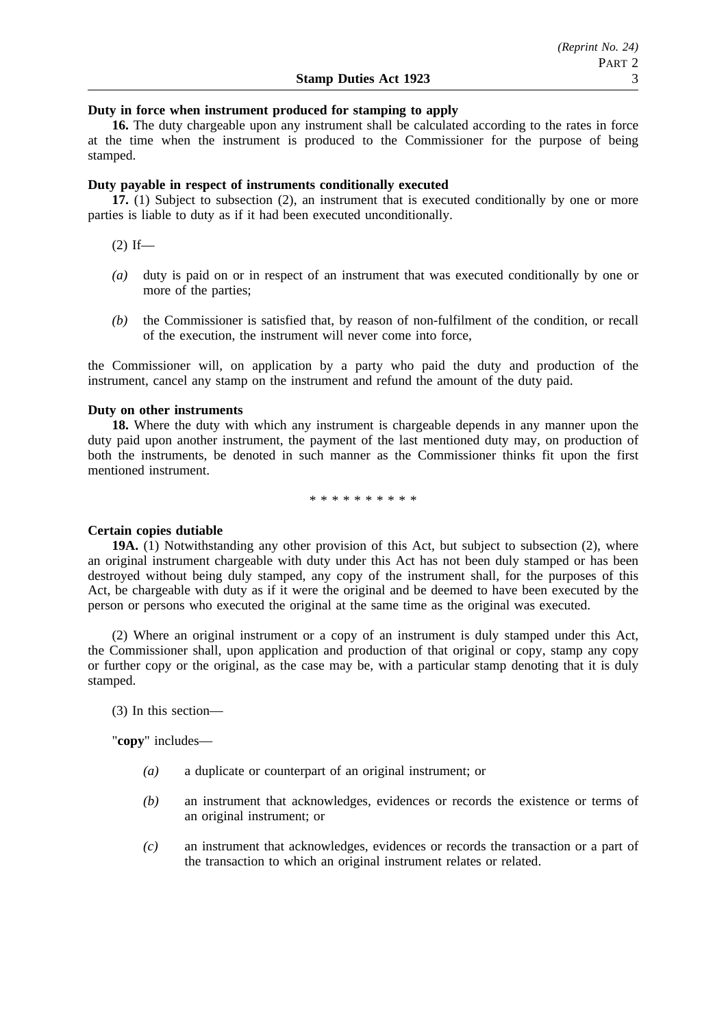# **Duty in force when instrument produced for stamping to apply**

**16.** The duty chargeable upon any instrument shall be calculated according to the rates in force at the time when the instrument is produced to the Commissioner for the purpose of being stamped.

## **Duty payable in respect of instruments conditionally executed**

**17.** (1) Subject to subsection (2), an instrument that is executed conditionally by one or more parties is liable to duty as if it had been executed unconditionally.

 $(2)$  If—

- *(a)* duty is paid on or in respect of an instrument that was executed conditionally by one or more of the parties;
- *(b)* the Commissioner is satisfied that, by reason of non-fulfilment of the condition, or recall of the execution, the instrument will never come into force,

the Commissioner will, on application by a party who paid the duty and production of the instrument, cancel any stamp on the instrument and refund the amount of the duty paid.

### **Duty on other instruments**

**18.** Where the duty with which any instrument is chargeable depends in any manner upon the duty paid upon another instrument, the payment of the last mentioned duty may, on production of both the instruments, be denoted in such manner as the Commissioner thinks fit upon the first mentioned instrument.

\*\*\*\*\*\*\*\*\*\*

### **Certain copies dutiable**

**19A.** (1) Notwithstanding any other provision of this Act, but subject to subsection (2), where an original instrument chargeable with duty under this Act has not been duly stamped or has been destroyed without being duly stamped, any copy of the instrument shall, for the purposes of this Act, be chargeable with duty as if it were the original and be deemed to have been executed by the person or persons who executed the original at the same time as the original was executed.

(2) Where an original instrument or a copy of an instrument is duly stamped under this Act, the Commissioner shall, upon application and production of that original or copy, stamp any copy or further copy or the original, as the case may be, with a particular stamp denoting that it is duly stamped.

(3) In this section—

"**copy**" includes—

- *(a)* a duplicate or counterpart of an original instrument; or
- *(b)* an instrument that acknowledges, evidences or records the existence or terms of an original instrument; or
- *(c)* an instrument that acknowledges, evidences or records the transaction or a part of the transaction to which an original instrument relates or related.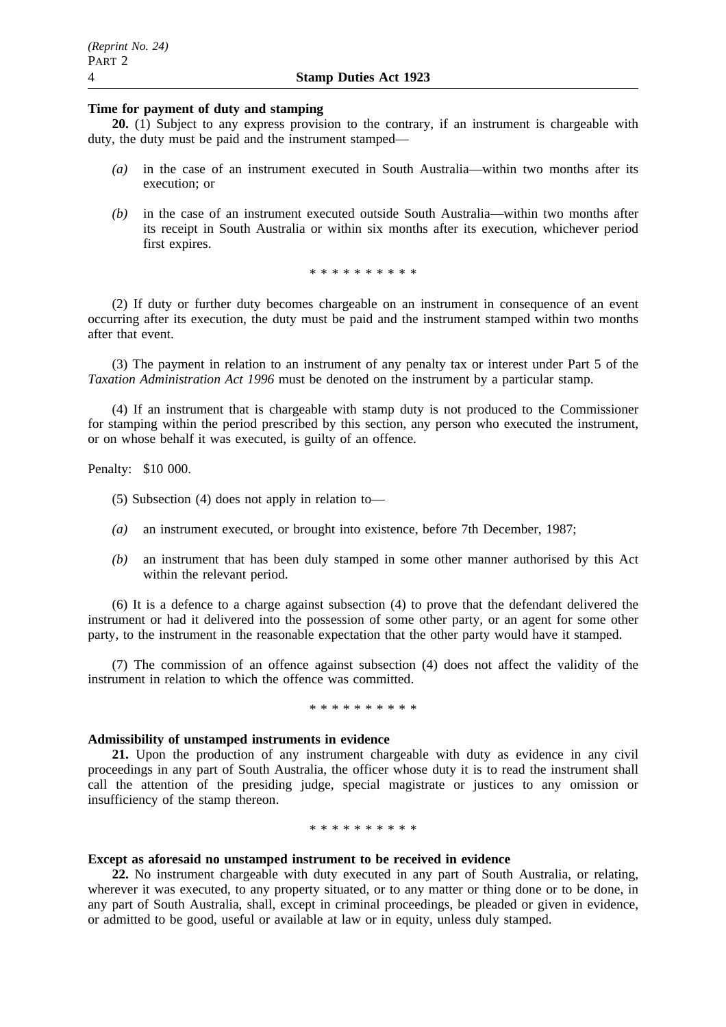# **Time for payment of duty and stamping**

**20.** (1) Subject to any express provision to the contrary, if an instrument is chargeable with duty, the duty must be paid and the instrument stamped—

- *(a)* in the case of an instrument executed in South Australia—within two months after its execution; or
- *(b)* in the case of an instrument executed outside South Australia—within two months after its receipt in South Australia or within six months after its execution, whichever period first expires.

\*\*\*\*\*\*\*\*\*\*

(2) If duty or further duty becomes chargeable on an instrument in consequence of an event occurring after its execution, the duty must be paid and the instrument stamped within two months after that event.

(3) The payment in relation to an instrument of any penalty tax or interest under Part 5 of the *Taxation Administration Act 1996* must be denoted on the instrument by a particular stamp.

(4) If an instrument that is chargeable with stamp duty is not produced to the Commissioner for stamping within the period prescribed by this section, any person who executed the instrument, or on whose behalf it was executed, is guilty of an offence.

Penalty: \$10 000.

(5) Subsection (4) does not apply in relation to—

- *(a)* an instrument executed, or brought into existence, before 7th December, 1987;
- *(b)* an instrument that has been duly stamped in some other manner authorised by this Act within the relevant period.

(6) It is a defence to a charge against subsection (4) to prove that the defendant delivered the instrument or had it delivered into the possession of some other party, or an agent for some other party, to the instrument in the reasonable expectation that the other party would have it stamped.

(7) The commission of an offence against subsection (4) does not affect the validity of the instrument in relation to which the offence was committed.

### \*\*\*\*\*\*\*\*\*\*

### **Admissibility of unstamped instruments in evidence**

**21.** Upon the production of any instrument chargeable with duty as evidence in any civil proceedings in any part of South Australia, the officer whose duty it is to read the instrument shall call the attention of the presiding judge, special magistrate or justices to any omission or insufficiency of the stamp thereon.

#### \*\*\*\*\*\*\*\*\*\*

# **Except as aforesaid no unstamped instrument to be received in evidence**

**22.** No instrument chargeable with duty executed in any part of South Australia, or relating, wherever it was executed, to any property situated, or to any matter or thing done or to be done, in any part of South Australia, shall, except in criminal proceedings, be pleaded or given in evidence, or admitted to be good, useful or available at law or in equity, unless duly stamped.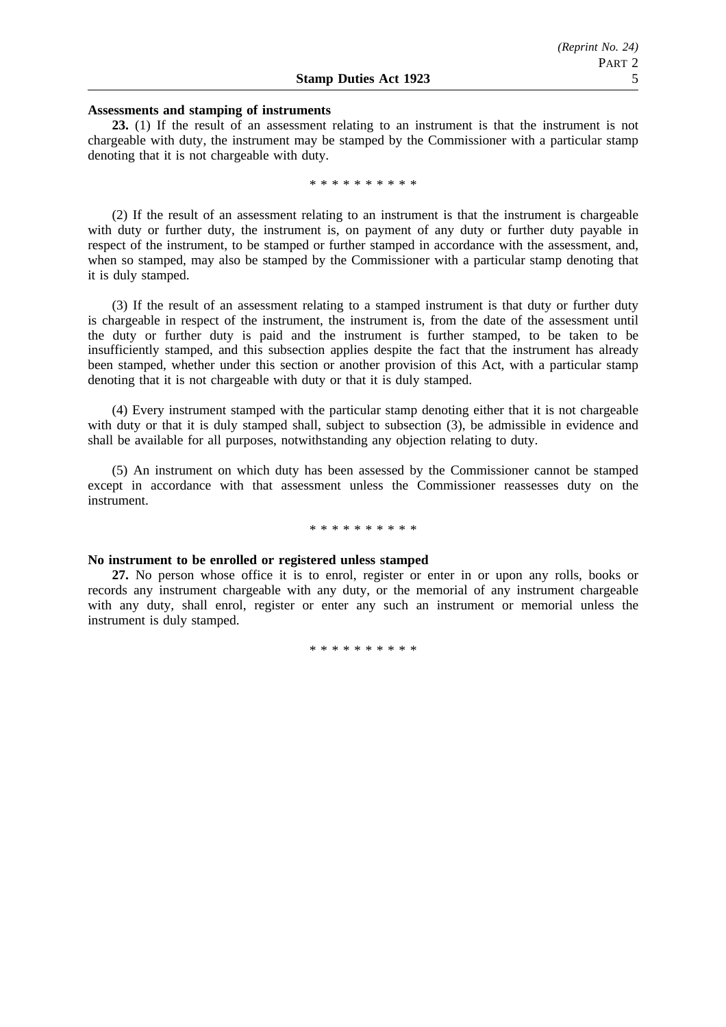### **Assessments and stamping of instruments**

**23.** (1) If the result of an assessment relating to an instrument is that the instrument is not chargeable with duty, the instrument may be stamped by the Commissioner with a particular stamp denoting that it is not chargeable with duty.

\*\*\*\*\*\*\*\*\*\*

(2) If the result of an assessment relating to an instrument is that the instrument is chargeable with duty or further duty, the instrument is, on payment of any duty or further duty payable in respect of the instrument, to be stamped or further stamped in accordance with the assessment, and, when so stamped, may also be stamped by the Commissioner with a particular stamp denoting that it is duly stamped.

(3) If the result of an assessment relating to a stamped instrument is that duty or further duty is chargeable in respect of the instrument, the instrument is, from the date of the assessment until the duty or further duty is paid and the instrument is further stamped, to be taken to be insufficiently stamped, and this subsection applies despite the fact that the instrument has already been stamped, whether under this section or another provision of this Act, with a particular stamp denoting that it is not chargeable with duty or that it is duly stamped.

(4) Every instrument stamped with the particular stamp denoting either that it is not chargeable with duty or that it is duly stamped shall, subject to subsection (3), be admissible in evidence and shall be available for all purposes, notwithstanding any objection relating to duty.

(5) An instrument on which duty has been assessed by the Commissioner cannot be stamped except in accordance with that assessment unless the Commissioner reassesses duty on the instrument.

#### \*\*\*\*\*\*\*\*\*\*

### **No instrument to be enrolled or registered unless stamped**

**27.** No person whose office it is to enrol, register or enter in or upon any rolls, books or records any instrument chargeable with any duty, or the memorial of any instrument chargeable with any duty, shall enrol, register or enter any such an instrument or memorial unless the instrument is duly stamped.

\*\*\*\*\*\*\*\*\*\*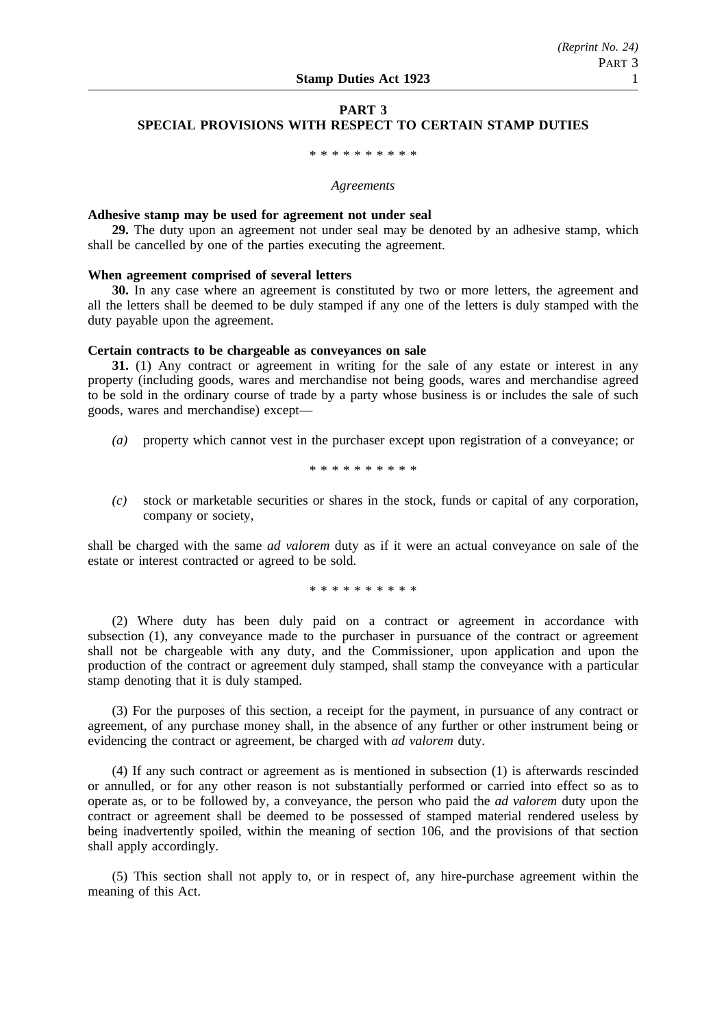# **PART 3 SPECIAL PROVISIONS WITH RESPECT TO CERTAIN STAMP DUTIES**

# \*\*\*\*\*\*\*\*\*\*

#### *Agreements*

### **Adhesive stamp may be used for agreement not under seal**

**29.** The duty upon an agreement not under seal may be denoted by an adhesive stamp, which shall be cancelled by one of the parties executing the agreement.

# **When agreement comprised of several letters**

**30.** In any case where an agreement is constituted by two or more letters, the agreement and all the letters shall be deemed to be duly stamped if any one of the letters is duly stamped with the duty payable upon the agreement.

### **Certain contracts to be chargeable as conveyances on sale**

**31.** (1) Any contract or agreement in writing for the sale of any estate or interest in any property (including goods, wares and merchandise not being goods, wares and merchandise agreed to be sold in the ordinary course of trade by a party whose business is or includes the sale of such goods, wares and merchandise) except—

*(a)* property which cannot vest in the purchaser except upon registration of a conveyance; or

\*\*\*\*\*\*\*\*\*\*

*(c)* stock or marketable securities or shares in the stock, funds or capital of any corporation, company or society,

shall be charged with the same *ad valorem* duty as if it were an actual conveyance on sale of the estate or interest contracted or agreed to be sold.

\*\*\*\*\*\*\*\*\*\*

(2) Where duty has been duly paid on a contract or agreement in accordance with subsection (1), any conveyance made to the purchaser in pursuance of the contract or agreement shall not be chargeable with any duty, and the Commissioner, upon application and upon the production of the contract or agreement duly stamped, shall stamp the conveyance with a particular stamp denoting that it is duly stamped.

(3) For the purposes of this section, a receipt for the payment, in pursuance of any contract or agreement, of any purchase money shall, in the absence of any further or other instrument being or evidencing the contract or agreement, be charged with *ad valorem* duty.

(4) If any such contract or agreement as is mentioned in subsection (1) is afterwards rescinded or annulled, or for any other reason is not substantially performed or carried into effect so as to operate as, or to be followed by, a conveyance, the person who paid the *ad valorem* duty upon the contract or agreement shall be deemed to be possessed of stamped material rendered useless by being inadvertently spoiled, within the meaning of section 106, and the provisions of that section shall apply accordingly.

(5) This section shall not apply to, or in respect of, any hire-purchase agreement within the meaning of this Act.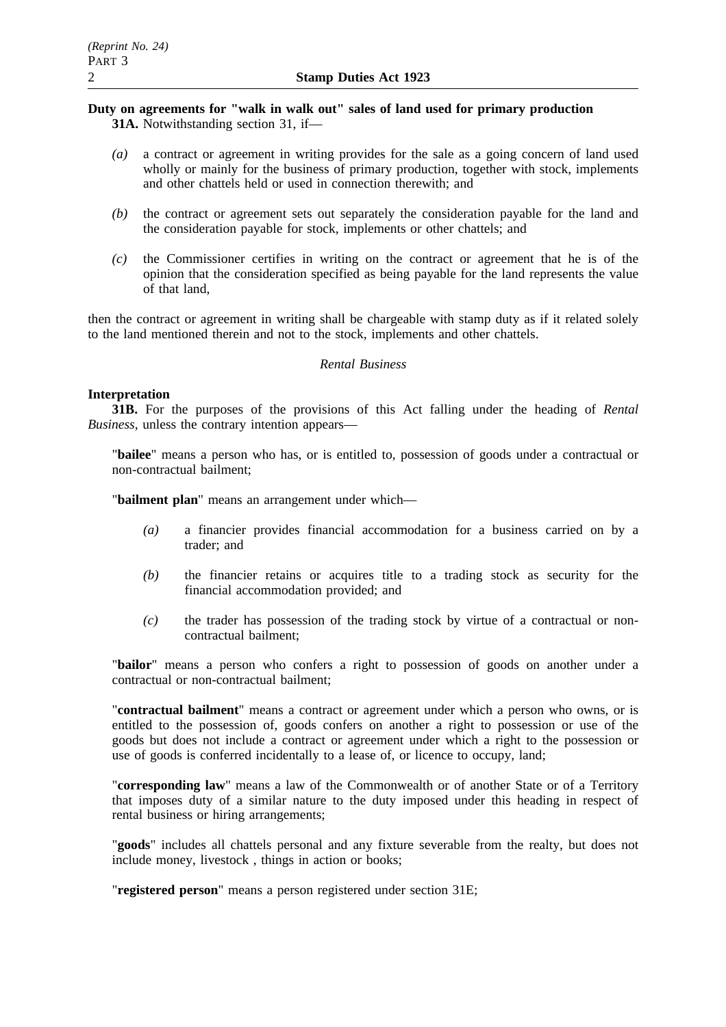# **Duty on agreements for "walk in walk out" sales of land used for primary production 31A.** Notwithstanding section 31, if—

- *(a)* a contract or agreement in writing provides for the sale as a going concern of land used wholly or mainly for the business of primary production, together with stock, implements and other chattels held or used in connection therewith; and
- *(b)* the contract or agreement sets out separately the consideration payable for the land and the consideration payable for stock, implements or other chattels; and
- *(c)* the Commissioner certifies in writing on the contract or agreement that he is of the opinion that the consideration specified as being payable for the land represents the value of that land,

then the contract or agreement in writing shall be chargeable with stamp duty as if it related solely to the land mentioned therein and not to the stock, implements and other chattels.

# *Rental Business*

# **Interpretation**

**31B.** For the purposes of the provisions of this Act falling under the heading of *Rental Business*, unless the contrary intention appears—

"**bailee**" means a person who has, or is entitled to, possession of goods under a contractual or non-contractual bailment;

"**bailment plan**" means an arrangement under which—

- *(a)* a financier provides financial accommodation for a business carried on by a trader; and
- *(b)* the financier retains or acquires title to a trading stock as security for the financial accommodation provided; and
- *(c)* the trader has possession of the trading stock by virtue of a contractual or noncontractual bailment;

"**bailor**" means a person who confers a right to possession of goods on another under a contractual or non-contractual bailment;

"**contractual bailment**" means a contract or agreement under which a person who owns, or is entitled to the possession of, goods confers on another a right to possession or use of the goods but does not include a contract or agreement under which a right to the possession or use of goods is conferred incidentally to a lease of, or licence to occupy, land;

"**corresponding law**" means a law of the Commonwealth or of another State or of a Territory that imposes duty of a similar nature to the duty imposed under this heading in respect of rental business or hiring arrangements;

"**goods**" includes all chattels personal and any fixture severable from the realty, but does not include money, livestock , things in action or books;

"**registered person**" means a person registered under section 31E;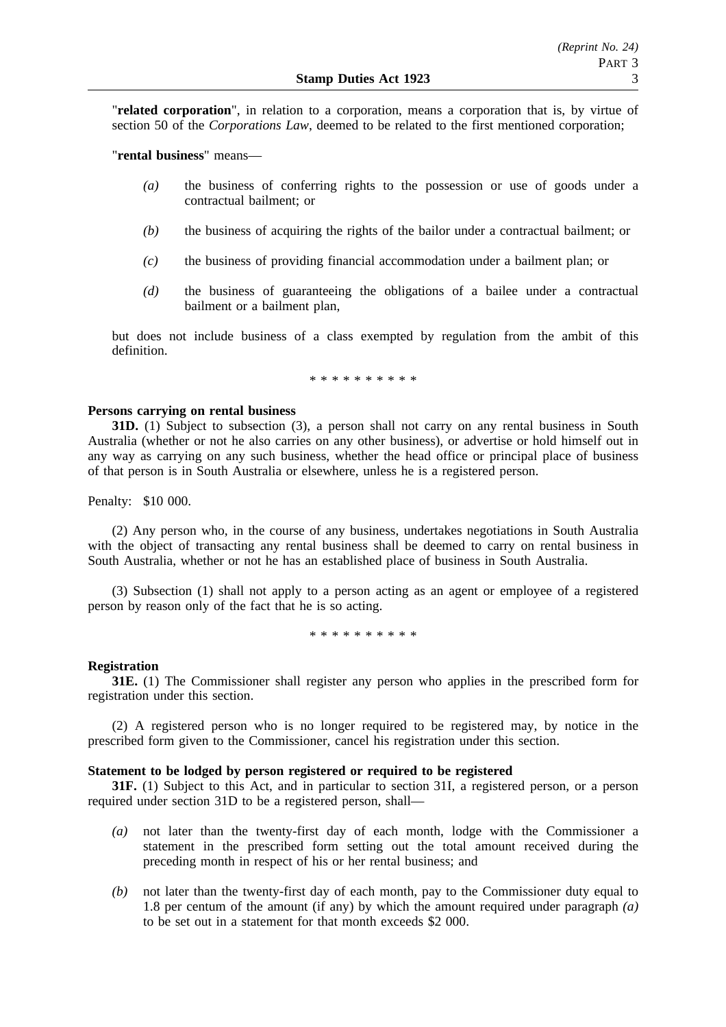"**related corporation**", in relation to a corporation, means a corporation that is, by virtue of section 50 of the *Corporations Law*, deemed to be related to the first mentioned corporation;

"**rental business**" means—

- *(a)* the business of conferring rights to the possession or use of goods under a contractual bailment; or
- *(b)* the business of acquiring the rights of the bailor under a contractual bailment; or
- *(c)* the business of providing financial accommodation under a bailment plan; or
- *(d)* the business of guaranteeing the obligations of a bailee under a contractual bailment or a bailment plan,

but does not include business of a class exempted by regulation from the ambit of this definition.

\*\*\*\*\*\*\*\*\*\*

# **Persons carrying on rental business**

**31D.** (1) Subject to subsection (3), a person shall not carry on any rental business in South Australia (whether or not he also carries on any other business), or advertise or hold himself out in any way as carrying on any such business, whether the head office or principal place of business of that person is in South Australia or elsewhere, unless he is a registered person.

Penalty: \$10 000.

(2) Any person who, in the course of any business, undertakes negotiations in South Australia with the object of transacting any rental business shall be deemed to carry on rental business in South Australia, whether or not he has an established place of business in South Australia.

(3) Subsection (1) shall not apply to a person acting as an agent or employee of a registered person by reason only of the fact that he is so acting.

\*\*\*\*\*\*\*\*\*\*

### **Registration**

**31E.** (1) The Commissioner shall register any person who applies in the prescribed form for registration under this section.

(2) A registered person who is no longer required to be registered may, by notice in the prescribed form given to the Commissioner, cancel his registration under this section.

# **Statement to be lodged by person registered or required to be registered**

**31F.** (1) Subject to this Act, and in particular to section 31I, a registered person, or a person required under section 31D to be a registered person, shall—

- *(a)* not later than the twenty-first day of each month, lodge with the Commissioner a statement in the prescribed form setting out the total amount received during the preceding month in respect of his or her rental business; and
- *(b)* not later than the twenty-first day of each month, pay to the Commissioner duty equal to 1.8 per centum of the amount (if any) by which the amount required under paragraph *(a)* to be set out in a statement for that month exceeds \$2 000.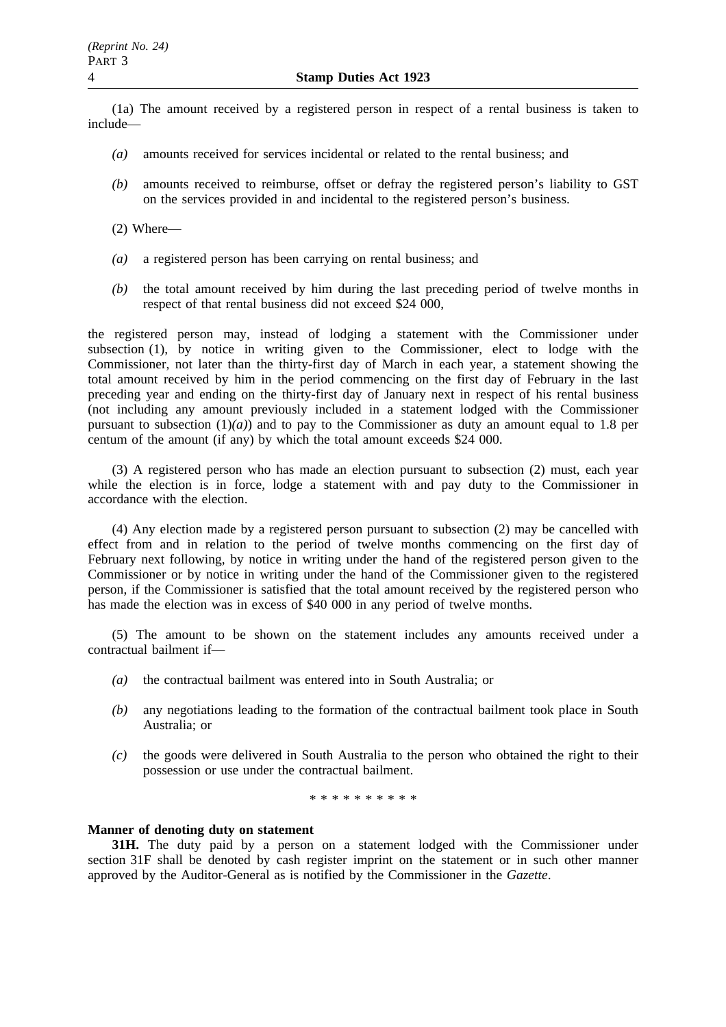(1a) The amount received by a registered person in respect of a rental business is taken to include—

- *(a)* amounts received for services incidental or related to the rental business; and
- *(b)* amounts received to reimburse, offset or defray the registered person's liability to GST on the services provided in and incidental to the registered person's business.
- (2) Where—
- *(a)* a registered person has been carrying on rental business; and
- *(b)* the total amount received by him during the last preceding period of twelve months in respect of that rental business did not exceed \$24 000,

the registered person may, instead of lodging a statement with the Commissioner under subsection (1), by notice in writing given to the Commissioner, elect to lodge with the Commissioner, not later than the thirty-first day of March in each year, a statement showing the total amount received by him in the period commencing on the first day of February in the last preceding year and ending on the thirty-first day of January next in respect of his rental business (not including any amount previously included in a statement lodged with the Commissioner pursuant to subsection  $(1)(a)$  and to pay to the Commissioner as duty an amount equal to 1.8 per centum of the amount (if any) by which the total amount exceeds \$24 000.

(3) A registered person who has made an election pursuant to subsection (2) must, each year while the election is in force, lodge a statement with and pay duty to the Commissioner in accordance with the election.

(4) Any election made by a registered person pursuant to subsection (2) may be cancelled with effect from and in relation to the period of twelve months commencing on the first day of February next following, by notice in writing under the hand of the registered person given to the Commissioner or by notice in writing under the hand of the Commissioner given to the registered person, if the Commissioner is satisfied that the total amount received by the registered person who has made the election was in excess of \$40 000 in any period of twelve months.

(5) The amount to be shown on the statement includes any amounts received under a contractual bailment if—

- *(a)* the contractual bailment was entered into in South Australia; or
- *(b)* any negotiations leading to the formation of the contractual bailment took place in South Australia; or
- *(c)* the goods were delivered in South Australia to the person who obtained the right to their possession or use under the contractual bailment.

\*\*\*\*\*\*\*\*\*\*

### **Manner of denoting duty on statement**

**31H.** The duty paid by a person on a statement lodged with the Commissioner under section 31F shall be denoted by cash register imprint on the statement or in such other manner approved by the Auditor-General as is notified by the Commissioner in the *Gazette*.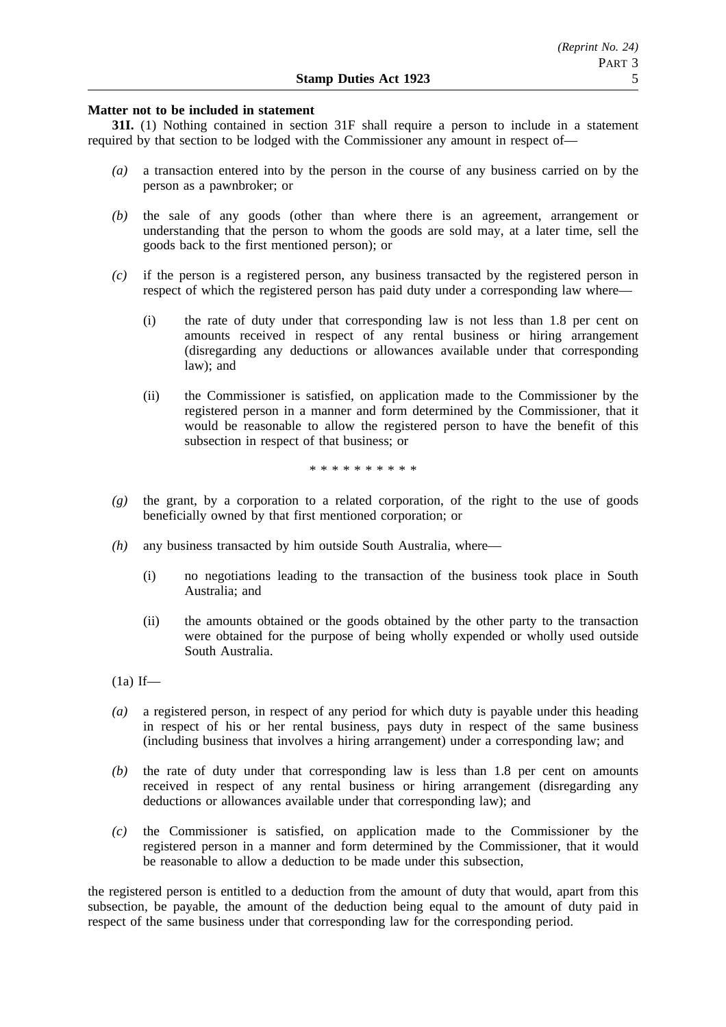# **Matter not to be included in statement**

**31I.** (1) Nothing contained in section 31F shall require a person to include in a statement required by that section to be lodged with the Commissioner any amount in respect of—

- *(a)* a transaction entered into by the person in the course of any business carried on by the person as a pawnbroker; or
- *(b)* the sale of any goods (other than where there is an agreement, arrangement or understanding that the person to whom the goods are sold may, at a later time, sell the goods back to the first mentioned person); or
- *(c)* if the person is a registered person, any business transacted by the registered person in respect of which the registered person has paid duty under a corresponding law where—
	- (i) the rate of duty under that corresponding law is not less than 1.8 per cent on amounts received in respect of any rental business or hiring arrangement (disregarding any deductions or allowances available under that corresponding law); and
	- (ii) the Commissioner is satisfied, on application made to the Commissioner by the registered person in a manner and form determined by the Commissioner, that it would be reasonable to allow the registered person to have the benefit of this subsection in respect of that business; or

\*\*\*\*\*\*\*\*\*\*

- *(g)* the grant, by a corporation to a related corporation, of the right to the use of goods beneficially owned by that first mentioned corporation; or
- *(h)* any business transacted by him outside South Australia, where—
	- (i) no negotiations leading to the transaction of the business took place in South Australia; and
	- (ii) the amounts obtained or the goods obtained by the other party to the transaction were obtained for the purpose of being wholly expended or wholly used outside South Australia.
- $(1a)$  If—
- *(a)* a registered person, in respect of any period for which duty is payable under this heading in respect of his or her rental business, pays duty in respect of the same business (including business that involves a hiring arrangement) under a corresponding law; and
- *(b)* the rate of duty under that corresponding law is less than 1.8 per cent on amounts received in respect of any rental business or hiring arrangement (disregarding any deductions or allowances available under that corresponding law); and
- *(c)* the Commissioner is satisfied, on application made to the Commissioner by the registered person in a manner and form determined by the Commissioner, that it would be reasonable to allow a deduction to be made under this subsection,

the registered person is entitled to a deduction from the amount of duty that would, apart from this subsection, be payable, the amount of the deduction being equal to the amount of duty paid in respect of the same business under that corresponding law for the corresponding period.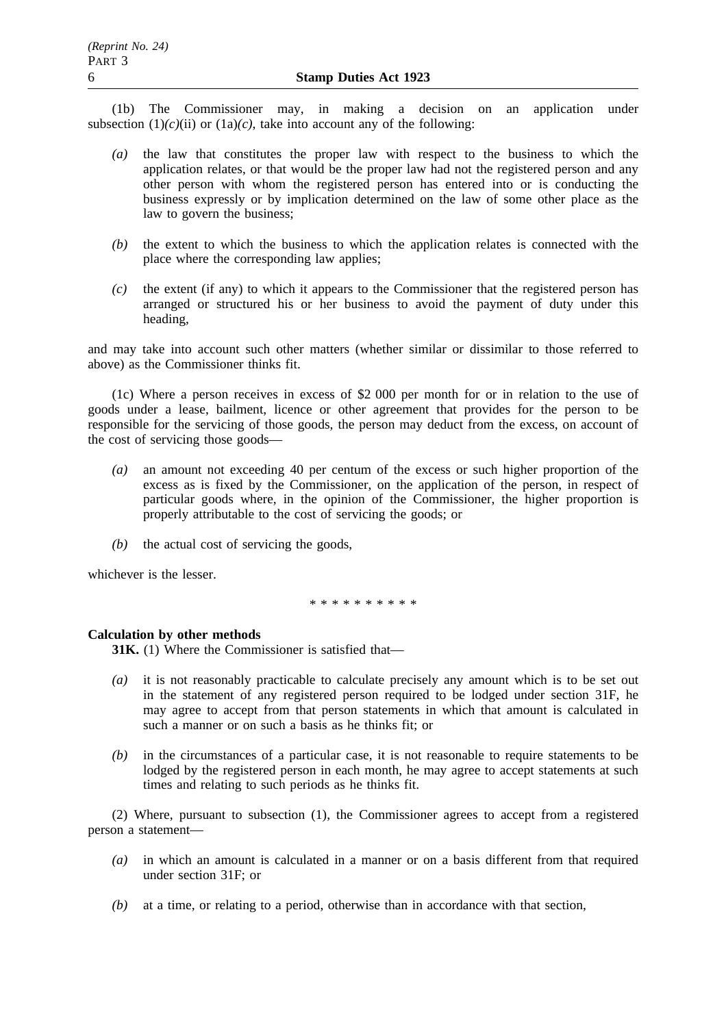(1b) The Commissioner may, in making a decision on an application under subsection  $(1)(c)(ii)$  or  $(1a)(c)$ , take into account any of the following:

- *(a)* the law that constitutes the proper law with respect to the business to which the application relates, or that would be the proper law had not the registered person and any other person with whom the registered person has entered into or is conducting the business expressly or by implication determined on the law of some other place as the law to govern the business;
- *(b)* the extent to which the business to which the application relates is connected with the place where the corresponding law applies;
- *(c)* the extent (if any) to which it appears to the Commissioner that the registered person has arranged or structured his or her business to avoid the payment of duty under this heading,

and may take into account such other matters (whether similar or dissimilar to those referred to above) as the Commissioner thinks fit.

(1c) Where a person receives in excess of \$2 000 per month for or in relation to the use of goods under a lease, bailment, licence or other agreement that provides for the person to be responsible for the servicing of those goods, the person may deduct from the excess, on account of the cost of servicing those goods—

- *(a)* an amount not exceeding 40 per centum of the excess or such higher proportion of the excess as is fixed by the Commissioner, on the application of the person, in respect of particular goods where, in the opinion of the Commissioner, the higher proportion is properly attributable to the cost of servicing the goods; or
- *(b)* the actual cost of servicing the goods,

whichever is the lesser.

\*\*\*\*\*\*\*\*\*\*

# **Calculation by other methods**

**31K.** (1) Where the Commissioner is satisfied that—

- *(a)* it is not reasonably practicable to calculate precisely any amount which is to be set out in the statement of any registered person required to be lodged under section 31F, he may agree to accept from that person statements in which that amount is calculated in such a manner or on such a basis as he thinks fit; or
- *(b)* in the circumstances of a particular case, it is not reasonable to require statements to be lodged by the registered person in each month, he may agree to accept statements at such times and relating to such periods as he thinks fit.

(2) Where, pursuant to subsection (1), the Commissioner agrees to accept from a registered person a statement—

- *(a)* in which an amount is calculated in a manner or on a basis different from that required under section 31F; or
- *(b)* at a time, or relating to a period, otherwise than in accordance with that section,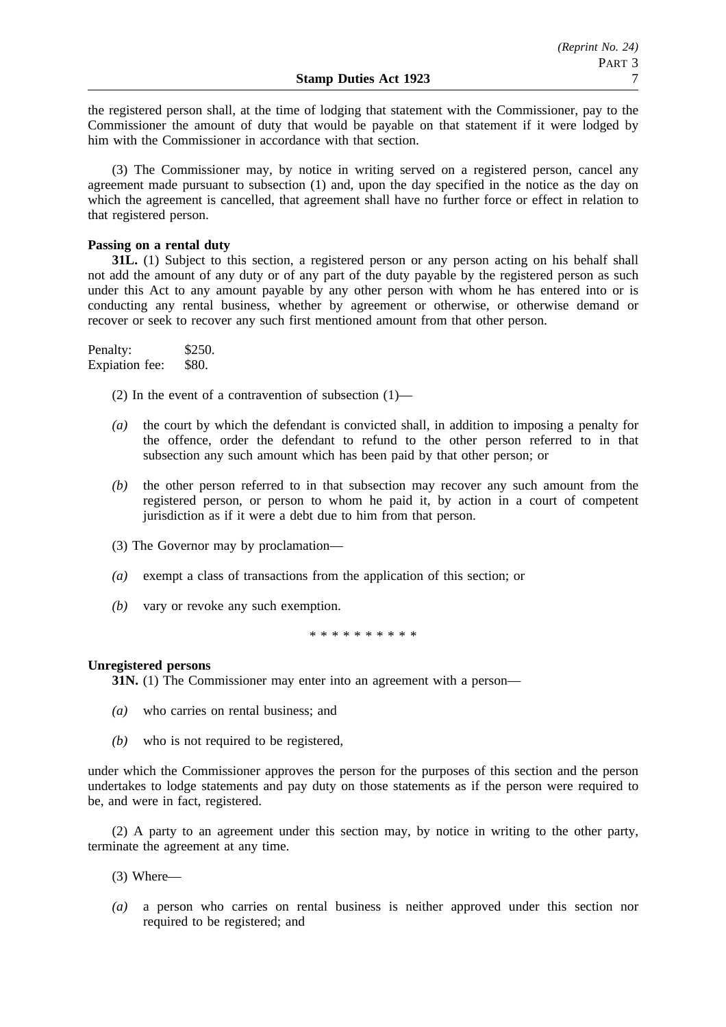the registered person shall, at the time of lodging that statement with the Commissioner, pay to the Commissioner the amount of duty that would be payable on that statement if it were lodged by him with the Commissioner in accordance with that section.

(3) The Commissioner may, by notice in writing served on a registered person, cancel any agreement made pursuant to subsection (1) and, upon the day specified in the notice as the day on which the agreement is cancelled, that agreement shall have no further force or effect in relation to that registered person.

# **Passing on a rental duty**

**31L.** (1) Subject to this section, a registered person or any person acting on his behalf shall not add the amount of any duty or of any part of the duty payable by the registered person as such under this Act to any amount payable by any other person with whom he has entered into or is conducting any rental business, whether by agreement or otherwise, or otherwise demand or recover or seek to recover any such first mentioned amount from that other person.

Penalty: \$250. Expiation fee: \$80.

(2) In the event of a contravention of subsection  $(1)$ —

- *(a)* the court by which the defendant is convicted shall, in addition to imposing a penalty for the offence, order the defendant to refund to the other person referred to in that subsection any such amount which has been paid by that other person; or
- *(b)* the other person referred to in that subsection may recover any such amount from the registered person, or person to whom he paid it, by action in a court of competent jurisdiction as if it were a debt due to him from that person.
- (3) The Governor may by proclamation—
- *(a)* exempt a class of transactions from the application of this section; or
- *(b)* vary or revoke any such exemption.

\*\*\*\*\*\*\*\*\*\*

# **Unregistered persons**

**31N.** (1) The Commissioner may enter into an agreement with a person—

- *(a)* who carries on rental business; and
- *(b)* who is not required to be registered,

under which the Commissioner approves the person for the purposes of this section and the person undertakes to lodge statements and pay duty on those statements as if the person were required to be, and were in fact, registered.

(2) A party to an agreement under this section may, by notice in writing to the other party, terminate the agreement at any time.

- (3) Where—
- *(a)* a person who carries on rental business is neither approved under this section nor required to be registered; and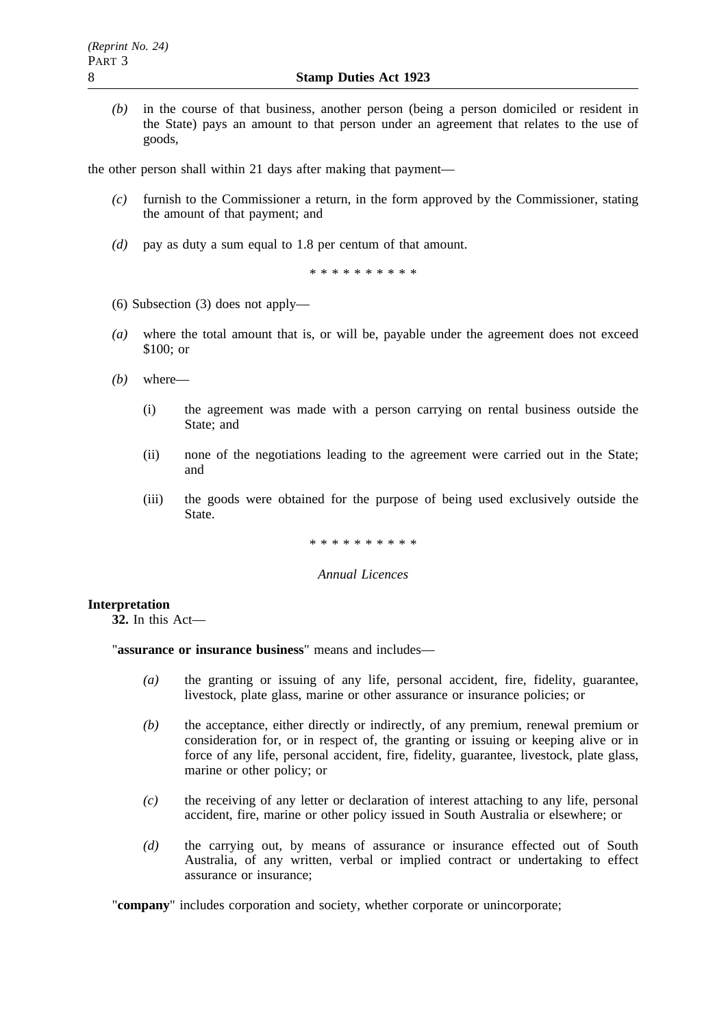*(b)* in the course of that business, another person (being a person domiciled or resident in the State) pays an amount to that person under an agreement that relates to the use of goods,

the other person shall within 21 days after making that payment—

- *(c)* furnish to the Commissioner a return, in the form approved by the Commissioner, stating the amount of that payment; and
- *(d)* pay as duty a sum equal to 1.8 per centum of that amount.

\*\*\*\*\*\*\*\*\*\*

- (6) Subsection (3) does not apply—
- *(a)* where the total amount that is, or will be, payable under the agreement does not exceed \$100; or
- *(b)* where—
	- (i) the agreement was made with a person carrying on rental business outside the State; and
	- (ii) none of the negotiations leading to the agreement were carried out in the State; and
	- (iii) the goods were obtained for the purpose of being used exclusively outside the State.

\*\*\*\*\*\*\*\*\*\*

# *Annual Licences*

# **Interpretation**

**32.** In this Act—

"**assurance or insurance business**" means and includes—

- *(a)* the granting or issuing of any life, personal accident, fire, fidelity, guarantee, livestock, plate glass, marine or other assurance or insurance policies; or
- *(b)* the acceptance, either directly or indirectly, of any premium, renewal premium or consideration for, or in respect of, the granting or issuing or keeping alive or in force of any life, personal accident, fire, fidelity, guarantee, livestock, plate glass, marine or other policy; or
- *(c)* the receiving of any letter or declaration of interest attaching to any life, personal accident, fire, marine or other policy issued in South Australia or elsewhere; or
- *(d)* the carrying out, by means of assurance or insurance effected out of South Australia, of any written, verbal or implied contract or undertaking to effect assurance or insurance;

"company" includes corporation and society, whether corporate or unincorporate;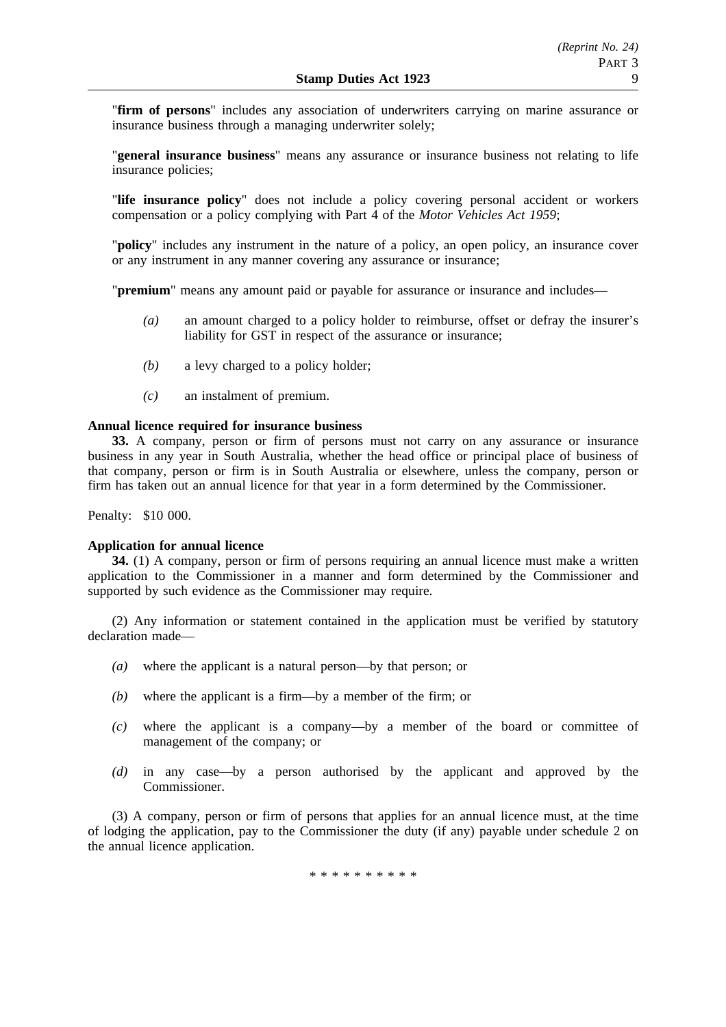"**firm of persons**" includes any association of underwriters carrying on marine assurance or insurance business through a managing underwriter solely;

"**general insurance business**" means any assurance or insurance business not relating to life insurance policies;

"**life insurance policy**" does not include a policy covering personal accident or workers compensation or a policy complying with Part 4 of the *Motor Vehicles Act 1959*;

"**policy**" includes any instrument in the nature of a policy, an open policy, an insurance cover or any instrument in any manner covering any assurance or insurance;

"**premium**" means any amount paid or payable for assurance or insurance and includes—

- *(a)* an amount charged to a policy holder to reimburse, offset or defray the insurer's liability for GST in respect of the assurance or insurance;
- *(b)* a levy charged to a policy holder;
- *(c)* an instalment of premium.

# **Annual licence required for insurance business**

**33.** A company, person or firm of persons must not carry on any assurance or insurance business in any year in South Australia, whether the head office or principal place of business of that company, person or firm is in South Australia or elsewhere, unless the company, person or firm has taken out an annual licence for that year in a form determined by the Commissioner.

Penalty: \$10 000.

# **Application for annual licence**

**34.** (1) A company, person or firm of persons requiring an annual licence must make a written application to the Commissioner in a manner and form determined by the Commissioner and supported by such evidence as the Commissioner may require.

(2) Any information or statement contained in the application must be verified by statutory declaration made—

- *(a)* where the applicant is a natural person—by that person; or
- *(b)* where the applicant is a firm—by a member of the firm; or
- *(c)* where the applicant is a company—by a member of the board or committee of management of the company; or
- *(d)* in any case—by a person authorised by the applicant and approved by the Commissioner.

(3) A company, person or firm of persons that applies for an annual licence must, at the time of lodging the application, pay to the Commissioner the duty (if any) payable under schedule 2 on the annual licence application.

\*\*\*\*\*\*\*\*\*\*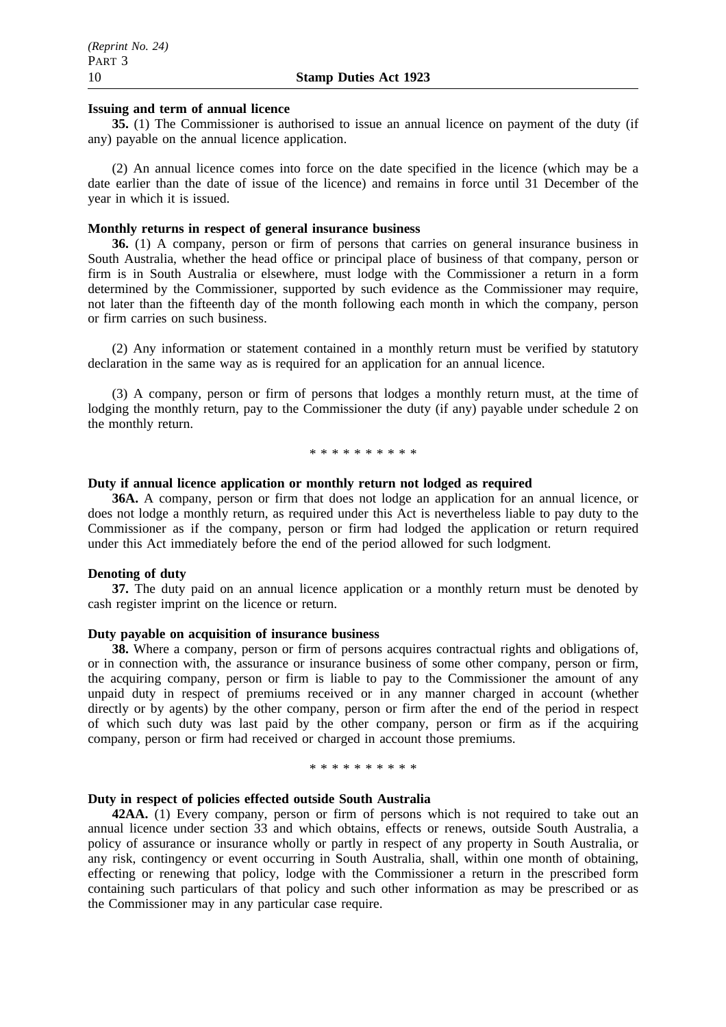## **Issuing and term of annual licence**

**35.** (1) The Commissioner is authorised to issue an annual licence on payment of the duty (if any) payable on the annual licence application.

(2) An annual licence comes into force on the date specified in the licence (which may be a date earlier than the date of issue of the licence) and remains in force until 31 December of the year in which it is issued.

### **Monthly returns in respect of general insurance business**

**36.** (1) A company, person or firm of persons that carries on general insurance business in South Australia, whether the head office or principal place of business of that company, person or firm is in South Australia or elsewhere, must lodge with the Commissioner a return in a form determined by the Commissioner, supported by such evidence as the Commissioner may require, not later than the fifteenth day of the month following each month in which the company, person or firm carries on such business.

(2) Any information or statement contained in a monthly return must be verified by statutory declaration in the same way as is required for an application for an annual licence.

(3) A company, person or firm of persons that lodges a monthly return must, at the time of lodging the monthly return, pay to the Commissioner the duty (if any) payable under schedule 2 on the monthly return.

\*\*\*\*\*\*\*\*\*\*

### **Duty if annual licence application or monthly return not lodged as required**

**36A.** A company, person or firm that does not lodge an application for an annual licence, or does not lodge a monthly return, as required under this Act is nevertheless liable to pay duty to the Commissioner as if the company, person or firm had lodged the application or return required under this Act immediately before the end of the period allowed for such lodgment.

#### **Denoting of duty**

**37.** The duty paid on an annual licence application or a monthly return must be denoted by cash register imprint on the licence or return.

# **Duty payable on acquisition of insurance business**

**38.** Where a company, person or firm of persons acquires contractual rights and obligations of, or in connection with, the assurance or insurance business of some other company, person or firm, the acquiring company, person or firm is liable to pay to the Commissioner the amount of any unpaid duty in respect of premiums received or in any manner charged in account (whether directly or by agents) by the other company, person or firm after the end of the period in respect of which such duty was last paid by the other company, person or firm as if the acquiring company, person or firm had received or charged in account those premiums.

#### \*\*\*\*\*\*\*\*\*\*

### **Duty in respect of policies effected outside South Australia**

**42AA.** (1) Every company, person or firm of persons which is not required to take out an annual licence under section 33 and which obtains, effects or renews, outside South Australia, a policy of assurance or insurance wholly or partly in respect of any property in South Australia, or any risk, contingency or event occurring in South Australia, shall, within one month of obtaining, effecting or renewing that policy, lodge with the Commissioner a return in the prescribed form containing such particulars of that policy and such other information as may be prescribed or as the Commissioner may in any particular case require.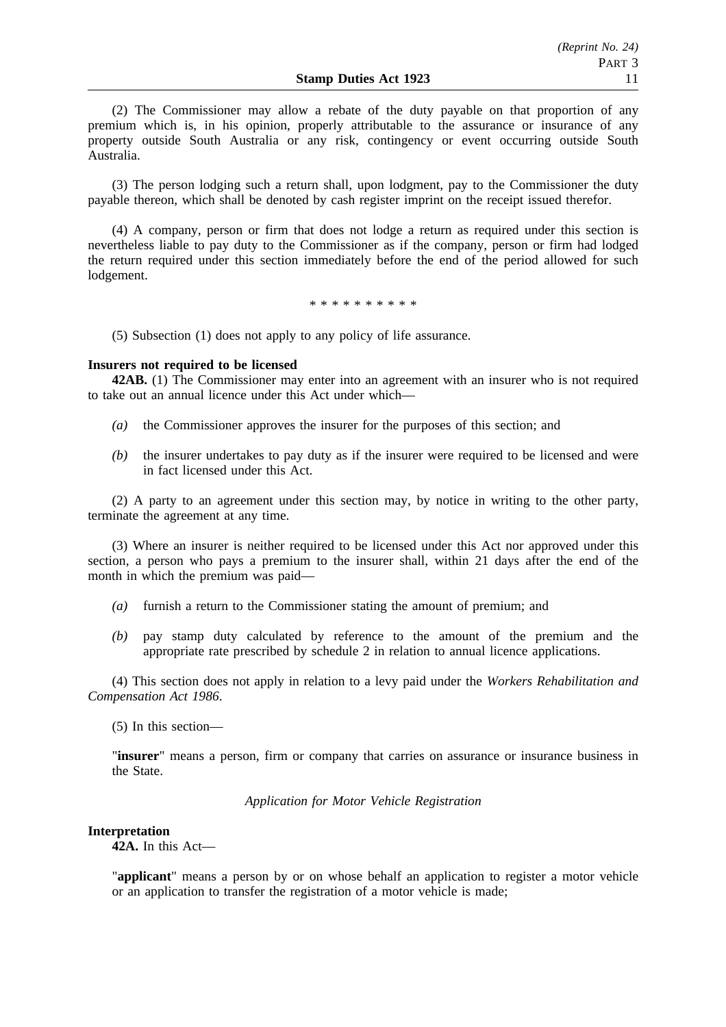(2) The Commissioner may allow a rebate of the duty payable on that proportion of any premium which is, in his opinion, properly attributable to the assurance or insurance of any property outside South Australia or any risk, contingency or event occurring outside South Australia.

(3) The person lodging such a return shall, upon lodgment, pay to the Commissioner the duty payable thereon, which shall be denoted by cash register imprint on the receipt issued therefor.

(4) A company, person or firm that does not lodge a return as required under this section is nevertheless liable to pay duty to the Commissioner as if the company, person or firm had lodged the return required under this section immediately before the end of the period allowed for such lodgement.

\*\*\*\*\*\*\*\*\*\*

(5) Subsection (1) does not apply to any policy of life assurance.

## **Insurers not required to be licensed**

**42AB.** (1) The Commissioner may enter into an agreement with an insurer who is not required to take out an annual licence under this Act under which—

- *(a)* the Commissioner approves the insurer for the purposes of this section; and
- *(b)* the insurer undertakes to pay duty as if the insurer were required to be licensed and were in fact licensed under this Act.

(2) A party to an agreement under this section may, by notice in writing to the other party, terminate the agreement at any time.

(3) Where an insurer is neither required to be licensed under this Act nor approved under this section, a person who pays a premium to the insurer shall, within 21 days after the end of the month in which the premium was paid—

- *(a)* furnish a return to the Commissioner stating the amount of premium; and
- *(b)* pay stamp duty calculated by reference to the amount of the premium and the appropriate rate prescribed by schedule 2 in relation to annual licence applications.

(4) This section does not apply in relation to a levy paid under the *Workers Rehabilitation and Compensation Act 1986*.

(5) In this section—

"**insurer**" means a person, firm or company that carries on assurance or insurance business in the State.

*Application for Motor Vehicle Registration*

### **Interpretation**

**42A.** In this Act—

"**applicant**" means a person by or on whose behalf an application to register a motor vehicle or an application to transfer the registration of a motor vehicle is made;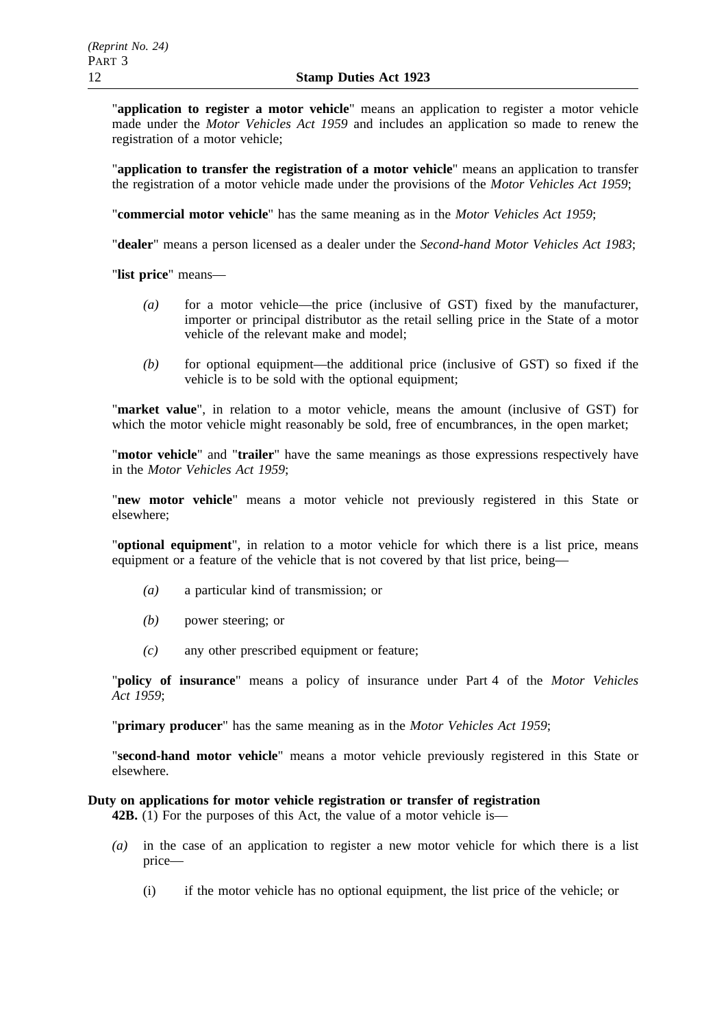"**application to register a motor vehicle**" means an application to register a motor vehicle made under the *Motor Vehicles Act 1959* and includes an application so made to renew the registration of a motor vehicle;

"**application to transfer the registration of a motor vehicle**" means an application to transfer the registration of a motor vehicle made under the provisions of the *Motor Vehicles Act 1959*;

"**commercial motor vehicle**" has the same meaning as in the *Motor Vehicles Act 1959*;

"**dealer**" means a person licensed as a dealer under the *Second-hand Motor Vehicles Act 1983*;

"**list price**" means—

- *(a)* for a motor vehicle—the price (inclusive of GST) fixed by the manufacturer, importer or principal distributor as the retail selling price in the State of a motor vehicle of the relevant make and model;
- *(b)* for optional equipment—the additional price (inclusive of GST) so fixed if the vehicle is to be sold with the optional equipment;

"**market value**", in relation to a motor vehicle, means the amount (inclusive of GST) for which the motor vehicle might reasonably be sold, free of encumbrances, in the open market;

"**motor vehicle**" and "**trailer**" have the same meanings as those expressions respectively have in the *Motor Vehicles Act 1959*;

"**new motor vehicle**" means a motor vehicle not previously registered in this State or elsewhere;

"**optional equipment**", in relation to a motor vehicle for which there is a list price, means equipment or a feature of the vehicle that is not covered by that list price, being—

- *(a)* a particular kind of transmission; or
- *(b)* power steering; or
- *(c)* any other prescribed equipment or feature;

"**policy of insurance**" means a policy of insurance under Part 4 of the *Motor Vehicles Act 1959*;

"**primary producer**" has the same meaning as in the *Motor Vehicles Act 1959*;

"**second-hand motor vehicle**" means a motor vehicle previously registered in this State or elsewhere.

# **Duty on applications for motor vehicle registration or transfer of registration**

**42B.** (1) For the purposes of this Act, the value of a motor vehicle is—

- *(a)* in the case of an application to register a new motor vehicle for which there is a list price—
	- (i) if the motor vehicle has no optional equipment, the list price of the vehicle; or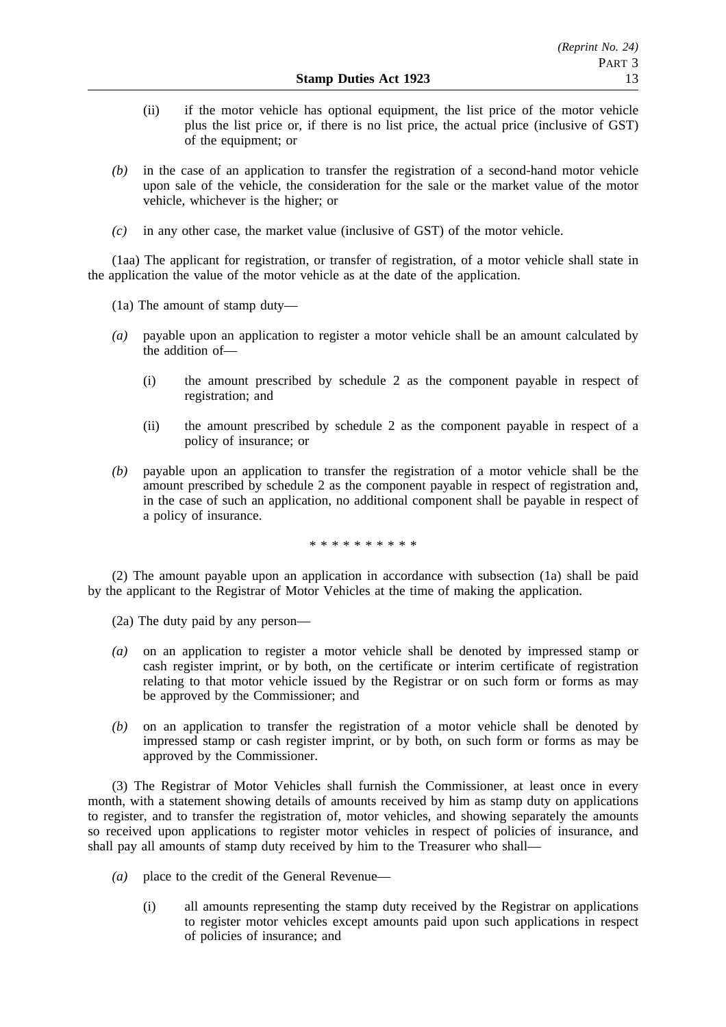- (ii) if the motor vehicle has optional equipment, the list price of the motor vehicle plus the list price or, if there is no list price, the actual price (inclusive of GST) of the equipment; or
- *(b)* in the case of an application to transfer the registration of a second-hand motor vehicle upon sale of the vehicle, the consideration for the sale or the market value of the motor vehicle, whichever is the higher; or
- *(c)* in any other case, the market value (inclusive of GST) of the motor vehicle.

(1aa) The applicant for registration, or transfer of registration, of a motor vehicle shall state in the application the value of the motor vehicle as at the date of the application.

(1a) The amount of stamp duty—

- *(a)* payable upon an application to register a motor vehicle shall be an amount calculated by the addition of—
	- (i) the amount prescribed by schedule 2 as the component payable in respect of registration; and
	- (ii) the amount prescribed by schedule 2 as the component payable in respect of a policy of insurance; or
- *(b)* payable upon an application to transfer the registration of a motor vehicle shall be the amount prescribed by schedule 2 as the component payable in respect of registration and, in the case of such an application, no additional component shall be payable in respect of a policy of insurance.

\*\*\*\*\*\*\*\*\*\*

(2) The amount payable upon an application in accordance with subsection (1a) shall be paid by the applicant to the Registrar of Motor Vehicles at the time of making the application.

(2a) The duty paid by any person—

- *(a)* on an application to register a motor vehicle shall be denoted by impressed stamp or cash register imprint, or by both, on the certificate or interim certificate of registration relating to that motor vehicle issued by the Registrar or on such form or forms as may be approved by the Commissioner; and
- *(b)* on an application to transfer the registration of a motor vehicle shall be denoted by impressed stamp or cash register imprint, or by both, on such form or forms as may be approved by the Commissioner.

(3) The Registrar of Motor Vehicles shall furnish the Commissioner, at least once in every month, with a statement showing details of amounts received by him as stamp duty on applications to register, and to transfer the registration of, motor vehicles, and showing separately the amounts so received upon applications to register motor vehicles in respect of policies of insurance, and shall pay all amounts of stamp duty received by him to the Treasurer who shall—

- *(a)* place to the credit of the General Revenue—
	- (i) all amounts representing the stamp duty received by the Registrar on applications to register motor vehicles except amounts paid upon such applications in respect of policies of insurance; and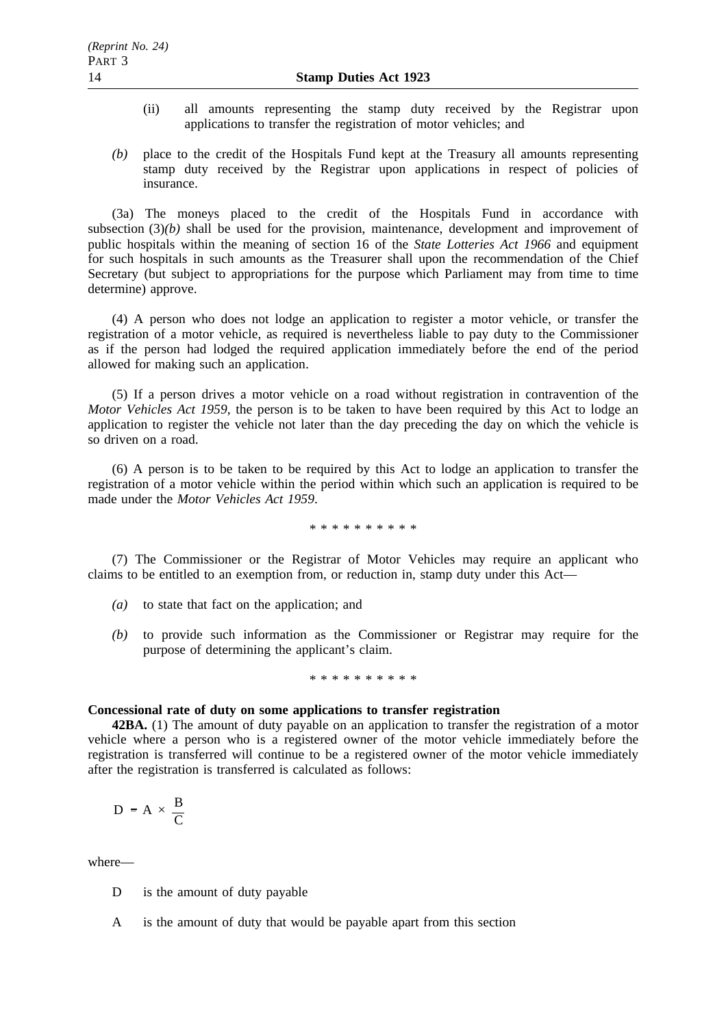- (ii) all amounts representing the stamp duty received by the Registrar upon applications to transfer the registration of motor vehicles; and
- *(b)* place to the credit of the Hospitals Fund kept at the Treasury all amounts representing stamp duty received by the Registrar upon applications in respect of policies of insurance.

(3a) The moneys placed to the credit of the Hospitals Fund in accordance with subsection (3)*(b)* shall be used for the provision, maintenance, development and improvement of public hospitals within the meaning of section 16 of the *State Lotteries Act 1966* and equipment for such hospitals in such amounts as the Treasurer shall upon the recommendation of the Chief Secretary (but subject to appropriations for the purpose which Parliament may from time to time determine) approve.

(4) A person who does not lodge an application to register a motor vehicle, or transfer the registration of a motor vehicle, as required is nevertheless liable to pay duty to the Commissioner as if the person had lodged the required application immediately before the end of the period allowed for making such an application.

(5) If a person drives a motor vehicle on a road without registration in contravention of the *Motor Vehicles Act 1959*, the person is to be taken to have been required by this Act to lodge an application to register the vehicle not later than the day preceding the day on which the vehicle is so driven on a road.

(6) A person is to be taken to be required by this Act to lodge an application to transfer the registration of a motor vehicle within the period within which such an application is required to be made under the *Motor Vehicles Act 1959*.

\*\*\*\*\*\*\*\*\*\*

(7) The Commissioner or the Registrar of Motor Vehicles may require an applicant who claims to be entitled to an exemption from, or reduction in, stamp duty under this Act—

- *(a)* to state that fact on the application; and
- *(b)* to provide such information as the Commissioner or Registrar may require for the purpose of determining the applicant's claim.

### \*\*\*\*\*\*\*\*\*\*

### **Concessional rate of duty on some applications to transfer registration**

**42BA.** (1) The amount of duty payable on an application to transfer the registration of a motor vehicle where a person who is a registered owner of the motor vehicle immediately before the registration is transferred will continue to be a registered owner of the motor vehicle immediately after the registration is transferred is calculated as follows:

$$
D = A \times \frac{B}{C}
$$

where—

- D is the amount of duty payable
- A is the amount of duty that would be payable apart from this section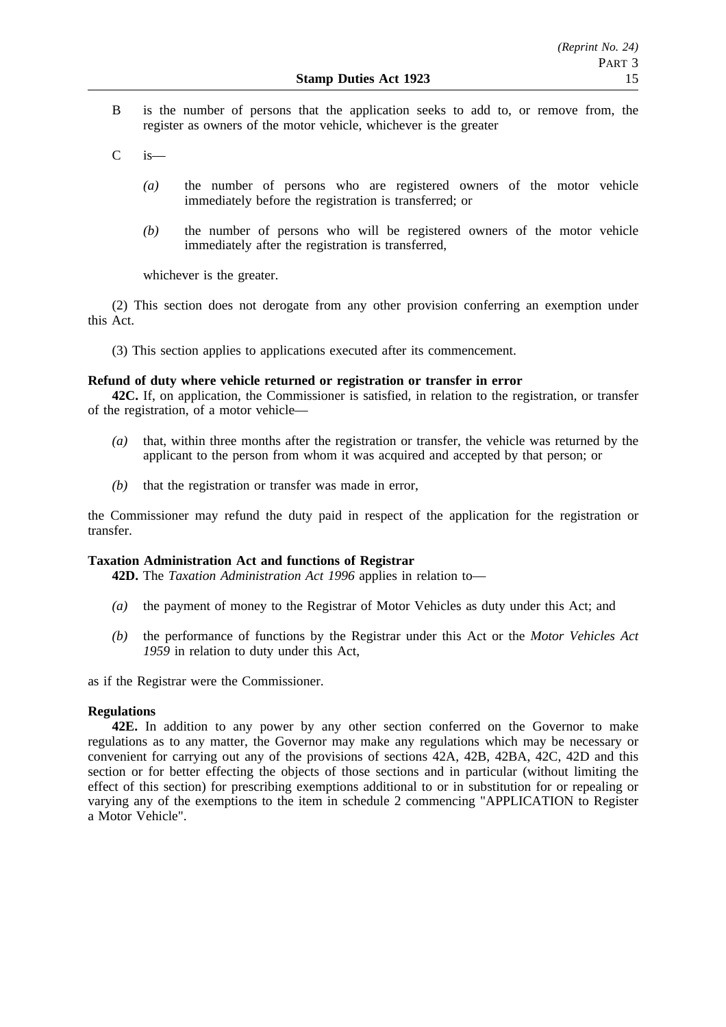- B is the number of persons that the application seeks to add to, or remove from, the register as owners of the motor vehicle, whichever is the greater
- $C$  is
	- *(a)* the number of persons who are registered owners of the motor vehicle immediately before the registration is transferred; or
	- *(b)* the number of persons who will be registered owners of the motor vehicle immediately after the registration is transferred,

whichever is the greater.

(2) This section does not derogate from any other provision conferring an exemption under this Act.

(3) This section applies to applications executed after its commencement.

# **Refund of duty where vehicle returned or registration or transfer in error**

**42C.** If, on application, the Commissioner is satisfied, in relation to the registration, or transfer of the registration, of a motor vehicle—

- *(a)* that, within three months after the registration or transfer, the vehicle was returned by the applicant to the person from whom it was acquired and accepted by that person; or
- *(b)* that the registration or transfer was made in error,

the Commissioner may refund the duty paid in respect of the application for the registration or transfer.

# **Taxation Administration Act and functions of Registrar**

**42D.** The *Taxation Administration Act 1996* applies in relation to—

- *(a)* the payment of money to the Registrar of Motor Vehicles as duty under this Act; and
- *(b)* the performance of functions by the Registrar under this Act or the *Motor Vehicles Act 1959* in relation to duty under this Act,

as if the Registrar were the Commissioner.

# **Regulations**

**42E.** In addition to any power by any other section conferred on the Governor to make regulations as to any matter, the Governor may make any regulations which may be necessary or convenient for carrying out any of the provisions of sections 42A, 42B, 42BA, 42C, 42D and this section or for better effecting the objects of those sections and in particular (without limiting the effect of this section) for prescribing exemptions additional to or in substitution for or repealing or varying any of the exemptions to the item in schedule 2 commencing "APPLICATION to Register a Motor Vehicle".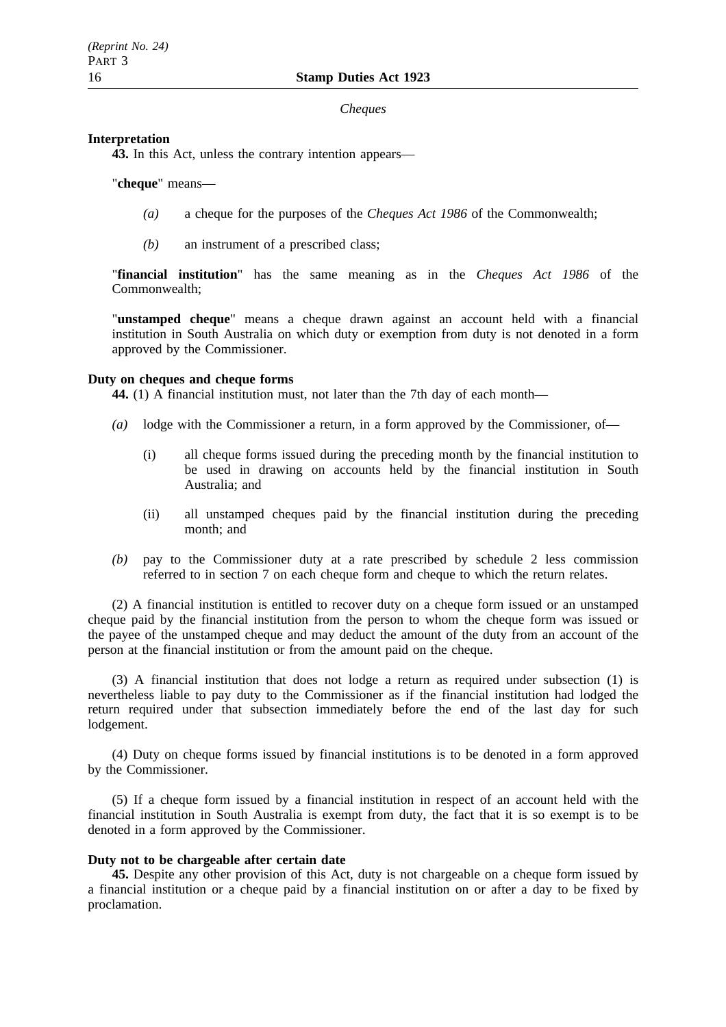## *Cheques*

# **Interpretation**

**43.** In this Act, unless the contrary intention appears—

# "**cheque**" means—

- *(a)* a cheque for the purposes of the *Cheques Act 1986* of the Commonwealth;
- *(b)* an instrument of a prescribed class;

"**financial institution**" has the same meaning as in the *Cheques Act 1986* of the Commonwealth;

"**unstamped cheque**" means a cheque drawn against an account held with a financial institution in South Australia on which duty or exemption from duty is not denoted in a form approved by the Commissioner.

# **Duty on cheques and cheque forms**

**44.** (1) A financial institution must, not later than the 7th day of each month—

- *(a)* lodge with the Commissioner a return, in a form approved by the Commissioner, of—
	- (i) all cheque forms issued during the preceding month by the financial institution to be used in drawing on accounts held by the financial institution in South Australia; and
	- (ii) all unstamped cheques paid by the financial institution during the preceding month; and
- *(b)* pay to the Commissioner duty at a rate prescribed by schedule 2 less commission referred to in section 7 on each cheque form and cheque to which the return relates.

(2) A financial institution is entitled to recover duty on a cheque form issued or an unstamped cheque paid by the financial institution from the person to whom the cheque form was issued or the payee of the unstamped cheque and may deduct the amount of the duty from an account of the person at the financial institution or from the amount paid on the cheque.

(3) A financial institution that does not lodge a return as required under subsection (1) is nevertheless liable to pay duty to the Commissioner as if the financial institution had lodged the return required under that subsection immediately before the end of the last day for such lodgement.

(4) Duty on cheque forms issued by financial institutions is to be denoted in a form approved by the Commissioner.

(5) If a cheque form issued by a financial institution in respect of an account held with the financial institution in South Australia is exempt from duty, the fact that it is so exempt is to be denoted in a form approved by the Commissioner.

# **Duty not to be chargeable after certain date**

**45.** Despite any other provision of this Act, duty is not chargeable on a cheque form issued by a financial institution or a cheque paid by a financial institution on or after a day to be fixed by proclamation.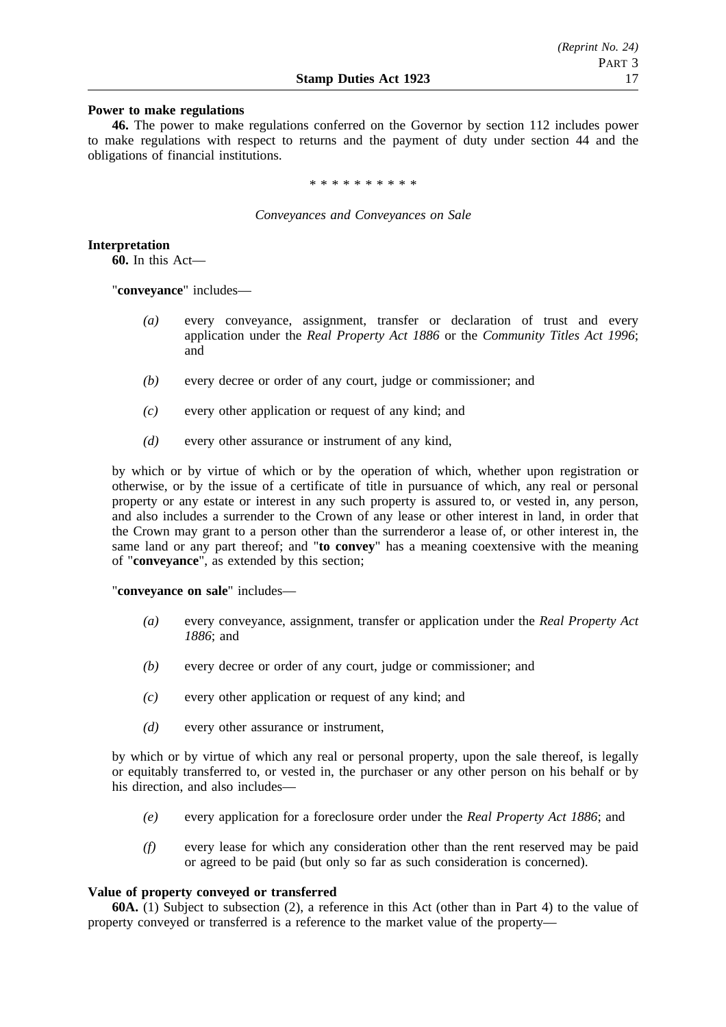## **Power to make regulations**

**46.** The power to make regulations conferred on the Governor by section 112 includes power to make regulations with respect to returns and the payment of duty under section 44 and the obligations of financial institutions.

\*\*\*\*\*\*\*\*\*\*

*Conveyances and Conveyances on Sale*

**Interpretation**

**60.** In this Act—

"**conveyance**" includes—

- *(a)* every conveyance, assignment, transfer or declaration of trust and every application under the *Real Property Act 1886* or the *Community Titles Act 1996*; and
- *(b)* every decree or order of any court, judge or commissioner; and
- *(c)* every other application or request of any kind; and
- *(d)* every other assurance or instrument of any kind,

by which or by virtue of which or by the operation of which, whether upon registration or otherwise, or by the issue of a certificate of title in pursuance of which, any real or personal property or any estate or interest in any such property is assured to, or vested in, any person, and also includes a surrender to the Crown of any lease or other interest in land, in order that the Crown may grant to a person other than the surrenderor a lease of, or other interest in, the same land or any part thereof; and "**to convey**" has a meaning coextensive with the meaning of "**conveyance**", as extended by this section;

"**conveyance on sale**" includes—

- *(a)* every conveyance, assignment, transfer or application under the *Real Property Act 1886*; and
- *(b)* every decree or order of any court, judge or commissioner; and
- *(c)* every other application or request of any kind; and
- *(d)* every other assurance or instrument,

by which or by virtue of which any real or personal property, upon the sale thereof, is legally or equitably transferred to, or vested in, the purchaser or any other person on his behalf or by his direction, and also includes—

- *(e)* every application for a foreclosure order under the *Real Property Act 1886*; and
- *(f)* every lease for which any consideration other than the rent reserved may be paid or agreed to be paid (but only so far as such consideration is concerned).

## **Value of property conveyed or transferred**

**60A.** (1) Subject to subsection (2), a reference in this Act (other than in Part 4) to the value of property conveyed or transferred is a reference to the market value of the property—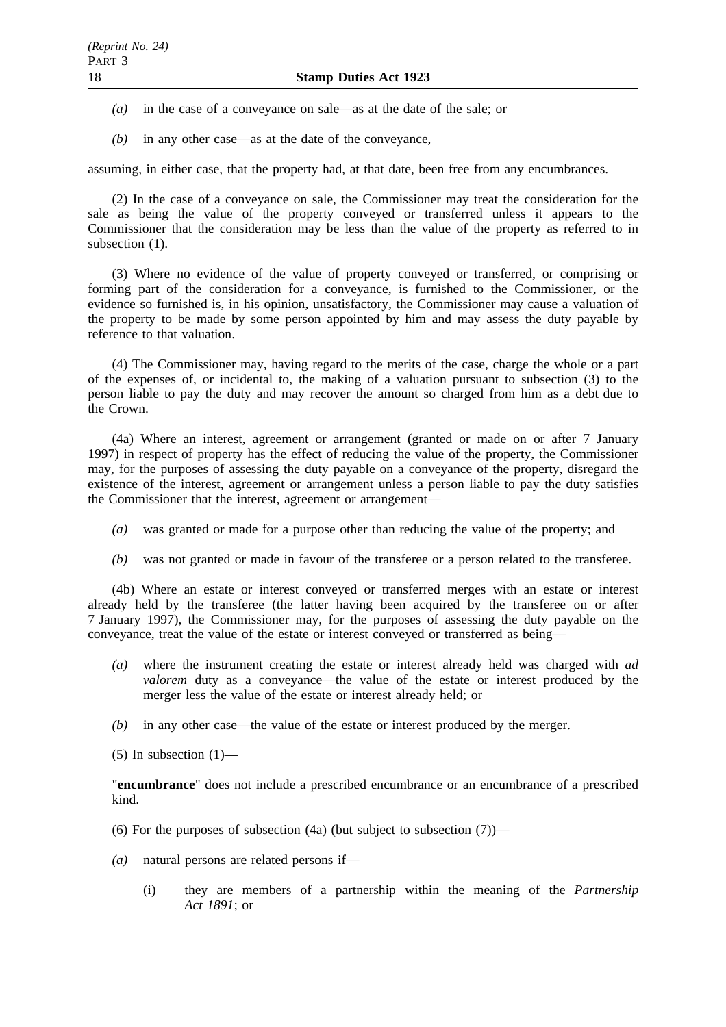- *(a)* in the case of a conveyance on sale—as at the date of the sale; or
- *(b)* in any other case—as at the date of the conveyance,

assuming, in either case, that the property had, at that date, been free from any encumbrances.

(2) In the case of a conveyance on sale, the Commissioner may treat the consideration for the sale as being the value of the property conveyed or transferred unless it appears to the Commissioner that the consideration may be less than the value of the property as referred to in subsection (1).

(3) Where no evidence of the value of property conveyed or transferred, or comprising or forming part of the consideration for a conveyance, is furnished to the Commissioner, or the evidence so furnished is, in his opinion, unsatisfactory, the Commissioner may cause a valuation of the property to be made by some person appointed by him and may assess the duty payable by reference to that valuation.

(4) The Commissioner may, having regard to the merits of the case, charge the whole or a part of the expenses of, or incidental to, the making of a valuation pursuant to subsection (3) to the person liable to pay the duty and may recover the amount so charged from him as a debt due to the Crown.

(4a) Where an interest, agreement or arrangement (granted or made on or after 7 January 1997) in respect of property has the effect of reducing the value of the property, the Commissioner may, for the purposes of assessing the duty payable on a conveyance of the property, disregard the existence of the interest, agreement or arrangement unless a person liable to pay the duty satisfies the Commissioner that the interest, agreement or arrangement—

- *(a)* was granted or made for a purpose other than reducing the value of the property; and
- *(b)* was not granted or made in favour of the transferee or a person related to the transferee.

(4b) Where an estate or interest conveyed or transferred merges with an estate or interest already held by the transferee (the latter having been acquired by the transferee on or after 7 January 1997), the Commissioner may, for the purposes of assessing the duty payable on the conveyance, treat the value of the estate or interest conveyed or transferred as being—

- *(a)* where the instrument creating the estate or interest already held was charged with *ad valorem* duty as a conveyance—the value of the estate or interest produced by the merger less the value of the estate or interest already held; or
- *(b)* in any other case—the value of the estate or interest produced by the merger.

(5) In subsection  $(1)$ —

"**encumbrance**" does not include a prescribed encumbrance or an encumbrance of a prescribed kind.

- (6) For the purposes of subsection (4a) (but subject to subsection  $(7)$ )—
- *(a)* natural persons are related persons if—
	- (i) they are members of a partnership within the meaning of the *Partnership Act 1891*; or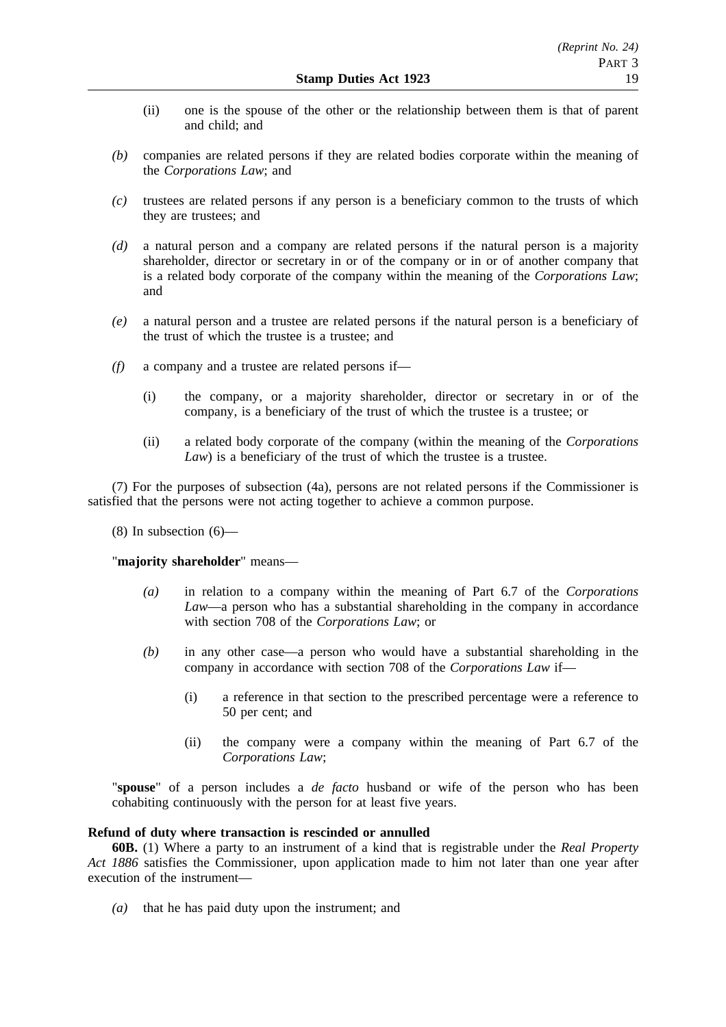- (ii) one is the spouse of the other or the relationship between them is that of parent and child; and
- *(b)* companies are related persons if they are related bodies corporate within the meaning of the *Corporations Law*; and
- *(c)* trustees are related persons if any person is a beneficiary common to the trusts of which they are trustees; and
- *(d)* a natural person and a company are related persons if the natural person is a majority shareholder, director or secretary in or of the company or in or of another company that is a related body corporate of the company within the meaning of the *Corporations Law*; and
- *(e)* a natural person and a trustee are related persons if the natural person is a beneficiary of the trust of which the trustee is a trustee; and
- *(f)* a company and a trustee are related persons if—
	- (i) the company, or a majority shareholder, director or secretary in or of the company, is a beneficiary of the trust of which the trustee is a trustee; or
	- (ii) a related body corporate of the company (within the meaning of the *Corporations Law*) is a beneficiary of the trust of which the trustee is a trustee.

(7) For the purposes of subsection (4a), persons are not related persons if the Commissioner is satisfied that the persons were not acting together to achieve a common purpose.

 $(8)$  In subsection  $(6)$ —

## "**majority shareholder**" means—

- *(a)* in relation to a company within the meaning of Part 6.7 of the *Corporations Law*—a person who has a substantial shareholding in the company in accordance with section 708 of the *Corporations Law*; or
- *(b)* in any other case—a person who would have a substantial shareholding in the company in accordance with section 708 of the *Corporations Law* if—
	- (i) a reference in that section to the prescribed percentage were a reference to 50 per cent; and
	- (ii) the company were a company within the meaning of Part 6.7 of the *Corporations Law*;

"**spouse**" of a person includes a *de facto* husband or wife of the person who has been cohabiting continuously with the person for at least five years.

## **Refund of duty where transaction is rescinded or annulled**

**60B.** (1) Where a party to an instrument of a kind that is registrable under the *Real Property Act 1886* satisfies the Commissioner, upon application made to him not later than one year after execution of the instrument—

*(a)* that he has paid duty upon the instrument; and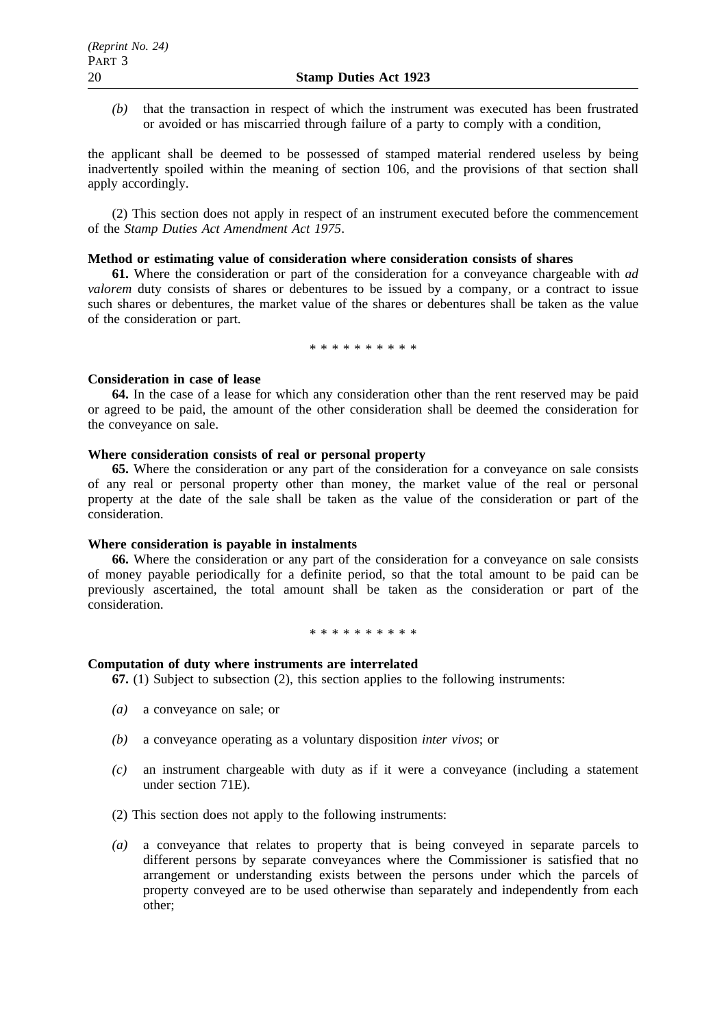*(b)* that the transaction in respect of which the instrument was executed has been frustrated or avoided or has miscarried through failure of a party to comply with a condition,

the applicant shall be deemed to be possessed of stamped material rendered useless by being inadvertently spoiled within the meaning of section 106, and the provisions of that section shall apply accordingly.

(2) This section does not apply in respect of an instrument executed before the commencement of the *Stamp Duties Act Amendment Act 1975*.

# **Method or estimating value of consideration where consideration consists of shares**

**61.** Where the consideration or part of the consideration for a conveyance chargeable with *ad valorem* duty consists of shares or debentures to be issued by a company, or a contract to issue such shares or debentures, the market value of the shares or debentures shall be taken as the value of the consideration or part.

\*\*\*\*\*\*\*\*\*\*

#### **Consideration in case of lease**

**64.** In the case of a lease for which any consideration other than the rent reserved may be paid or agreed to be paid, the amount of the other consideration shall be deemed the consideration for the conveyance on sale.

#### **Where consideration consists of real or personal property**

**65.** Where the consideration or any part of the consideration for a conveyance on sale consists of any real or personal property other than money, the market value of the real or personal property at the date of the sale shall be taken as the value of the consideration or part of the consideration.

#### **Where consideration is payable in instalments**

**66.** Where the consideration or any part of the consideration for a conveyance on sale consists of money payable periodically for a definite period, so that the total amount to be paid can be previously ascertained, the total amount shall be taken as the consideration or part of the consideration.

\*\*\*\*\*\*\*\*\*\*\*\*\*

#### **Computation of duty where instruments are interrelated**

**67.** (1) Subject to subsection (2), this section applies to the following instruments:

- *(a)* a conveyance on sale; or
- *(b)* a conveyance operating as a voluntary disposition *inter vivos*; or
- *(c)* an instrument chargeable with duty as if it were a conveyance (including a statement under section 71E).
- (2) This section does not apply to the following instruments:
- *(a)* a conveyance that relates to property that is being conveyed in separate parcels to different persons by separate conveyances where the Commissioner is satisfied that no arrangement or understanding exists between the persons under which the parcels of property conveyed are to be used otherwise than separately and independently from each other;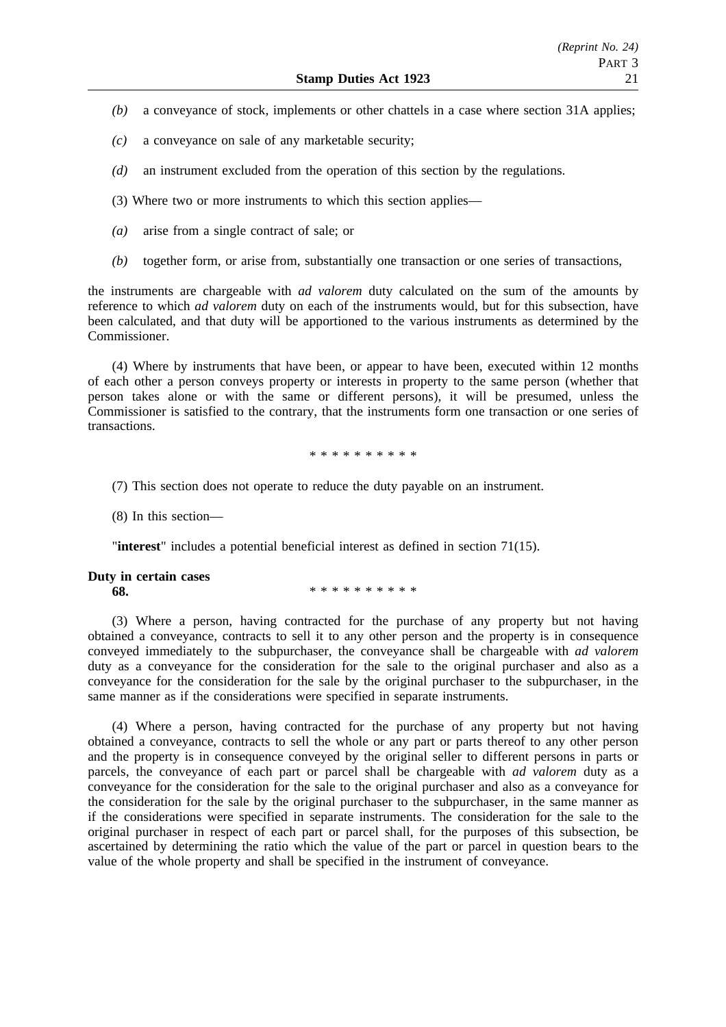- *(b)* a conveyance of stock, implements or other chattels in a case where section 31A applies;
- *(c)* a conveyance on sale of any marketable security;
- *(d)* an instrument excluded from the operation of this section by the regulations.
- (3) Where two or more instruments to which this section applies—
- *(a)* arise from a single contract of sale; or
- *(b)* together form, or arise from, substantially one transaction or one series of transactions,

the instruments are chargeable with *ad valorem* duty calculated on the sum of the amounts by reference to which *ad valorem* duty on each of the instruments would, but for this subsection, have been calculated, and that duty will be apportioned to the various instruments as determined by the Commissioner.

(4) Where by instruments that have been, or appear to have been, executed within 12 months of each other a person conveys property or interests in property to the same person (whether that person takes alone or with the same or different persons), it will be presumed, unless the Commissioner is satisfied to the contrary, that the instruments form one transaction or one series of transactions.

\*\*\*\*\*\*\*\*\*\*

(7) This section does not operate to reduce the duty payable on an instrument.

(8) In this section—

"**interest**" includes a potential beneficial interest as defined in section 71(15).

#### **Duty in certain cases 68.** \*\*\*\*\*\*\*\*\*\*\*

(3) Where a person, having contracted for the purchase of any property but not having obtained a conveyance, contracts to sell it to any other person and the property is in consequence conveyed immediately to the subpurchaser, the conveyance shall be chargeable with *ad valorem* duty as a conveyance for the consideration for the sale to the original purchaser and also as a conveyance for the consideration for the sale by the original purchaser to the subpurchaser, in the same manner as if the considerations were specified in separate instruments.

(4) Where a person, having contracted for the purchase of any property but not having obtained a conveyance, contracts to sell the whole or any part or parts thereof to any other person and the property is in consequence conveyed by the original seller to different persons in parts or parcels, the conveyance of each part or parcel shall be chargeable with *ad valorem* duty as a conveyance for the consideration for the sale to the original purchaser and also as a conveyance for the consideration for the sale by the original purchaser to the subpurchaser, in the same manner as if the considerations were specified in separate instruments. The consideration for the sale to the original purchaser in respect of each part or parcel shall, for the purposes of this subsection, be ascertained by determining the ratio which the value of the part or parcel in question bears to the value of the whole property and shall be specified in the instrument of conveyance.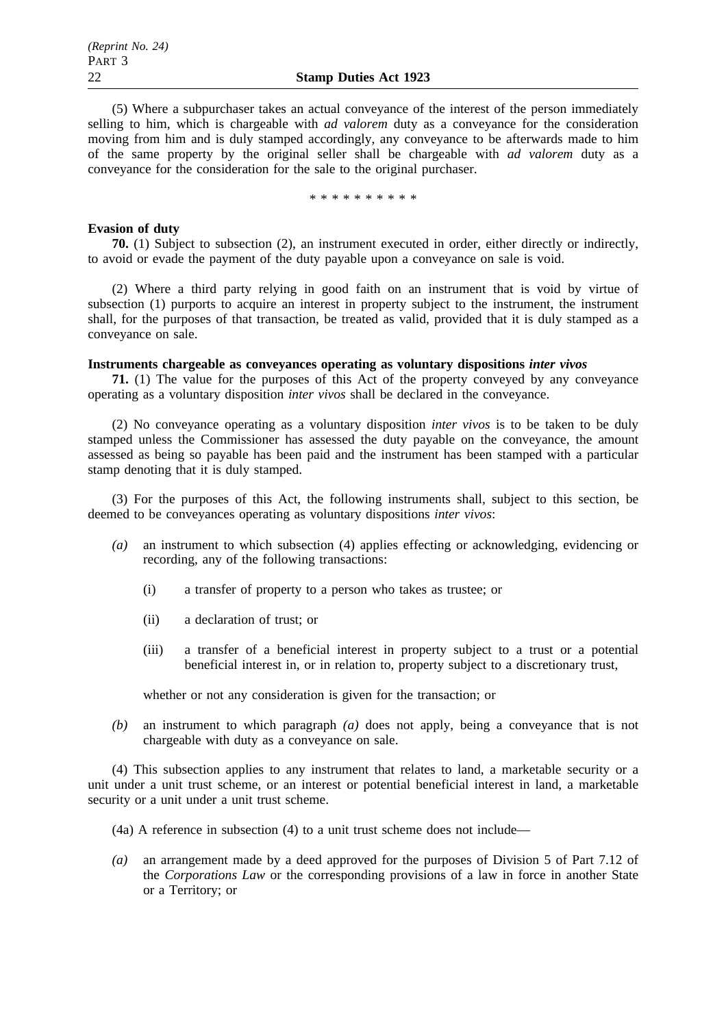(5) Where a subpurchaser takes an actual conveyance of the interest of the person immediately selling to him, which is chargeable with *ad valorem* duty as a conveyance for the consideration moving from him and is duly stamped accordingly, any conveyance to be afterwards made to him of the same property by the original seller shall be chargeable with *ad valorem* duty as a conveyance for the consideration for the sale to the original purchaser.

\*\*\*\*\*\*\*\*\*\*

#### **Evasion of duty**

**70.** (1) Subject to subsection (2), an instrument executed in order, either directly or indirectly, to avoid or evade the payment of the duty payable upon a conveyance on sale is void.

(2) Where a third party relying in good faith on an instrument that is void by virtue of subsection (1) purports to acquire an interest in property subject to the instrument, the instrument shall, for the purposes of that transaction, be treated as valid, provided that it is duly stamped as a conveyance on sale.

# **Instruments chargeable as conveyances operating as voluntary dispositions** *inter vivos*

**71.** (1) The value for the purposes of this Act of the property conveyed by any conveyance operating as a voluntary disposition *inter vivos* shall be declared in the conveyance.

(2) No conveyance operating as a voluntary disposition *inter vivos* is to be taken to be duly stamped unless the Commissioner has assessed the duty payable on the conveyance, the amount assessed as being so payable has been paid and the instrument has been stamped with a particular stamp denoting that it is duly stamped.

(3) For the purposes of this Act, the following instruments shall, subject to this section, be deemed to be conveyances operating as voluntary dispositions *inter vivos*:

- *(a)* an instrument to which subsection (4) applies effecting or acknowledging, evidencing or recording, any of the following transactions:
	- (i) a transfer of property to a person who takes as trustee; or
	- (ii) a declaration of trust; or
	- (iii) a transfer of a beneficial interest in property subject to a trust or a potential beneficial interest in, or in relation to, property subject to a discretionary trust,

whether or not any consideration is given for the transaction; or

*(b)* an instrument to which paragraph *(a)* does not apply, being a conveyance that is not chargeable with duty as a conveyance on sale.

(4) This subsection applies to any instrument that relates to land, a marketable security or a unit under a unit trust scheme, or an interest or potential beneficial interest in land, a marketable security or a unit under a unit trust scheme.

- (4a) A reference in subsection (4) to a unit trust scheme does not include—
- *(a)* an arrangement made by a deed approved for the purposes of Division 5 of Part 7.12 of the *Corporations Law* or the corresponding provisions of a law in force in another State or a Territory; or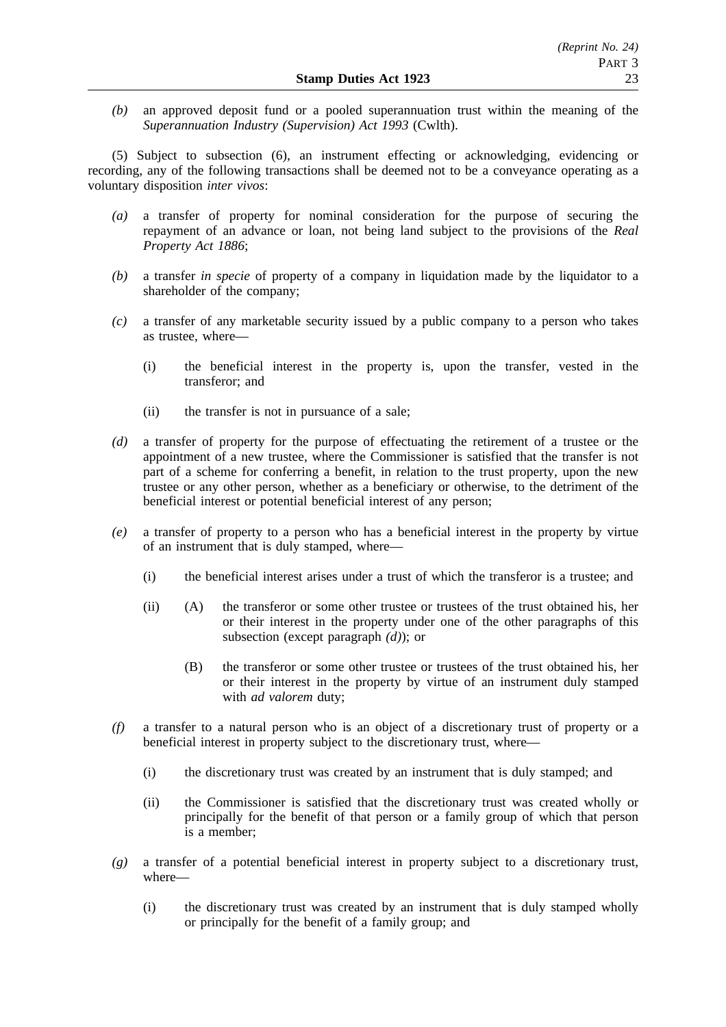*(b)* an approved deposit fund or a pooled superannuation trust within the meaning of the *Superannuation Industry (Supervision) Act 1993* (Cwlth).

(5) Subject to subsection (6), an instrument effecting or acknowledging, evidencing or recording, any of the following transactions shall be deemed not to be a conveyance operating as a voluntary disposition *inter vivos*:

- *(a)* a transfer of property for nominal consideration for the purpose of securing the repayment of an advance or loan, not being land subject to the provisions of the *Real Property Act 1886*;
- *(b)* a transfer *in specie* of property of a company in liquidation made by the liquidator to a shareholder of the company;
- *(c)* a transfer of any marketable security issued by a public company to a person who takes as trustee, where—
	- (i) the beneficial interest in the property is, upon the transfer, vested in the transferor; and
	- (ii) the transfer is not in pursuance of a sale;
- *(d)* a transfer of property for the purpose of effectuating the retirement of a trustee or the appointment of a new trustee, where the Commissioner is satisfied that the transfer is not part of a scheme for conferring a benefit, in relation to the trust property, upon the new trustee or any other person, whether as a beneficiary or otherwise, to the detriment of the beneficial interest or potential beneficial interest of any person;
- *(e)* a transfer of property to a person who has a beneficial interest in the property by virtue of an instrument that is duly stamped, where—
	- (i) the beneficial interest arises under a trust of which the transferor is a trustee; and
	- (ii) (A) the transferor or some other trustee or trustees of the trust obtained his, her or their interest in the property under one of the other paragraphs of this subsection (except paragraph *(d)*); or
		- (B) the transferor or some other trustee or trustees of the trust obtained his, her or their interest in the property by virtue of an instrument duly stamped with *ad valorem* duty;
- *(f)* a transfer to a natural person who is an object of a discretionary trust of property or a beneficial interest in property subject to the discretionary trust, where—
	- (i) the discretionary trust was created by an instrument that is duly stamped; and
	- (ii) the Commissioner is satisfied that the discretionary trust was created wholly or principally for the benefit of that person or a family group of which that person is a member;
- *(g)* a transfer of a potential beneficial interest in property subject to a discretionary trust, where—
	- (i) the discretionary trust was created by an instrument that is duly stamped wholly or principally for the benefit of a family group; and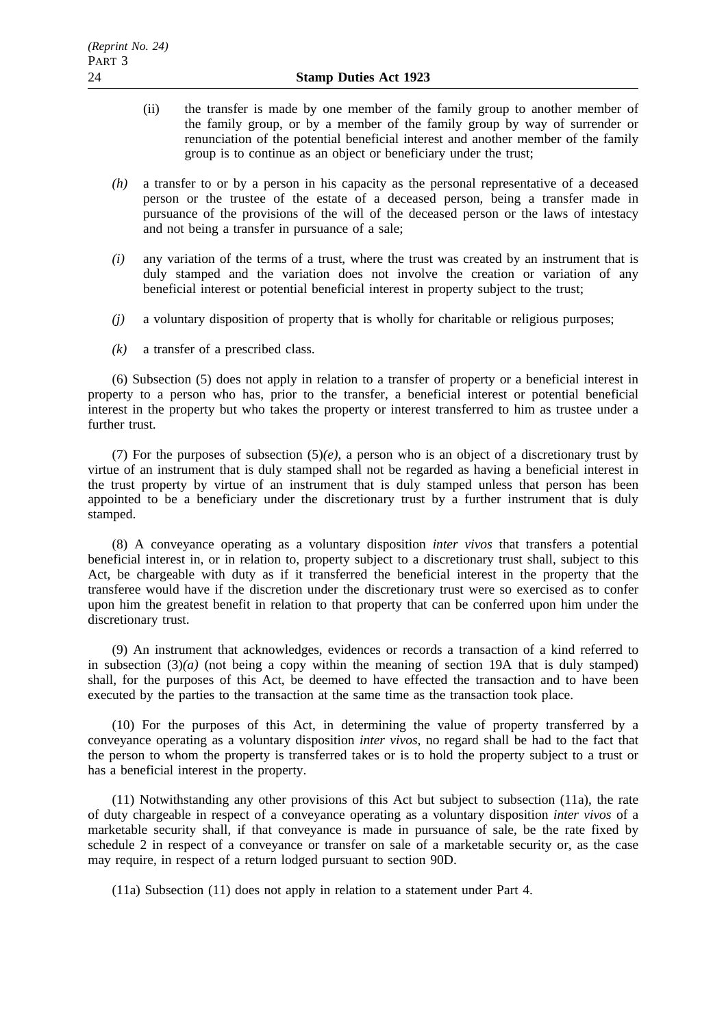- (ii) the transfer is made by one member of the family group to another member of the family group, or by a member of the family group by way of surrender or renunciation of the potential beneficial interest and another member of the family group is to continue as an object or beneficiary under the trust;
- *(h)* a transfer to or by a person in his capacity as the personal representative of a deceased person or the trustee of the estate of a deceased person, being a transfer made in pursuance of the provisions of the will of the deceased person or the laws of intestacy and not being a transfer in pursuance of a sale;
- *(i)* any variation of the terms of a trust, where the trust was created by an instrument that is duly stamped and the variation does not involve the creation or variation of any beneficial interest or potential beneficial interest in property subject to the trust;
- *(j)* a voluntary disposition of property that is wholly for charitable or religious purposes;
- *(k)* a transfer of a prescribed class.

(6) Subsection (5) does not apply in relation to a transfer of property or a beneficial interest in property to a person who has, prior to the transfer, a beneficial interest or potential beneficial interest in the property but who takes the property or interest transferred to him as trustee under a further trust.

(7) For the purposes of subsection  $(5)(e)$ , a person who is an object of a discretionary trust by virtue of an instrument that is duly stamped shall not be regarded as having a beneficial interest in the trust property by virtue of an instrument that is duly stamped unless that person has been appointed to be a beneficiary under the discretionary trust by a further instrument that is duly stamped.

(8) A conveyance operating as a voluntary disposition *inter vivos* that transfers a potential beneficial interest in, or in relation to, property subject to a discretionary trust shall, subject to this Act, be chargeable with duty as if it transferred the beneficial interest in the property that the transferee would have if the discretion under the discretionary trust were so exercised as to confer upon him the greatest benefit in relation to that property that can be conferred upon him under the discretionary trust.

(9) An instrument that acknowledges, evidences or records a transaction of a kind referred to in subsection  $(3)(a)$  (not being a copy within the meaning of section 19A that is duly stamped) shall, for the purposes of this Act, be deemed to have effected the transaction and to have been executed by the parties to the transaction at the same time as the transaction took place.

(10) For the purposes of this Act, in determining the value of property transferred by a conveyance operating as a voluntary disposition *inter vivos*, no regard shall be had to the fact that the person to whom the property is transferred takes or is to hold the property subject to a trust or has a beneficial interest in the property.

(11) Notwithstanding any other provisions of this Act but subject to subsection (11a), the rate of duty chargeable in respect of a conveyance operating as a voluntary disposition *inter vivos* of a marketable security shall, if that conveyance is made in pursuance of sale, be the rate fixed by schedule 2 in respect of a conveyance or transfer on sale of a marketable security or, as the case may require, in respect of a return lodged pursuant to section 90D.

(11a) Subsection (11) does not apply in relation to a statement under Part 4.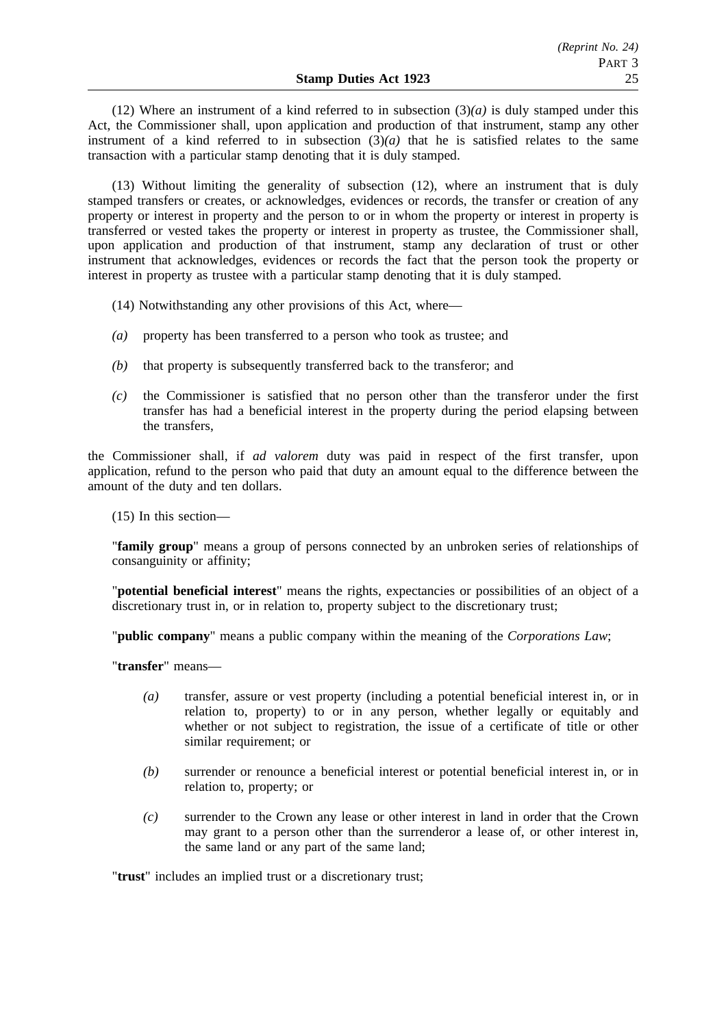(12) Where an instrument of a kind referred to in subsection  $(3)(a)$  is duly stamped under this Act, the Commissioner shall, upon application and production of that instrument, stamp any other instrument of a kind referred to in subsection  $(3)(a)$  that he is satisfied relates to the same transaction with a particular stamp denoting that it is duly stamped.

(13) Without limiting the generality of subsection (12), where an instrument that is duly stamped transfers or creates, or acknowledges, evidences or records, the transfer or creation of any property or interest in property and the person to or in whom the property or interest in property is transferred or vested takes the property or interest in property as trustee, the Commissioner shall, upon application and production of that instrument, stamp any declaration of trust or other instrument that acknowledges, evidences or records the fact that the person took the property or interest in property as trustee with a particular stamp denoting that it is duly stamped.

(14) Notwithstanding any other provisions of this Act, where—

- *(a)* property has been transferred to a person who took as trustee; and
- *(b)* that property is subsequently transferred back to the transferor; and
- *(c)* the Commissioner is satisfied that no person other than the transferor under the first transfer has had a beneficial interest in the property during the period elapsing between the transfers,

the Commissioner shall, if *ad valorem* duty was paid in respect of the first transfer, upon application, refund to the person who paid that duty an amount equal to the difference between the amount of the duty and ten dollars.

(15) In this section—

"**family group**" means a group of persons connected by an unbroken series of relationships of consanguinity or affinity;

"**potential beneficial interest**" means the rights, expectancies or possibilities of an object of a discretionary trust in, or in relation to, property subject to the discretionary trust;

"**public company**" means a public company within the meaning of the *Corporations Law*;

"**transfer**" means—

- *(a)* transfer, assure or vest property (including a potential beneficial interest in, or in relation to, property) to or in any person, whether legally or equitably and whether or not subject to registration, the issue of a certificate of title or other similar requirement; or
- *(b)* surrender or renounce a beneficial interest or potential beneficial interest in, or in relation to, property; or
- *(c)* surrender to the Crown any lease or other interest in land in order that the Crown may grant to a person other than the surrenderor a lease of, or other interest in, the same land or any part of the same land;

"**trust**" includes an implied trust or a discretionary trust;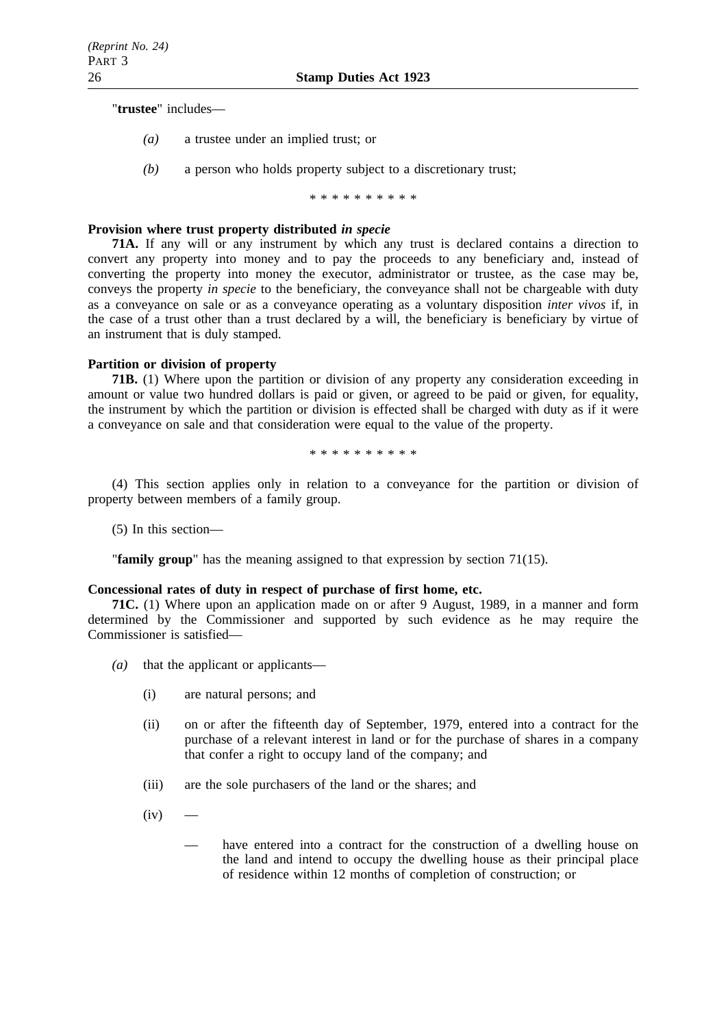"**trustee**" includes—

- *(a)* a trustee under an implied trust; or
- *(b)* a person who holds property subject to a discretionary trust;

\*\*\*\*\*\*\*\*\*\*

#### **Provision where trust property distributed** *in specie*

**71A.** If any will or any instrument by which any trust is declared contains a direction to convert any property into money and to pay the proceeds to any beneficiary and, instead of converting the property into money the executor, administrator or trustee, as the case may be, conveys the property *in specie* to the beneficiary, the conveyance shall not be chargeable with duty as a conveyance on sale or as a conveyance operating as a voluntary disposition *inter vivos* if, in the case of a trust other than a trust declared by a will, the beneficiary is beneficiary by virtue of an instrument that is duly stamped.

## **Partition or division of property**

**71B.** (1) Where upon the partition or division of any property any consideration exceeding in amount or value two hundred dollars is paid or given, or agreed to be paid or given, for equality, the instrument by which the partition or division is effected shall be charged with duty as if it were a conveyance on sale and that consideration were equal to the value of the property.

\*\*\*\*\*\*\*\*\*\*

(4) This section applies only in relation to a conveyance for the partition or division of property between members of a family group.

(5) In this section—

"**family group**" has the meaning assigned to that expression by section 71(15).

#### **Concessional rates of duty in respect of purchase of first home, etc.**

**71C.** (1) Where upon an application made on or after 9 August, 1989, in a manner and form determined by the Commissioner and supported by such evidence as he may require the Commissioner is satisfied—

- *(a)* that the applicant or applicants—
	- (i) are natural persons; and
	- (ii) on or after the fifteenth day of September, 1979, entered into a contract for the purchase of a relevant interest in land or for the purchase of shares in a company that confer a right to occupy land of the company; and
	- (iii) are the sole purchasers of the land or the shares; and
	- $(iv)$ 
		- have entered into a contract for the construction of a dwelling house on the land and intend to occupy the dwelling house as their principal place of residence within 12 months of completion of construction; or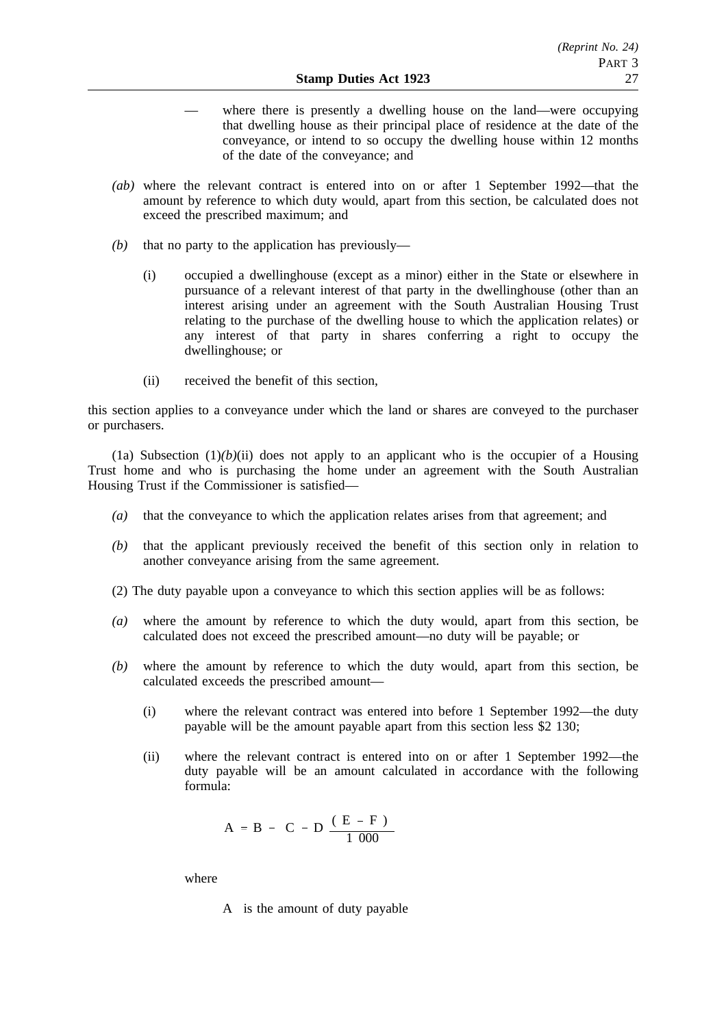- where there is presently a dwelling house on the land—were occupying that dwelling house as their principal place of residence at the date of the conveyance, or intend to so occupy the dwelling house within 12 months of the date of the conveyance; and
- *(ab)* where the relevant contract is entered into on or after 1 September 1992—that the amount by reference to which duty would, apart from this section, be calculated does not exceed the prescribed maximum; and
- *(b)* that no party to the application has previously—
	- (i) occupied a dwellinghouse (except as a minor) either in the State or elsewhere in pursuance of a relevant interest of that party in the dwellinghouse (other than an interest arising under an agreement with the South Australian Housing Trust relating to the purchase of the dwelling house to which the application relates) or any interest of that party in shares conferring a right to occupy the dwellinghouse; or
	- (ii) received the benefit of this section,

this section applies to a conveyance under which the land or shares are conveyed to the purchaser or purchasers.

(1a) Subsection  $(1)(b)(ii)$  does not apply to an applicant who is the occupier of a Housing Trust home and who is purchasing the home under an agreement with the South Australian Housing Trust if the Commissioner is satisfied—

- *(a)* that the conveyance to which the application relates arises from that agreement; and
- *(b)* that the applicant previously received the benefit of this section only in relation to another conveyance arising from the same agreement.
- (2) The duty payable upon a conveyance to which this section applies will be as follows:
- *(a)* where the amount by reference to which the duty would, apart from this section, be calculated does not exceed the prescribed amount—no duty will be payable; or
- *(b)* where the amount by reference to which the duty would, apart from this section, be calculated exceeds the prescribed amount—
	- (i) where the relevant contract was entered into before 1 September 1992—the duty payable will be the amount payable apart from this section less \$2 130;
	- (ii) where the relevant contract is entered into on or after 1 September 1992—the duty payable will be an amount calculated in accordance with the following formula:

$$
A = B - \left(C - D \frac{(E - F)}{1000}\right)
$$

where

A is the amount of duty payable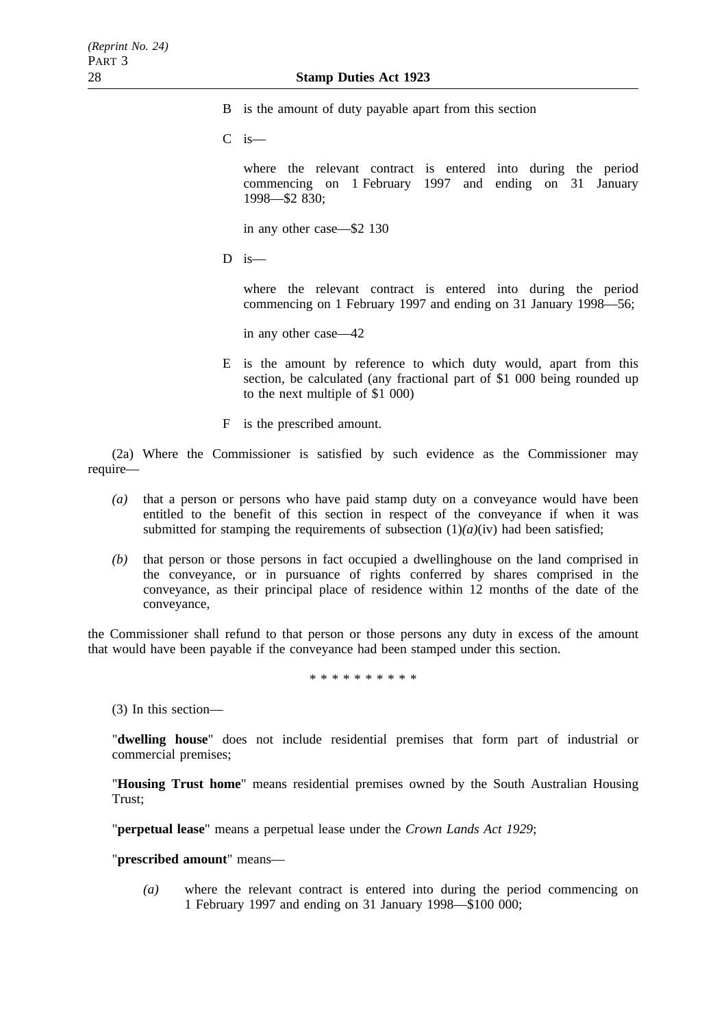- B is the amount of duty payable apart from this section
- C is—

where the relevant contract is entered into during the period commencing on 1 February 1997 and ending on 31 January 1998—\$2 830;

in any other case—\$2 130

 $D$  is—

where the relevant contract is entered into during the period commencing on 1 February 1997 and ending on 31 January 1998—56;

in any other case—42

- E is the amount by reference to which duty would, apart from this section, be calculated (any fractional part of \$1 000 being rounded up to the next multiple of \$1 000)
- F is the prescribed amount.

(2a) Where the Commissioner is satisfied by such evidence as the Commissioner may require—

- *(a)* that a person or persons who have paid stamp duty on a conveyance would have been entitled to the benefit of this section in respect of the conveyance if when it was submitted for stamping the requirements of subsection  $(1)(a)(iv)$  had been satisfied;
- *(b)* that person or those persons in fact occupied a dwellinghouse on the land comprised in the conveyance, or in pursuance of rights conferred by shares comprised in the conveyance, as their principal place of residence within 12 months of the date of the conveyance,

the Commissioner shall refund to that person or those persons any duty in excess of the amount that would have been payable if the conveyance had been stamped under this section.

\*\*\*\*\*\*\*\*\*\*

(3) In this section—

"**dwelling house**" does not include residential premises that form part of industrial or commercial premises;

"**Housing Trust home**" means residential premises owned by the South Australian Housing Trust;

"**perpetual lease**" means a perpetual lease under the *Crown Lands Act 1929*;

"**prescribed amount**" means—

*(a)* where the relevant contract is entered into during the period commencing on 1 February 1997 and ending on 31 January 1998—\$100 000;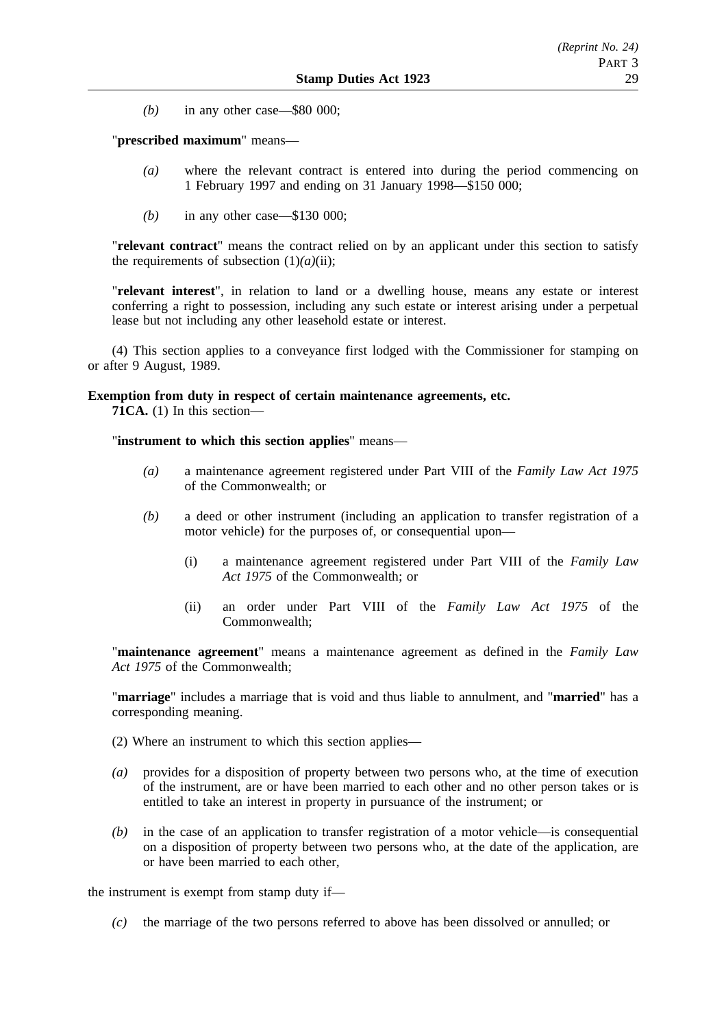*(b)* in any other case—\$80 000;

## "**prescribed maximum**" means—

- *(a)* where the relevant contract is entered into during the period commencing on 1 February 1997 and ending on 31 January 1998—\$150 000;
- *(b)* in any other case—\$130 000;

"**relevant contract**" means the contract relied on by an applicant under this section to satisfy the requirements of subsection  $(1)(a)(ii)$ ;

"**relevant interest**", in relation to land or a dwelling house, means any estate or interest conferring a right to possession, including any such estate or interest arising under a perpetual lease but not including any other leasehold estate or interest.

(4) This section applies to a conveyance first lodged with the Commissioner for stamping on or after 9 August, 1989.

#### **Exemption from duty in respect of certain maintenance agreements, etc.**

**71CA.** (1) In this section—

"**instrument to which this section applies**" means—

- *(a)* a maintenance agreement registered under Part VIII of the *Family Law Act 1975* of the Commonwealth; or
- *(b)* a deed or other instrument (including an application to transfer registration of a motor vehicle) for the purposes of, or consequential upon—
	- (i) a maintenance agreement registered under Part VIII of the *Family Law Act 1975* of the Commonwealth; or
	- (ii) an order under Part VIII of the *Family Law Act 1975* of the Commonwealth;

"**maintenance agreement**" means a maintenance agreement as defined in the *Family Law Act 1975* of the Commonwealth;

"**marriage**" includes a marriage that is void and thus liable to annulment, and "**married**" has a corresponding meaning.

- (2) Where an instrument to which this section applies—
- *(a)* provides for a disposition of property between two persons who, at the time of execution of the instrument, are or have been married to each other and no other person takes or is entitled to take an interest in property in pursuance of the instrument; or
- *(b)* in the case of an application to transfer registration of a motor vehicle—is consequential on a disposition of property between two persons who, at the date of the application, are or have been married to each other,

the instrument is exempt from stamp duty if—

*(c)* the marriage of the two persons referred to above has been dissolved or annulled; or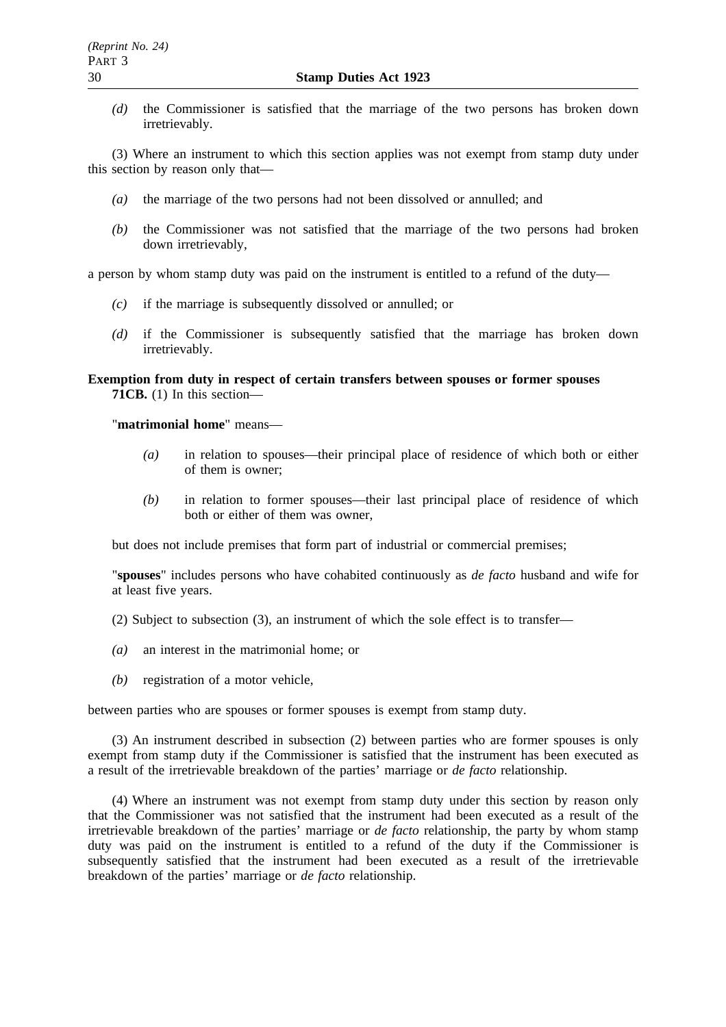*(d)* the Commissioner is satisfied that the marriage of the two persons has broken down irretrievably.

(3) Where an instrument to which this section applies was not exempt from stamp duty under this section by reason only that—

- *(a)* the marriage of the two persons had not been dissolved or annulled; and
- *(b)* the Commissioner was not satisfied that the marriage of the two persons had broken down irretrievably,

a person by whom stamp duty was paid on the instrument is entitled to a refund of the duty—

- *(c)* if the marriage is subsequently dissolved or annulled; or
- *(d)* if the Commissioner is subsequently satisfied that the marriage has broken down irretrievably.

# **Exemption from duty in respect of certain transfers between spouses or former spouses 71CB.** (1) In this section—

"**matrimonial home**" means—

- *(a)* in relation to spouses—their principal place of residence of which both or either of them is owner;
- *(b)* in relation to former spouses—their last principal place of residence of which both or either of them was owner,

but does not include premises that form part of industrial or commercial premises;

"**spouses**" includes persons who have cohabited continuously as *de facto* husband and wife for at least five years.

- (2) Subject to subsection (3), an instrument of which the sole effect is to transfer—
- *(a)* an interest in the matrimonial home; or
- *(b)* registration of a motor vehicle,

between parties who are spouses or former spouses is exempt from stamp duty.

(3) An instrument described in subsection (2) between parties who are former spouses is only exempt from stamp duty if the Commissioner is satisfied that the instrument has been executed as a result of the irretrievable breakdown of the parties' marriage or *de facto* relationship.

(4) Where an instrument was not exempt from stamp duty under this section by reason only that the Commissioner was not satisfied that the instrument had been executed as a result of the irretrievable breakdown of the parties' marriage or *de facto* relationship, the party by whom stamp duty was paid on the instrument is entitled to a refund of the duty if the Commissioner is subsequently satisfied that the instrument had been executed as a result of the irretrievable breakdown of the parties' marriage or *de facto* relationship.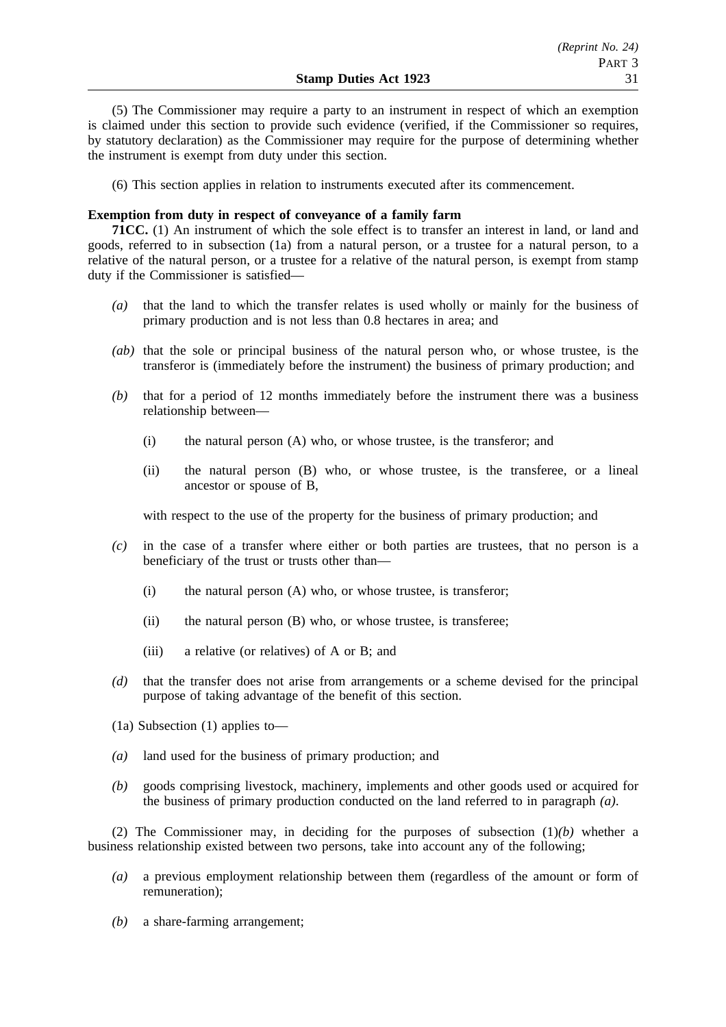(5) The Commissioner may require a party to an instrument in respect of which an exemption is claimed under this section to provide such evidence (verified, if the Commissioner so requires, by statutory declaration) as the Commissioner may require for the purpose of determining whether the instrument is exempt from duty under this section.

(6) This section applies in relation to instruments executed after its commencement.

# **Exemption from duty in respect of conveyance of a family farm**

**71CC.** (1) An instrument of which the sole effect is to transfer an interest in land, or land and goods, referred to in subsection (1a) from a natural person, or a trustee for a natural person, to a relative of the natural person, or a trustee for a relative of the natural person, is exempt from stamp duty if the Commissioner is satisfied—

- *(a)* that the land to which the transfer relates is used wholly or mainly for the business of primary production and is not less than 0.8 hectares in area; and
- *(ab)* that the sole or principal business of the natural person who, or whose trustee, is the transferor is (immediately before the instrument) the business of primary production; and
- *(b)* that for a period of 12 months immediately before the instrument there was a business relationship between—
	- (i) the natural person (A) who, or whose trustee, is the transferor; and
	- (ii) the natural person (B) who, or whose trustee, is the transferee, or a lineal ancestor or spouse of B,

with respect to the use of the property for the business of primary production; and

- *(c)* in the case of a transfer where either or both parties are trustees, that no person is a beneficiary of the trust or trusts other than—
	- (i) the natural person (A) who, or whose trustee, is transferor;
	- (ii) the natural person (B) who, or whose trustee, is transferee;
	- (iii) a relative (or relatives) of A or B; and
- *(d)* that the transfer does not arise from arrangements or a scheme devised for the principal purpose of taking advantage of the benefit of this section.
- (1a) Subsection (1) applies to—
- *(a)* land used for the business of primary production; and
- *(b)* goods comprising livestock, machinery, implements and other goods used or acquired for the business of primary production conducted on the land referred to in paragraph *(a)*.

(2) The Commissioner may, in deciding for the purposes of subsection (1)*(b)* whether a business relationship existed between two persons, take into account any of the following;

- *(a)* a previous employment relationship between them (regardless of the amount or form of remuneration);
- *(b)* a share-farming arrangement;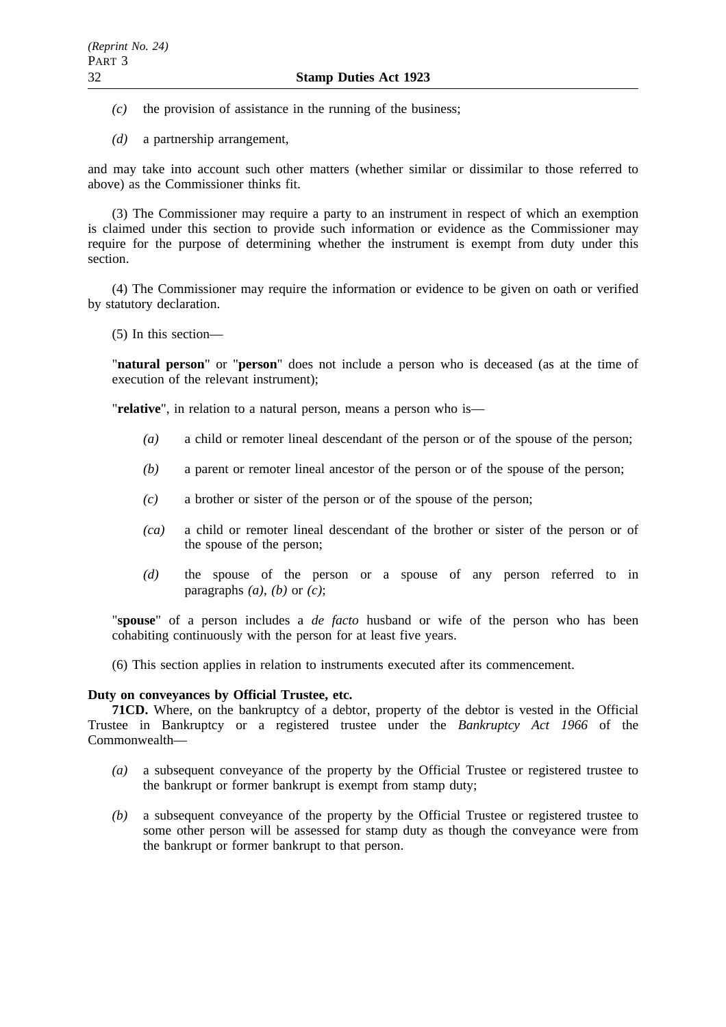- *(c)* the provision of assistance in the running of the business;
- *(d)* a partnership arrangement,

and may take into account such other matters (whether similar or dissimilar to those referred to above) as the Commissioner thinks fit.

(3) The Commissioner may require a party to an instrument in respect of which an exemption is claimed under this section to provide such information or evidence as the Commissioner may require for the purpose of determining whether the instrument is exempt from duty under this section.

(4) The Commissioner may require the information or evidence to be given on oath or verified by statutory declaration.

(5) In this section—

"**natural person**" or "**person**" does not include a person who is deceased (as at the time of execution of the relevant instrument);

"**relative**", in relation to a natural person, means a person who is—

- *(a)* a child or remoter lineal descendant of the person or of the spouse of the person;
- *(b)* a parent or remoter lineal ancestor of the person or of the spouse of the person;
- *(c)* a brother or sister of the person or of the spouse of the person;
- *(ca)* a child or remoter lineal descendant of the brother or sister of the person or of the spouse of the person;
- *(d)* the spouse of the person or a spouse of any person referred to in paragraphs  $(a)$ ,  $(b)$  or  $(c)$ ;

"**spouse**" of a person includes a *de facto* husband or wife of the person who has been cohabiting continuously with the person for at least five years.

(6) This section applies in relation to instruments executed after its commencement.

#### **Duty on conveyances by Official Trustee, etc.**

**71CD.** Where, on the bankruptcy of a debtor, property of the debtor is vested in the Official Trustee in Bankruptcy or a registered trustee under the *Bankruptcy Act 1966* of the Commonwealth—

- *(a)* a subsequent conveyance of the property by the Official Trustee or registered trustee to the bankrupt or former bankrupt is exempt from stamp duty;
- *(b)* a subsequent conveyance of the property by the Official Trustee or registered trustee to some other person will be assessed for stamp duty as though the conveyance were from the bankrupt or former bankrupt to that person.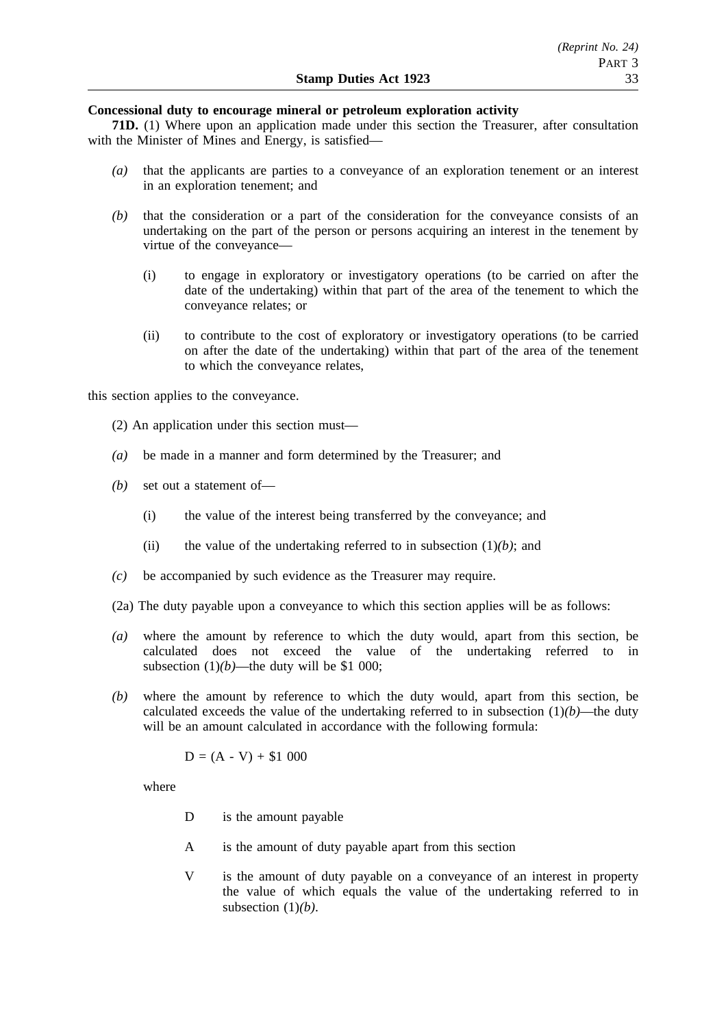# **Concessional duty to encourage mineral or petroleum exploration activity**

**71D.** (1) Where upon an application made under this section the Treasurer, after consultation with the Minister of Mines and Energy, is satisfied—

- *(a)* that the applicants are parties to a conveyance of an exploration tenement or an interest in an exploration tenement; and
- *(b)* that the consideration or a part of the consideration for the conveyance consists of an undertaking on the part of the person or persons acquiring an interest in the tenement by virtue of the conveyance—
	- (i) to engage in exploratory or investigatory operations (to be carried on after the date of the undertaking) within that part of the area of the tenement to which the conveyance relates; or
	- (ii) to contribute to the cost of exploratory or investigatory operations (to be carried on after the date of the undertaking) within that part of the area of the tenement to which the conveyance relates,

this section applies to the conveyance.

- (2) An application under this section must—
- *(a)* be made in a manner and form determined by the Treasurer; and
- *(b)* set out a statement of—
	- (i) the value of the interest being transferred by the conveyance; and
	- (ii) the value of the undertaking referred to in subsection  $(1)(b)$ ; and
- *(c)* be accompanied by such evidence as the Treasurer may require.
- (2a) The duty payable upon a conveyance to which this section applies will be as follows:
- *(a)* where the amount by reference to which the duty would, apart from this section, be calculated does not exceed the value of the undertaking referred to in subsection  $(1)(b)$ —the duty will be \$1 000;
- *(b)* where the amount by reference to which the duty would, apart from this section, be calculated exceeds the value of the undertaking referred to in subsection  $(1)(b)$ —the duty will be an amount calculated in accordance with the following formula:

$$
D = (A - V) + $1\ 000
$$

where

- D is the amount payable
- A is the amount of duty payable apart from this section
- V is the amount of duty payable on a conveyance of an interest in property the value of which equals the value of the undertaking referred to in subsection (1)*(b)*.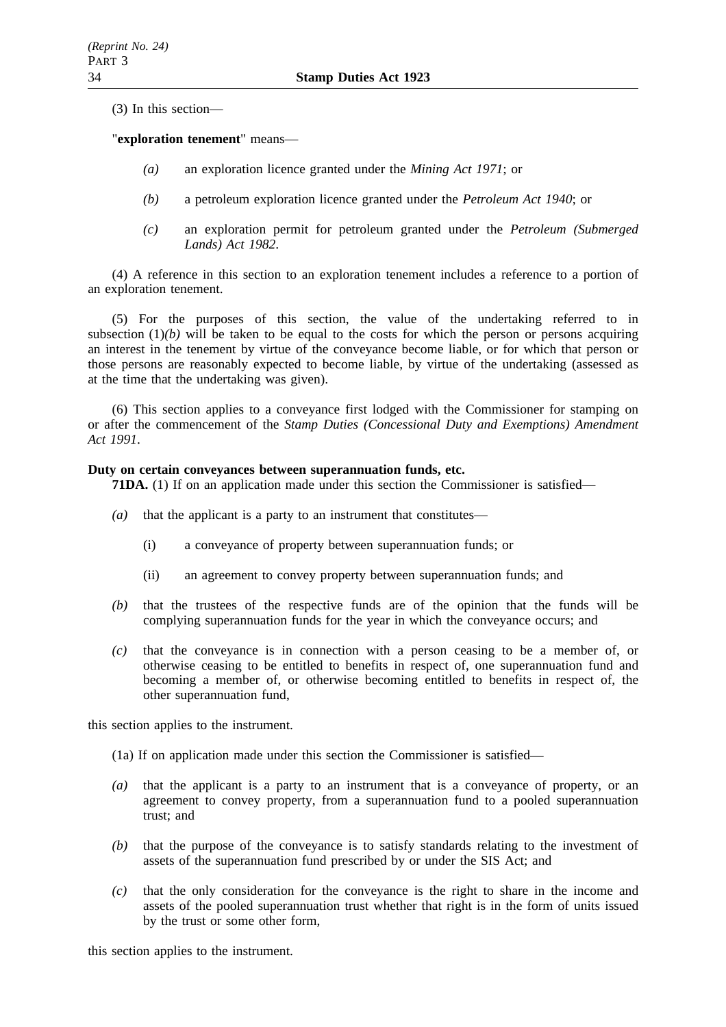(3) In this section—

# "**exploration tenement**" means—

- *(a)* an exploration licence granted under the *Mining Act 1971*; or
- *(b)* a petroleum exploration licence granted under the *Petroleum Act 1940*; or
- *(c)* an exploration permit for petroleum granted under the *Petroleum (Submerged Lands) Act 1982*.

(4) A reference in this section to an exploration tenement includes a reference to a portion of an exploration tenement.

(5) For the purposes of this section, the value of the undertaking referred to in subsection  $(1)(b)$  will be taken to be equal to the costs for which the person or persons acquiring an interest in the tenement by virtue of the conveyance become liable, or for which that person or those persons are reasonably expected to become liable, by virtue of the undertaking (assessed as at the time that the undertaking was given).

(6) This section applies to a conveyance first lodged with the Commissioner for stamping on or after the commencement of the *Stamp Duties (Concessional Duty and Exemptions) Amendment Act 1991*.

#### **Duty on certain conveyances between superannuation funds, etc.**

**71DA.** (1) If on an application made under this section the Commissioner is satisfied—

- *(a)* that the applicant is a party to an instrument that constitutes—
	- (i) a conveyance of property between superannuation funds; or
	- (ii) an agreement to convey property between superannuation funds; and
- *(b)* that the trustees of the respective funds are of the opinion that the funds will be complying superannuation funds for the year in which the conveyance occurs; and
- *(c)* that the conveyance is in connection with a person ceasing to be a member of, or otherwise ceasing to be entitled to benefits in respect of, one superannuation fund and becoming a member of, or otherwise becoming entitled to benefits in respect of, the other superannuation fund,

this section applies to the instrument.

- (1a) If on application made under this section the Commissioner is satisfied—
- *(a)* that the applicant is a party to an instrument that is a conveyance of property, or an agreement to convey property, from a superannuation fund to a pooled superannuation trust; and
- *(b)* that the purpose of the conveyance is to satisfy standards relating to the investment of assets of the superannuation fund prescribed by or under the SIS Act; and
- *(c)* that the only consideration for the conveyance is the right to share in the income and assets of the pooled superannuation trust whether that right is in the form of units issued by the trust or some other form,

this section applies to the instrument.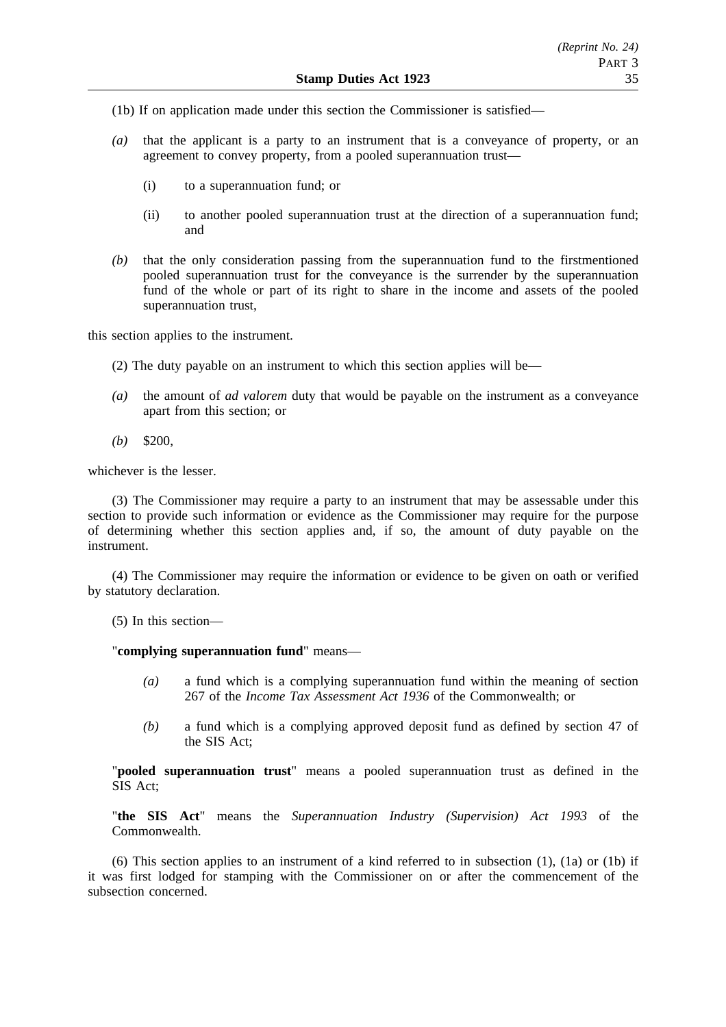- (1b) If on application made under this section the Commissioner is satisfied—
- *(a)* that the applicant is a party to an instrument that is a conveyance of property, or an agreement to convey property, from a pooled superannuation trust—
	- (i) to a superannuation fund; or
	- (ii) to another pooled superannuation trust at the direction of a superannuation fund; and
- *(b)* that the only consideration passing from the superannuation fund to the firstmentioned pooled superannuation trust for the conveyance is the surrender by the superannuation fund of the whole or part of its right to share in the income and assets of the pooled superannuation trust,

this section applies to the instrument.

- (2) The duty payable on an instrument to which this section applies will be—
- *(a)* the amount of *ad valorem* duty that would be payable on the instrument as a conveyance apart from this section; or
- *(b)* \$200,

whichever is the lesser.

(3) The Commissioner may require a party to an instrument that may be assessable under this section to provide such information or evidence as the Commissioner may require for the purpose of determining whether this section applies and, if so, the amount of duty payable on the instrument.

(4) The Commissioner may require the information or evidence to be given on oath or verified by statutory declaration.

(5) In this section—

"**complying superannuation fund**" means—

- *(a)* a fund which is a complying superannuation fund within the meaning of section 267 of the *Income Tax Assessment Act 1936* of the Commonwealth; or
- *(b)* a fund which is a complying approved deposit fund as defined by section 47 of the SIS Act;

"**pooled superannuation trust**" means a pooled superannuation trust as defined in the SIS Act;

"**the SIS Act**" means the *Superannuation Industry (Supervision) Act 1993* of the Commonwealth.

(6) This section applies to an instrument of a kind referred to in subsection (1), (1a) or (1b) if it was first lodged for stamping with the Commissioner on or after the commencement of the subsection concerned.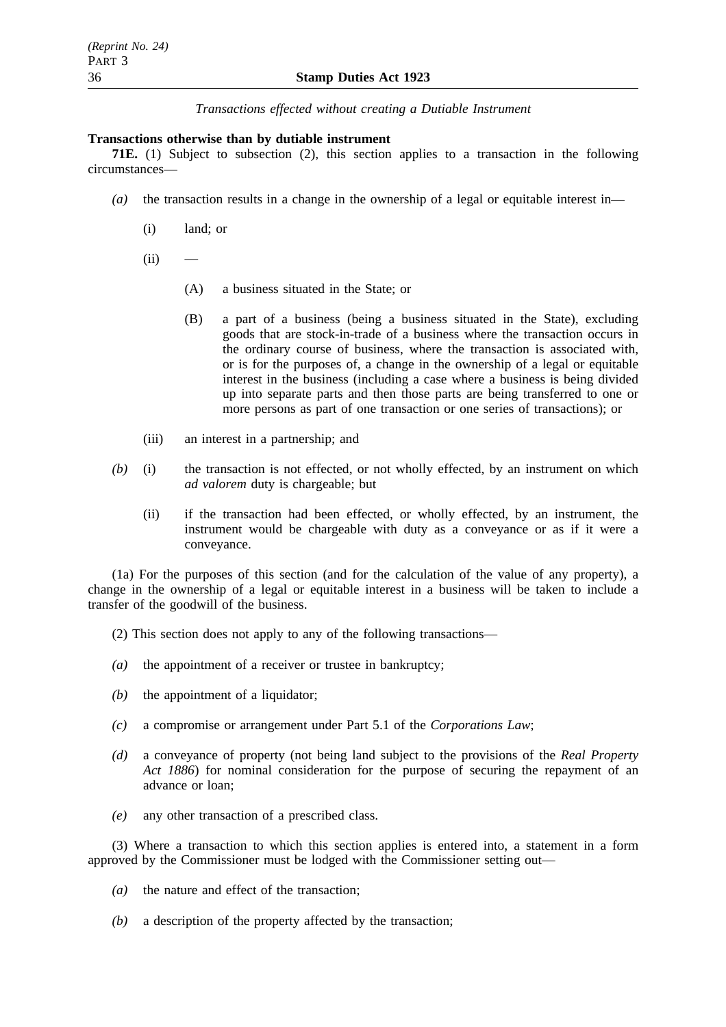*Transactions effected without creating a Dutiable Instrument*

# **Transactions otherwise than by dutiable instrument**

**71E.** (1) Subject to subsection (2), this section applies to a transaction in the following circumstances—

- $(a)$  the transaction results in a change in the ownership of a legal or equitable interest in—
	- (i) land; or
	- $(ii)$ 
		- (A) a business situated in the State; or
		- (B) a part of a business (being a business situated in the State), excluding goods that are stock-in-trade of a business where the transaction occurs in the ordinary course of business, where the transaction is associated with, or is for the purposes of, a change in the ownership of a legal or equitable interest in the business (including a case where a business is being divided up into separate parts and then those parts are being transferred to one or more persons as part of one transaction or one series of transactions); or
	- (iii) an interest in a partnership; and
- *(b)* (i) the transaction is not effected, or not wholly effected, by an instrument on which *ad valorem* duty is chargeable; but
	- (ii) if the transaction had been effected, or wholly effected, by an instrument, the instrument would be chargeable with duty as a conveyance or as if it were a conveyance.

(1a) For the purposes of this section (and for the calculation of the value of any property), a change in the ownership of a legal or equitable interest in a business will be taken to include a transfer of the goodwill of the business.

- (2) This section does not apply to any of the following transactions—
- *(a)* the appointment of a receiver or trustee in bankruptcy;
- *(b)* the appointment of a liquidator:
- *(c)* a compromise or arrangement under Part 5.1 of the *Corporations Law*;
- *(d)* a conveyance of property (not being land subject to the provisions of the *Real Property Act 1886*) for nominal consideration for the purpose of securing the repayment of an advance or loan;
- *(e)* any other transaction of a prescribed class.

(3) Where a transaction to which this section applies is entered into, a statement in a form approved by the Commissioner must be lodged with the Commissioner setting out—

- *(a)* the nature and effect of the transaction;
- *(b)* a description of the property affected by the transaction;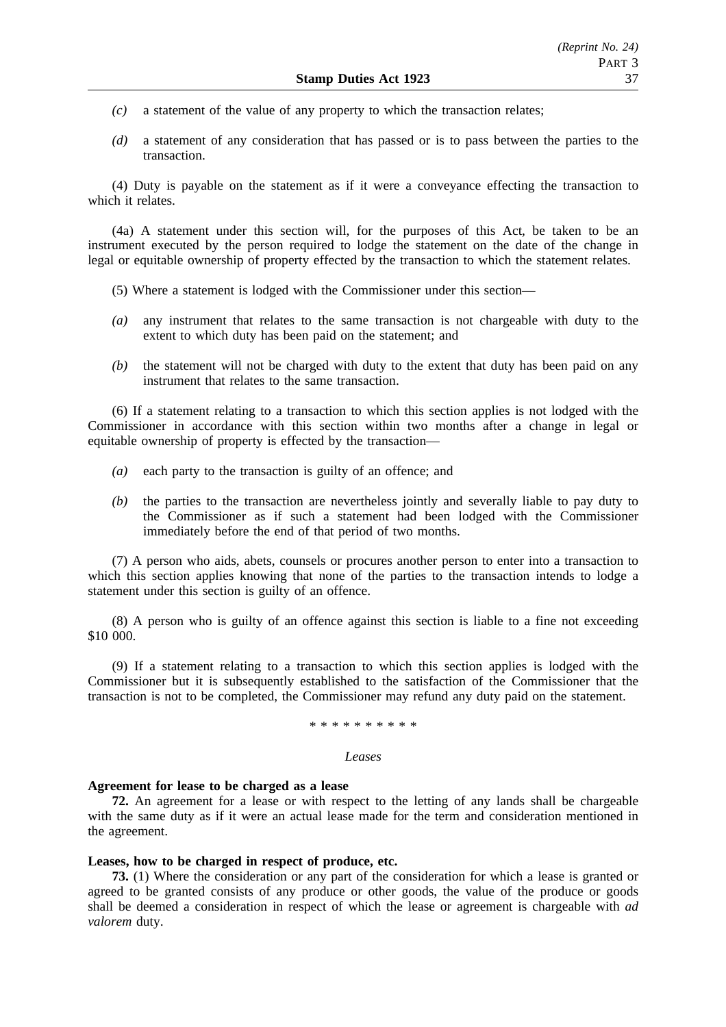- *(c)* a statement of the value of any property to which the transaction relates;
- *(d)* a statement of any consideration that has passed or is to pass between the parties to the transaction.

(4) Duty is payable on the statement as if it were a conveyance effecting the transaction to which it relates.

(4a) A statement under this section will, for the purposes of this Act, be taken to be an instrument executed by the person required to lodge the statement on the date of the change in legal or equitable ownership of property effected by the transaction to which the statement relates.

- (5) Where a statement is lodged with the Commissioner under this section—
- *(a)* any instrument that relates to the same transaction is not chargeable with duty to the extent to which duty has been paid on the statement; and
- *(b)* the statement will not be charged with duty to the extent that duty has been paid on any instrument that relates to the same transaction.

(6) If a statement relating to a transaction to which this section applies is not lodged with the Commissioner in accordance with this section within two months after a change in legal or equitable ownership of property is effected by the transaction—

- *(a)* each party to the transaction is guilty of an offence; and
- *(b)* the parties to the transaction are nevertheless jointly and severally liable to pay duty to the Commissioner as if such a statement had been lodged with the Commissioner immediately before the end of that period of two months.

(7) A person who aids, abets, counsels or procures another person to enter into a transaction to which this section applies knowing that none of the parties to the transaction intends to lodge a statement under this section is guilty of an offence.

(8) A person who is guilty of an offence against this section is liable to a fine not exceeding \$10 000.

(9) If a statement relating to a transaction to which this section applies is lodged with the Commissioner but it is subsequently established to the satisfaction of the Commissioner that the transaction is not to be completed, the Commissioner may refund any duty paid on the statement.

#### \*\*\*\*\*\*\*\*\*\*

#### *Leases*

#### **Agreement for lease to be charged as a lease**

**72.** An agreement for a lease or with respect to the letting of any lands shall be chargeable with the same duty as if it were an actual lease made for the term and consideration mentioned in the agreement.

#### **Leases, how to be charged in respect of produce, etc.**

**73.** (1) Where the consideration or any part of the consideration for which a lease is granted or agreed to be granted consists of any produce or other goods, the value of the produce or goods shall be deemed a consideration in respect of which the lease or agreement is chargeable with *ad valorem* duty.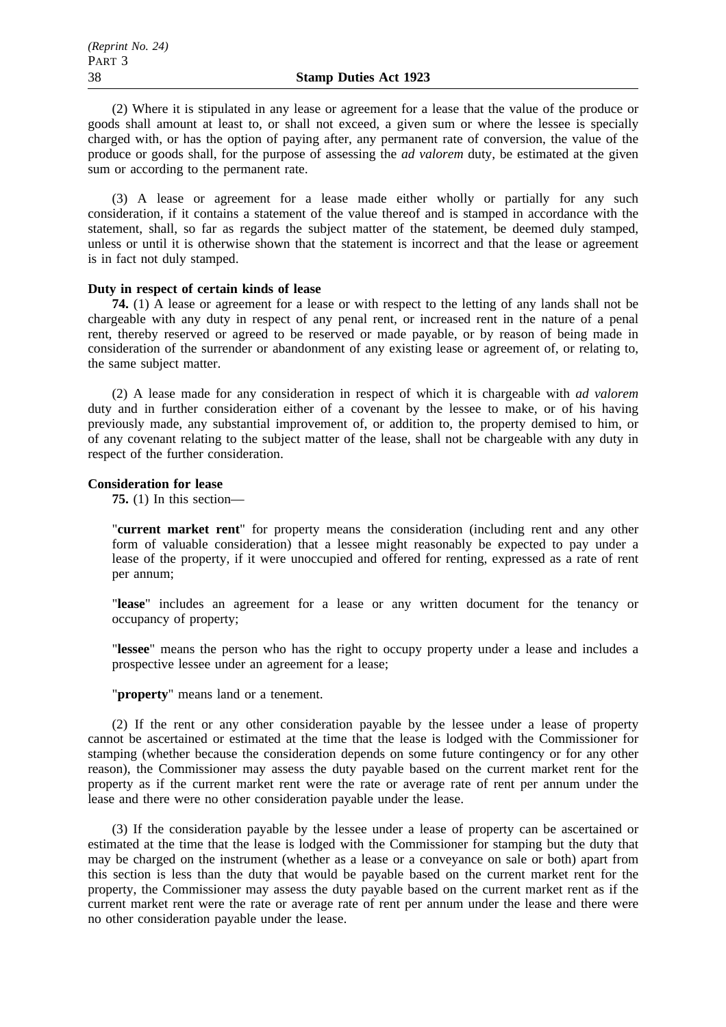(2) Where it is stipulated in any lease or agreement for a lease that the value of the produce or goods shall amount at least to, or shall not exceed, a given sum or where the lessee is specially charged with, or has the option of paying after, any permanent rate of conversion, the value of the produce or goods shall, for the purpose of assessing the *ad valorem* duty, be estimated at the given sum or according to the permanent rate.

(3) A lease or agreement for a lease made either wholly or partially for any such consideration, if it contains a statement of the value thereof and is stamped in accordance with the statement, shall, so far as regards the subject matter of the statement, be deemed duly stamped, unless or until it is otherwise shown that the statement is incorrect and that the lease or agreement is in fact not duly stamped.

## **Duty in respect of certain kinds of lease**

**74.** (1) A lease or agreement for a lease or with respect to the letting of any lands shall not be chargeable with any duty in respect of any penal rent, or increased rent in the nature of a penal rent, thereby reserved or agreed to be reserved or made payable, or by reason of being made in consideration of the surrender or abandonment of any existing lease or agreement of, or relating to, the same subject matter.

(2) A lease made for any consideration in respect of which it is chargeable with *ad valorem* duty and in further consideration either of a covenant by the lessee to make, or of his having previously made, any substantial improvement of, or addition to, the property demised to him, or of any covenant relating to the subject matter of the lease, shall not be chargeable with any duty in respect of the further consideration.

#### **Consideration for lease**

**75.** (1) In this section—

"**current market rent**" for property means the consideration (including rent and any other form of valuable consideration) that a lessee might reasonably be expected to pay under a lease of the property, if it were unoccupied and offered for renting, expressed as a rate of rent per annum;

"**lease**" includes an agreement for a lease or any written document for the tenancy or occupancy of property;

"**lessee**" means the person who has the right to occupy property under a lease and includes a prospective lessee under an agreement for a lease;

"**property**" means land or a tenement.

(2) If the rent or any other consideration payable by the lessee under a lease of property cannot be ascertained or estimated at the time that the lease is lodged with the Commissioner for stamping (whether because the consideration depends on some future contingency or for any other reason), the Commissioner may assess the duty payable based on the current market rent for the property as if the current market rent were the rate or average rate of rent per annum under the lease and there were no other consideration payable under the lease.

(3) If the consideration payable by the lessee under a lease of property can be ascertained or estimated at the time that the lease is lodged with the Commissioner for stamping but the duty that may be charged on the instrument (whether as a lease or a conveyance on sale or both) apart from this section is less than the duty that would be payable based on the current market rent for the property, the Commissioner may assess the duty payable based on the current market rent as if the current market rent were the rate or average rate of rent per annum under the lease and there were no other consideration payable under the lease.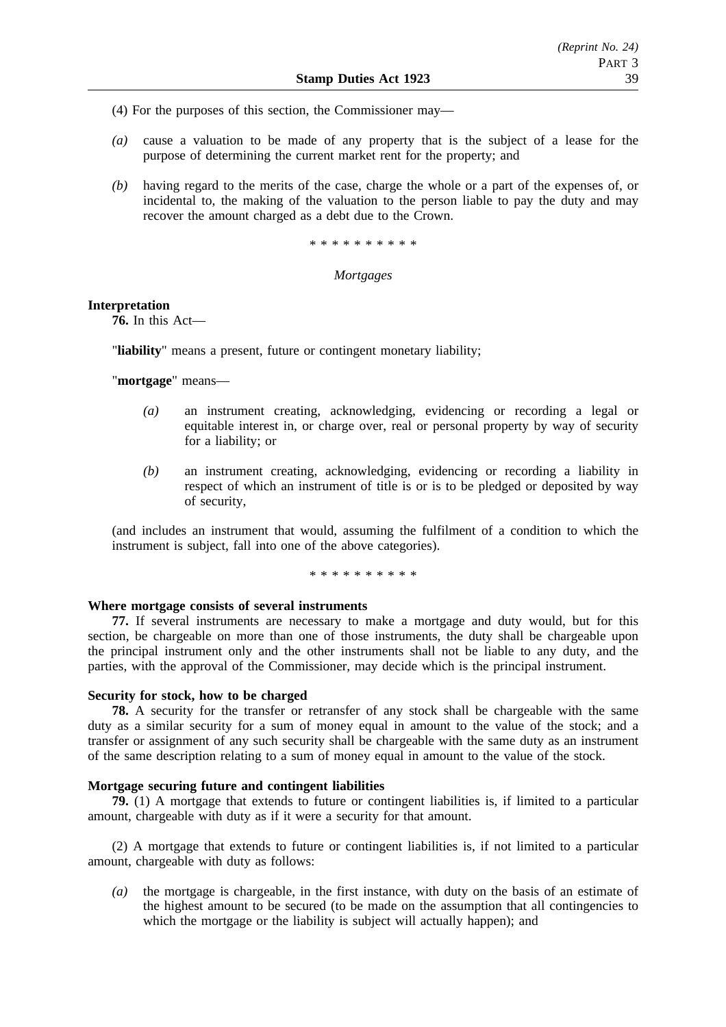(4) For the purposes of this section, the Commissioner may—

- *(a)* cause a valuation to be made of any property that is the subject of a lease for the purpose of determining the current market rent for the property; and
- *(b)* having regard to the merits of the case, charge the whole or a part of the expenses of, or incidental to, the making of the valuation to the person liable to pay the duty and may recover the amount charged as a debt due to the Crown.

\*\*\*\*\*\*\*\*\*\*

## *Mortgages*

## **Interpretation**

**76.** In this Act—

"**liability**" means a present, future or contingent monetary liability;

"**mortgage**" means—

- *(a)* an instrument creating, acknowledging, evidencing or recording a legal or equitable interest in, or charge over, real or personal property by way of security for a liability; or
- *(b)* an instrument creating, acknowledging, evidencing or recording a liability in respect of which an instrument of title is or is to be pledged or deposited by way of security,

(and includes an instrument that would, assuming the fulfilment of a condition to which the instrument is subject, fall into one of the above categories).

\* \* \* \* \* \* \* \* \*

#### **Where mortgage consists of several instruments**

**77.** If several instruments are necessary to make a mortgage and duty would, but for this section, be chargeable on more than one of those instruments, the duty shall be chargeable upon the principal instrument only and the other instruments shall not be liable to any duty, and the parties, with the approval of the Commissioner, may decide which is the principal instrument.

#### **Security for stock, how to be charged**

**78.** A security for the transfer or retransfer of any stock shall be chargeable with the same duty as a similar security for a sum of money equal in amount to the value of the stock; and a transfer or assignment of any such security shall be chargeable with the same duty as an instrument of the same description relating to a sum of money equal in amount to the value of the stock.

#### **Mortgage securing future and contingent liabilities**

**79.** (1) A mortgage that extends to future or contingent liabilities is, if limited to a particular amount, chargeable with duty as if it were a security for that amount.

(2) A mortgage that extends to future or contingent liabilities is, if not limited to a particular amount, chargeable with duty as follows:

*(a)* the mortgage is chargeable, in the first instance, with duty on the basis of an estimate of the highest amount to be secured (to be made on the assumption that all contingencies to which the mortgage or the liability is subject will actually happen); and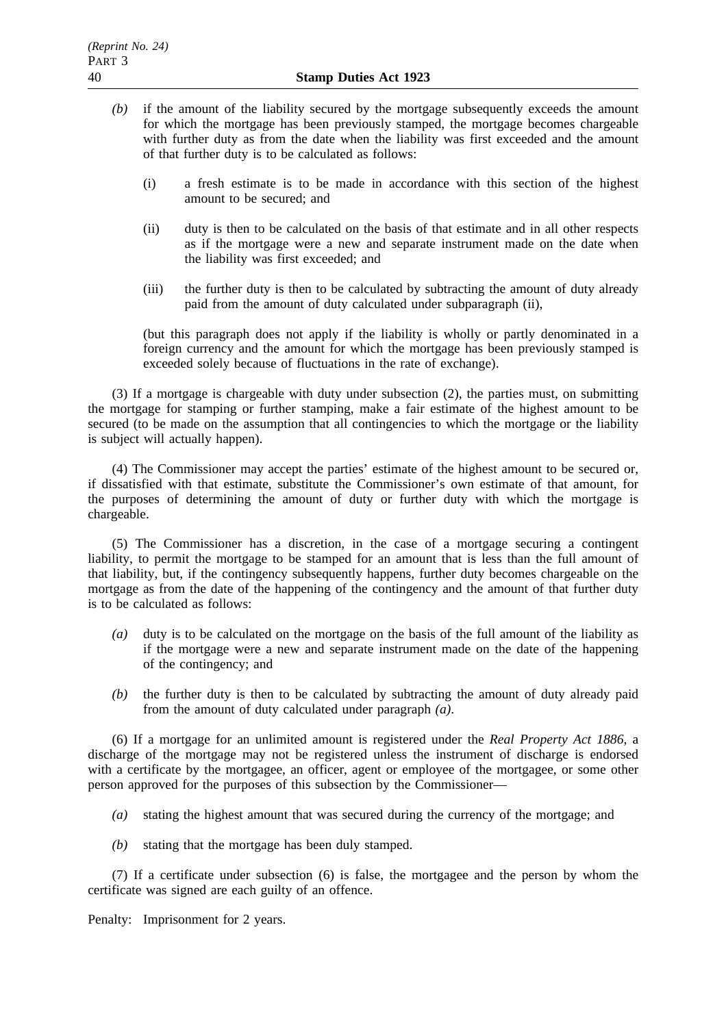- *(b)* if the amount of the liability secured by the mortgage subsequently exceeds the amount for which the mortgage has been previously stamped, the mortgage becomes chargeable with further duty as from the date when the liability was first exceeded and the amount of that further duty is to be calculated as follows:
	- (i) a fresh estimate is to be made in accordance with this section of the highest amount to be secured; and
	- (ii) duty is then to be calculated on the basis of that estimate and in all other respects as if the mortgage were a new and separate instrument made on the date when the liability was first exceeded; and
	- (iii) the further duty is then to be calculated by subtracting the amount of duty already paid from the amount of duty calculated under subparagraph (ii),

(but this paragraph does not apply if the liability is wholly or partly denominated in a foreign currency and the amount for which the mortgage has been previously stamped is exceeded solely because of fluctuations in the rate of exchange).

(3) If a mortgage is chargeable with duty under subsection (2), the parties must, on submitting the mortgage for stamping or further stamping, make a fair estimate of the highest amount to be secured (to be made on the assumption that all contingencies to which the mortgage or the liability is subject will actually happen).

(4) The Commissioner may accept the parties' estimate of the highest amount to be secured or, if dissatisfied with that estimate, substitute the Commissioner's own estimate of that amount, for the purposes of determining the amount of duty or further duty with which the mortgage is chargeable.

(5) The Commissioner has a discretion, in the case of a mortgage securing a contingent liability, to permit the mortgage to be stamped for an amount that is less than the full amount of that liability, but, if the contingency subsequently happens, further duty becomes chargeable on the mortgage as from the date of the happening of the contingency and the amount of that further duty is to be calculated as follows:

- *(a)* duty is to be calculated on the mortgage on the basis of the full amount of the liability as if the mortgage were a new and separate instrument made on the date of the happening of the contingency; and
- *(b)* the further duty is then to be calculated by subtracting the amount of duty already paid from the amount of duty calculated under paragraph *(a)*.

(6) If a mortgage for an unlimited amount is registered under the *Real Property Act 1886*, a discharge of the mortgage may not be registered unless the instrument of discharge is endorsed with a certificate by the mortgagee, an officer, agent or employee of the mortgagee, or some other person approved for the purposes of this subsection by the Commissioner—

- *(a)* stating the highest amount that was secured during the currency of the mortgage; and
- *(b)* stating that the mortgage has been duly stamped.

(7) If a certificate under subsection (6) is false, the mortgagee and the person by whom the certificate was signed are each guilty of an offence.

Penalty: Imprisonment for 2 years.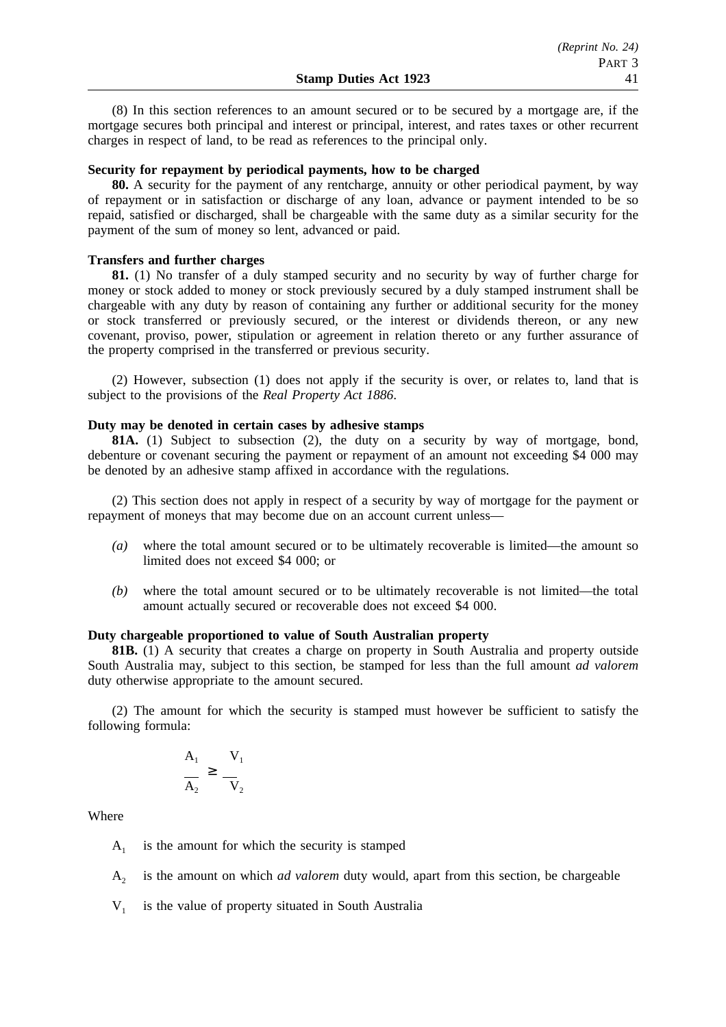(8) In this section references to an amount secured or to be secured by a mortgage are, if the mortgage secures both principal and interest or principal, interest, and rates taxes or other recurrent charges in respect of land, to be read as references to the principal only.

# **Security for repayment by periodical payments, how to be charged**

**80.** A security for the payment of any rentcharge, annuity or other periodical payment, by way of repayment or in satisfaction or discharge of any loan, advance or payment intended to be so repaid, satisfied or discharged, shall be chargeable with the same duty as a similar security for the payment of the sum of money so lent, advanced or paid.

#### **Transfers and further charges**

**81.** (1) No transfer of a duly stamped security and no security by way of further charge for money or stock added to money or stock previously secured by a duly stamped instrument shall be chargeable with any duty by reason of containing any further or additional security for the money or stock transferred or previously secured, or the interest or dividends thereon, or any new covenant, proviso, power, stipulation or agreement in relation thereto or any further assurance of the property comprised in the transferred or previous security.

(2) However, subsection (1) does not apply if the security is over, or relates to, land that is subject to the provisions of the *Real Property Act 1886*.

# **Duty may be denoted in certain cases by adhesive stamps**

**81A.** (1) Subject to subsection (2), the duty on a security by way of mortgage, bond, debenture or covenant securing the payment or repayment of an amount not exceeding \$4 000 may be denoted by an adhesive stamp affixed in accordance with the regulations.

(2) This section does not apply in respect of a security by way of mortgage for the payment or repayment of moneys that may become due on an account current unless—

- *(a)* where the total amount secured or to be ultimately recoverable is limited—the amount so limited does not exceed \$4 000; or
- *(b)* where the total amount secured or to be ultimately recoverable is not limited—the total amount actually secured or recoverable does not exceed \$4 000.

# **Duty chargeable proportioned to value of South Australian property**

**81B.** (1) A security that creates a charge on property in South Australia and property outside South Australia may, subject to this section, be stamped for less than the full amount *ad valorem* duty otherwise appropriate to the amount secured.

(2) The amount for which the security is stamped must however be sufficient to satisfy the following formula:

$$
\frac{A_1}{A_2} \ge \frac{V_1}{V_2}
$$

**Where** 

 $A_1$  is the amount for which the security is stamped

A2 is the amount on which *ad valorem* duty would, apart from this section, be chargeable

 $V_1$  is the value of property situated in South Australia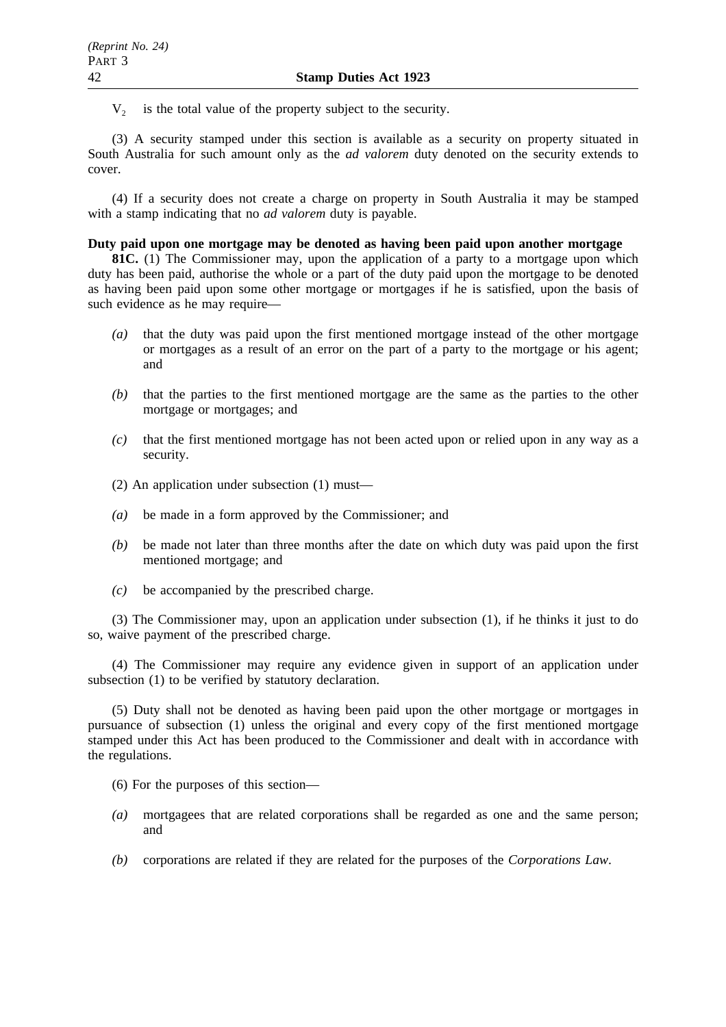$V<sub>2</sub>$  is the total value of the property subject to the security.

(3) A security stamped under this section is available as a security on property situated in South Australia for such amount only as the *ad valorem* duty denoted on the security extends to cover.

(4) If a security does not create a charge on property in South Australia it may be stamped with a stamp indicating that no *ad valorem* duty is payable.

# **Duty paid upon one mortgage may be denoted as having been paid upon another mortgage**

**81C.** (1) The Commissioner may, upon the application of a party to a mortgage upon which duty has been paid, authorise the whole or a part of the duty paid upon the mortgage to be denoted as having been paid upon some other mortgage or mortgages if he is satisfied, upon the basis of such evidence as he may require—

- *(a)* that the duty was paid upon the first mentioned mortgage instead of the other mortgage or mortgages as a result of an error on the part of a party to the mortgage or his agent; and
- *(b)* that the parties to the first mentioned mortgage are the same as the parties to the other mortgage or mortgages; and
- *(c)* that the first mentioned mortgage has not been acted upon or relied upon in any way as a security.
- (2) An application under subsection (1) must—
- *(a)* be made in a form approved by the Commissioner; and
- *(b)* be made not later than three months after the date on which duty was paid upon the first mentioned mortgage; and
- *(c)* be accompanied by the prescribed charge.

(3) The Commissioner may, upon an application under subsection (1), if he thinks it just to do so, waive payment of the prescribed charge.

(4) The Commissioner may require any evidence given in support of an application under subsection (1) to be verified by statutory declaration.

(5) Duty shall not be denoted as having been paid upon the other mortgage or mortgages in pursuance of subsection (1) unless the original and every copy of the first mentioned mortgage stamped under this Act has been produced to the Commissioner and dealt with in accordance with the regulations.

- (6) For the purposes of this section—
- *(a)* mortgagees that are related corporations shall be regarded as one and the same person; and
- *(b)* corporations are related if they are related for the purposes of the *Corporations Law*.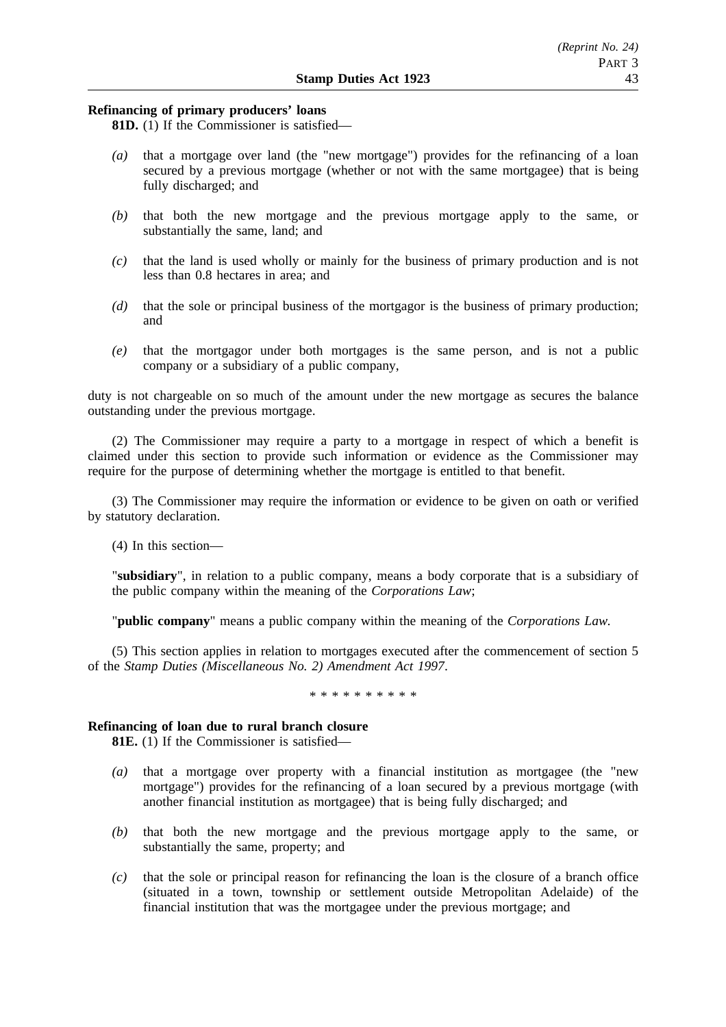# *(Reprint No. 24)* PART 3

# **Refinancing of primary producers' loans**

**81D.** (1) If the Commissioner is satisfied—

- *(a)* that a mortgage over land (the "new mortgage") provides for the refinancing of a loan secured by a previous mortgage (whether or not with the same mortgagee) that is being fully discharged; and
- *(b)* that both the new mortgage and the previous mortgage apply to the same, or substantially the same, land; and
- *(c)* that the land is used wholly or mainly for the business of primary production and is not less than 0.8 hectares in area; and
- *(d)* that the sole or principal business of the mortgagor is the business of primary production; and
- *(e)* that the mortgagor under both mortgages is the same person, and is not a public company or a subsidiary of a public company,

duty is not chargeable on so much of the amount under the new mortgage as secures the balance outstanding under the previous mortgage.

(2) The Commissioner may require a party to a mortgage in respect of which a benefit is claimed under this section to provide such information or evidence as the Commissioner may require for the purpose of determining whether the mortgage is entitled to that benefit.

(3) The Commissioner may require the information or evidence to be given on oath or verified by statutory declaration.

(4) In this section—

"**subsidiary**", in relation to a public company, means a body corporate that is a subsidiary of the public company within the meaning of the *Corporations Law*;

"**public company**" means a public company within the meaning of the *Corporations Law.*

(5) This section applies in relation to mortgages executed after the commencement of section 5 of the *Stamp Duties (Miscellaneous No. 2) Amendment Act 1997*.

\*\*\*\*\*\*\*\*\*\*\*\*\*\*\*\*

# **Refinancing of loan due to rural branch closure**

**81E.** (1) If the Commissioner is satisfied—

- *(a)* that a mortgage over property with a financial institution as mortgagee (the "new mortgage") provides for the refinancing of a loan secured by a previous mortgage (with another financial institution as mortgagee) that is being fully discharged; and
- *(b)* that both the new mortgage and the previous mortgage apply to the same, or substantially the same, property; and
- *(c)* that the sole or principal reason for refinancing the loan is the closure of a branch office (situated in a town, township or settlement outside Metropolitan Adelaide) of the financial institution that was the mortgagee under the previous mortgage; and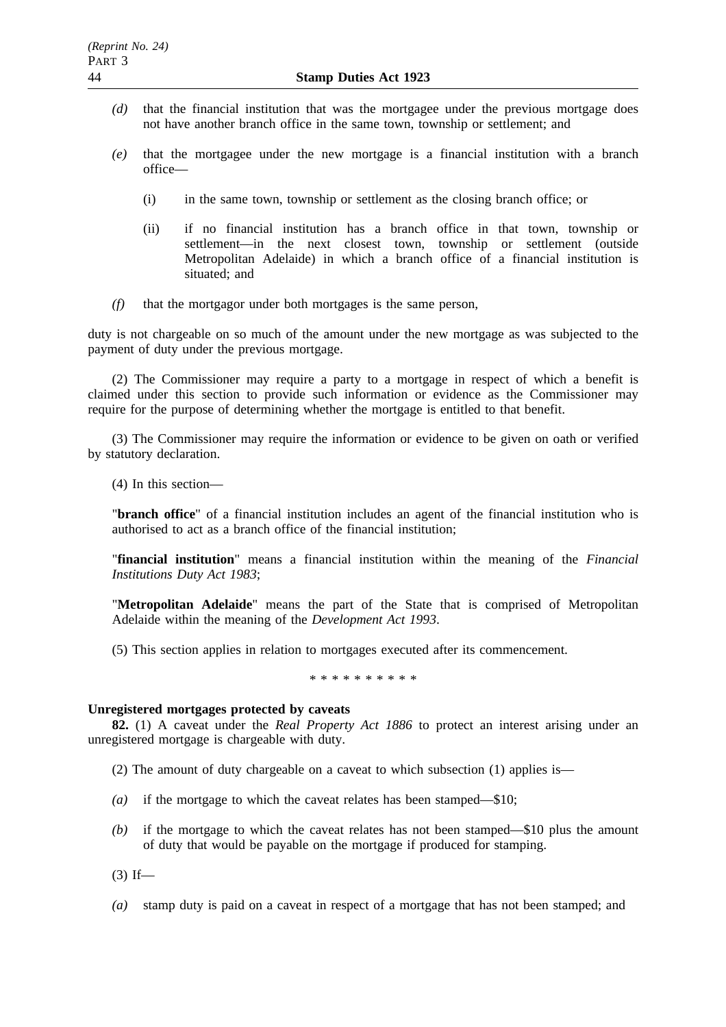- *(d)* that the financial institution that was the mortgagee under the previous mortgage does not have another branch office in the same town, township or settlement; and
- *(e)* that the mortgagee under the new mortgage is a financial institution with a branch office—
	- (i) in the same town, township or settlement as the closing branch office; or
	- (ii) if no financial institution has a branch office in that town, township or settlement—in the next closest town, township or settlement (outside Metropolitan Adelaide) in which a branch office of a financial institution is situated; and
- *(f)* that the mortgagor under both mortgages is the same person,

duty is not chargeable on so much of the amount under the new mortgage as was subjected to the payment of duty under the previous mortgage.

(2) The Commissioner may require a party to a mortgage in respect of which a benefit is claimed under this section to provide such information or evidence as the Commissioner may require for the purpose of determining whether the mortgage is entitled to that benefit.

(3) The Commissioner may require the information or evidence to be given on oath or verified by statutory declaration.

(4) In this section—

"**branch office**" of a financial institution includes an agent of the financial institution who is authorised to act as a branch office of the financial institution;

"**financial institution**" means a financial institution within the meaning of the *Financial Institutions Duty Act 1983*;

"**Metropolitan Adelaide**" means the part of the State that is comprised of Metropolitan Adelaide within the meaning of the *Development Act 1993*.

(5) This section applies in relation to mortgages executed after its commencement.

\*\*\*\*\*\*\*\*\*\*

# **Unregistered mortgages protected by caveats**

**82.** (1) A caveat under the *Real Property Act 1886* to protect an interest arising under an unregistered mortgage is chargeable with duty.

- (2) The amount of duty chargeable on a caveat to which subsection (1) applies is—
- *(a)* if the mortgage to which the caveat relates has been stamped—\$10;
- *(b)* if the mortgage to which the caveat relates has not been stamped—\$10 plus the amount of duty that would be payable on the mortgage if produced for stamping.

 $(3)$  If—

*(a)* stamp duty is paid on a caveat in respect of a mortgage that has not been stamped; and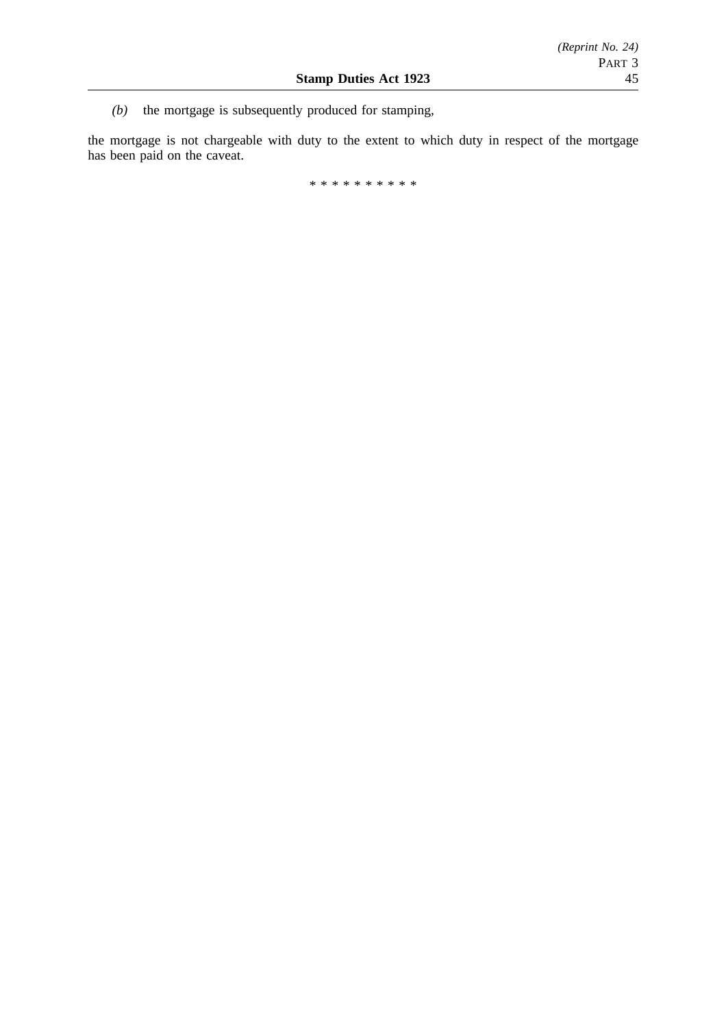*(b)* the mortgage is subsequently produced for stamping,

the mortgage is not chargeable with duty to the extent to which duty in respect of the mortgage has been paid on the caveat.

\*\*\*\*\*\*\*\*\*\*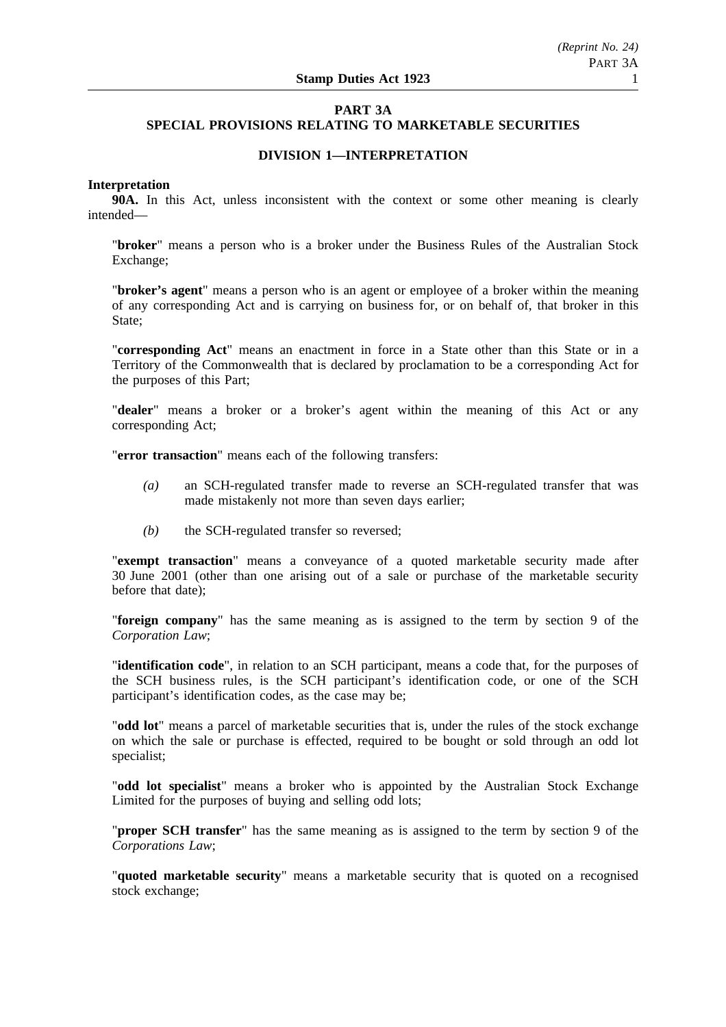# **PART 3A SPECIAL PROVISIONS RELATING TO MARKETABLE SECURITIES**

# **DIVISION 1—INTERPRETATION**

# **Interpretation**

**90A.** In this Act, unless inconsistent with the context or some other meaning is clearly intended—

"**broker**" means a person who is a broker under the Business Rules of the Australian Stock Exchange;

"**broker's agent**" means a person who is an agent or employee of a broker within the meaning of any corresponding Act and is carrying on business for, or on behalf of, that broker in this State;

"**corresponding Act**" means an enactment in force in a State other than this State or in a Territory of the Commonwealth that is declared by proclamation to be a corresponding Act for the purposes of this Part;

"**dealer**" means a broker or a broker's agent within the meaning of this Act or any corresponding Act;

"**error transaction**" means each of the following transfers:

- *(a)* an SCH-regulated transfer made to reverse an SCH-regulated transfer that was made mistakenly not more than seven days earlier;
- *(b)* the SCH-regulated transfer so reversed;

"**exempt transaction**" means a conveyance of a quoted marketable security made after 30 June 2001 (other than one arising out of a sale or purchase of the marketable security before that date);

"**foreign company**" has the same meaning as is assigned to the term by section 9 of the *Corporation Law*;

"**identification code**", in relation to an SCH participant, means a code that, for the purposes of the SCH business rules, is the SCH participant's identification code, or one of the SCH participant's identification codes, as the case may be;

"**odd lot**" means a parcel of marketable securities that is, under the rules of the stock exchange on which the sale or purchase is effected, required to be bought or sold through an odd lot specialist;

"**odd lot specialist**" means a broker who is appointed by the Australian Stock Exchange Limited for the purposes of buying and selling odd lots;

"**proper SCH transfer**" has the same meaning as is assigned to the term by section 9 of the *Corporations Law*;

"**quoted marketable security**" means a marketable security that is quoted on a recognised stock exchange;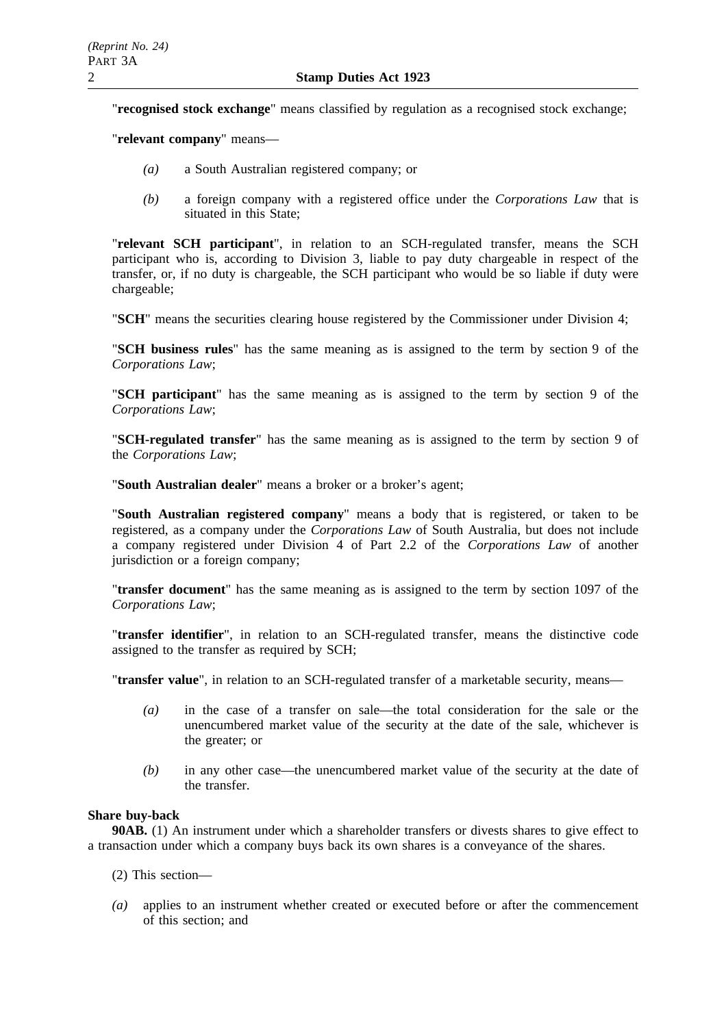"**recognised stock exchange**" means classified by regulation as a recognised stock exchange;

"**relevant company**" means—

- *(a)* a South Australian registered company; or
- *(b)* a foreign company with a registered office under the *Corporations Law* that is situated in this State;

"**relevant SCH participant**", in relation to an SCH-regulated transfer, means the SCH participant who is, according to Division 3, liable to pay duty chargeable in respect of the transfer, or, if no duty is chargeable, the SCH participant who would be so liable if duty were chargeable;

"**SCH**" means the securities clearing house registered by the Commissioner under Division 4;

"**SCH business rules**" has the same meaning as is assigned to the term by section 9 of the *Corporations Law*;

"**SCH participant**" has the same meaning as is assigned to the term by section 9 of the *Corporations Law*;

"**SCH-regulated transfer**" has the same meaning as is assigned to the term by section 9 of the *Corporations Law*;

"**South Australian dealer**" means a broker or a broker's agent;

"**South Australian registered company**" means a body that is registered, or taken to be registered, as a company under the *Corporations Law* of South Australia, but does not include a company registered under Division 4 of Part 2.2 of the *Corporations Law* of another jurisdiction or a foreign company;

"**transfer document**" has the same meaning as is assigned to the term by section 1097 of the *Corporations Law*;

"**transfer identifier**", in relation to an SCH-regulated transfer, means the distinctive code assigned to the transfer as required by SCH;

"**transfer value**", in relation to an SCH-regulated transfer of a marketable security, means—

- *(a)* in the case of a transfer on sale—the total consideration for the sale or the unencumbered market value of the security at the date of the sale, whichever is the greater; or
- *(b)* in any other case—the unencumbered market value of the security at the date of the transfer.

# **Share buy-back**

**90AB.** (1) An instrument under which a shareholder transfers or divests shares to give effect to a transaction under which a company buys back its own shares is a conveyance of the shares.

- (2) This section—
- *(a)* applies to an instrument whether created or executed before or after the commencement of this section; and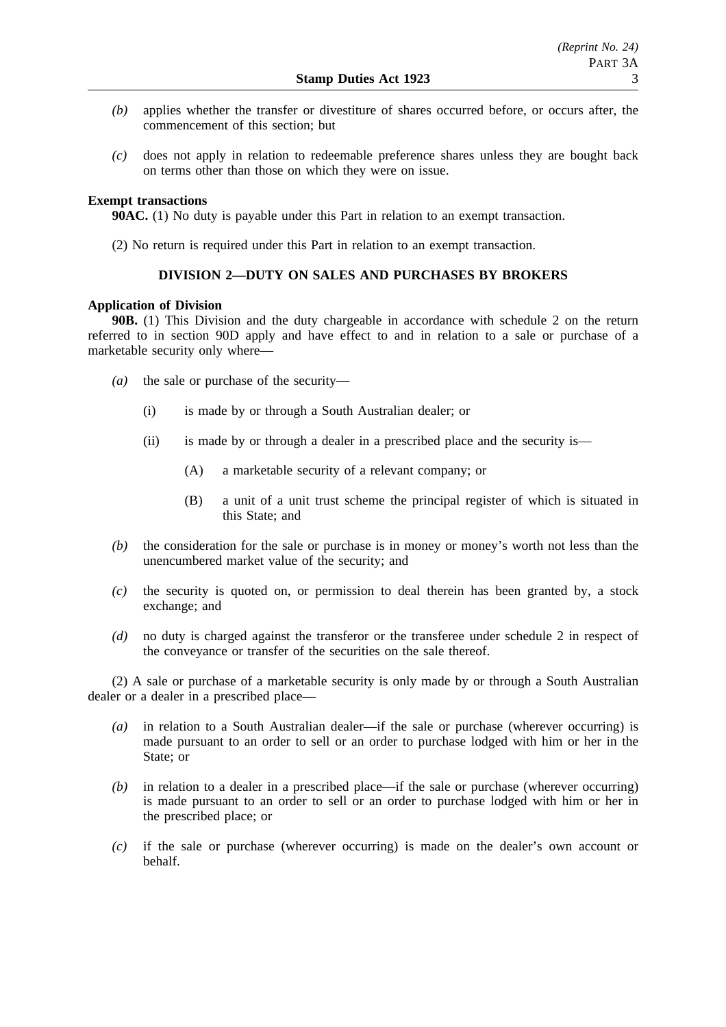- *(b)* applies whether the transfer or divestiture of shares occurred before, or occurs after, the commencement of this section; but
- *(c)* does not apply in relation to redeemable preference shares unless they are bought back on terms other than those on which they were on issue.

# **Exempt transactions**

**90AC.** (1) No duty is payable under this Part in relation to an exempt transaction.

(2) No return is required under this Part in relation to an exempt transaction.

# **DIVISION 2—DUTY ON SALES AND PURCHASES BY BROKERS**

## **Application of Division**

**90B.** (1) This Division and the duty chargeable in accordance with schedule 2 on the return referred to in section 90D apply and have effect to and in relation to a sale or purchase of a marketable security only where—

- *(a)* the sale or purchase of the security—
	- (i) is made by or through a South Australian dealer; or
	- (ii) is made by or through a dealer in a prescribed place and the security is—
		- (A) a marketable security of a relevant company; or
		- (B) a unit of a unit trust scheme the principal register of which is situated in this State; and
- *(b)* the consideration for the sale or purchase is in money or money's worth not less than the unencumbered market value of the security; and
- *(c)* the security is quoted on, or permission to deal therein has been granted by, a stock exchange; and
- *(d)* no duty is charged against the transferor or the transferee under schedule 2 in respect of the conveyance or transfer of the securities on the sale thereof.

(2) A sale or purchase of a marketable security is only made by or through a South Australian dealer or a dealer in a prescribed place—

- *(a)* in relation to a South Australian dealer—if the sale or purchase (wherever occurring) is made pursuant to an order to sell or an order to purchase lodged with him or her in the State; or
- *(b)* in relation to a dealer in a prescribed place—if the sale or purchase (wherever occurring) is made pursuant to an order to sell or an order to purchase lodged with him or her in the prescribed place; or
- *(c)* if the sale or purchase (wherever occurring) is made on the dealer's own account or behalf.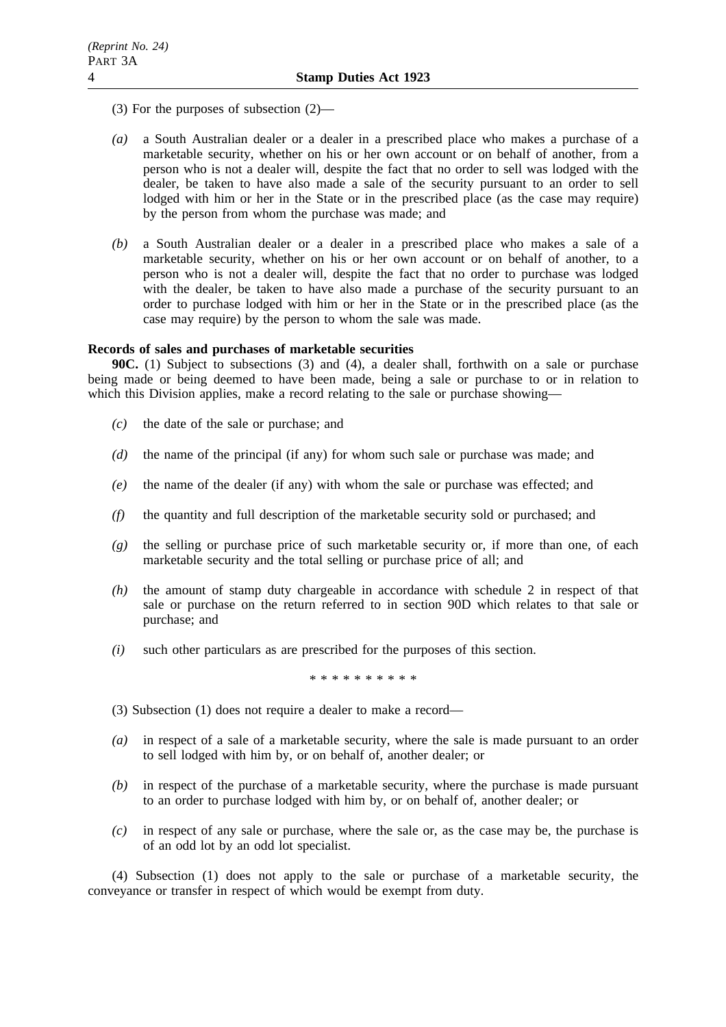- (3) For the purposes of subsection (2)—
- *(a)* a South Australian dealer or a dealer in a prescribed place who makes a purchase of a marketable security, whether on his or her own account or on behalf of another, from a person who is not a dealer will, despite the fact that no order to sell was lodged with the dealer, be taken to have also made a sale of the security pursuant to an order to sell lodged with him or her in the State or in the prescribed place (as the case may require) by the person from whom the purchase was made; and
- *(b)* a South Australian dealer or a dealer in a prescribed place who makes a sale of a marketable security, whether on his or her own account or on behalf of another, to a person who is not a dealer will, despite the fact that no order to purchase was lodged with the dealer, be taken to have also made a purchase of the security pursuant to an order to purchase lodged with him or her in the State or in the prescribed place (as the case may require) by the person to whom the sale was made.

## **Records of sales and purchases of marketable securities**

**90C.** (1) Subject to subsections (3) and (4), a dealer shall, forthwith on a sale or purchase being made or being deemed to have been made, being a sale or purchase to or in relation to which this Division applies, make a record relating to the sale or purchase showing—

- *(c)* the date of the sale or purchase; and
- *(d)* the name of the principal (if any) for whom such sale or purchase was made; and
- *(e)* the name of the dealer (if any) with whom the sale or purchase was effected; and
- *(f)* the quantity and full description of the marketable security sold or purchased; and
- *(g)* the selling or purchase price of such marketable security or, if more than one, of each marketable security and the total selling or purchase price of all; and
- *(h)* the amount of stamp duty chargeable in accordance with schedule 2 in respect of that sale or purchase on the return referred to in section 90D which relates to that sale or purchase; and
- *(i)* such other particulars as are prescribed for the purposes of this section.

\*\*\*\*\*\*\*\*\*\*

- (3) Subsection (1) does not require a dealer to make a record—
- *(a)* in respect of a sale of a marketable security, where the sale is made pursuant to an order to sell lodged with him by, or on behalf of, another dealer; or
- *(b)* in respect of the purchase of a marketable security, where the purchase is made pursuant to an order to purchase lodged with him by, or on behalf of, another dealer; or
- *(c)* in respect of any sale or purchase, where the sale or, as the case may be, the purchase is of an odd lot by an odd lot specialist.

(4) Subsection (1) does not apply to the sale or purchase of a marketable security, the conveyance or transfer in respect of which would be exempt from duty.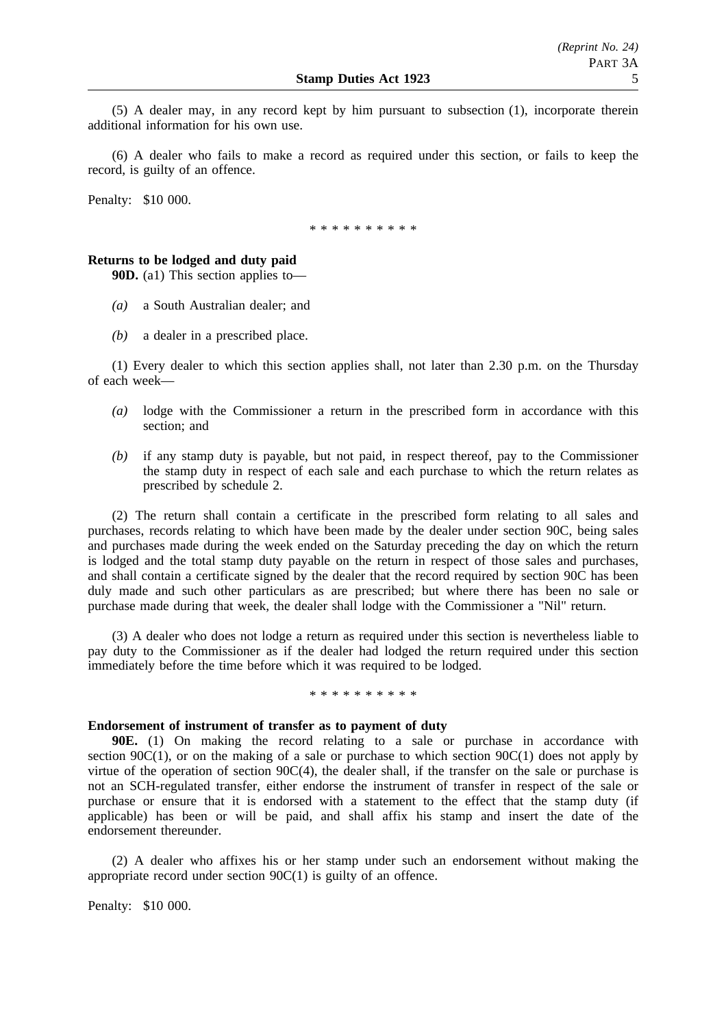(5) A dealer may, in any record kept by him pursuant to subsection (1), incorporate therein additional information for his own use.

(6) A dealer who fails to make a record as required under this section, or fails to keep the record, is guilty of an offence.

Penalty: \$10 000.

\* \* \* \* \* \* \* \* \*

## **Returns to be lodged and duty paid**

**90D.** (a1) This section applies to—

- *(a)* a South Australian dealer; and
- *(b)* a dealer in a prescribed place.

(1) Every dealer to which this section applies shall, not later than 2.30 p.m. on the Thursday of each week—

- *(a)* lodge with the Commissioner a return in the prescribed form in accordance with this section; and
- *(b)* if any stamp duty is payable, but not paid, in respect thereof, pay to the Commissioner the stamp duty in respect of each sale and each purchase to which the return relates as prescribed by schedule 2.

(2) The return shall contain a certificate in the prescribed form relating to all sales and purchases, records relating to which have been made by the dealer under section 90C, being sales and purchases made during the week ended on the Saturday preceding the day on which the return is lodged and the total stamp duty payable on the return in respect of those sales and purchases, and shall contain a certificate signed by the dealer that the record required by section 90C has been duly made and such other particulars as are prescribed; but where there has been no sale or purchase made during that week, the dealer shall lodge with the Commissioner a "Nil" return.

(3) A dealer who does not lodge a return as required under this section is nevertheless liable to pay duty to the Commissioner as if the dealer had lodged the return required under this section immediately before the time before which it was required to be lodged.

\* \* \* \* \* \* \* \* \*

#### **Endorsement of instrument of transfer as to payment of duty**

**90E.** (1) On making the record relating to a sale or purchase in accordance with section 90 $C(1)$ , or on the making of a sale or purchase to which section 90 $C(1)$  does not apply by virtue of the operation of section  $90C(4)$ , the dealer shall, if the transfer on the sale or purchase is not an SCH-regulated transfer, either endorse the instrument of transfer in respect of the sale or purchase or ensure that it is endorsed with a statement to the effect that the stamp duty (if applicable) has been or will be paid, and shall affix his stamp and insert the date of the endorsement thereunder.

(2) A dealer who affixes his or her stamp under such an endorsement without making the appropriate record under section 90C(1) is guilty of an offence.

Penalty: \$10 000.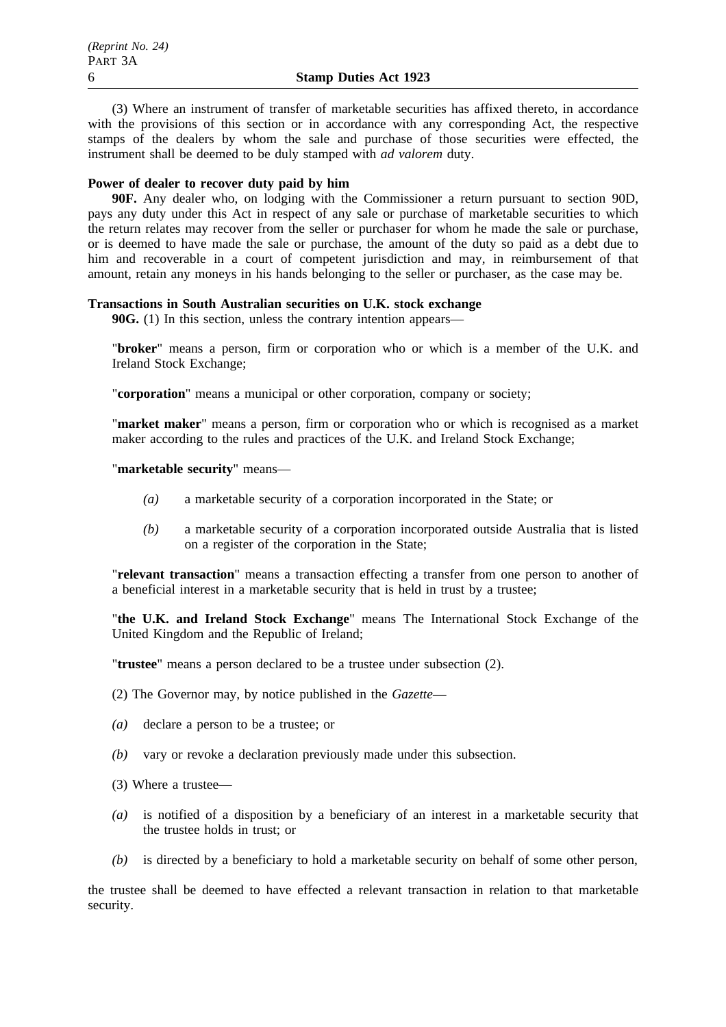(3) Where an instrument of transfer of marketable securities has affixed thereto, in accordance with the provisions of this section or in accordance with any corresponding Act, the respective stamps of the dealers by whom the sale and purchase of those securities were effected, the instrument shall be deemed to be duly stamped with *ad valorem* duty.

# **Power of dealer to recover duty paid by him**

**90F.** Any dealer who, on lodging with the Commissioner a return pursuant to section 90D, pays any duty under this Act in respect of any sale or purchase of marketable securities to which the return relates may recover from the seller or purchaser for whom he made the sale or purchase, or is deemed to have made the sale or purchase, the amount of the duty so paid as a debt due to him and recoverable in a court of competent jurisdiction and may, in reimbursement of that amount, retain any moneys in his hands belonging to the seller or purchaser, as the case may be.

# **Transactions in South Australian securities on U.K. stock exchange**

**90G.** (1) In this section, unless the contrary intention appears—

"**broker**" means a person, firm or corporation who or which is a member of the U.K. and Ireland Stock Exchange;

"**corporation**" means a municipal or other corporation, company or society;

"**market maker**" means a person, firm or corporation who or which is recognised as a market maker according to the rules and practices of the U.K. and Ireland Stock Exchange;

"**marketable security**" means—

- *(a)* a marketable security of a corporation incorporated in the State; or
- *(b)* a marketable security of a corporation incorporated outside Australia that is listed on a register of the corporation in the State;

"**relevant transaction**" means a transaction effecting a transfer from one person to another of a beneficial interest in a marketable security that is held in trust by a trustee;

"**the U.K. and Ireland Stock Exchange**" means The International Stock Exchange of the United Kingdom and the Republic of Ireland;

"**trustee**" means a person declared to be a trustee under subsection (2).

(2) The Governor may, by notice published in the *Gazette*—

- *(a)* declare a person to be a trustee; or
- *(b)* vary or revoke a declaration previously made under this subsection.

(3) Where a trustee—

- *(a)* is notified of a disposition by a beneficiary of an interest in a marketable security that the trustee holds in trust; or
- *(b)* is directed by a beneficiary to hold a marketable security on behalf of some other person,

the trustee shall be deemed to have effected a relevant transaction in relation to that marketable security.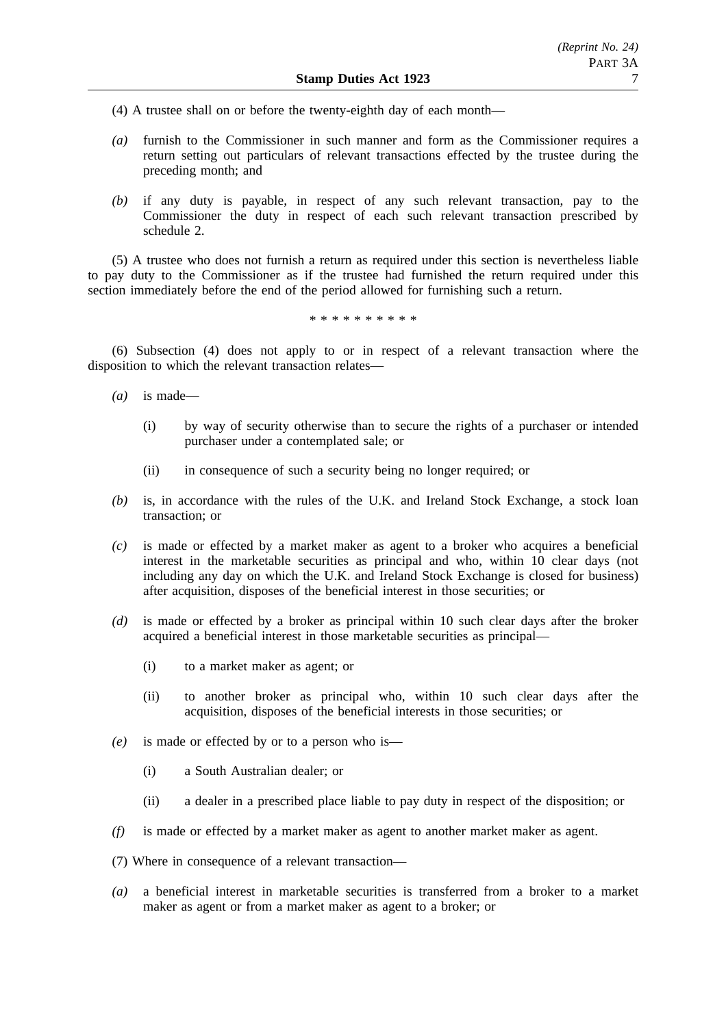- (4) A trustee shall on or before the twenty-eighth day of each month—
- *(a)* furnish to the Commissioner in such manner and form as the Commissioner requires a return setting out particulars of relevant transactions effected by the trustee during the preceding month; and
- *(b)* if any duty is payable, in respect of any such relevant transaction, pay to the Commissioner the duty in respect of each such relevant transaction prescribed by schedule 2.

(5) A trustee who does not furnish a return as required under this section is nevertheless liable to pay duty to the Commissioner as if the trustee had furnished the return required under this section immediately before the end of the period allowed for furnishing such a return.

\*\*\*\*\*\*\*\*\*\*

(6) Subsection (4) does not apply to or in respect of a relevant transaction where the disposition to which the relevant transaction relates—

- *(a)* is made—
	- (i) by way of security otherwise than to secure the rights of a purchaser or intended purchaser under a contemplated sale; or
	- (ii) in consequence of such a security being no longer required; or
- *(b)* is, in accordance with the rules of the U.K. and Ireland Stock Exchange, a stock loan transaction; or
- *(c)* is made or effected by a market maker as agent to a broker who acquires a beneficial interest in the marketable securities as principal and who, within 10 clear days (not including any day on which the U.K. and Ireland Stock Exchange is closed for business) after acquisition, disposes of the beneficial interest in those securities; or
- *(d)* is made or effected by a broker as principal within 10 such clear days after the broker acquired a beneficial interest in those marketable securities as principal—
	- (i) to a market maker as agent; or
	- (ii) to another broker as principal who, within 10 such clear days after the acquisition, disposes of the beneficial interests in those securities; or
- *(e)* is made or effected by or to a person who is—
	- (i) a South Australian dealer; or
	- (ii) a dealer in a prescribed place liable to pay duty in respect of the disposition; or
- *(f)* is made or effected by a market maker as agent to another market maker as agent.
- (7) Where in consequence of a relevant transaction—
- *(a)* a beneficial interest in marketable securities is transferred from a broker to a market maker as agent or from a market maker as agent to a broker; or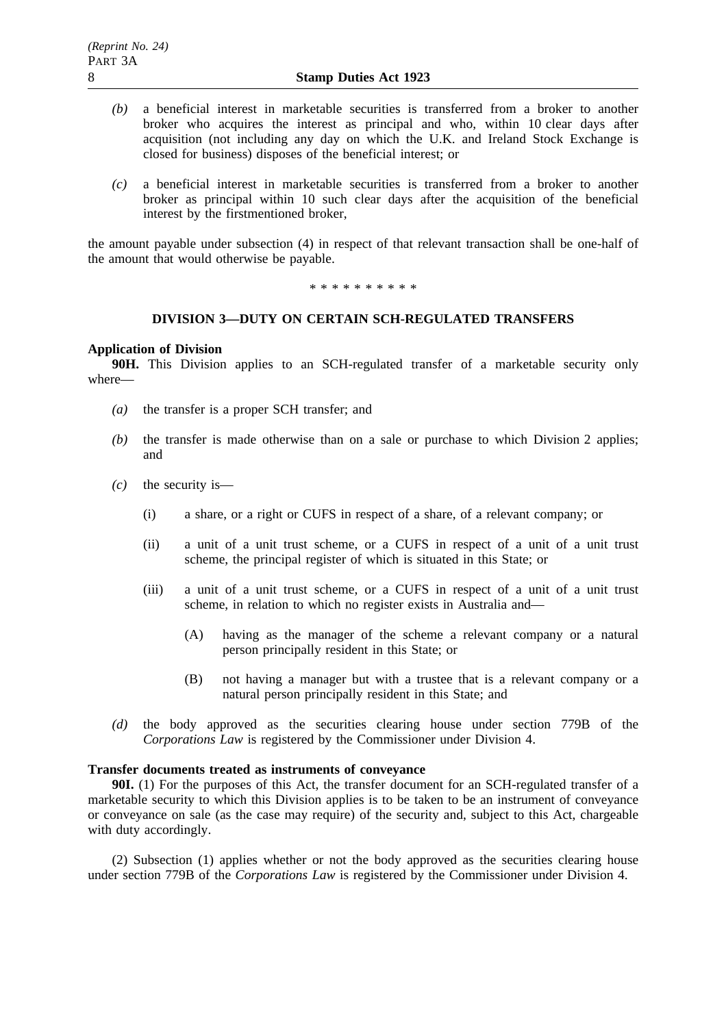- *(b)* a beneficial interest in marketable securities is transferred from a broker to another broker who acquires the interest as principal and who, within 10 clear days after acquisition (not including any day on which the U.K. and Ireland Stock Exchange is closed for business) disposes of the beneficial interest; or
- *(c)* a beneficial interest in marketable securities is transferred from a broker to another broker as principal within 10 such clear days after the acquisition of the beneficial interest by the firstmentioned broker,

the amount payable under subsection (4) in respect of that relevant transaction shall be one-half of the amount that would otherwise be payable.

\*\*\*\*\*\*\*\*\*\*

# **DIVISION 3—DUTY ON CERTAIN SCH-REGULATED TRANSFERS**

### **Application of Division**

**90H.** This Division applies to an SCH-regulated transfer of a marketable security only where—

- *(a)* the transfer is a proper SCH transfer; and
- *(b)* the transfer is made otherwise than on a sale or purchase to which Division 2 applies; and
- *(c)* the security is—
	- (i) a share, or a right or CUFS in respect of a share, of a relevant company; or
	- (ii) a unit of a unit trust scheme, or a CUFS in respect of a unit of a unit trust scheme, the principal register of which is situated in this State; or
	- (iii) a unit of a unit trust scheme, or a CUFS in respect of a unit of a unit trust scheme, in relation to which no register exists in Australia and—
		- (A) having as the manager of the scheme a relevant company or a natural person principally resident in this State; or
		- (B) not having a manager but with a trustee that is a relevant company or a natural person principally resident in this State; and
- *(d)* the body approved as the securities clearing house under section 779B of the *Corporations Law* is registered by the Commissioner under Division 4.

# **Transfer documents treated as instruments of conveyance**

**90I.** (1) For the purposes of this Act, the transfer document for an SCH-regulated transfer of a marketable security to which this Division applies is to be taken to be an instrument of conveyance or conveyance on sale (as the case may require) of the security and, subject to this Act, chargeable with duty accordingly.

(2) Subsection (1) applies whether or not the body approved as the securities clearing house under section 779B of the *Corporations Law* is registered by the Commissioner under Division 4.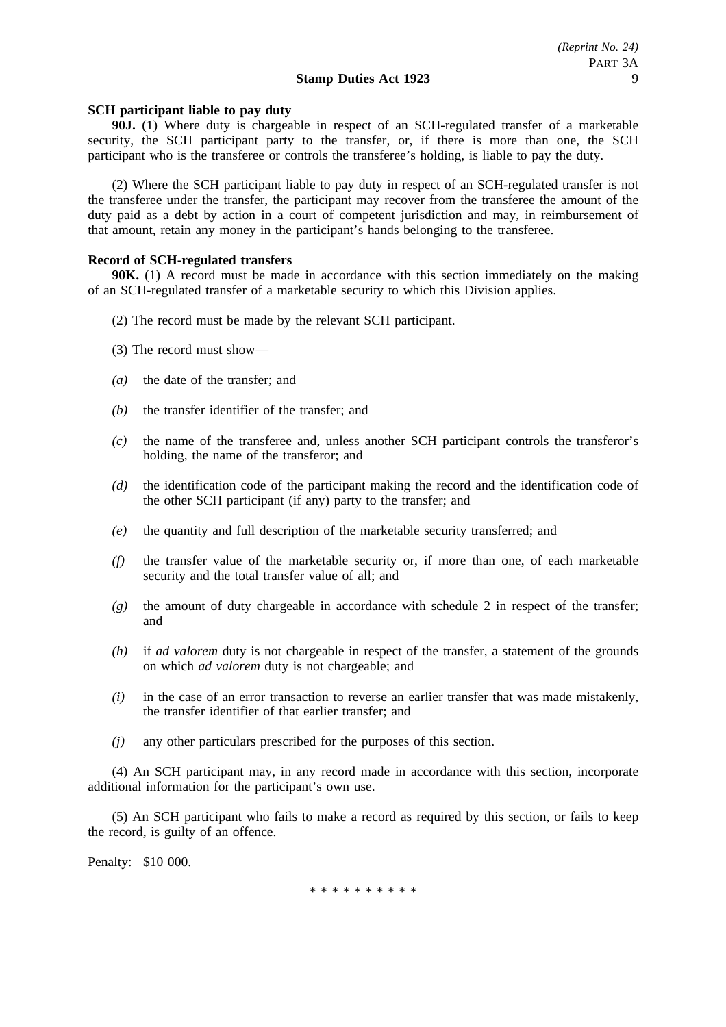# **SCH participant liable to pay duty**

**90J.** (1) Where duty is chargeable in respect of an SCH-regulated transfer of a marketable security, the SCH participant party to the transfer, or, if there is more than one, the SCH participant who is the transferee or controls the transferee's holding, is liable to pay the duty.

(2) Where the SCH participant liable to pay duty in respect of an SCH-regulated transfer is not the transferee under the transfer, the participant may recover from the transferee the amount of the duty paid as a debt by action in a court of competent jurisdiction and may, in reimbursement of that amount, retain any money in the participant's hands belonging to the transferee.

#### **Record of SCH-regulated transfers**

**90K.** (1) A record must be made in accordance with this section immediately on the making of an SCH-regulated transfer of a marketable security to which this Division applies.

- (2) The record must be made by the relevant SCH participant.
- (3) The record must show—
- *(a)* the date of the transfer; and
- *(b)* the transfer identifier of the transfer; and
- *(c)* the name of the transferee and, unless another SCH participant controls the transferor's holding, the name of the transferor; and
- *(d)* the identification code of the participant making the record and the identification code of the other SCH participant (if any) party to the transfer; and
- *(e)* the quantity and full description of the marketable security transferred; and
- *(f)* the transfer value of the marketable security or, if more than one, of each marketable security and the total transfer value of all; and
- *(g)* the amount of duty chargeable in accordance with schedule 2 in respect of the transfer; and
- *(h)* if *ad valorem* duty is not chargeable in respect of the transfer, a statement of the grounds on which *ad valorem* duty is not chargeable; and
- *(i)* in the case of an error transaction to reverse an earlier transfer that was made mistakenly, the transfer identifier of that earlier transfer; and
- *(j)* any other particulars prescribed for the purposes of this section.

(4) An SCH participant may, in any record made in accordance with this section, incorporate additional information for the participant's own use.

(5) An SCH participant who fails to make a record as required by this section, or fails to keep the record, is guilty of an offence.

Penalty: \$10 000.

\*\*\*\*\*\*\*\*\*\*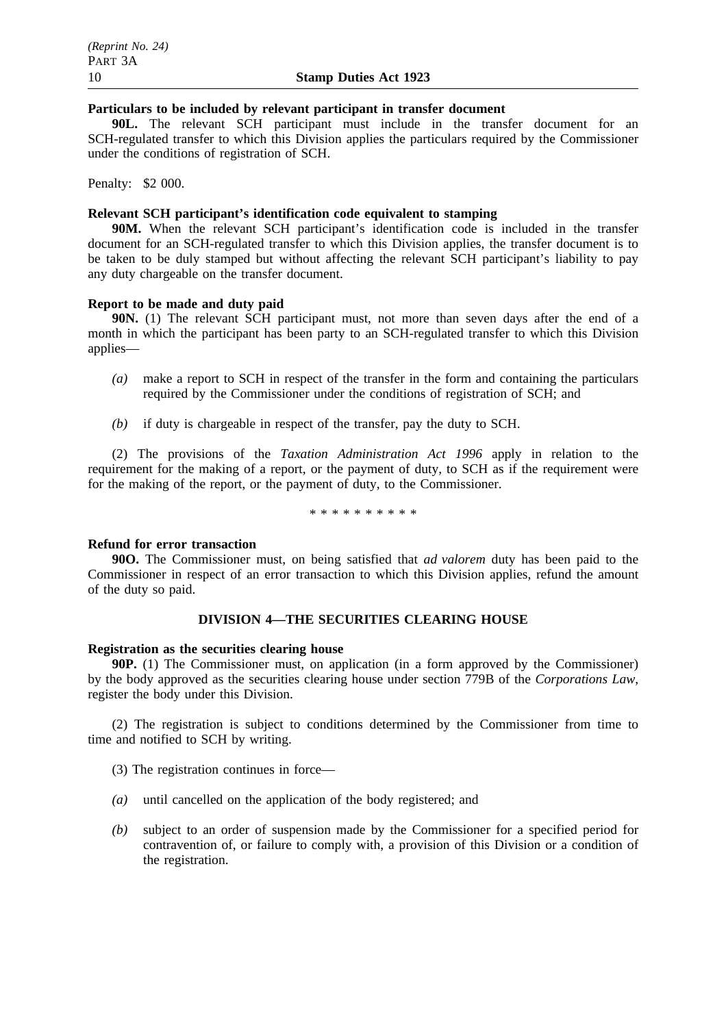## **Particulars to be included by relevant participant in transfer document**

**90L.** The relevant SCH participant must include in the transfer document for an SCH-regulated transfer to which this Division applies the particulars required by the Commissioner under the conditions of registration of SCH.

Penalty: \$2 000.

# **Relevant SCH participant's identification code equivalent to stamping**

**90M.** When the relevant SCH participant's identification code is included in the transfer document for an SCH-regulated transfer to which this Division applies, the transfer document is to be taken to be duly stamped but without affecting the relevant SCH participant's liability to pay any duty chargeable on the transfer document.

# **Report to be made and duty paid**

**90N.** (1) The relevant SCH participant must, not more than seven days after the end of a month in which the participant has been party to an SCH-regulated transfer to which this Division applies—

- *(a)* make a report to SCH in respect of the transfer in the form and containing the particulars required by the Commissioner under the conditions of registration of SCH; and
- *(b)* if duty is chargeable in respect of the transfer, pay the duty to SCH.

(2) The provisions of the *Taxation Administration Act 1996* apply in relation to the requirement for the making of a report, or the payment of duty, to SCH as if the requirement were for the making of the report, or the payment of duty, to the Commissioner.

\*\*\*\*\*\*\*\*\*\*

#### **Refund for error transaction**

**90O.** The Commissioner must, on being satisfied that *ad valorem* duty has been paid to the Commissioner in respect of an error transaction to which this Division applies, refund the amount of the duty so paid.

# **DIVISION 4—THE SECURITIES CLEARING HOUSE**

#### **Registration as the securities clearing house**

**90P.** (1) The Commissioner must, on application (in a form approved by the Commissioner) by the body approved as the securities clearing house under section 779B of the *Corporations Law*, register the body under this Division.

(2) The registration is subject to conditions determined by the Commissioner from time to time and notified to SCH by writing.

- (3) The registration continues in force—
- *(a)* until cancelled on the application of the body registered; and
- *(b)* subject to an order of suspension made by the Commissioner for a specified period for contravention of, or failure to comply with, a provision of this Division or a condition of the registration.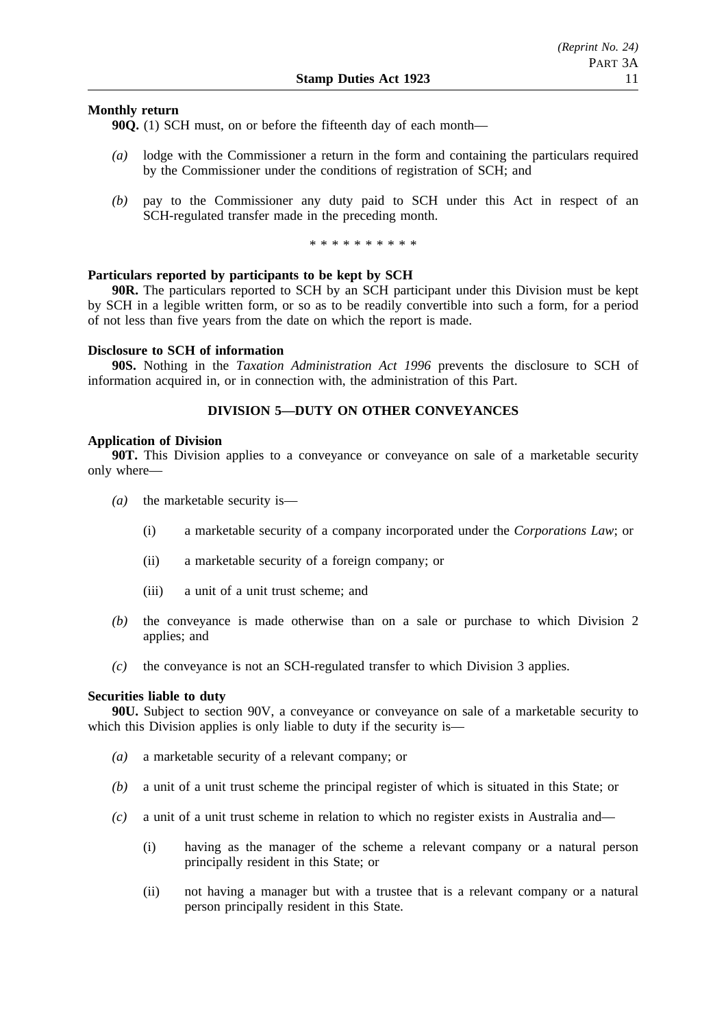# **Monthly return**

**90Q.** (1) SCH must, on or before the fifteenth day of each month—

- *(a)* lodge with the Commissioner a return in the form and containing the particulars required by the Commissioner under the conditions of registration of SCH; and
- *(b)* pay to the Commissioner any duty paid to SCH under this Act in respect of an SCH-regulated transfer made in the preceding month.

\*\*\*\*\*\*\*\*\*\*

### **Particulars reported by participants to be kept by SCH**

**90R.** The particulars reported to SCH by an SCH participant under this Division must be kept by SCH in a legible written form, or so as to be readily convertible into such a form, for a period of not less than five years from the date on which the report is made.

#### **Disclosure to SCH of information**

**90S.** Nothing in the *Taxation Administration Act 1996* prevents the disclosure to SCH of information acquired in, or in connection with, the administration of this Part.

# **DIVISION 5—DUTY ON OTHER CONVEYANCES**

#### **Application of Division**

**90T.** This Division applies to a conveyance or conveyance on sale of a marketable security only where—

- *(a)* the marketable security is—
	- (i) a marketable security of a company incorporated under the *Corporations Law*; or
	- (ii) a marketable security of a foreign company; or
	- (iii) a unit of a unit trust scheme; and
- *(b)* the conveyance is made otherwise than on a sale or purchase to which Division 2 applies; and
- *(c)* the conveyance is not an SCH-regulated transfer to which Division 3 applies.

#### **Securities liable to duty**

**90U.** Subject to section 90V, a conveyance or conveyance on sale of a marketable security to which this Division applies is only liable to duty if the security is—

- *(a)* a marketable security of a relevant company; or
- *(b)* a unit of a unit trust scheme the principal register of which is situated in this State; or
- *(c)* a unit of a unit trust scheme in relation to which no register exists in Australia and—
	- (i) having as the manager of the scheme a relevant company or a natural person principally resident in this State; or
	- (ii) not having a manager but with a trustee that is a relevant company or a natural person principally resident in this State.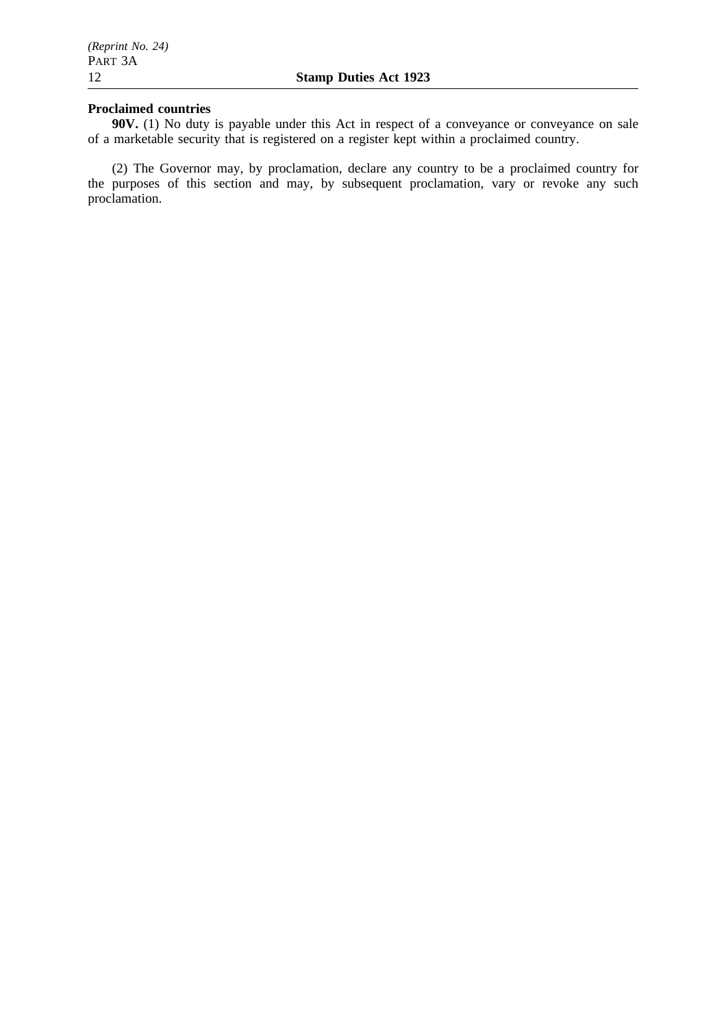# **Proclaimed countries**

**90V.** (1) No duty is payable under this Act in respect of a conveyance or conveyance on sale of a marketable security that is registered on a register kept within a proclaimed country.

(2) The Governor may, by proclamation, declare any country to be a proclaimed country for the purposes of this section and may, by subsequent proclamation, vary or revoke any such proclamation.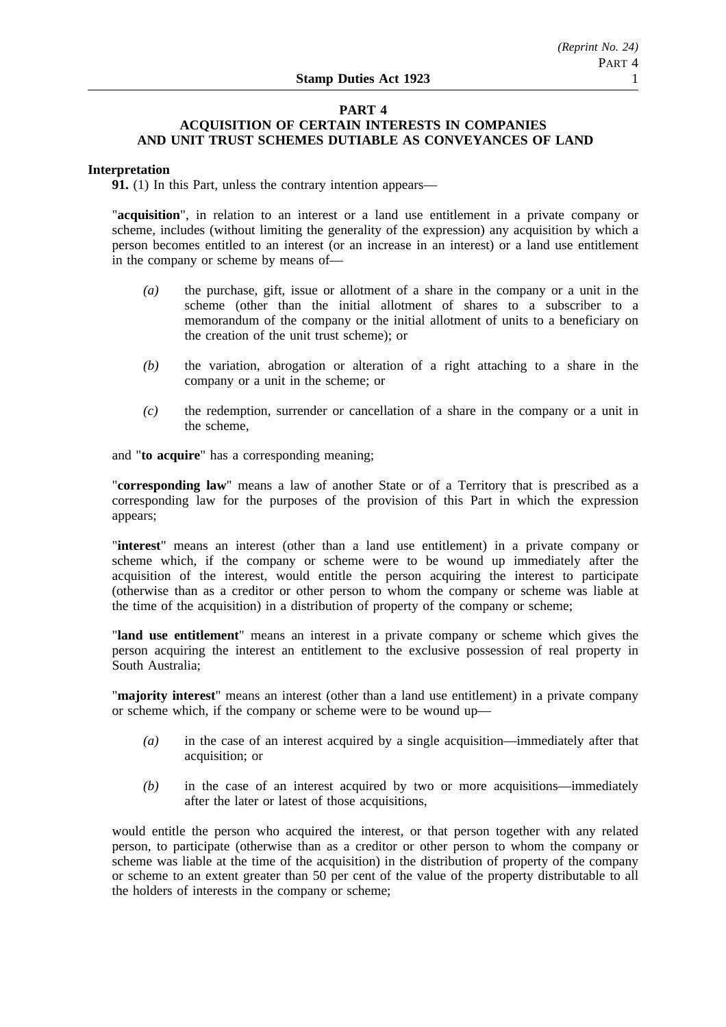## **PART 4 ACQUISITION OF CERTAIN INTERESTS IN COMPANIES AND UNIT TRUST SCHEMES DUTIABLE AS CONVEYANCES OF LAND**

# **Interpretation**

**91.** (1) In this Part, unless the contrary intention appears—

"**acquisition**", in relation to an interest or a land use entitlement in a private company or scheme, includes (without limiting the generality of the expression) any acquisition by which a person becomes entitled to an interest (or an increase in an interest) or a land use entitlement in the company or scheme by means of—

- *(a)* the purchase, gift, issue or allotment of a share in the company or a unit in the scheme (other than the initial allotment of shares to a subscriber to a memorandum of the company or the initial allotment of units to a beneficiary on the creation of the unit trust scheme); or
- *(b)* the variation, abrogation or alteration of a right attaching to a share in the company or a unit in the scheme; or
- *(c)* the redemption, surrender or cancellation of a share in the company or a unit in the scheme,

and "**to acquire**" has a corresponding meaning;

"**corresponding law**" means a law of another State or of a Territory that is prescribed as a corresponding law for the purposes of the provision of this Part in which the expression appears;

"**interest**" means an interest (other than a land use entitlement) in a private company or scheme which, if the company or scheme were to be wound up immediately after the acquisition of the interest, would entitle the person acquiring the interest to participate (otherwise than as a creditor or other person to whom the company or scheme was liable at the time of the acquisition) in a distribution of property of the company or scheme;

"**land use entitlement**" means an interest in a private company or scheme which gives the person acquiring the interest an entitlement to the exclusive possession of real property in South Australia;

"**majority interest**" means an interest (other than a land use entitlement) in a private company or scheme which, if the company or scheme were to be wound up—

- *(a)* in the case of an interest acquired by a single acquisition—immediately after that acquisition; or
- *(b)* in the case of an interest acquired by two or more acquisitions—immediately after the later or latest of those acquisitions,

would entitle the person who acquired the interest, or that person together with any related person, to participate (otherwise than as a creditor or other person to whom the company or scheme was liable at the time of the acquisition) in the distribution of property of the company or scheme to an extent greater than 50 per cent of the value of the property distributable to all the holders of interests in the company or scheme;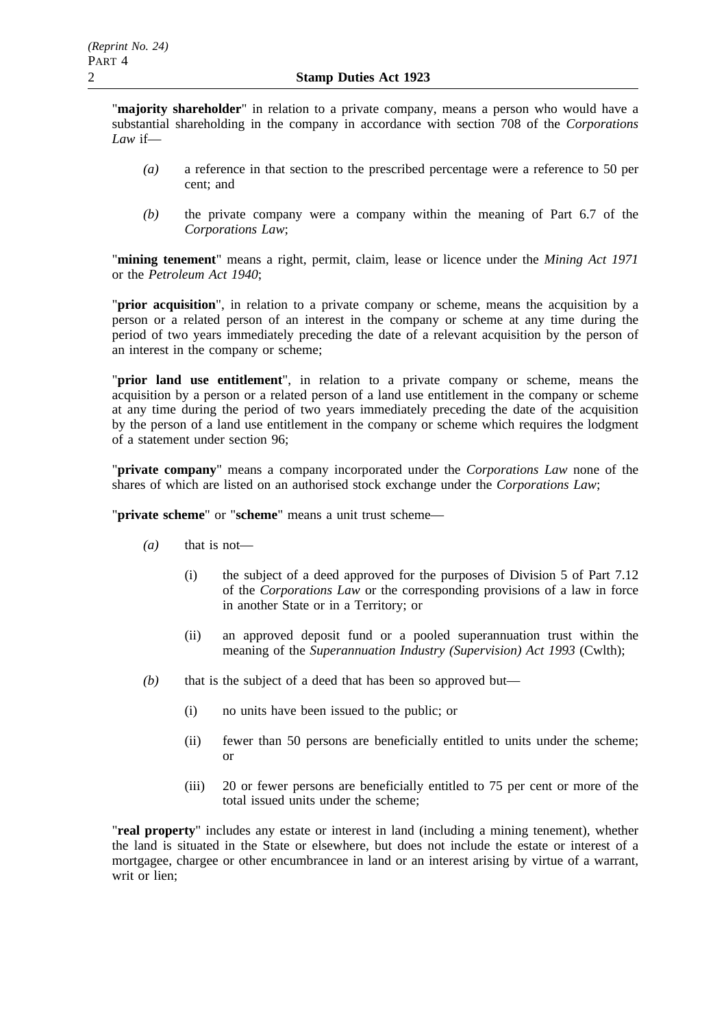"**majority shareholder**" in relation to a private company, means a person who would have a substantial shareholding in the company in accordance with section 708 of the *Corporations Law* if—

- *(a)* a reference in that section to the prescribed percentage were a reference to 50 per cent; and
- *(b)* the private company were a company within the meaning of Part 6.7 of the *Corporations Law*;

"**mining tenement**" means a right, permit, claim, lease or licence under the *Mining Act 1971* or the *Petroleum Act 1940*;

"**prior acquisition**", in relation to a private company or scheme, means the acquisition by a person or a related person of an interest in the company or scheme at any time during the period of two years immediately preceding the date of a relevant acquisition by the person of an interest in the company or scheme;

"**prior land use entitlement**", in relation to a private company or scheme, means the acquisition by a person or a related person of a land use entitlement in the company or scheme at any time during the period of two years immediately preceding the date of the acquisition by the person of a land use entitlement in the company or scheme which requires the lodgment of a statement under section 96;

"**private company**" means a company incorporated under the *Corporations Law* none of the shares of which are listed on an authorised stock exchange under the *Corporations Law*;

"**private scheme**" or "**scheme**" means a unit trust scheme—

- *(a)* that is not—
	- (i) the subject of a deed approved for the purposes of Division 5 of Part 7.12 of the *Corporations Law* or the corresponding provisions of a law in force in another State or in a Territory; or
	- (ii) an approved deposit fund or a pooled superannuation trust within the meaning of the *Superannuation Industry (Supervision) Act 1993* (Cwlth);
- *(b)* that is the subject of a deed that has been so approved but—
	- (i) no units have been issued to the public; or
	- (ii) fewer than 50 persons are beneficially entitled to units under the scheme; or
	- (iii) 20 or fewer persons are beneficially entitled to 75 per cent or more of the total issued units under the scheme;

"**real property**" includes any estate or interest in land (including a mining tenement), whether the land is situated in the State or elsewhere, but does not include the estate or interest of a mortgagee, chargee or other encumbrancee in land or an interest arising by virtue of a warrant, writ or lien;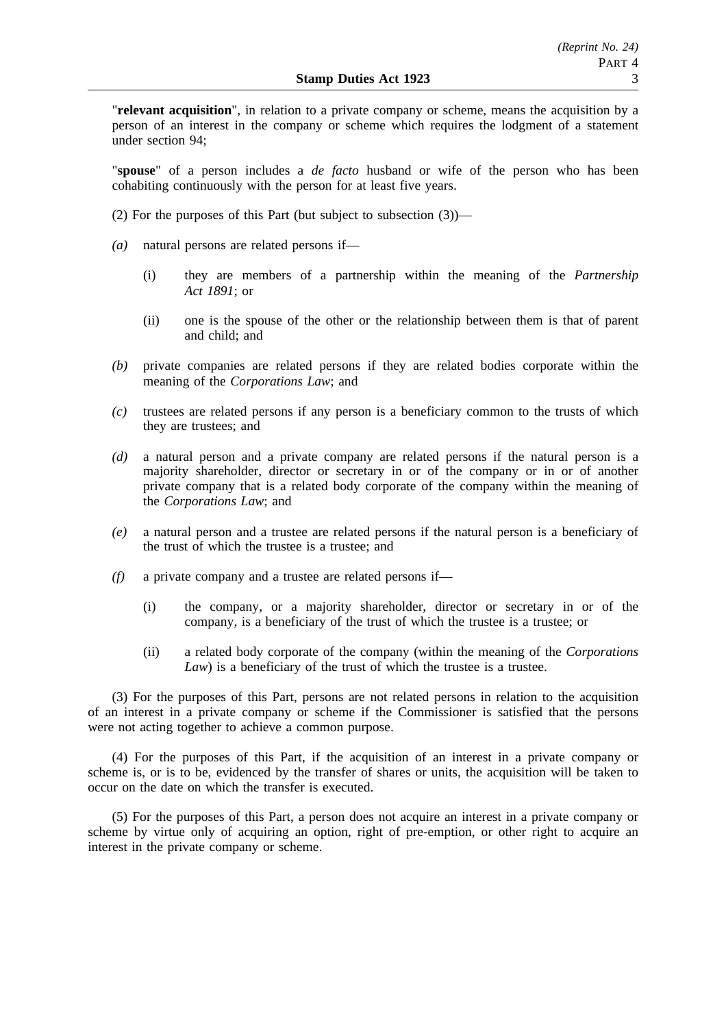"**relevant acquisition**", in relation to a private company or scheme, means the acquisition by a person of an interest in the company or scheme which requires the lodgment of a statement under section 94;

"**spouse**" of a person includes a *de facto* husband or wife of the person who has been cohabiting continuously with the person for at least five years.

- (2) For the purposes of this Part (but subject to subsection (3))—
- *(a)* natural persons are related persons if—
	- (i) they are members of a partnership within the meaning of the *Partnership Act 1891*; or
	- (ii) one is the spouse of the other or the relationship between them is that of parent and child; and
- *(b)* private companies are related persons if they are related bodies corporate within the meaning of the *Corporations Law*; and
- *(c)* trustees are related persons if any person is a beneficiary common to the trusts of which they are trustees; and
- *(d)* a natural person and a private company are related persons if the natural person is a majority shareholder, director or secretary in or of the company or in or of another private company that is a related body corporate of the company within the meaning of the *Corporations Law*; and
- *(e)* a natural person and a trustee are related persons if the natural person is a beneficiary of the trust of which the trustee is a trustee; and
- *(f)* a private company and a trustee are related persons if—
	- (i) the company, or a majority shareholder, director or secretary in or of the company, is a beneficiary of the trust of which the trustee is a trustee; or
	- (ii) a related body corporate of the company (within the meaning of the *Corporations Law*) is a beneficiary of the trust of which the trustee is a trustee.

(3) For the purposes of this Part, persons are not related persons in relation to the acquisition of an interest in a private company or scheme if the Commissioner is satisfied that the persons were not acting together to achieve a common purpose.

(4) For the purposes of this Part, if the acquisition of an interest in a private company or scheme is, or is to be, evidenced by the transfer of shares or units, the acquisition will be taken to occur on the date on which the transfer is executed.

(5) For the purposes of this Part, a person does not acquire an interest in a private company or scheme by virtue only of acquiring an option, right of pre-emption, or other right to acquire an interest in the private company or scheme.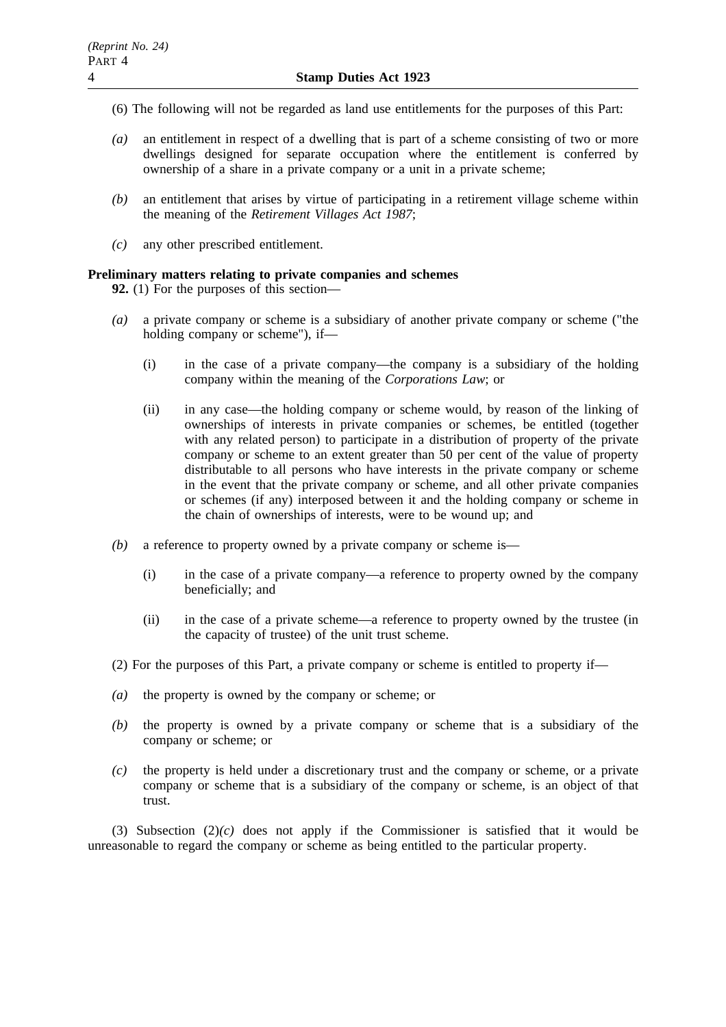- (6) The following will not be regarded as land use entitlements for the purposes of this Part:
- *(a)* an entitlement in respect of a dwelling that is part of a scheme consisting of two or more dwellings designed for separate occupation where the entitlement is conferred by ownership of a share in a private company or a unit in a private scheme;
- *(b)* an entitlement that arises by virtue of participating in a retirement village scheme within the meaning of the *Retirement Villages Act 1987*;
- *(c)* any other prescribed entitlement.

# **Preliminary matters relating to private companies and schemes**

**92.** (1) For the purposes of this section—

- *(a)* a private company or scheme is a subsidiary of another private company or scheme ("the holding company or scheme"), if—
	- (i) in the case of a private company—the company is a subsidiary of the holding company within the meaning of the *Corporations Law*; or
	- (ii) in any case—the holding company or scheme would, by reason of the linking of ownerships of interests in private companies or schemes, be entitled (together with any related person) to participate in a distribution of property of the private company or scheme to an extent greater than 50 per cent of the value of property distributable to all persons who have interests in the private company or scheme in the event that the private company or scheme, and all other private companies or schemes (if any) interposed between it and the holding company or scheme in the chain of ownerships of interests, were to be wound up; and
- *(b)* a reference to property owned by a private company or scheme is—
	- (i) in the case of a private company—a reference to property owned by the company beneficially; and
	- (ii) in the case of a private scheme—a reference to property owned by the trustee (in the capacity of trustee) of the unit trust scheme.
- (2) For the purposes of this Part, a private company or scheme is entitled to property if—
- *(a)* the property is owned by the company or scheme; or
- *(b)* the property is owned by a private company or scheme that is a subsidiary of the company or scheme; or
- *(c)* the property is held under a discretionary trust and the company or scheme, or a private company or scheme that is a subsidiary of the company or scheme, is an object of that trust.

(3) Subsection (2)*(c)* does not apply if the Commissioner is satisfied that it would be unreasonable to regard the company or scheme as being entitled to the particular property.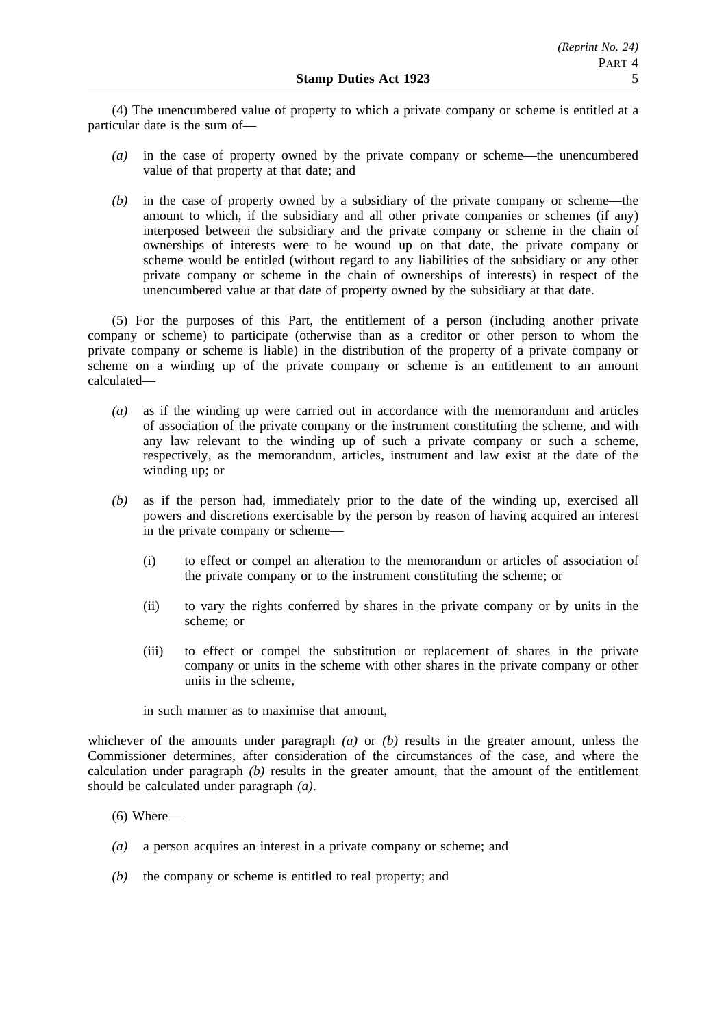(4) The unencumbered value of property to which a private company or scheme is entitled at a particular date is the sum of—

- *(a)* in the case of property owned by the private company or scheme—the unencumbered value of that property at that date; and
- *(b)* in the case of property owned by a subsidiary of the private company or scheme—the amount to which, if the subsidiary and all other private companies or schemes (if any) interposed between the subsidiary and the private company or scheme in the chain of ownerships of interests were to be wound up on that date, the private company or scheme would be entitled (without regard to any liabilities of the subsidiary or any other private company or scheme in the chain of ownerships of interests) in respect of the unencumbered value at that date of property owned by the subsidiary at that date.

(5) For the purposes of this Part, the entitlement of a person (including another private company or scheme) to participate (otherwise than as a creditor or other person to whom the private company or scheme is liable) in the distribution of the property of a private company or scheme on a winding up of the private company or scheme is an entitlement to an amount calculated—

- *(a)* as if the winding up were carried out in accordance with the memorandum and articles of association of the private company or the instrument constituting the scheme, and with any law relevant to the winding up of such a private company or such a scheme, respectively, as the memorandum, articles, instrument and law exist at the date of the winding up; or
- *(b)* as if the person had, immediately prior to the date of the winding up, exercised all powers and discretions exercisable by the person by reason of having acquired an interest in the private company or scheme—
	- (i) to effect or compel an alteration to the memorandum or articles of association of the private company or to the instrument constituting the scheme; or
	- (ii) to vary the rights conferred by shares in the private company or by units in the scheme; or
	- (iii) to effect or compel the substitution or replacement of shares in the private company or units in the scheme with other shares in the private company or other units in the scheme,

in such manner as to maximise that amount,

whichever of the amounts under paragraph *(a)* or *(b)* results in the greater amount, unless the Commissioner determines, after consideration of the circumstances of the case, and where the calculation under paragraph  $(b)$  results in the greater amount, that the amount of the entitlement should be calculated under paragraph *(a)*.

- $(6)$  Where—
- *(a)* a person acquires an interest in a private company or scheme; and
- *(b)* the company or scheme is entitled to real property; and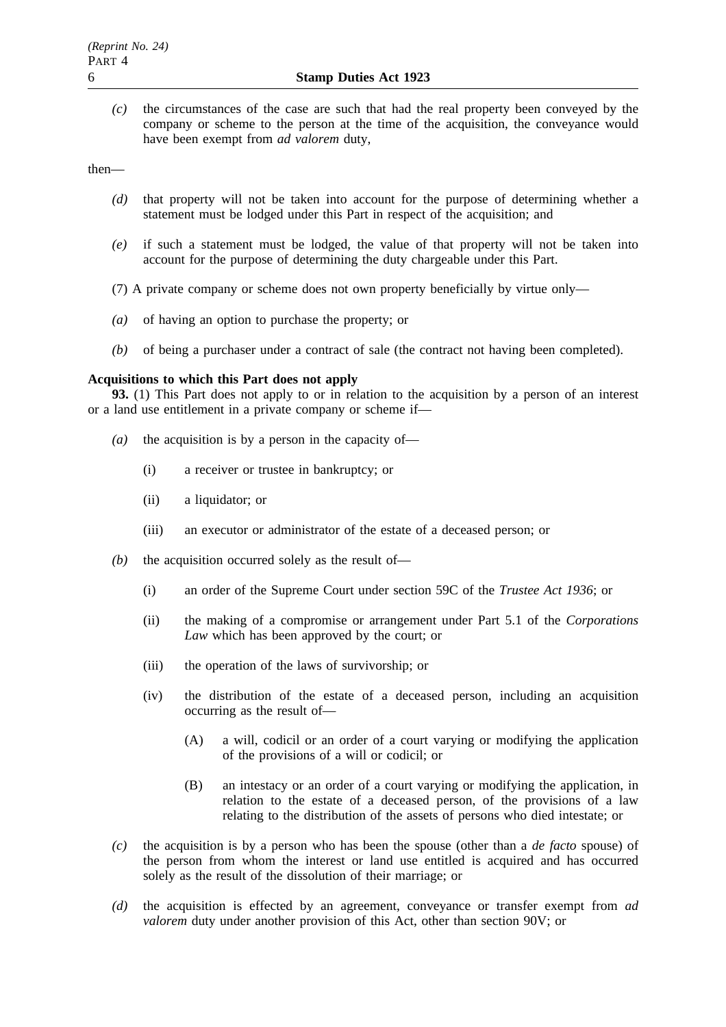*(c)* the circumstances of the case are such that had the real property been conveyed by the company or scheme to the person at the time of the acquisition, the conveyance would have been exempt from *ad valorem* duty,

then—

- *(d)* that property will not be taken into account for the purpose of determining whether a statement must be lodged under this Part in respect of the acquisition; and
- *(e)* if such a statement must be lodged, the value of that property will not be taken into account for the purpose of determining the duty chargeable under this Part.
- (7) A private company or scheme does not own property beneficially by virtue only—
- *(a)* of having an option to purchase the property; or
- *(b)* of being a purchaser under a contract of sale (the contract not having been completed).

### **Acquisitions to which this Part does not apply**

**93.** (1) This Part does not apply to or in relation to the acquisition by a person of an interest or a land use entitlement in a private company or scheme if—

- *(a)* the acquisition is by a person in the capacity of—
	- (i) a receiver or trustee in bankruptcy; or
	- (ii) a liquidator; or
	- (iii) an executor or administrator of the estate of a deceased person; or
- *(b)* the acquisition occurred solely as the result of—
	- (i) an order of the Supreme Court under section 59C of the *Trustee Act 1936*; or
	- (ii) the making of a compromise or arrangement under Part 5.1 of the *Corporations Law* which has been approved by the court; or
	- (iii) the operation of the laws of survivorship; or
	- (iv) the distribution of the estate of a deceased person, including an acquisition occurring as the result of—
		- (A) a will, codicil or an order of a court varying or modifying the application of the provisions of a will or codicil; or
		- (B) an intestacy or an order of a court varying or modifying the application, in relation to the estate of a deceased person, of the provisions of a law relating to the distribution of the assets of persons who died intestate; or
- *(c)* the acquisition is by a person who has been the spouse (other than a *de facto* spouse) of the person from whom the interest or land use entitled is acquired and has occurred solely as the result of the dissolution of their marriage; or
- *(d)* the acquisition is effected by an agreement, conveyance or transfer exempt from *ad valorem* duty under another provision of this Act, other than section 90V; or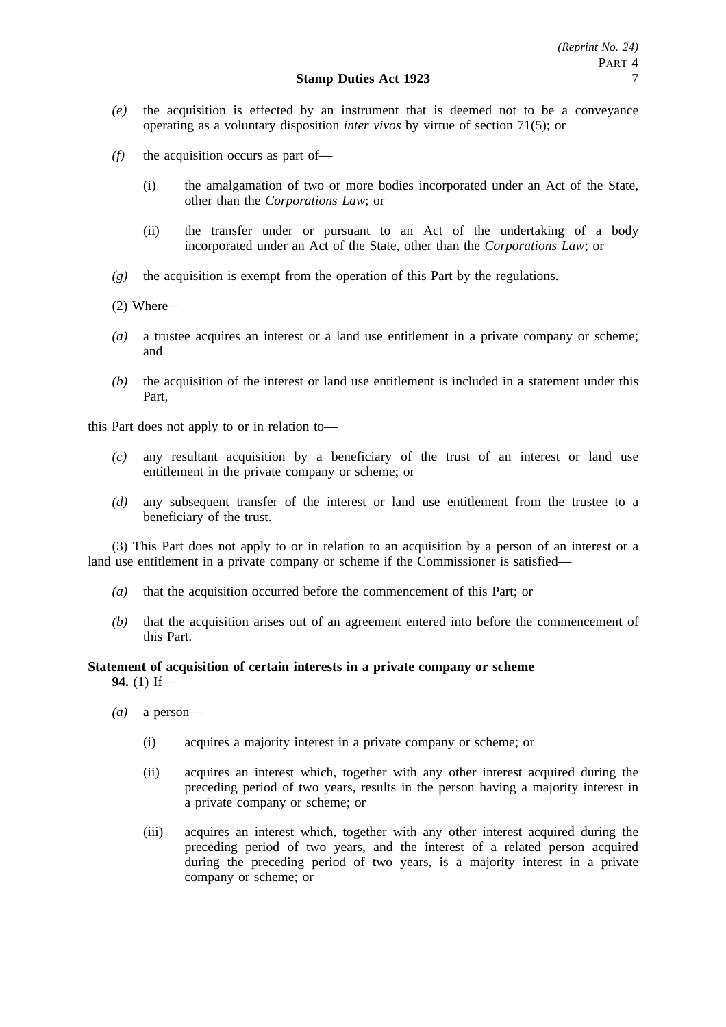- *(e)* the acquisition is effected by an instrument that is deemed not to be a conveyance operating as a voluntary disposition *inter vivos* by virtue of section 71(5); or
- *(f)* the acquisition occurs as part of—
	- (i) the amalgamation of two or more bodies incorporated under an Act of the State, other than the *Corporations Law*; or
	- (ii) the transfer under or pursuant to an Act of the undertaking of a body incorporated under an Act of the State, other than the *Corporations Law*; or
- *(g)* the acquisition is exempt from the operation of this Part by the regulations.
- (2) Where—
- *(a)* a trustee acquires an interest or a land use entitlement in a private company or scheme; and
- *(b)* the acquisition of the interest or land use entitlement is included in a statement under this Part,

this Part does not apply to or in relation to—

- *(c)* any resultant acquisition by a beneficiary of the trust of an interest or land use entitlement in the private company or scheme; or
- *(d)* any subsequent transfer of the interest or land use entitlement from the trustee to a beneficiary of the trust.

(3) This Part does not apply to or in relation to an acquisition by a person of an interest or a land use entitlement in a private company or scheme if the Commissioner is satisfied—

- *(a)* that the acquisition occurred before the commencement of this Part; or
- *(b)* that the acquisition arises out of an agreement entered into before the commencement of this Part.

## **Statement of acquisition of certain interests in a private company or scheme 94.** (1) If—

- *(a)* a person—
	- (i) acquires a majority interest in a private company or scheme; or
	- (ii) acquires an interest which, together with any other interest acquired during the preceding period of two years, results in the person having a majority interest in a private company or scheme; or
	- (iii) acquires an interest which, together with any other interest acquired during the preceding period of two years, and the interest of a related person acquired during the preceding period of two years, is a majority interest in a private company or scheme; or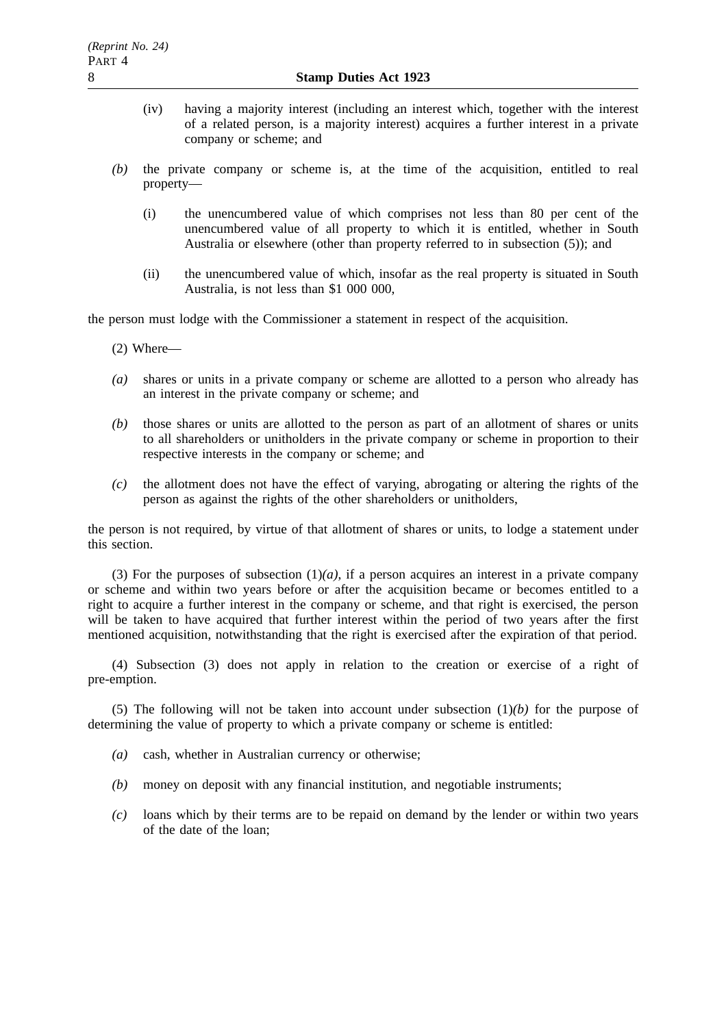- (iv) having a majority interest (including an interest which, together with the interest of a related person, is a majority interest) acquires a further interest in a private company or scheme; and
- *(b)* the private company or scheme is, at the time of the acquisition, entitled to real property—
	- (i) the unencumbered value of which comprises not less than 80 per cent of the unencumbered value of all property to which it is entitled, whether in South Australia or elsewhere (other than property referred to in subsection (5)); and
	- (ii) the unencumbered value of which, insofar as the real property is situated in South Australia, is not less than \$1 000 000,

the person must lodge with the Commissioner a statement in respect of the acquisition.

(2) Where—

- *(a)* shares or units in a private company or scheme are allotted to a person who already has an interest in the private company or scheme; and
- *(b)* those shares or units are allotted to the person as part of an allotment of shares or units to all shareholders or unitholders in the private company or scheme in proportion to their respective interests in the company or scheme; and
- *(c)* the allotment does not have the effect of varying, abrogating or altering the rights of the person as against the rights of the other shareholders or unitholders,

the person is not required, by virtue of that allotment of shares or units, to lodge a statement under this section.

(3) For the purposes of subsection  $(1)(a)$ , if a person acquires an interest in a private company or scheme and within two years before or after the acquisition became or becomes entitled to a right to acquire a further interest in the company or scheme, and that right is exercised, the person will be taken to have acquired that further interest within the period of two years after the first mentioned acquisition, notwithstanding that the right is exercised after the expiration of that period.

(4) Subsection (3) does not apply in relation to the creation or exercise of a right of pre-emption.

(5) The following will not be taken into account under subsection  $(1)(b)$  for the purpose of determining the value of property to which a private company or scheme is entitled:

- *(a)* cash, whether in Australian currency or otherwise;
- *(b)* money on deposit with any financial institution, and negotiable instruments;
- *(c)* loans which by their terms are to be repaid on demand by the lender or within two years of the date of the loan;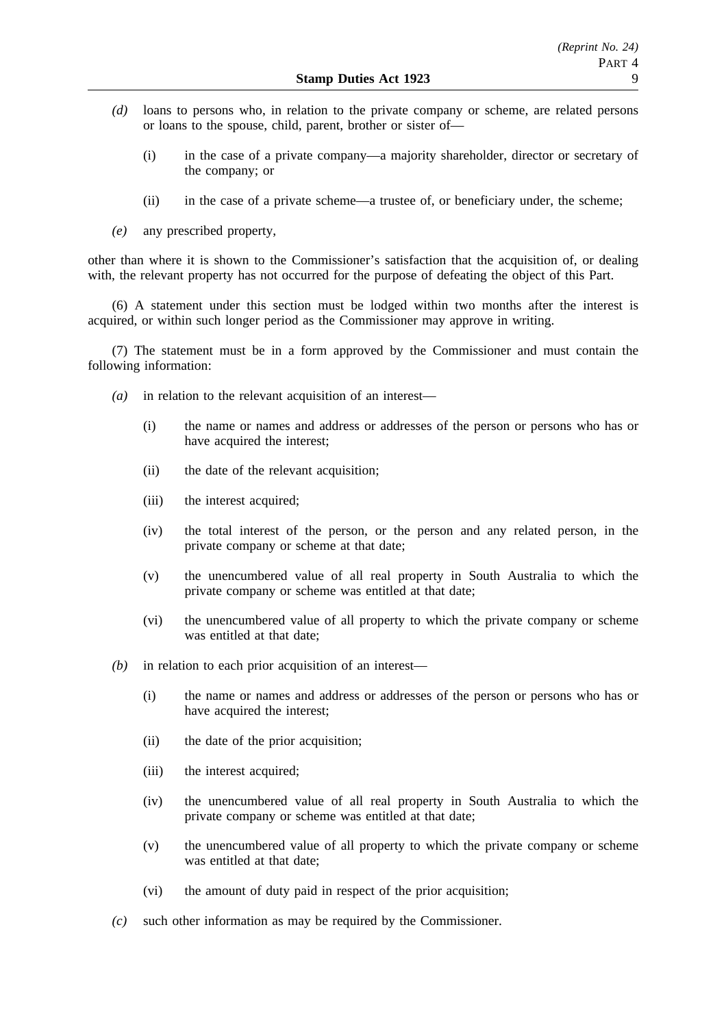- *(d)* loans to persons who, in relation to the private company or scheme, are related persons or loans to the spouse, child, parent, brother or sister of—
	- (i) in the case of a private company—a majority shareholder, director or secretary of the company; or
	- (ii) in the case of a private scheme—a trustee of, or beneficiary under, the scheme;
- *(e)* any prescribed property,

other than where it is shown to the Commissioner's satisfaction that the acquisition of, or dealing with, the relevant property has not occurred for the purpose of defeating the object of this Part.

(6) A statement under this section must be lodged within two months after the interest is acquired, or within such longer period as the Commissioner may approve in writing.

(7) The statement must be in a form approved by the Commissioner and must contain the following information:

- *(a)* in relation to the relevant acquisition of an interest—
	- (i) the name or names and address or addresses of the person or persons who has or have acquired the interest;
	- (ii) the date of the relevant acquisition;
	- (iii) the interest acquired;
	- (iv) the total interest of the person, or the person and any related person, in the private company or scheme at that date;
	- (v) the unencumbered value of all real property in South Australia to which the private company or scheme was entitled at that date;
	- (vi) the unencumbered value of all property to which the private company or scheme was entitled at that date;
- *(b)* in relation to each prior acquisition of an interest—
	- (i) the name or names and address or addresses of the person or persons who has or have acquired the interest;
	- (ii) the date of the prior acquisition;
	- (iii) the interest acquired;
	- (iv) the unencumbered value of all real property in South Australia to which the private company or scheme was entitled at that date;
	- (v) the unencumbered value of all property to which the private company or scheme was entitled at that date;
	- (vi) the amount of duty paid in respect of the prior acquisition;
- *(c)* such other information as may be required by the Commissioner.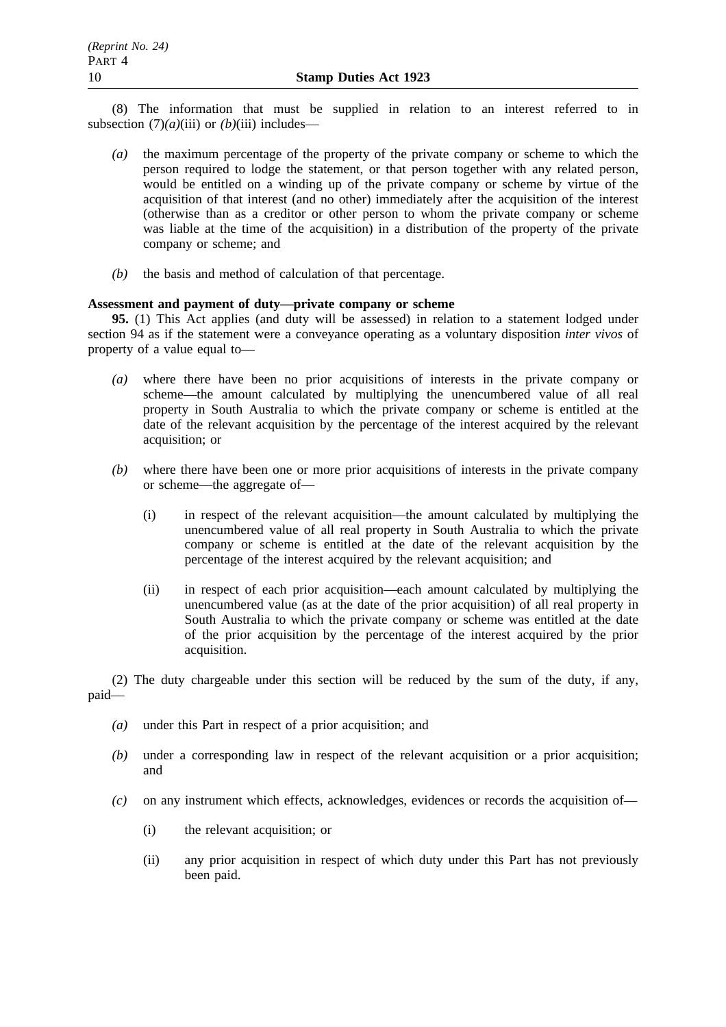(8) The information that must be supplied in relation to an interest referred to in subsection  $(7)(a)$ (iii) or  $(b)$ (iii) includes—

- *(a)* the maximum percentage of the property of the private company or scheme to which the person required to lodge the statement, or that person together with any related person, would be entitled on a winding up of the private company or scheme by virtue of the acquisition of that interest (and no other) immediately after the acquisition of the interest (otherwise than as a creditor or other person to whom the private company or scheme was liable at the time of the acquisition) in a distribution of the property of the private company or scheme; and
- *(b)* the basis and method of calculation of that percentage.

# **Assessment and payment of duty—private company or scheme**

**95.** (1) This Act applies (and duty will be assessed) in relation to a statement lodged under section 94 as if the statement were a conveyance operating as a voluntary disposition *inter vivos* of property of a value equal to—

- *(a)* where there have been no prior acquisitions of interests in the private company or scheme—the amount calculated by multiplying the unencumbered value of all real property in South Australia to which the private company or scheme is entitled at the date of the relevant acquisition by the percentage of the interest acquired by the relevant acquisition; or
- *(b)* where there have been one or more prior acquisitions of interests in the private company or scheme—the aggregate of—
	- (i) in respect of the relevant acquisition—the amount calculated by multiplying the unencumbered value of all real property in South Australia to which the private company or scheme is entitled at the date of the relevant acquisition by the percentage of the interest acquired by the relevant acquisition; and
	- (ii) in respect of each prior acquisition—each amount calculated by multiplying the unencumbered value (as at the date of the prior acquisition) of all real property in South Australia to which the private company or scheme was entitled at the date of the prior acquisition by the percentage of the interest acquired by the prior acquisition.

(2) The duty chargeable under this section will be reduced by the sum of the duty, if any, paid—

- *(a)* under this Part in respect of a prior acquisition; and
- *(b)* under a corresponding law in respect of the relevant acquisition or a prior acquisition; and
- *(c)* on any instrument which effects, acknowledges, evidences or records the acquisition of—
	- (i) the relevant acquisition; or
	- (ii) any prior acquisition in respect of which duty under this Part has not previously been paid.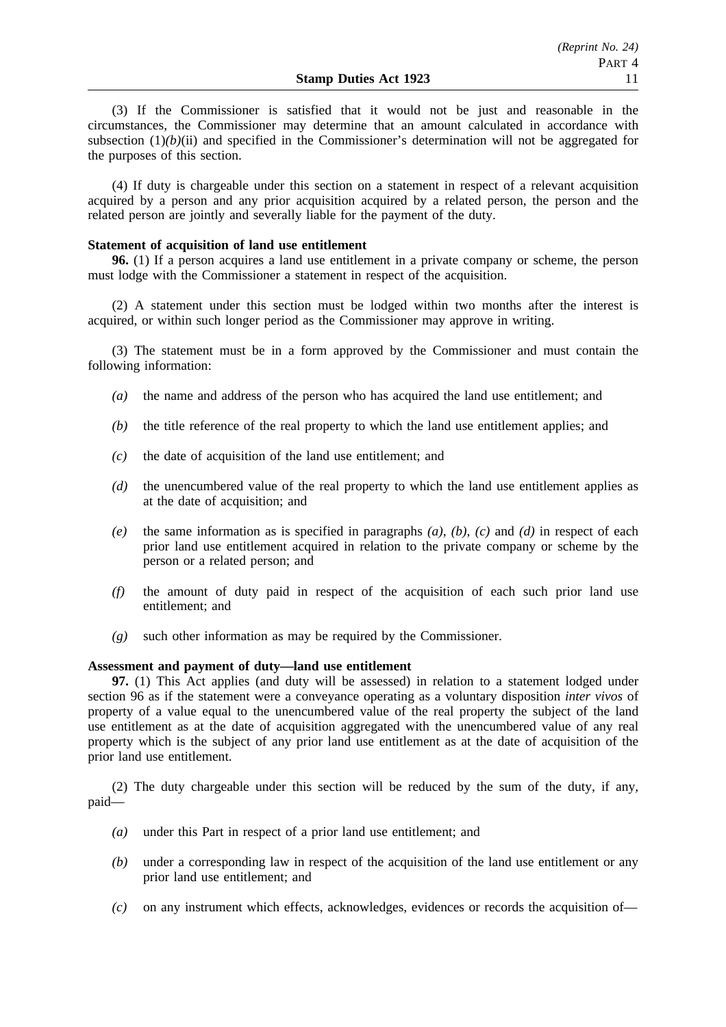(3) If the Commissioner is satisfied that it would not be just and reasonable in the circumstances, the Commissioner may determine that an amount calculated in accordance with subsection  $(1)(b)(ii)$  and specified in the Commissioner's determination will not be aggregated for the purposes of this section.

(4) If duty is chargeable under this section on a statement in respect of a relevant acquisition acquired by a person and any prior acquisition acquired by a related person, the person and the related person are jointly and severally liable for the payment of the duty.

### **Statement of acquisition of land use entitlement**

**96.** (1) If a person acquires a land use entitlement in a private company or scheme, the person must lodge with the Commissioner a statement in respect of the acquisition.

(2) A statement under this section must be lodged within two months after the interest is acquired, or within such longer period as the Commissioner may approve in writing.

(3) The statement must be in a form approved by the Commissioner and must contain the following information:

- *(a)* the name and address of the person who has acquired the land use entitlement; and
- *(b)* the title reference of the real property to which the land use entitlement applies; and
- *(c)* the date of acquisition of the land use entitlement; and
- *(d)* the unencumbered value of the real property to which the land use entitlement applies as at the date of acquisition; and
- *(e)* the same information as is specified in paragraphs *(a)*, *(b)*, *(c)* and *(d)* in respect of each prior land use entitlement acquired in relation to the private company or scheme by the person or a related person; and
- *(f)* the amount of duty paid in respect of the acquisition of each such prior land use entitlement; and
- *(g)* such other information as may be required by the Commissioner.

### **Assessment and payment of duty—land use entitlement**

**97.** (1) This Act applies (and duty will be assessed) in relation to a statement lodged under section 96 as if the statement were a conveyance operating as a voluntary disposition *inter vivos* of property of a value equal to the unencumbered value of the real property the subject of the land use entitlement as at the date of acquisition aggregated with the unencumbered value of any real property which is the subject of any prior land use entitlement as at the date of acquisition of the prior land use entitlement.

(2) The duty chargeable under this section will be reduced by the sum of the duty, if any, paid—

- *(a)* under this Part in respect of a prior land use entitlement; and
- *(b)* under a corresponding law in respect of the acquisition of the land use entitlement or any prior land use entitlement; and
- *(c)* on any instrument which effects, acknowledges, evidences or records the acquisition of—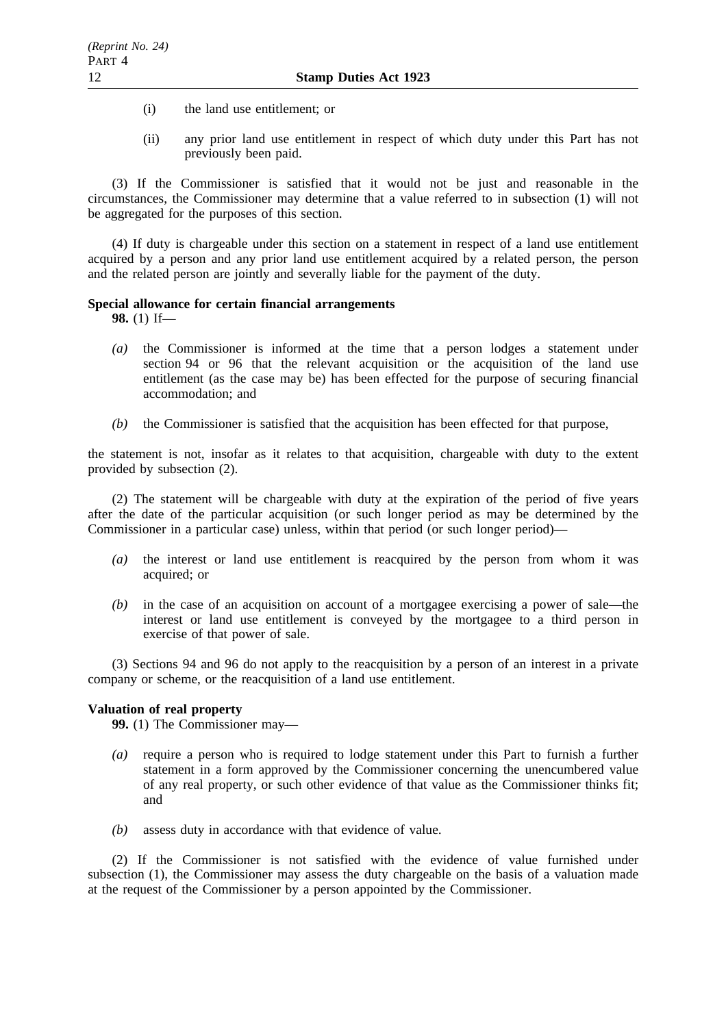- (i) the land use entitlement; or
- (ii) any prior land use entitlement in respect of which duty under this Part has not previously been paid.

(3) If the Commissioner is satisfied that it would not be just and reasonable in the circumstances, the Commissioner may determine that a value referred to in subsection (1) will not be aggregated for the purposes of this section.

(4) If duty is chargeable under this section on a statement in respect of a land use entitlement acquired by a person and any prior land use entitlement acquired by a related person, the person and the related person are jointly and severally liable for the payment of the duty.

# **Special allowance for certain financial arrangements**

**98.** (1) If—

- *(a)* the Commissioner is informed at the time that a person lodges a statement under section 94 or 96 that the relevant acquisition or the acquisition of the land use entitlement (as the case may be) has been effected for the purpose of securing financial accommodation; and
- *(b)* the Commissioner is satisfied that the acquisition has been effected for that purpose,

the statement is not, insofar as it relates to that acquisition, chargeable with duty to the extent provided by subsection (2).

(2) The statement will be chargeable with duty at the expiration of the period of five years after the date of the particular acquisition (or such longer period as may be determined by the Commissioner in a particular case) unless, within that period (or such longer period)—

- *(a)* the interest or land use entitlement is reacquired by the person from whom it was acquired; or
- *(b)* in the case of an acquisition on account of a mortgagee exercising a power of sale—the interest or land use entitlement is conveyed by the mortgagee to a third person in exercise of that power of sale.

(3) Sections 94 and 96 do not apply to the reacquisition by a person of an interest in a private company or scheme, or the reacquisition of a land use entitlement.

# **Valuation of real property**

**99.** (1) The Commissioner may—

- *(a)* require a person who is required to lodge statement under this Part to furnish a further statement in a form approved by the Commissioner concerning the unencumbered value of any real property, or such other evidence of that value as the Commissioner thinks fit; and
- *(b)* assess duty in accordance with that evidence of value.

(2) If the Commissioner is not satisfied with the evidence of value furnished under subsection (1), the Commissioner may assess the duty chargeable on the basis of a valuation made at the request of the Commissioner by a person appointed by the Commissioner.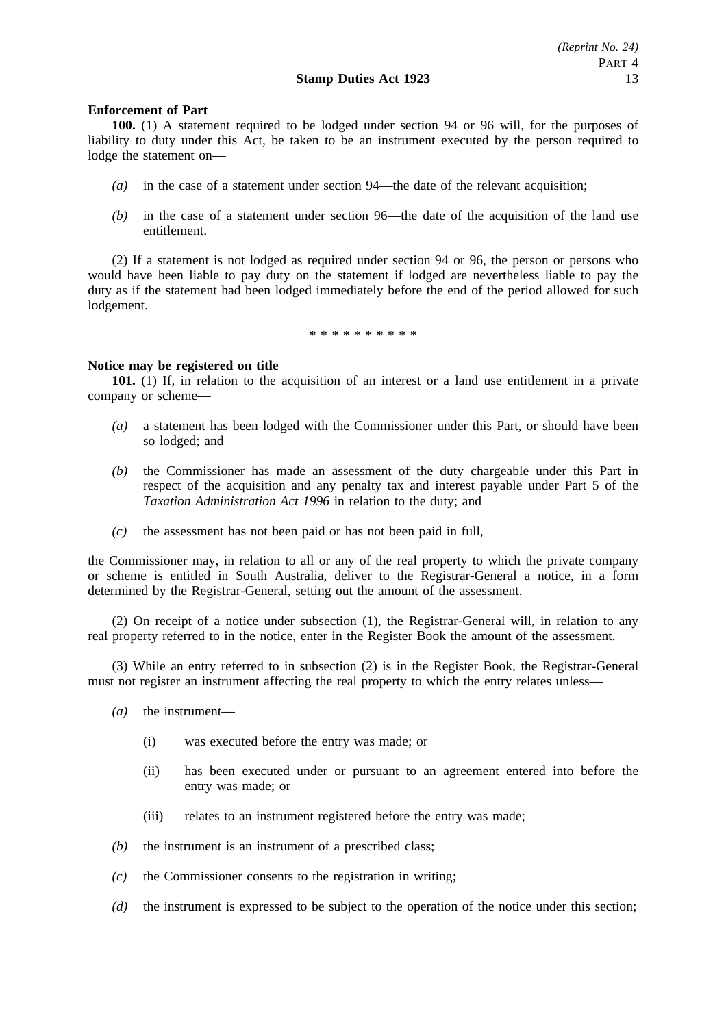### **Enforcement of Part**

**100.** (1) A statement required to be lodged under section 94 or 96 will, for the purposes of liability to duty under this Act, be taken to be an instrument executed by the person required to lodge the statement on—

- *(a)* in the case of a statement under section 94—the date of the relevant acquisition;
- *(b)* in the case of a statement under section 96—the date of the acquisition of the land use entitlement.

(2) If a statement is not lodged as required under section 94 or 96, the person or persons who would have been liable to pay duty on the statement if lodged are nevertheless liable to pay the duty as if the statement had been lodged immediately before the end of the period allowed for such lodgement.

\*\*\*\*\*\*\*\*\*\*

#### **Notice may be registered on title**

**101.** (1) If, in relation to the acquisition of an interest or a land use entitlement in a private company or scheme—

- *(a)* a statement has been lodged with the Commissioner under this Part, or should have been so lodged; and
- *(b)* the Commissioner has made an assessment of the duty chargeable under this Part in respect of the acquisition and any penalty tax and interest payable under Part 5 of the *Taxation Administration Act 1996* in relation to the duty; and
- *(c)* the assessment has not been paid or has not been paid in full,

the Commissioner may, in relation to all or any of the real property to which the private company or scheme is entitled in South Australia, deliver to the Registrar-General a notice, in a form determined by the Registrar-General, setting out the amount of the assessment.

(2) On receipt of a notice under subsection (1), the Registrar-General will, in relation to any real property referred to in the notice, enter in the Register Book the amount of the assessment.

(3) While an entry referred to in subsection (2) is in the Register Book, the Registrar-General must not register an instrument affecting the real property to which the entry relates unless—

- *(a)* the instrument—
	- (i) was executed before the entry was made; or
	- (ii) has been executed under or pursuant to an agreement entered into before the entry was made; or
	- (iii) relates to an instrument registered before the entry was made;
- *(b)* the instrument is an instrument of a prescribed class;
- *(c)* the Commissioner consents to the registration in writing;
- *(d)* the instrument is expressed to be subject to the operation of the notice under this section;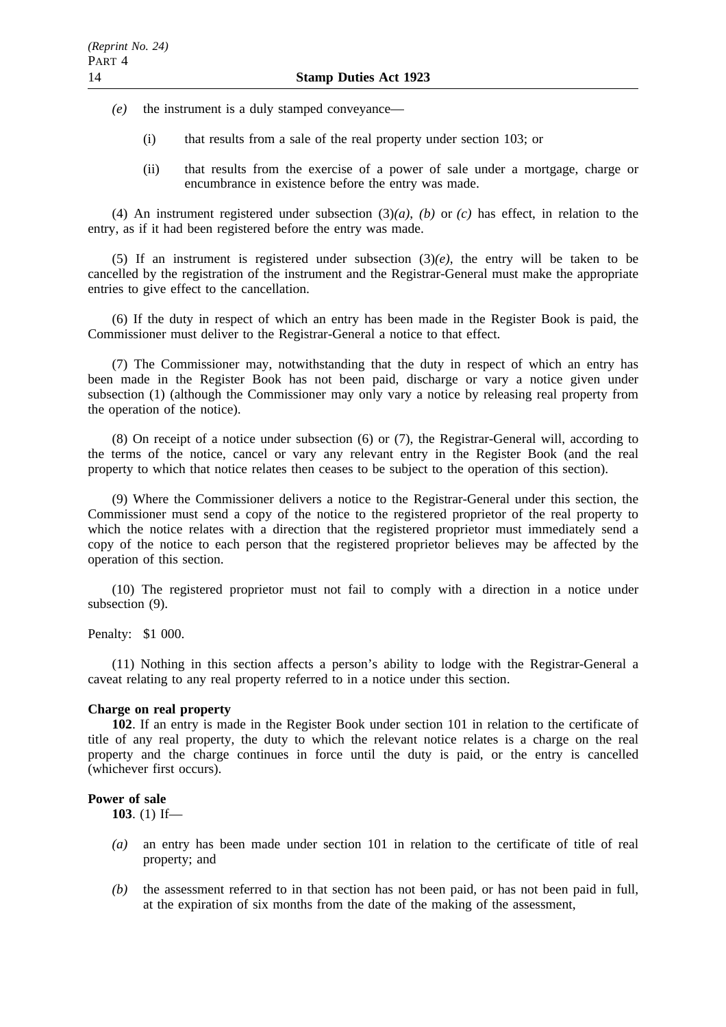- *(e)* the instrument is a duly stamped conveyance—
	- (i) that results from a sale of the real property under section 103; or
	- (ii) that results from the exercise of a power of sale under a mortgage, charge or encumbrance in existence before the entry was made.

(4) An instrument registered under subsection (3)*(a)*, *(b)* or *(c)* has effect, in relation to the entry, as if it had been registered before the entry was made.

(5) If an instrument is registered under subsection (3)*(e)*, the entry will be taken to be cancelled by the registration of the instrument and the Registrar-General must make the appropriate entries to give effect to the cancellation.

(6) If the duty in respect of which an entry has been made in the Register Book is paid, the Commissioner must deliver to the Registrar-General a notice to that effect.

(7) The Commissioner may, notwithstanding that the duty in respect of which an entry has been made in the Register Book has not been paid, discharge or vary a notice given under subsection (1) (although the Commissioner may only vary a notice by releasing real property from the operation of the notice).

(8) On receipt of a notice under subsection (6) or (7), the Registrar-General will, according to the terms of the notice, cancel or vary any relevant entry in the Register Book (and the real property to which that notice relates then ceases to be subject to the operation of this section).

(9) Where the Commissioner delivers a notice to the Registrar-General under this section, the Commissioner must send a copy of the notice to the registered proprietor of the real property to which the notice relates with a direction that the registered proprietor must immediately send a copy of the notice to each person that the registered proprietor believes may be affected by the operation of this section.

(10) The registered proprietor must not fail to comply with a direction in a notice under subsection (9).

Penalty: \$1 000.

(11) Nothing in this section affects a person's ability to lodge with the Registrar-General a caveat relating to any real property referred to in a notice under this section.

# **Charge on real property**

**102**. If an entry is made in the Register Book under section 101 in relation to the certificate of title of any real property, the duty to which the relevant notice relates is a charge on the real property and the charge continues in force until the duty is paid, or the entry is cancelled (whichever first occurs).

## **Power of sale**

**103**. (1) If—

- *(a)* an entry has been made under section 101 in relation to the certificate of title of real property; and
- *(b)* the assessment referred to in that section has not been paid, or has not been paid in full, at the expiration of six months from the date of the making of the assessment,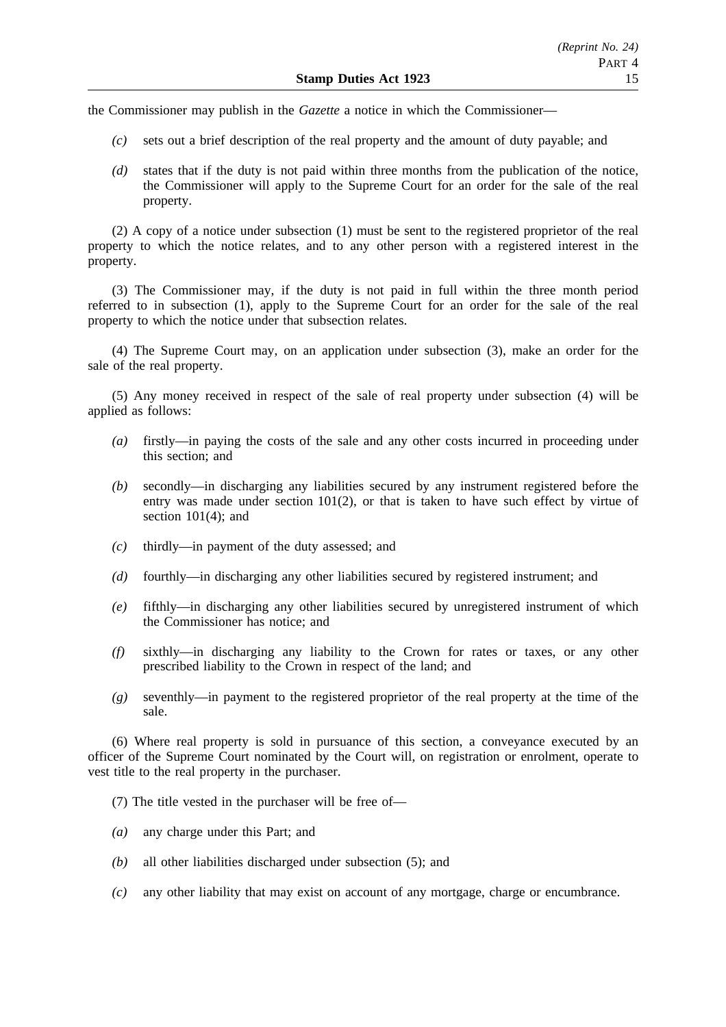the Commissioner may publish in the *Gazette* a notice in which the Commissioner—

- *(c)* sets out a brief description of the real property and the amount of duty payable; and
- *(d)* states that if the duty is not paid within three months from the publication of the notice, the Commissioner will apply to the Supreme Court for an order for the sale of the real property.

(2) A copy of a notice under subsection (1) must be sent to the registered proprietor of the real property to which the notice relates, and to any other person with a registered interest in the property.

(3) The Commissioner may, if the duty is not paid in full within the three month period referred to in subsection (1), apply to the Supreme Court for an order for the sale of the real property to which the notice under that subsection relates.

(4) The Supreme Court may, on an application under subsection (3), make an order for the sale of the real property.

(5) Any money received in respect of the sale of real property under subsection (4) will be applied as follows:

- *(a)* firstly—in paying the costs of the sale and any other costs incurred in proceeding under this section; and
- *(b)* secondly—in discharging any liabilities secured by any instrument registered before the entry was made under section 101(2), or that is taken to have such effect by virtue of section  $101(4)$ ; and
- *(c)* thirdly—in payment of the duty assessed; and
- *(d)* fourthly—in discharging any other liabilities secured by registered instrument; and
- *(e)* fifthly—in discharging any other liabilities secured by unregistered instrument of which the Commissioner has notice; and
- *(f)* sixthly—in discharging any liability to the Crown for rates or taxes, or any other prescribed liability to the Crown in respect of the land; and
- *(g)* seventhly—in payment to the registered proprietor of the real property at the time of the sale.

(6) Where real property is sold in pursuance of this section, a conveyance executed by an officer of the Supreme Court nominated by the Court will, on registration or enrolment, operate to vest title to the real property in the purchaser.

(7) The title vested in the purchaser will be free of—

- *(a)* any charge under this Part; and
- *(b)* all other liabilities discharged under subsection (5); and
- *(c)* any other liability that may exist on account of any mortgage, charge or encumbrance.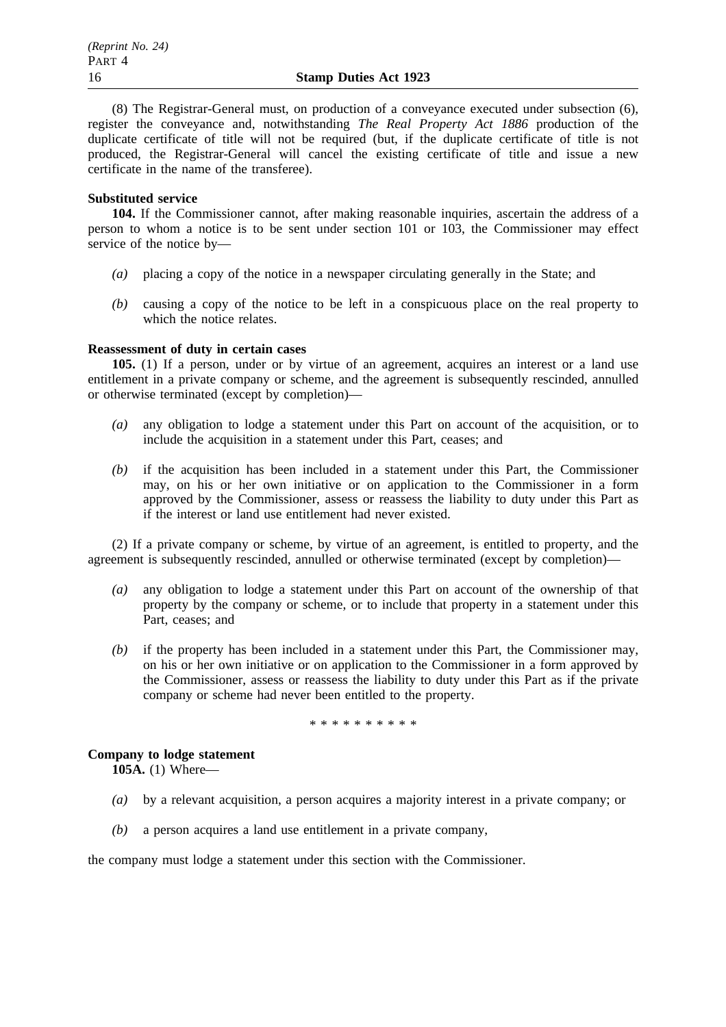(8) The Registrar-General must, on production of a conveyance executed under subsection (6), register the conveyance and, notwithstanding *The Real Property Act 1886* production of the duplicate certificate of title will not be required (but, if the duplicate certificate of title is not produced, the Registrar-General will cancel the existing certificate of title and issue a new certificate in the name of the transferee).

#### **Substituted service**

**104.** If the Commissioner cannot, after making reasonable inquiries, ascertain the address of a person to whom a notice is to be sent under section 101 or 103, the Commissioner may effect service of the notice by—

- *(a)* placing a copy of the notice in a newspaper circulating generally in the State; and
- *(b)* causing a copy of the notice to be left in a conspicuous place on the real property to which the notice relates.

#### **Reassessment of duty in certain cases**

**105.** (1) If a person, under or by virtue of an agreement, acquires an interest or a land use entitlement in a private company or scheme, and the agreement is subsequently rescinded, annulled or otherwise terminated (except by completion)—

- *(a)* any obligation to lodge a statement under this Part on account of the acquisition, or to include the acquisition in a statement under this Part, ceases; and
- *(b)* if the acquisition has been included in a statement under this Part, the Commissioner may, on his or her own initiative or on application to the Commissioner in a form approved by the Commissioner, assess or reassess the liability to duty under this Part as if the interest or land use entitlement had never existed.

(2) If a private company or scheme, by virtue of an agreement, is entitled to property, and the agreement is subsequently rescinded, annulled or otherwise terminated (except by completion)—

- *(a)* any obligation to lodge a statement under this Part on account of the ownership of that property by the company or scheme, or to include that property in a statement under this Part, ceases; and
- *(b)* if the property has been included in a statement under this Part, the Commissioner may, on his or her own initiative or on application to the Commissioner in a form approved by the Commissioner, assess or reassess the liability to duty under this Part as if the private company or scheme had never been entitled to the property.

\*\*\*\*\*\*\*\*\*\*

# **Company to lodge statement**

**105A.** (1) Where—

- *(a)* by a relevant acquisition, a person acquires a majority interest in a private company; or
- *(b)* a person acquires a land use entitlement in a private company,

the company must lodge a statement under this section with the Commissioner.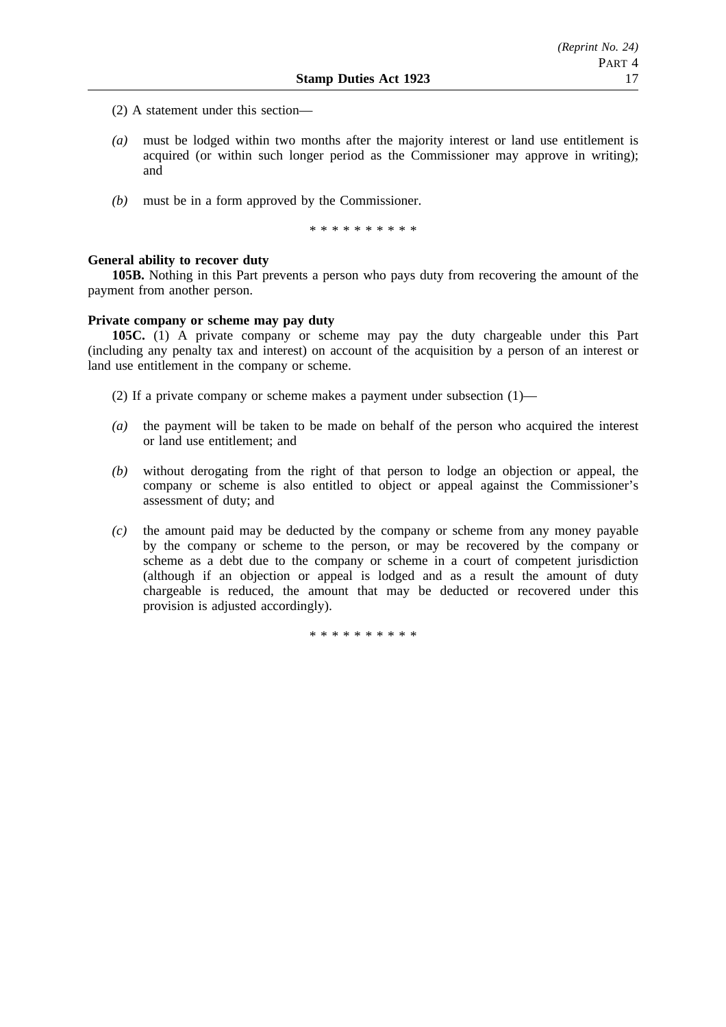- (2) A statement under this section—
- *(a)* must be lodged within two months after the majority interest or land use entitlement is acquired (or within such longer period as the Commissioner may approve in writing); and
- *(b)* must be in a form approved by the Commissioner.

\* \* \* \* \* \* \* \* \*

# **General ability to recover duty**

**105B.** Nothing in this Part prevents a person who pays duty from recovering the amount of the payment from another person.

### **Private company or scheme may pay duty**

**105C.** (1) A private company or scheme may pay the duty chargeable under this Part (including any penalty tax and interest) on account of the acquisition by a person of an interest or land use entitlement in the company or scheme.

(2) If a private company or scheme makes a payment under subsection  $(1)$ —

- *(a)* the payment will be taken to be made on behalf of the person who acquired the interest or land use entitlement; and
- *(b)* without derogating from the right of that person to lodge an objection or appeal, the company or scheme is also entitled to object or appeal against the Commissioner's assessment of duty; and
- *(c)* the amount paid may be deducted by the company or scheme from any money payable by the company or scheme to the person, or may be recovered by the company or scheme as a debt due to the company or scheme in a court of competent jurisdiction (although if an objection or appeal is lodged and as a result the amount of duty chargeable is reduced, the amount that may be deducted or recovered under this provision is adjusted accordingly).

\*\*\*\*\*\*\*\*\*\*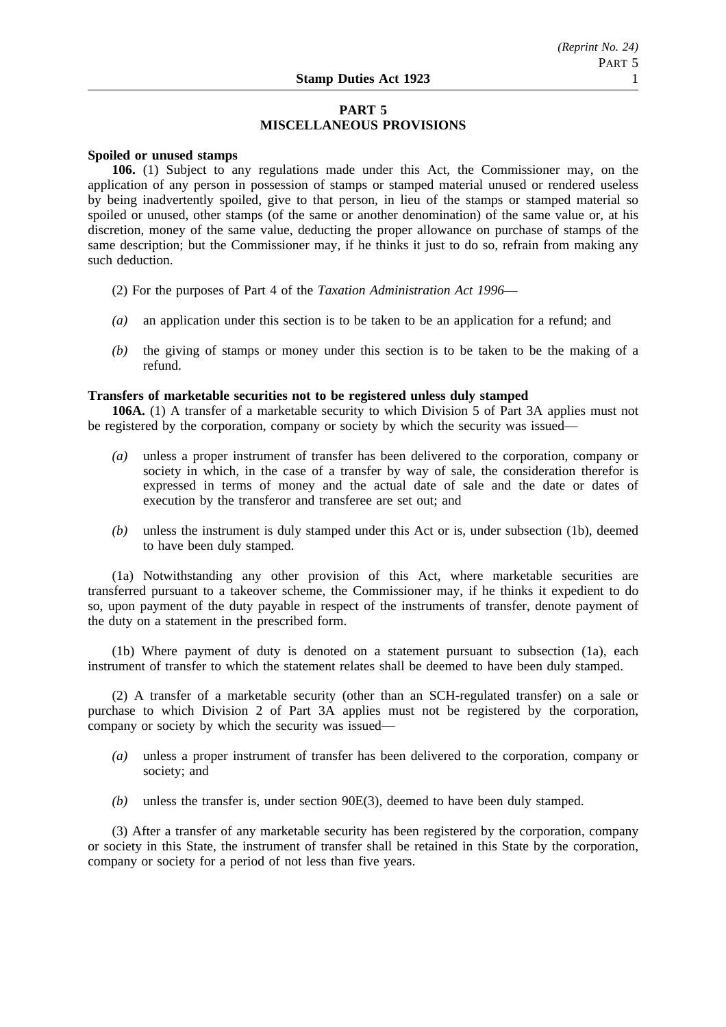# **PART 5 MISCELLANEOUS PROVISIONS**

#### **Spoiled or unused stamps**

**106.** (1) Subject to any regulations made under this Act, the Commissioner may, on the application of any person in possession of stamps or stamped material unused or rendered useless by being inadvertently spoiled, give to that person, in lieu of the stamps or stamped material so spoiled or unused, other stamps (of the same or another denomination) of the same value or, at his discretion, money of the same value, deducting the proper allowance on purchase of stamps of the same description; but the Commissioner may, if he thinks it just to do so, refrain from making any such deduction.

- (2) For the purposes of Part 4 of the *Taxation Administration Act 1996*—
- *(a)* an application under this section is to be taken to be an application for a refund; and
- *(b)* the giving of stamps or money under this section is to be taken to be the making of a refund.

# **Transfers of marketable securities not to be registered unless duly stamped**

**106A.** (1) A transfer of a marketable security to which Division 5 of Part 3A applies must not be registered by the corporation, company or society by which the security was issued—

- *(a)* unless a proper instrument of transfer has been delivered to the corporation, company or society in which, in the case of a transfer by way of sale, the consideration therefor is expressed in terms of money and the actual date of sale and the date or dates of execution by the transferor and transferee are set out; and
- *(b)* unless the instrument is duly stamped under this Act or is, under subsection (1b), deemed to have been duly stamped.

(1a) Notwithstanding any other provision of this Act, where marketable securities are transferred pursuant to a takeover scheme, the Commissioner may, if he thinks it expedient to do so, upon payment of the duty payable in respect of the instruments of transfer, denote payment of the duty on a statement in the prescribed form.

(1b) Where payment of duty is denoted on a statement pursuant to subsection (1a), each instrument of transfer to which the statement relates shall be deemed to have been duly stamped.

(2) A transfer of a marketable security (other than an SCH-regulated transfer) on a sale or purchase to which Division 2 of Part 3A applies must not be registered by the corporation, company or society by which the security was issued—

- *(a)* unless a proper instrument of transfer has been delivered to the corporation, company or society; and
- *(b)* unless the transfer is, under section 90E(3), deemed to have been duly stamped.

(3) After a transfer of any marketable security has been registered by the corporation, company or society in this State, the instrument of transfer shall be retained in this State by the corporation, company or society for a period of not less than five years.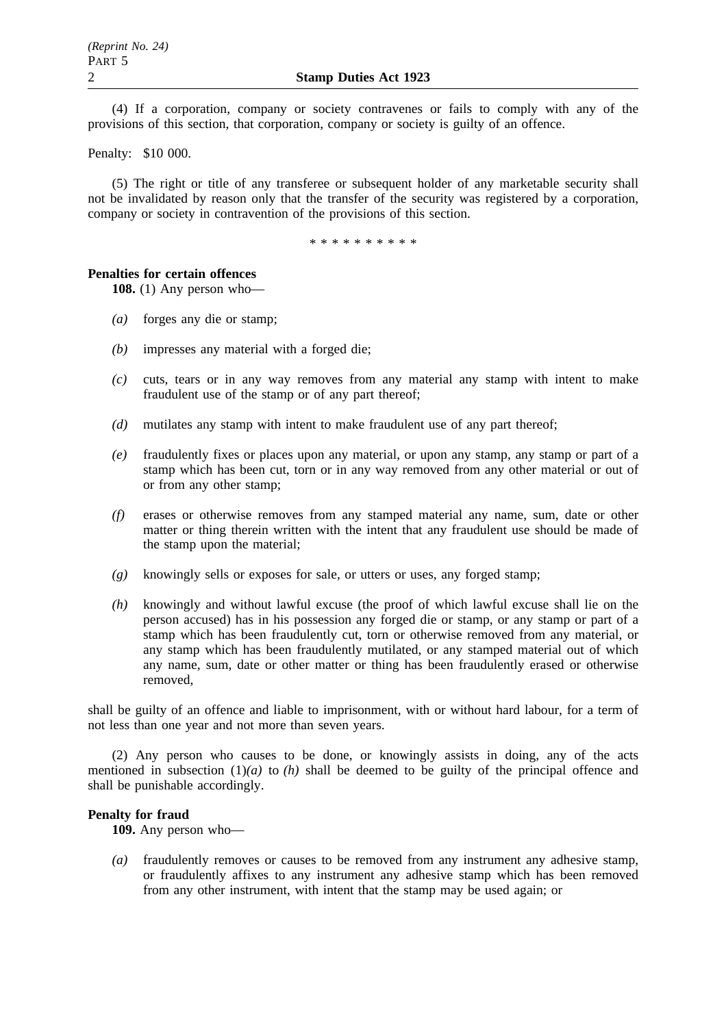(4) If a corporation, company or society contravenes or fails to comply with any of the provisions of this section, that corporation, company or society is guilty of an offence.

Penalty: \$10 000.

(5) The right or title of any transferee or subsequent holder of any marketable security shall not be invalidated by reason only that the transfer of the security was registered by a corporation, company or society in contravention of the provisions of this section.

\*\*\*\*\*\*\*\*\*\*

#### **Penalties for certain offences**

**108.** (1) Any person who—

- *(a)* forges any die or stamp;
- *(b)* impresses any material with a forged die;
- *(c)* cuts, tears or in any way removes from any material any stamp with intent to make fraudulent use of the stamp or of any part thereof;
- *(d)* mutilates any stamp with intent to make fraudulent use of any part thereof;
- *(e)* fraudulently fixes or places upon any material, or upon any stamp, any stamp or part of a stamp which has been cut, torn or in any way removed from any other material or out of or from any other stamp;
- *(f)* erases or otherwise removes from any stamped material any name, sum, date or other matter or thing therein written with the intent that any fraudulent use should be made of the stamp upon the material;
- *(g)* knowingly sells or exposes for sale, or utters or uses, any forged stamp;
- *(h)* knowingly and without lawful excuse (the proof of which lawful excuse shall lie on the person accused) has in his possession any forged die or stamp, or any stamp or part of a stamp which has been fraudulently cut, torn or otherwise removed from any material, or any stamp which has been fraudulently mutilated, or any stamped material out of which any name, sum, date or other matter or thing has been fraudulently erased or otherwise removed,

shall be guilty of an offence and liable to imprisonment, with or without hard labour, for a term of not less than one year and not more than seven years.

(2) Any person who causes to be done, or knowingly assists in doing, any of the acts mentioned in subsection  $(1)(a)$  to  $(h)$  shall be deemed to be guilty of the principal offence and shall be punishable accordingly.

### **Penalty for fraud**

**109.** Any person who—

*(a)* fraudulently removes or causes to be removed from any instrument any adhesive stamp, or fraudulently affixes to any instrument any adhesive stamp which has been removed from any other instrument, with intent that the stamp may be used again; or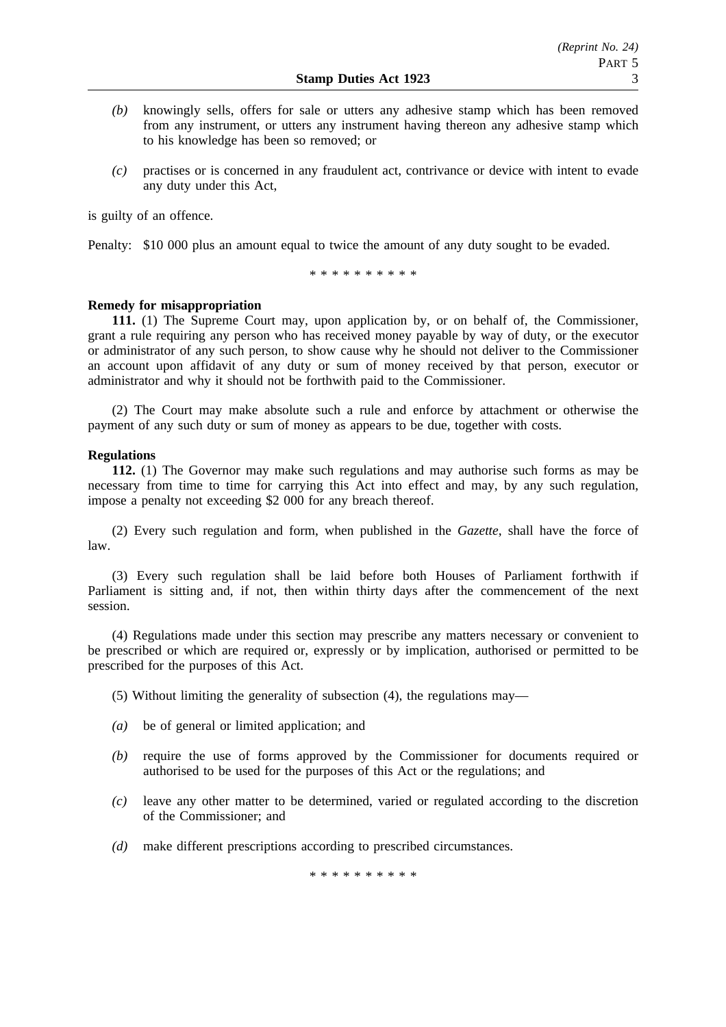- *(b)* knowingly sells, offers for sale or utters any adhesive stamp which has been removed from any instrument, or utters any instrument having thereon any adhesive stamp which to his knowledge has been so removed; or
- *(c)* practises or is concerned in any fraudulent act, contrivance or device with intent to evade any duty under this Act,

is guilty of an offence.

Penalty: \$10 000 plus an amount equal to twice the amount of any duty sought to be evaded.

\*\*\*\*\*\*\*\*\*\*

## **Remedy for misappropriation**

**111.** (1) The Supreme Court may, upon application by, or on behalf of, the Commissioner, grant a rule requiring any person who has received money payable by way of duty, or the executor or administrator of any such person, to show cause why he should not deliver to the Commissioner an account upon affidavit of any duty or sum of money received by that person, executor or administrator and why it should not be forthwith paid to the Commissioner.

(2) The Court may make absolute such a rule and enforce by attachment or otherwise the payment of any such duty or sum of money as appears to be due, together with costs.

### **Regulations**

**112.** (1) The Governor may make such regulations and may authorise such forms as may be necessary from time to time for carrying this Act into effect and may, by any such regulation, impose a penalty not exceeding \$2 000 for any breach thereof.

(2) Every such regulation and form, when published in the *Gazette*, shall have the force of law.

(3) Every such regulation shall be laid before both Houses of Parliament forthwith if Parliament is sitting and, if not, then within thirty days after the commencement of the next session.

(4) Regulations made under this section may prescribe any matters necessary or convenient to be prescribed or which are required or, expressly or by implication, authorised or permitted to be prescribed for the purposes of this Act.

(5) Without limiting the generality of subsection (4), the regulations may—

- *(a)* be of general or limited application; and
- *(b)* require the use of forms approved by the Commissioner for documents required or authorised to be used for the purposes of this Act or the regulations; and
- *(c)* leave any other matter to be determined, varied or regulated according to the discretion of the Commissioner; and
- *(d)* make different prescriptions according to prescribed circumstances.

\*\*\*\*\*\*\*\*\*\*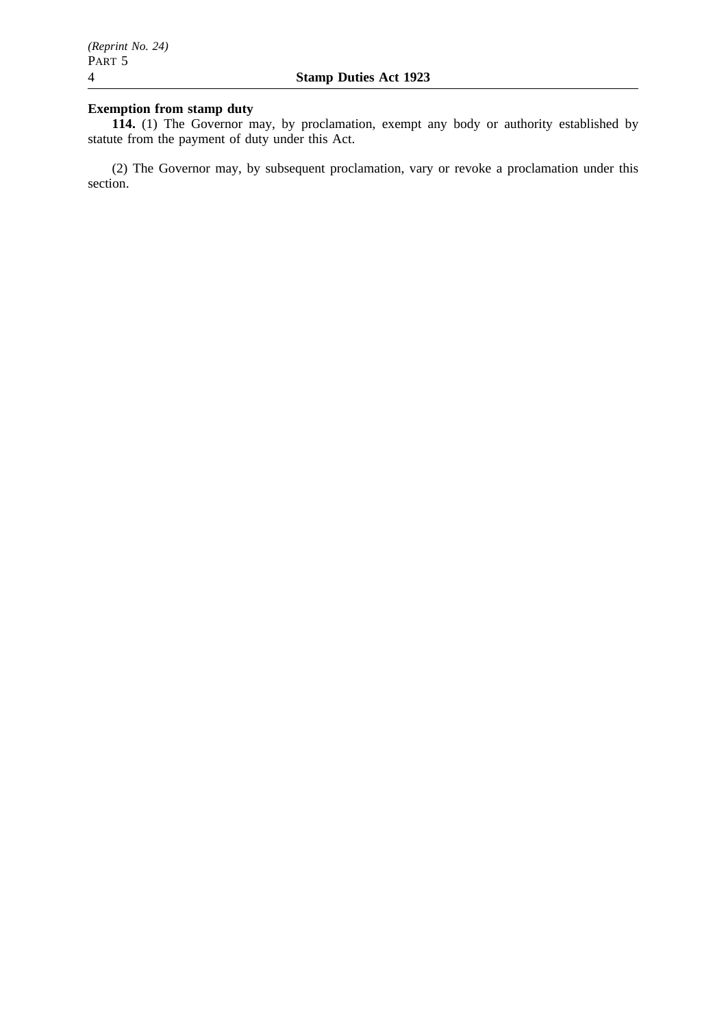# **Exemption from stamp duty**

**114.** (1) The Governor may, by proclamation, exempt any body or authority established by statute from the payment of duty under this Act.

(2) The Governor may, by subsequent proclamation, vary or revoke a proclamation under this section.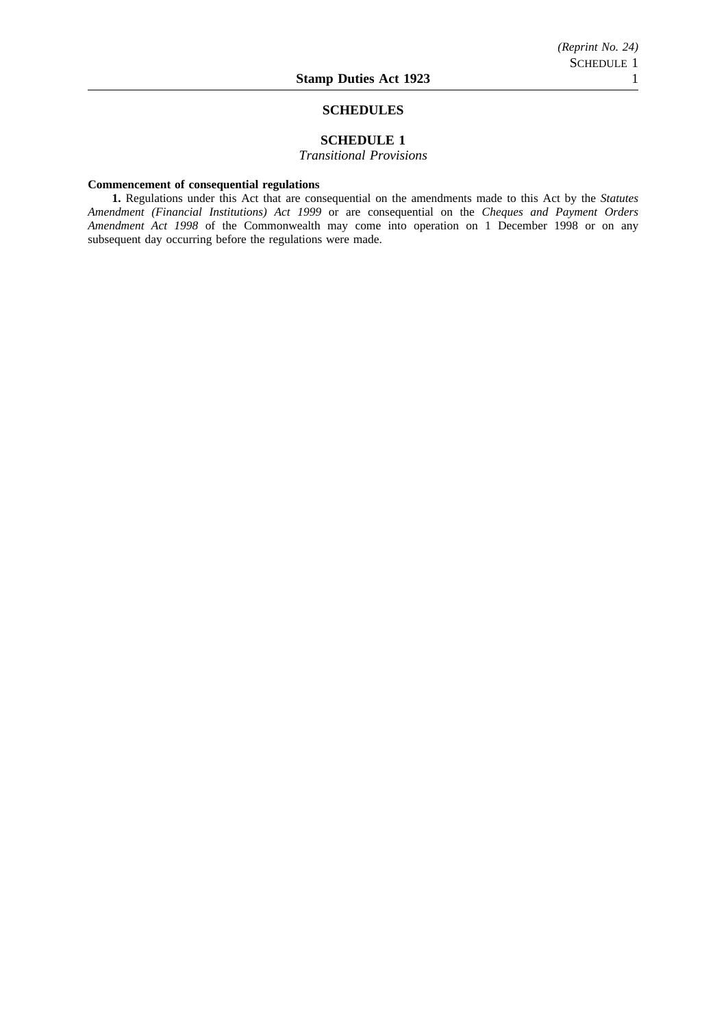#### **SCHEDULES**

# **SCHEDULE 1**

*Transitional Provisions*

#### **Commencement of consequential regulations**

**1.** Regulations under this Act that are consequential on the amendments made to this Act by the *Statutes Amendment (Financial Institutions) Act 1999* or are consequential on the *Cheques and Payment Orders Amendment Act 1998* of the Commonwealth may come into operation on 1 December 1998 or on any subsequent day occurring before the regulations were made.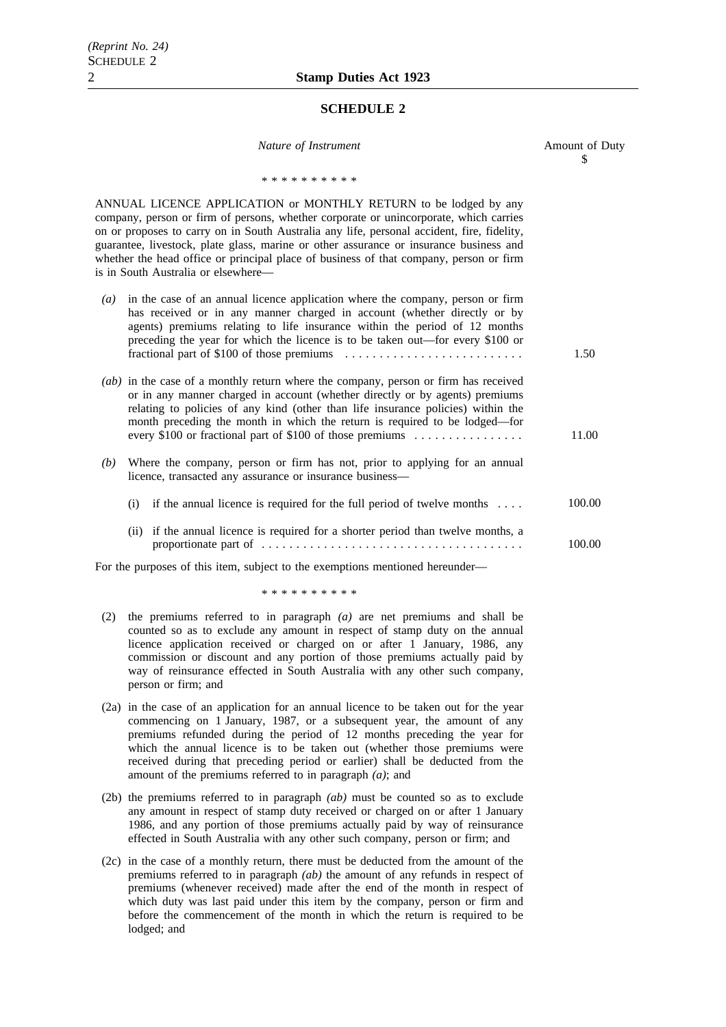#### **SCHEDULE 2**

| Nature of Instrument                                                                                                                                                                                                                                                                                                                                                                                                                                                               | Amount of Duty<br>\$ |
|------------------------------------------------------------------------------------------------------------------------------------------------------------------------------------------------------------------------------------------------------------------------------------------------------------------------------------------------------------------------------------------------------------------------------------------------------------------------------------|----------------------|
| * * * * * * * * * *                                                                                                                                                                                                                                                                                                                                                                                                                                                                |                      |
| ANNUAL LICENCE APPLICATION or MONTHLY RETURN to be lodged by any<br>company, person or firm of persons, whether corporate or unincorporate, which carries<br>on or proposes to carry on in South Australia any life, personal accident, fire, fidelity,<br>guarantee, livestock, plate glass, marine or other assurance or insurance business and<br>whether the head office or principal place of business of that company, person or firm<br>is in South Australia or elsewhere— |                      |
| in the case of an annual licence application where the company, person or firm<br>$\left( a\right)$<br>has received or in any manner charged in account (whether directly or by<br>agents) premiums relating to life insurance within the period of 12 months<br>preceding the year for which the licence is to be taken out—for every \$100 or                                                                                                                                    | 1.50                 |
| (ab) in the case of a monthly return where the company, person or firm has received<br>or in any manner charged in account (whether directly or by agents) premiums<br>relating to policies of any kind (other than life insurance policies) within the<br>month preceding the month in which the return is required to be lodged—for<br>every \$100 or fractional part of \$100 of those premiums                                                                                 | 11.00                |
| Where the company, person or firm has not, prior to applying for an annual<br>(b)<br>licence, transacted any assurance or insurance business-                                                                                                                                                                                                                                                                                                                                      |                      |
| (i) if the annual licence is required for the full period of twelve months $\dots$                                                                                                                                                                                                                                                                                                                                                                                                 | 100.00               |
| if the annual licence is required for a shorter period than twelve months, a<br>(ii)                                                                                                                                                                                                                                                                                                                                                                                               | 100.00               |
| For the purposes of this item, subject to the exemptions mentioned hereunder-                                                                                                                                                                                                                                                                                                                                                                                                      |                      |

\*\*\*\*\*\*\*\*\*\*

- (2) the premiums referred to in paragraph *(a)* are net premiums and shall be counted so as to exclude any amount in respect of stamp duty on the annual licence application received or charged on or after 1 January, 1986, any commission or discount and any portion of those premiums actually paid by way of reinsurance effected in South Australia with any other such company, person or firm; and
- (2a) in the case of an application for an annual licence to be taken out for the year commencing on 1 January, 1987, or a subsequent year, the amount of any premiums refunded during the period of 12 months preceding the year for which the annual licence is to be taken out (whether those premiums were received during that preceding period or earlier) shall be deducted from the amount of the premiums referred to in paragraph *(a)*; and
- (2b) the premiums referred to in paragraph *(ab)* must be counted so as to exclude any amount in respect of stamp duty received or charged on or after 1 January 1986, and any portion of those premiums actually paid by way of reinsurance effected in South Australia with any other such company, person or firm; and
- (2c) in the case of a monthly return, there must be deducted from the amount of the premiums referred to in paragraph *(ab)* the amount of any refunds in respect of premiums (whenever received) made after the end of the month in respect of which duty was last paid under this item by the company, person or firm and before the commencement of the month in which the return is required to be lodged; and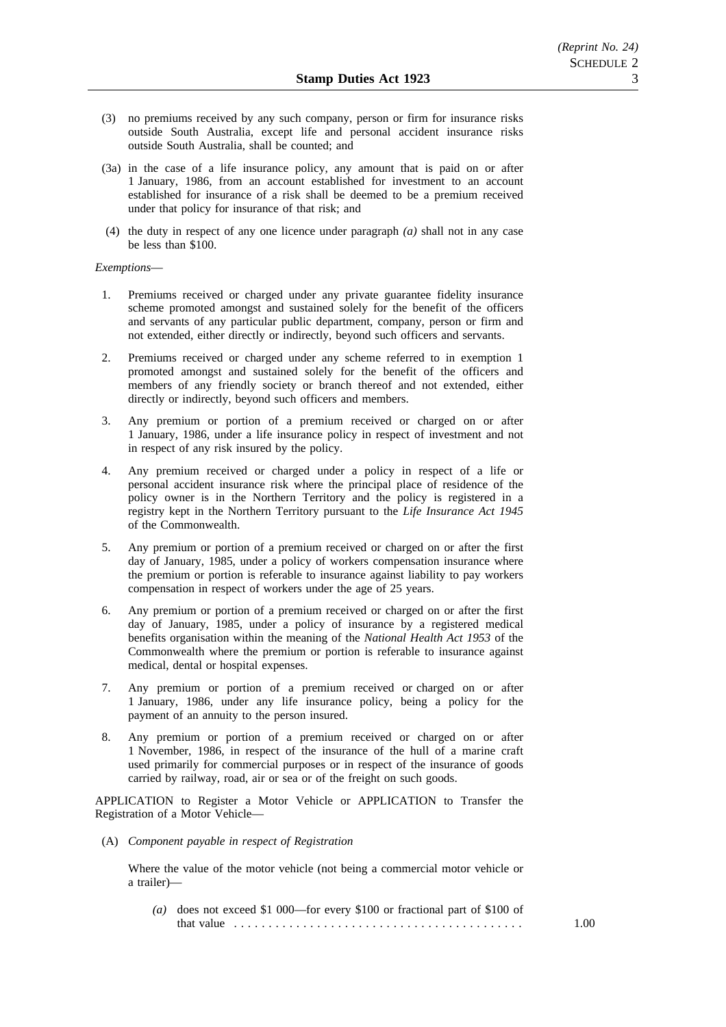- (3) no premiums received by any such company, person or firm for insurance risks outside South Australia, except life and personal accident insurance risks outside South Australia, shall be counted; and
- (3a) in the case of a life insurance policy, any amount that is paid on or after 1 January, 1986, from an account established for investment to an account established for insurance of a risk shall be deemed to be a premium received under that policy for insurance of that risk; and
- (4) the duty in respect of any one licence under paragraph *(a)* shall not in any case be less than \$100.

#### *Exemptions*—

- 1. Premiums received or charged under any private guarantee fidelity insurance scheme promoted amongst and sustained solely for the benefit of the officers and servants of any particular public department, company, person or firm and not extended, either directly or indirectly, beyond such officers and servants.
- 2. Premiums received or charged under any scheme referred to in exemption 1 promoted amongst and sustained solely for the benefit of the officers and members of any friendly society or branch thereof and not extended, either directly or indirectly, beyond such officers and members.
- 3. Any premium or portion of a premium received or charged on or after 1 January, 1986, under a life insurance policy in respect of investment and not in respect of any risk insured by the policy.
- 4. Any premium received or charged under a policy in respect of a life or personal accident insurance risk where the principal place of residence of the policy owner is in the Northern Territory and the policy is registered in a registry kept in the Northern Territory pursuant to the *Life Insurance Act 1945* of the Commonwealth.
- 5. Any premium or portion of a premium received or charged on or after the first day of January, 1985, under a policy of workers compensation insurance where the premium or portion is referable to insurance against liability to pay workers compensation in respect of workers under the age of 25 years.
- 6. Any premium or portion of a premium received or charged on or after the first day of January, 1985, under a policy of insurance by a registered medical benefits organisation within the meaning of the *National Health Act 1953* of the Commonwealth where the premium or portion is referable to insurance against medical, dental or hospital expenses.
- 7. Any premium or portion of a premium received or charged on or after 1 January, 1986, under any life insurance policy, being a policy for the payment of an annuity to the person insured.
- 8. Any premium or portion of a premium received or charged on or after 1 November, 1986, in respect of the insurance of the hull of a marine craft used primarily for commercial purposes or in respect of the insurance of goods carried by railway, road, air or sea or of the freight on such goods.

APPLICATION to Register a Motor Vehicle or APPLICATION to Transfer the Registration of a Motor Vehicle—

(A) *Component payable in respect of Registration*

Where the value of the motor vehicle (not being a commercial motor vehicle or a trailer)—

*(a)* does not exceed \$1 000—for every \$100 or fractional part of \$100 of that value .......................................... 1.00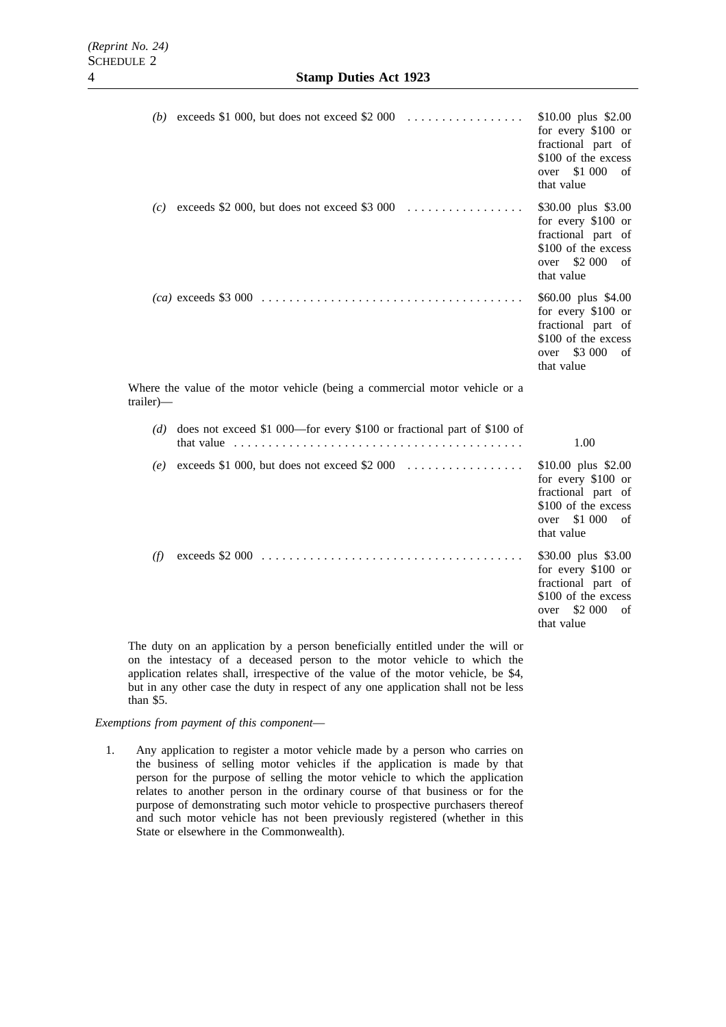|                                                                                          | (b) exceeds \$1 000, but does not exceed \$2 000 $\ldots$                                                                                                                        | $$10.00$ plus $$2.00$<br>for every \$100 or<br>fractional part of<br>\$100 of the excess<br>over \$1 000<br>of<br>that value |  |  |
|------------------------------------------------------------------------------------------|----------------------------------------------------------------------------------------------------------------------------------------------------------------------------------|------------------------------------------------------------------------------------------------------------------------------|--|--|
|                                                                                          | (c) exceeds \$2 000, but does not exceed \$3 000 $\ldots$                                                                                                                        | \$30.00 plus \$3.00<br>for every \$100 or<br>fractional part of<br>\$100 of the excess<br>over \$2 000<br>of<br>that value   |  |  |
|                                                                                          |                                                                                                                                                                                  | \$60.00 plus \$4.00<br>for every \$100 or<br>fractional part of<br>\$100 of the excess<br>over \$3 000<br>of<br>that value   |  |  |
| Where the value of the motor vehicle (being a commercial motor vehicle or a<br>trailer)— |                                                                                                                                                                                  |                                                                                                                              |  |  |
|                                                                                          |                                                                                                                                                                                  |                                                                                                                              |  |  |
|                                                                                          | $(d)$ does not exceed \$1 000—for every \$100 or fractional part of \$100 of<br>that value $\ldots \ldots \ldots \ldots \ldots \ldots \ldots \ldots \ldots \ldots \ldots \ldots$ | 1.00                                                                                                                         |  |  |
|                                                                                          | (e) exceeds \$1 000, but does not exceed \$2 000 $\dots \dots \dots \dots \dots$                                                                                                 | $$10.00$ plus $$2.00$<br>for every \$100 or<br>fractional part of<br>\$100 of the excess<br>over \$1 000<br>of<br>that value |  |  |

The duty on an application by a person beneficially entitled under the will or on the intestacy of a deceased person to the motor vehicle to which the application relates shall, irrespective of the value of the motor vehicle, be \$4, but in any other case the duty in respect of any one application shall not be less than \$5.

# *Exemptions from payment of this component*—

1. Any application to register a motor vehicle made by a person who carries on the business of selling motor vehicles if the application is made by that person for the purpose of selling the motor vehicle to which the application relates to another person in the ordinary course of that business or for the purpose of demonstrating such motor vehicle to prospective purchasers thereof and such motor vehicle has not been previously registered (whether in this State or elsewhere in the Commonwealth).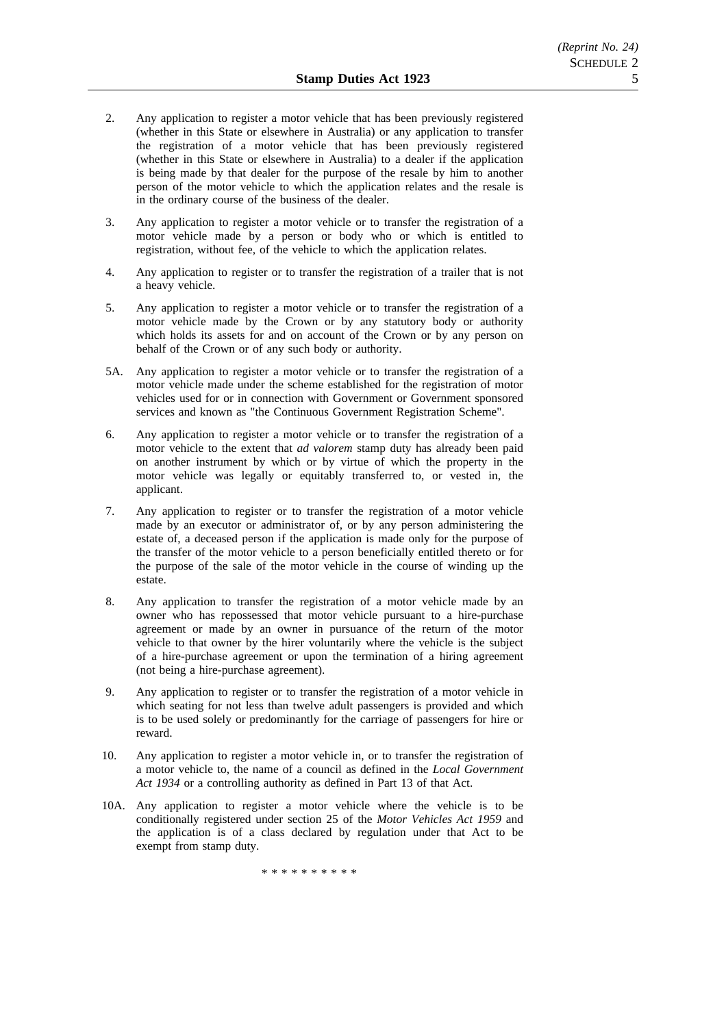- 2. Any application to register a motor vehicle that has been previously registered (whether in this State or elsewhere in Australia) or any application to transfer the registration of a motor vehicle that has been previously registered (whether in this State or elsewhere in Australia) to a dealer if the application is being made by that dealer for the purpose of the resale by him to another person of the motor vehicle to which the application relates and the resale is in the ordinary course of the business of the dealer.
- 3. Any application to register a motor vehicle or to transfer the registration of a motor vehicle made by a person or body who or which is entitled to registration, without fee, of the vehicle to which the application relates.
- 4. Any application to register or to transfer the registration of a trailer that is not a heavy vehicle.
- 5. Any application to register a motor vehicle or to transfer the registration of a motor vehicle made by the Crown or by any statutory body or authority which holds its assets for and on account of the Crown or by any person on behalf of the Crown or of any such body or authority.
- 5A. Any application to register a motor vehicle or to transfer the registration of a motor vehicle made under the scheme established for the registration of motor vehicles used for or in connection with Government or Government sponsored services and known as "the Continuous Government Registration Scheme".
- 6. Any application to register a motor vehicle or to transfer the registration of a motor vehicle to the extent that *ad valorem* stamp duty has already been paid on another instrument by which or by virtue of which the property in the motor vehicle was legally or equitably transferred to, or vested in, the applicant.
- 7. Any application to register or to transfer the registration of a motor vehicle made by an executor or administrator of, or by any person administering the estate of, a deceased person if the application is made only for the purpose of the transfer of the motor vehicle to a person beneficially entitled thereto or for the purpose of the sale of the motor vehicle in the course of winding up the estate.
- 8. Any application to transfer the registration of a motor vehicle made by an owner who has repossessed that motor vehicle pursuant to a hire-purchase agreement or made by an owner in pursuance of the return of the motor vehicle to that owner by the hirer voluntarily where the vehicle is the subject of a hire-purchase agreement or upon the termination of a hiring agreement (not being a hire-purchase agreement).
- 9. Any application to register or to transfer the registration of a motor vehicle in which seating for not less than twelve adult passengers is provided and which is to be used solely or predominantly for the carriage of passengers for hire or reward.
- 10. Any application to register a motor vehicle in, or to transfer the registration of a motor vehicle to, the name of a council as defined in the *Local Government Act 1934* or a controlling authority as defined in Part 13 of that Act.
- 10A. Any application to register a motor vehicle where the vehicle is to be conditionally registered under section 25 of the *Motor Vehicles Act 1959* and the application is of a class declared by regulation under that Act to be exempt from stamp duty.

\*\*\*\*\*\*\*\*\*\*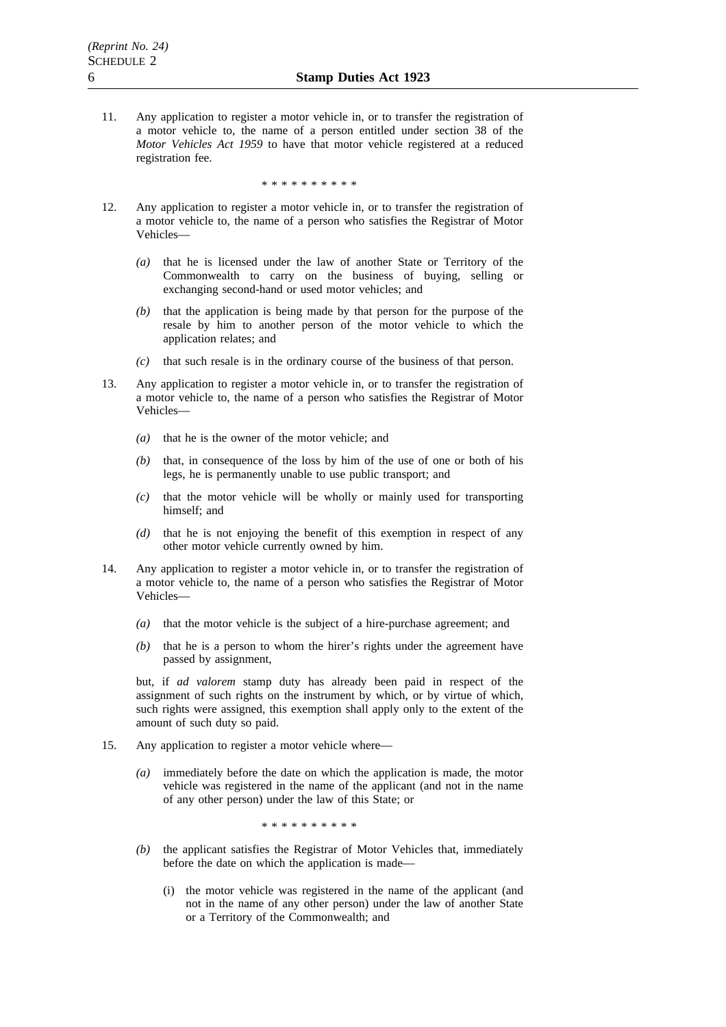11. Any application to register a motor vehicle in, or to transfer the registration of a motor vehicle to, the name of a person entitled under section 38 of the *Motor Vehicles Act 1959* to have that motor vehicle registered at a reduced registration fee.

\*\*\*\*\*\*\*\*\*\*

- 12. Any application to register a motor vehicle in, or to transfer the registration of a motor vehicle to, the name of a person who satisfies the Registrar of Motor Vehicles—
	- *(a)* that he is licensed under the law of another State or Territory of the Commonwealth to carry on the business of buying, selling or exchanging second-hand or used motor vehicles; and
	- *(b)* that the application is being made by that person for the purpose of the resale by him to another person of the motor vehicle to which the application relates; and
	- *(c)* that such resale is in the ordinary course of the business of that person.
- 13. Any application to register a motor vehicle in, or to transfer the registration of a motor vehicle to, the name of a person who satisfies the Registrar of Motor Vehicles—
	- *(a)* that he is the owner of the motor vehicle; and
	- *(b)* that, in consequence of the loss by him of the use of one or both of his legs, he is permanently unable to use public transport; and
	- *(c)* that the motor vehicle will be wholly or mainly used for transporting himself; and
	- *(d)* that he is not enjoying the benefit of this exemption in respect of any other motor vehicle currently owned by him.
- 14. Any application to register a motor vehicle in, or to transfer the registration of a motor vehicle to, the name of a person who satisfies the Registrar of Motor Vehicles—
	- *(a)* that the motor vehicle is the subject of a hire-purchase agreement; and
	- *(b)* that he is a person to whom the hirer's rights under the agreement have passed by assignment,

but, if *ad valorem* stamp duty has already been paid in respect of the assignment of such rights on the instrument by which, or by virtue of which, such rights were assigned, this exemption shall apply only to the extent of the amount of such duty so paid.

- 15. Any application to register a motor vehicle where—
	- *(a)* immediately before the date on which the application is made, the motor vehicle was registered in the name of the applicant (and not in the name of any other person) under the law of this State; or

\*\*\*\*\*\*\*\*\*\*

- *(b)* the applicant satisfies the Registrar of Motor Vehicles that, immediately before the date on which the application is made—
	- (i) the motor vehicle was registered in the name of the applicant (and not in the name of any other person) under the law of another State or a Territory of the Commonwealth; and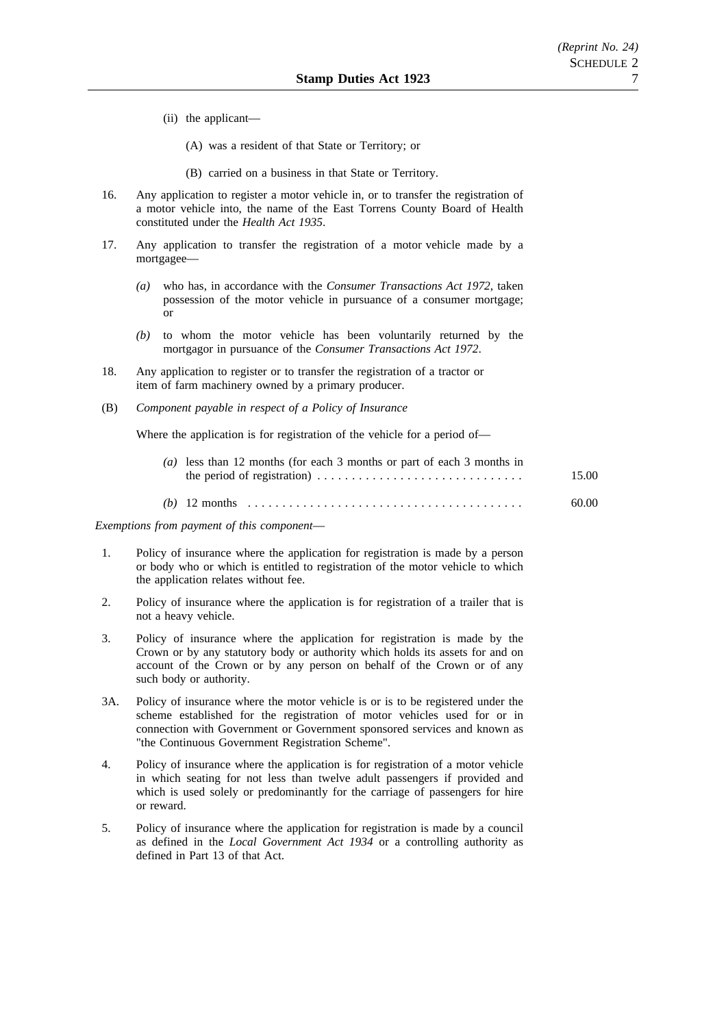- (ii) the applicant—
	- (A) was a resident of that State or Territory; or
	- (B) carried on a business in that State or Territory.
- 16. Any application to register a motor vehicle in, or to transfer the registration of a motor vehicle into, the name of the East Torrens County Board of Health constituted under the *Health Act 1935*.
- 17. Any application to transfer the registration of a motor vehicle made by a mortgagee—
	- *(a)* who has, in accordance with the *Consumer Transactions Act 1972*, taken possession of the motor vehicle in pursuance of a consumer mortgage; or
	- *(b)* to whom the motor vehicle has been voluntarily returned by the mortgagor in pursuance of the *Consumer Transactions Act 1972*.
- 18. Any application to register or to transfer the registration of a tractor or item of farm machinery owned by a primary producer.
- (B) *Component payable in respect of a Policy of Insurance*

Where the application is for registration of the vehicle for a period of—

| (a) less than 12 months (for each 3 months or part of each 3 months in | 15.00 |
|------------------------------------------------------------------------|-------|
|                                                                        | 60.00 |

*Exemptions from payment of this component*—

- 1. Policy of insurance where the application for registration is made by a person or body who or which is entitled to registration of the motor vehicle to which the application relates without fee.
- 2. Policy of insurance where the application is for registration of a trailer that is not a heavy vehicle.
- 3. Policy of insurance where the application for registration is made by the Crown or by any statutory body or authority which holds its assets for and on account of the Crown or by any person on behalf of the Crown or of any such body or authority.
- 3A. Policy of insurance where the motor vehicle is or is to be registered under the scheme established for the registration of motor vehicles used for or in connection with Government or Government sponsored services and known as "the Continuous Government Registration Scheme".
- 4. Policy of insurance where the application is for registration of a motor vehicle in which seating for not less than twelve adult passengers if provided and which is used solely or predominantly for the carriage of passengers for hire or reward.
- 5. Policy of insurance where the application for registration is made by a council as defined in the *Local Government Act 1934* or a controlling authority as defined in Part 13 of that Act.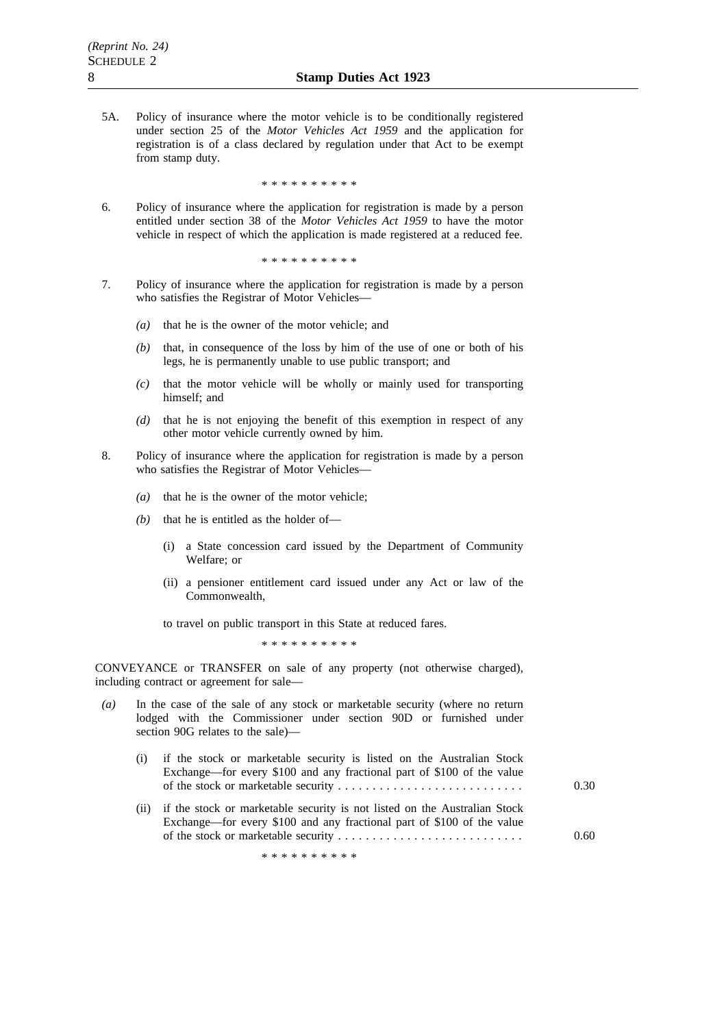5A. Policy of insurance where the motor vehicle is to be conditionally registered under section 25 of the *Motor Vehicles Act 1959* and the application for registration is of a class declared by regulation under that Act to be exempt from stamp duty.

\*\*\*\*\*\*\*\*\*\*

6. Policy of insurance where the application for registration is made by a person entitled under section 38 of the *Motor Vehicles Act 1959* to have the motor vehicle in respect of which the application is made registered at a reduced fee.

\*\*\*\*\*\*\*\*\*\*

- 7. Policy of insurance where the application for registration is made by a person who satisfies the Registrar of Motor Vehicles—
	- *(a)* that he is the owner of the motor vehicle; and
	- *(b)* that, in consequence of the loss by him of the use of one or both of his legs, he is permanently unable to use public transport; and
	- *(c)* that the motor vehicle will be wholly or mainly used for transporting himself; and
	- *(d)* that he is not enjoying the benefit of this exemption in respect of any other motor vehicle currently owned by him.
- 8. Policy of insurance where the application for registration is made by a person who satisfies the Registrar of Motor Vehicles—
	- *(a)* that he is the owner of the motor vehicle;
	- *(b)* that he is entitled as the holder of—
		- (i) a State concession card issued by the Department of Community Welfare; or
		- (ii) a pensioner entitlement card issued under any Act or law of the Commonwealth,

to travel on public transport in this State at reduced fares.

\*\*\*\*\*\*\*\*\*\*

CONVEYANCE or TRANSFER on sale of any property (not otherwise charged), including contract or agreement for sale—

- *(a)* In the case of the sale of any stock or marketable security (where no return lodged with the Commissioner under section 90D or furnished under section 90G relates to the sale)—
	- (i) if the stock or marketable security is listed on the Australian Stock Exchange—for every \$100 and any fractional part of \$100 of the value of the stock or marketable security ........................... 0.30
	- (ii) if the stock or marketable security is not listed on the Australian Stock Exchange—for every \$100 and any fractional part of \$100 of the value of the stock or marketable security ........................... 0.60

\*\*\*\*\*\*\*\*\*\*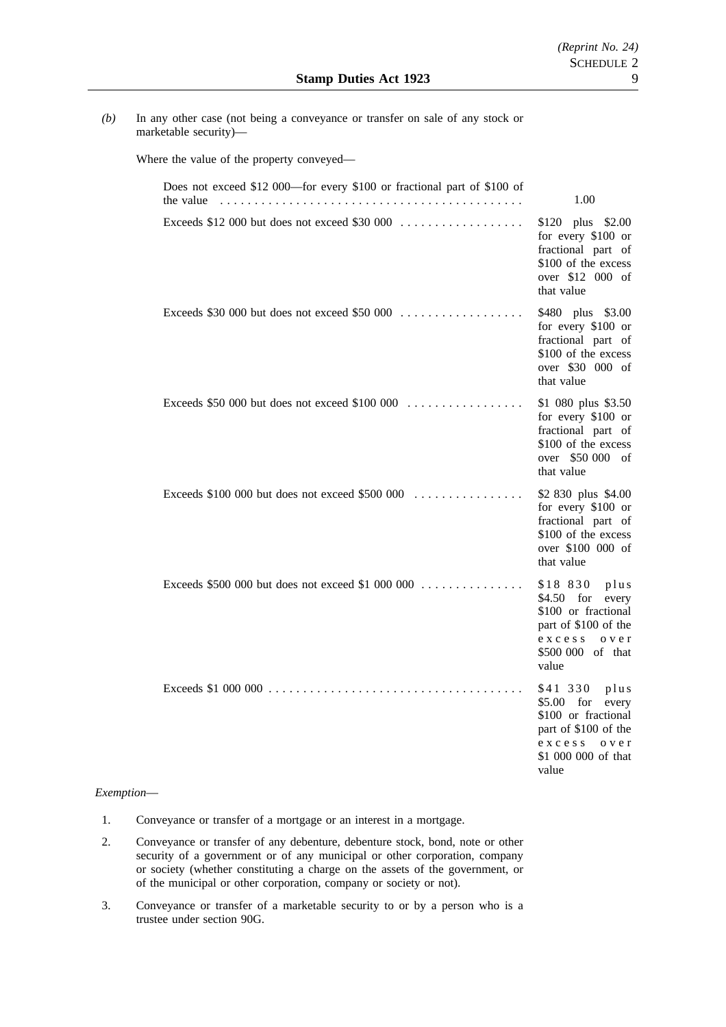*(b)* In any other case (not being a conveyance or transfer on sale of any stock or marketable security)—

Where the value of the property conveyed—

| Does not exceed \$12 000—for every \$100 or fractional part of \$100 of<br>the value                             | 1.00                                                                                                                                             |
|------------------------------------------------------------------------------------------------------------------|--------------------------------------------------------------------------------------------------------------------------------------------------|
| Exceeds \$12 000 but does not exceed \$30 000                                                                    | \$120 plus \$2.00<br>for every \$100 or<br>fractional part of<br>\$100 of the excess<br>over \$12 000 of<br>that value                           |
| Exceeds \$30 000 but does not exceed \$50 000                                                                    | \$480 plus \$3.00<br>for every \$100 or<br>fractional part of<br>\$100 of the excess<br>over \$30 000 of<br>that value                           |
| Exceeds \$50 000 but does not exceed \$100 000 $\dots\dots\dots\dots\dots\dots$                                  | \$1 080 plus \$3.50<br>for every \$100 or<br>fractional part of<br>\$100 of the excess<br>over \$50 000 of<br>that value                         |
| Exceeds $$100,000$ but does not exceed $$500,000$                                                                | \$2 830 plus \$4.00<br>for every \$100 or<br>fractional part of<br>\$100 of the excess<br>over \$100 000 of<br>that value                        |
| Exceeds \$500 000 but does not exceed \$1 000 000                                                                | \$18 830 plus<br>\$4.50 for every<br>\$100 or fractional<br>part of \$100 of the<br>exccess<br>o v e r<br>\$500 000 of that<br>value             |
| Exceeds \$1 000 000 $\ldots \ldots \ldots \ldots \ldots \ldots \ldots \ldots \ldots \ldots \ldots \ldots \ldots$ | \$41 330<br>$p$ lus<br>$$5.00$ for<br>every<br>\$100 or fractional<br>part of \$100 of the<br>exccess<br>o v e r<br>\$1 000 000 of that<br>value |

## *Exemption*—

- 1. Conveyance or transfer of a mortgage or an interest in a mortgage.
- 2. Conveyance or transfer of any debenture, debenture stock, bond, note or other security of a government or of any municipal or other corporation, company or society (whether constituting a charge on the assets of the government, or of the municipal or other corporation, company or society or not).
- 3. Conveyance or transfer of a marketable security to or by a person who is a trustee under section 90G.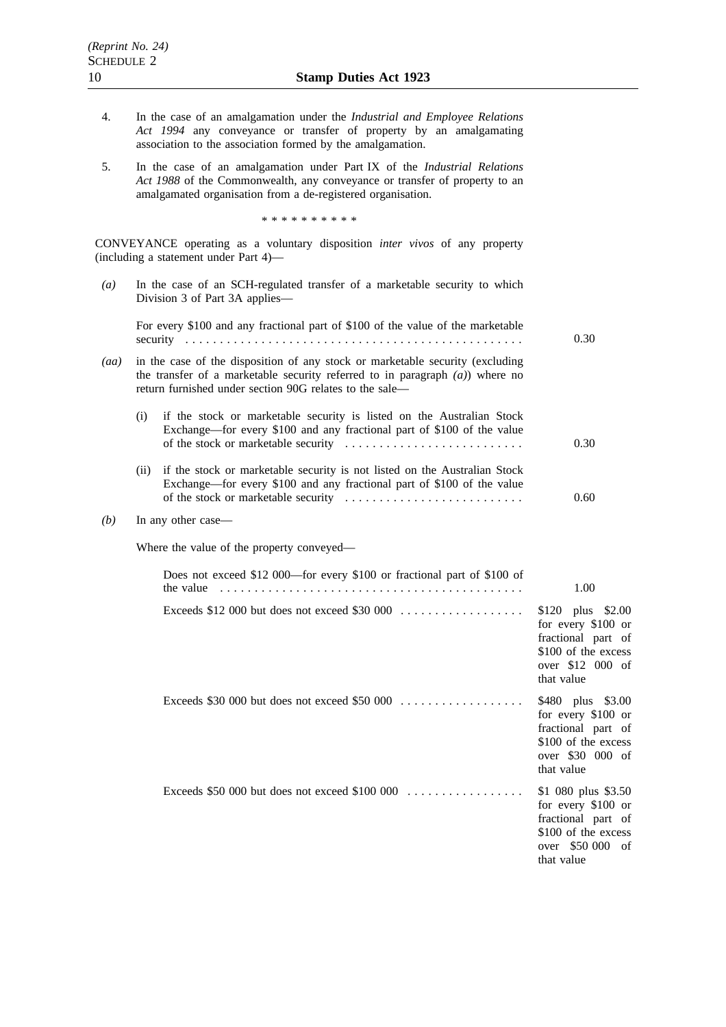- 4. In the case of an amalgamation under the *Industrial and Employee Relations Act 1994* any conveyance or transfer of property by an amalgamating association to the association formed by the amalgamation.
- 5. In the case of an amalgamation under Part IX of the *Industrial Relations Act 1988* of the Commonwealth, any conveyance or transfer of property to an amalgamated organisation from a de-registered organisation.

\*\*\*\*\*\*\*\*\*\*

CONVEYANCE operating as a voluntary disposition *inter vivos* of any property (including a statement under Part 4)—

| (a)  |      | In the case of an SCH-regulated transfer of a marketable security to which<br>Division 3 of Part 3A applies-                                                                                                                |                                                                                                                          |
|------|------|-----------------------------------------------------------------------------------------------------------------------------------------------------------------------------------------------------------------------------|--------------------------------------------------------------------------------------------------------------------------|
|      |      | For every \$100 and any fractional part of \$100 of the value of the marketable                                                                                                                                             | 0.30                                                                                                                     |
| (aa) |      | in the case of the disposition of any stock or marketable security (excluding<br>the transfer of a marketable security referred to in paragraph $(a)$ ) where no<br>return furnished under section 90G relates to the sale- |                                                                                                                          |
|      | (i)  | if the stock or marketable security is listed on the Australian Stock<br>Exchange—for every \$100 and any fractional part of \$100 of the value                                                                             | 0.30                                                                                                                     |
|      | (ii) | if the stock or marketable security is not listed on the Australian Stock<br>Exchange-for every \$100 and any fractional part of \$100 of the value                                                                         | 0.60                                                                                                                     |
| (b)  |      | In any other case-                                                                                                                                                                                                          |                                                                                                                          |
|      |      | Where the value of the property conveyed—                                                                                                                                                                                   |                                                                                                                          |
|      |      | Does not exceed \$12 000-for every \$100 or fractional part of \$100 of<br>the value                                                                                                                                        | 1.00                                                                                                                     |
|      |      | Exceeds \$12 000 but does not exceed \$30 000                                                                                                                                                                               | \$120 plus \$2.00<br>for every \$100 or<br>fractional part of<br>\$100 of the excess<br>over \$12 000 of<br>that value   |
|      |      | Exceeds \$30 000 but does not exceed \$50 000                                                                                                                                                                               | \$480 plus \$3.00<br>for every \$100 or<br>fractional part of<br>\$100 of the excess<br>over \$30 000 of<br>that value   |
|      |      | Exceeds \$50 000 but does not exceed \$100 000                                                                                                                                                                              | \$1 080 plus \$3.50<br>for every \$100 or<br>fractional part of<br>\$100 of the excess<br>over \$50 000 of<br>that value |

or of  $% \left( \mathcal{M}\right)$ 

or of  $% \left( \mathcal{M}\right)$ 

 $\sigma$ f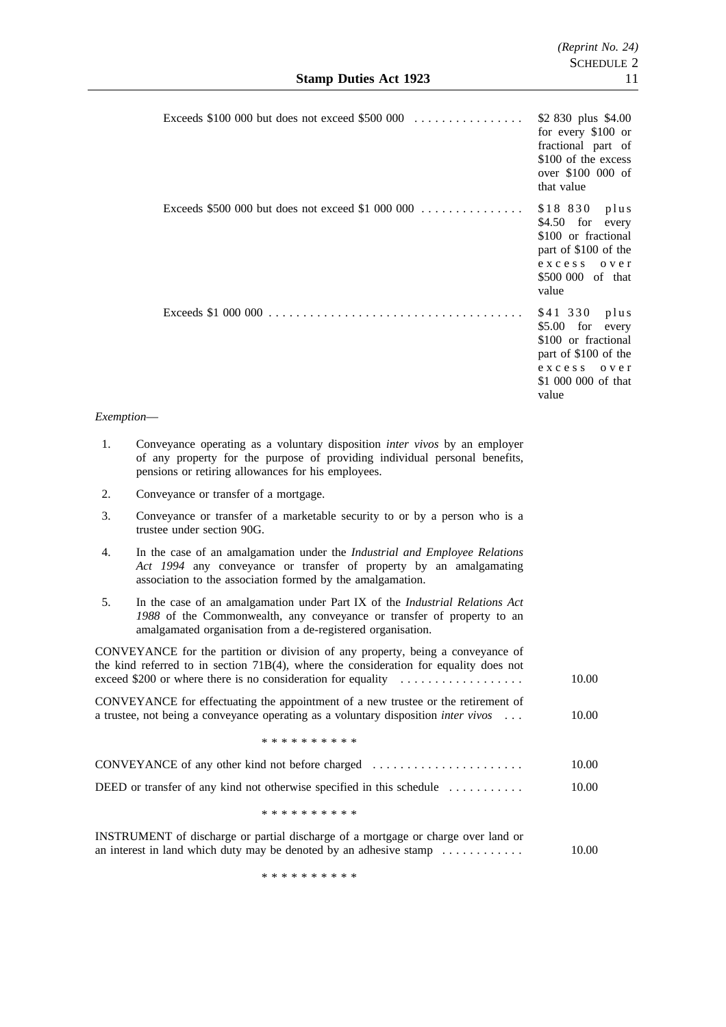|            | Exceeds \$100 000 but does not exceed \$500 000                                                                                                                                                                                          | \$2 830 plus \$4.00<br>for every \$100 or<br>fractional part of<br>\$100 of the excess<br>over \$100 000 of<br>that value                     |
|------------|------------------------------------------------------------------------------------------------------------------------------------------------------------------------------------------------------------------------------------------|-----------------------------------------------------------------------------------------------------------------------------------------------|
|            | Exceeds \$500 000 but does not exceed \$1 000 000                                                                                                                                                                                        | \$18 830<br>plus<br>$$4.50$ for<br>every<br>\$100 or fractional<br>part of \$100 of the<br>exccess<br>o v e r<br>\$500 000 of that<br>value   |
|            |                                                                                                                                                                                                                                          | \$41 330<br>plus<br>$$5.00$ for<br>every<br>\$100 or fractional<br>part of \$100 of the<br>exccess<br>o v e r<br>\$1 000 000 of that<br>value |
| Exemption- |                                                                                                                                                                                                                                          |                                                                                                                                               |
| 1.         | Conveyance operating as a voluntary disposition <i>inter vivos</i> by an employer<br>of any property for the purpose of providing individual personal benefits,<br>pensions or retiring allowances for his employees.                    |                                                                                                                                               |
| 2.         | Conveyance or transfer of a mortgage.                                                                                                                                                                                                    |                                                                                                                                               |
| 3.         | Conveyance or transfer of a marketable security to or by a person who is a<br>trustee under section 90G.                                                                                                                                 |                                                                                                                                               |
| 4.         | In the case of an amalgamation under the Industrial and Employee Relations<br>Act 1994 any conveyance or transfer of property by an amalgamating<br>association to the association formed by the amalgamation.                           |                                                                                                                                               |
| 5.         | In the case of an amalgamation under Part IX of the Industrial Relations Act<br>1988 of the Commonwealth, any conveyance or transfer of property to an<br>amalgamated organisation from a de-registered organisation.                    |                                                                                                                                               |
|            | CONVEYANCE for the partition or division of any property, being a conveyance of<br>the kind referred to in section 71B(4), where the consideration for equality does not<br>exceed \$200 or where there is no consideration for equality | 10.00                                                                                                                                         |
|            | $G \Omega M H H M H H H \Omega$                                                                                                                                                                                                          |                                                                                                                                               |

CONVEYANCE for effectuating the appointment of a new trustee or the retirement of a trustee, not being a conveyance operating as a voluntary disposition *inter vivos* ... 10.00

\*\*\*\*\*\*\*\*\*\*

| CONVEYANCE of any other kind not before charged                                           | 10.00 |
|-------------------------------------------------------------------------------------------|-------|
| DEED or transfer of any kind not otherwise specified in this schedule $\dots \dots \dots$ | 10.00 |

\*\*\*\*\*\*\*\*\*\*

| INSTRUMENT of discharge or partial discharge of a mortgage or charge over land or      |       |
|----------------------------------------------------------------------------------------|-------|
| an interest in land which duty may be denoted by an adhesive stamp $\dots \dots \dots$ | 10.00 |

\*\*\*\*\*\*\*\*\*\*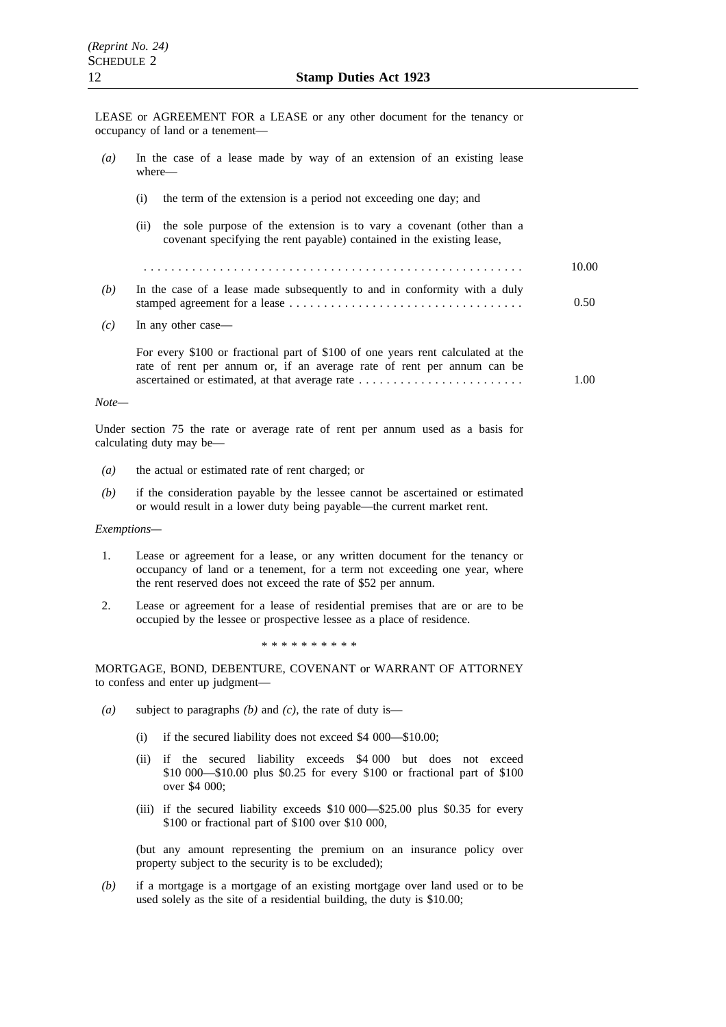LEASE or AGREEMENT FOR a LEASE or any other document for the tenancy or occupancy of land or a tenement—

| $\left(a\right)$ | In the case of a lease made by way of an extension of an existing lease<br>where—                                                                         |       |
|------------------|-----------------------------------------------------------------------------------------------------------------------------------------------------------|-------|
|                  | the term of the extension is a period not exceeding one day; and<br>(i)                                                                                   |       |
|                  | the sole purpose of the extension is to vary a covenant (other than a<br>(11)<br>covenant specifying the rent payable) contained in the existing lease,   |       |
|                  |                                                                                                                                                           | 10.00 |
| (b)              | In the case of a lease made subsequently to and in conformity with a duly                                                                                 | 0.50  |
| (c)              | In any other case—                                                                                                                                        |       |
|                  | For every \$100 or fractional part of \$100 of one years rent calculated at the<br>rate of rent per annum or, if an average rate of rent per annum can be | 1.00  |
| $Note-$          |                                                                                                                                                           |       |
|                  |                                                                                                                                                           |       |

Under section 75 the rate or average rate of rent per annum used as a basis for calculating duty may be—

- *(a)* the actual or estimated rate of rent charged; or
- *(b)* if the consideration payable by the lessee cannot be ascertained or estimated or would result in a lower duty being payable—the current market rent.

#### *Exemptions—*

- 1. Lease or agreement for a lease, or any written document for the tenancy or occupancy of land or a tenement, for a term not exceeding one year, where the rent reserved does not exceed the rate of \$52 per annum.
- 2. Lease or agreement for a lease of residential premises that are or are to be occupied by the lessee or prospective lessee as a place of residence.

\*\*\*\*\*\*\*\*\*\*

MORTGAGE, BOND, DEBENTURE, COVENANT or WARRANT OF ATTORNEY to confess and enter up judgment—

- *(a)* subject to paragraphs *(b)* and *(c)*, the rate of duty is—
	- (i) if the secured liability does not exceed \$4 000—\$10.00;
	- (ii) if the secured liability exceeds \$4 000 but does not exceed \$10 000—\$10.00 plus \$0.25 for every \$100 or fractional part of \$100 over \$4 000;
	- (iii) if the secured liability exceeds \$10 000—\$25.00 plus \$0.35 for every \$100 or fractional part of \$100 over \$10 000,

(but any amount representing the premium on an insurance policy over property subject to the security is to be excluded);

*(b)* if a mortgage is a mortgage of an existing mortgage over land used or to be used solely as the site of a residential building, the duty is \$10.00;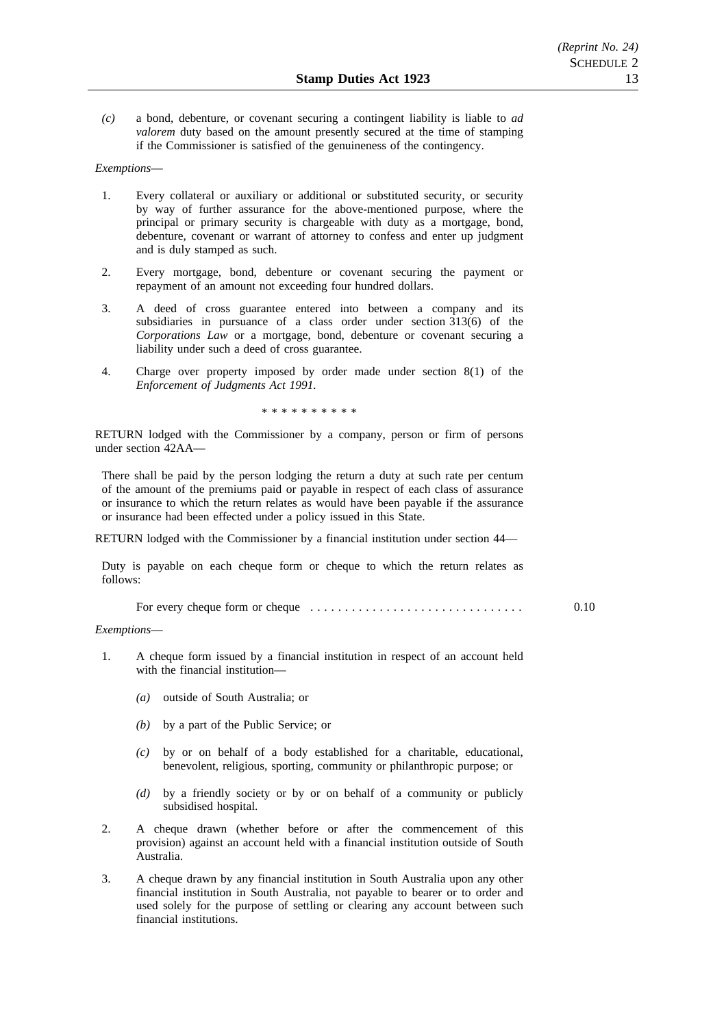*(c)* a bond, debenture, or covenant securing a contingent liability is liable to *ad valorem* duty based on the amount presently secured at the time of stamping if the Commissioner is satisfied of the genuineness of the contingency.

# *Exemptions*—

- 1. Every collateral or auxiliary or additional or substituted security, or security by way of further assurance for the above-mentioned purpose, where the principal or primary security is chargeable with duty as a mortgage, bond, debenture, covenant or warrant of attorney to confess and enter up judgment and is duly stamped as such.
- 2. Every mortgage, bond, debenture or covenant securing the payment or repayment of an amount not exceeding four hundred dollars.
- 3. A deed of cross guarantee entered into between a company and its subsidiaries in pursuance of a class order under section 313(6) of the *Corporations Law* or a mortgage, bond, debenture or covenant securing a liability under such a deed of cross guarantee.
- 4. Charge over property imposed by order made under section 8(1) of the *Enforcement of Judgments Act 1991.*

\*\*\*\*\*\*\*\*\*\*

RETURN lodged with the Commissioner by a company, person or firm of persons under section 42AA—

There shall be paid by the person lodging the return a duty at such rate per centum of the amount of the premiums paid or payable in respect of each class of assurance or insurance to which the return relates as would have been payable if the assurance or insurance had been effected under a policy issued in this State.

RETURN lodged with the Commissioner by a financial institution under section 44—

Duty is payable on each cheque form or cheque to which the return relates as follows:

For every cheque form or cheque ............................... 0.10

### *Exemptions*—

- 1. A cheque form issued by a financial institution in respect of an account held with the financial institution—
	- *(a)* outside of South Australia; or
	- *(b)* by a part of the Public Service; or
	- *(c)* by or on behalf of a body established for a charitable, educational, benevolent, religious, sporting, community or philanthropic purpose; or
	- *(d)* by a friendly society or by or on behalf of a community or publicly subsidised hospital.
- 2. A cheque drawn (whether before or after the commencement of this provision) against an account held with a financial institution outside of South Australia.
- 3. A cheque drawn by any financial institution in South Australia upon any other financial institution in South Australia, not payable to bearer or to order and used solely for the purpose of settling or clearing any account between such financial institutions.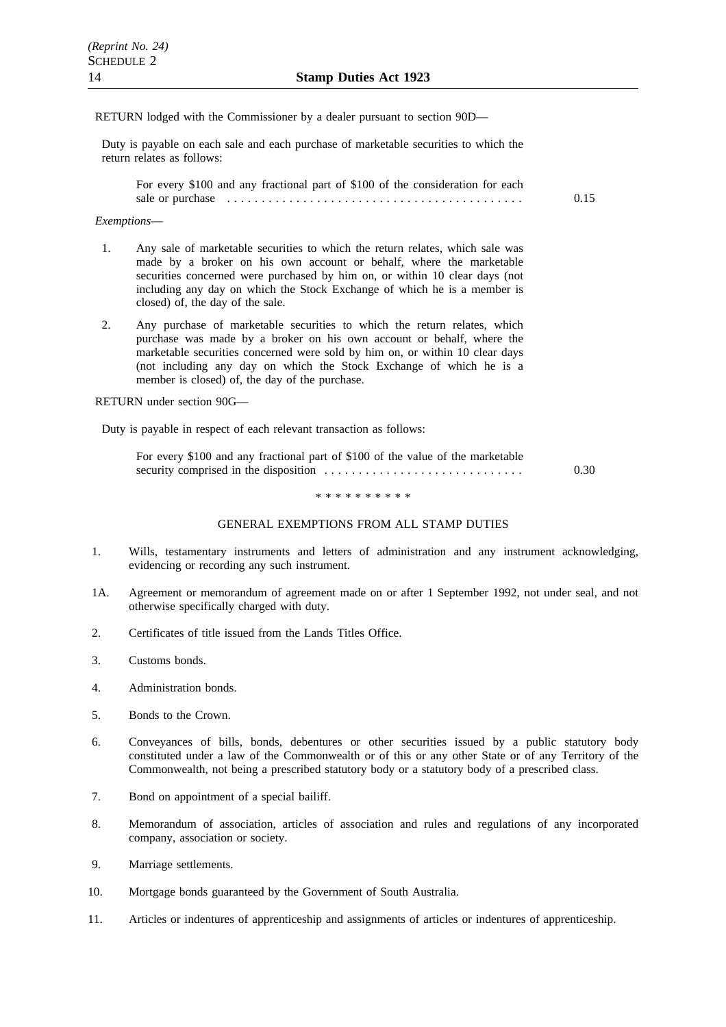# RETURN lodged with the Commissioner by a dealer pursuant to section 90D—

Duty is payable on each sale and each purchase of marketable securities to which the return relates as follows:

For every \$100 and any fractional part of \$100 of the consideration for each sale or purchase ........................................... 0.15

### *Exemptions*—

- 1. Any sale of marketable securities to which the return relates, which sale was made by a broker on his own account or behalf, where the marketable securities concerned were purchased by him on, or within 10 clear days (not including any day on which the Stock Exchange of which he is a member is closed) of, the day of the sale.
- 2. Any purchase of marketable securities to which the return relates, which purchase was made by a broker on his own account or behalf, where the marketable securities concerned were sold by him on, or within 10 clear days (not including any day on which the Stock Exchange of which he is a member is closed) of, the day of the purchase.

RETURN under section 90G—

Duty is payable in respect of each relevant transaction as follows:

| For every \$100 and any fractional part of \$100 of the value of the marketable |      |
|---------------------------------------------------------------------------------|------|
|                                                                                 | 0.30 |

\*\*\*\*\*\*\*\*\*\*

#### GENERAL EXEMPTIONS FROM ALL STAMP DUTIES

- 1. Wills, testamentary instruments and letters of administration and any instrument acknowledging, evidencing or recording any such instrument.
- 1A. Agreement or memorandum of agreement made on or after 1 September 1992, not under seal, and not otherwise specifically charged with duty.
- 2. Certificates of title issued from the Lands Titles Office.
- 3. Customs bonds.
- 4. Administration bonds.
- 5. Bonds to the Crown.
- 6. Conveyances of bills, bonds, debentures or other securities issued by a public statutory body constituted under a law of the Commonwealth or of this or any other State or of any Territory of the Commonwealth, not being a prescribed statutory body or a statutory body of a prescribed class.
- 7. Bond on appointment of a special bailiff.
- 8. Memorandum of association, articles of association and rules and regulations of any incorporated company, association or society.
- 9. Marriage settlements.
- 10. Mortgage bonds guaranteed by the Government of South Australia.
- 11. Articles or indentures of apprenticeship and assignments of articles or indentures of apprenticeship.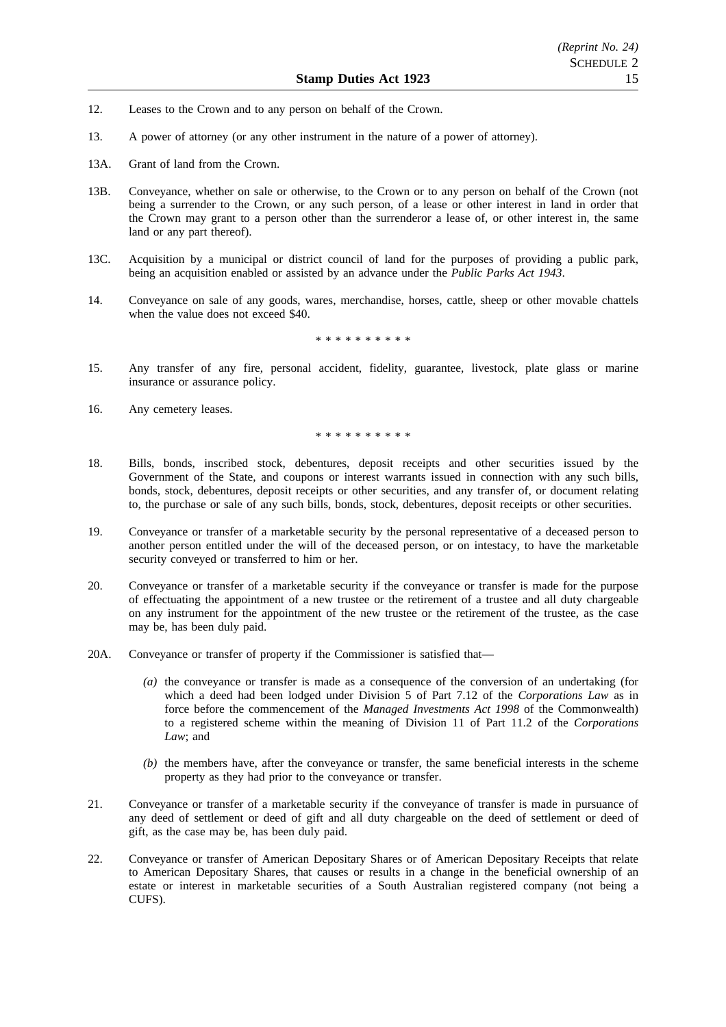- 12. Leases to the Crown and to any person on behalf of the Crown.
- 13. A power of attorney (or any other instrument in the nature of a power of attorney).
- 13A. Grant of land from the Crown.
- 13B. Conveyance, whether on sale or otherwise, to the Crown or to any person on behalf of the Crown (not being a surrender to the Crown, or any such person, of a lease or other interest in land in order that the Crown may grant to a person other than the surrenderor a lease of, or other interest in, the same land or any part thereof).
- 13C. Acquisition by a municipal or district council of land for the purposes of providing a public park, being an acquisition enabled or assisted by an advance under the *Public Parks Act 1943*.
- 14. Conveyance on sale of any goods, wares, merchandise, horses, cattle, sheep or other movable chattels when the value does not exceed \$40.

\*\*\*\*\*\*\*\*\*\*

- 15. Any transfer of any fire, personal accident, fidelity, guarantee, livestock, plate glass or marine insurance or assurance policy.
- 16. Any cemetery leases.

\*\*\*\*\*\*\*\*\*\*

- 18. Bills, bonds, inscribed stock, debentures, deposit receipts and other securities issued by the Government of the State, and coupons or interest warrants issued in connection with any such bills, bonds, stock, debentures, deposit receipts or other securities, and any transfer of, or document relating to, the purchase or sale of any such bills, bonds, stock, debentures, deposit receipts or other securities.
- 19. Conveyance or transfer of a marketable security by the personal representative of a deceased person to another person entitled under the will of the deceased person, or on intestacy, to have the marketable security conveyed or transferred to him or her.
- 20. Conveyance or transfer of a marketable security if the conveyance or transfer is made for the purpose of effectuating the appointment of a new trustee or the retirement of a trustee and all duty chargeable on any instrument for the appointment of the new trustee or the retirement of the trustee, as the case may be, has been duly paid.
- 20A. Conveyance or transfer of property if the Commissioner is satisfied that—
	- *(a)* the conveyance or transfer is made as a consequence of the conversion of an undertaking (for which a deed had been lodged under Division 5 of Part 7.12 of the *Corporations Law* as in force before the commencement of the *Managed Investments Act 1998* of the Commonwealth) to a registered scheme within the meaning of Division 11 of Part 11.2 of the *Corporations Law*; and
	- *(b)* the members have, after the conveyance or transfer, the same beneficial interests in the scheme property as they had prior to the conveyance or transfer.
- 21. Conveyance or transfer of a marketable security if the conveyance of transfer is made in pursuance of any deed of settlement or deed of gift and all duty chargeable on the deed of settlement or deed of gift, as the case may be, has been duly paid.
- 22. Conveyance or transfer of American Depositary Shares or of American Depositary Receipts that relate to American Depositary Shares, that causes or results in a change in the beneficial ownership of an estate or interest in marketable securities of a South Australian registered company (not being a CUFS).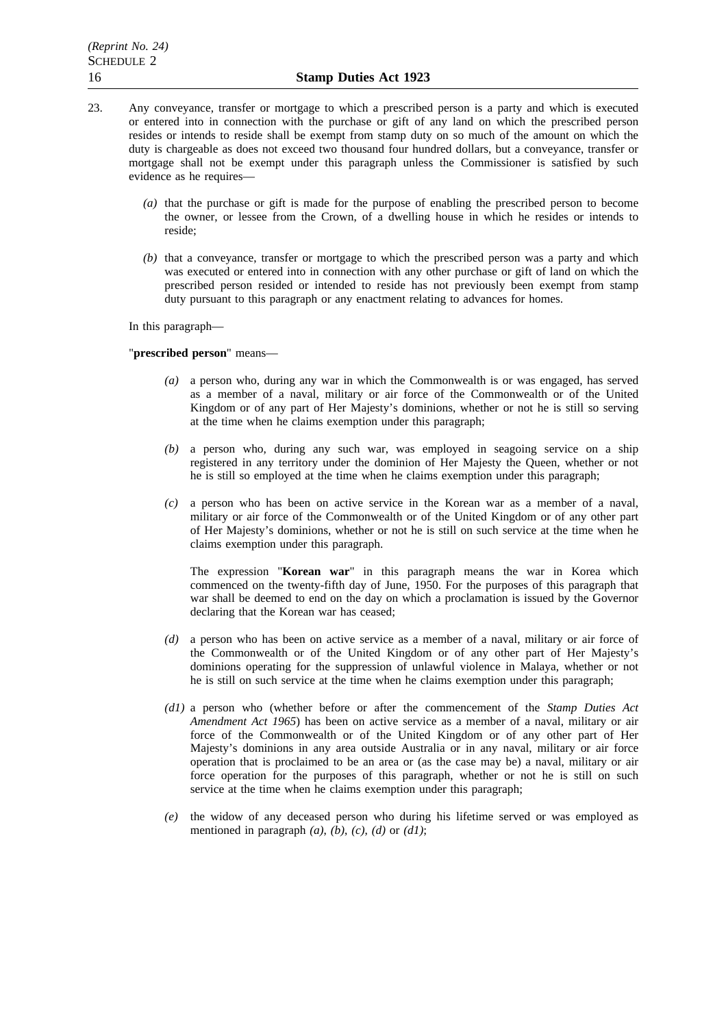- 23. Any conveyance, transfer or mortgage to which a prescribed person is a party and which is executed or entered into in connection with the purchase or gift of any land on which the prescribed person resides or intends to reside shall be exempt from stamp duty on so much of the amount on which the duty is chargeable as does not exceed two thousand four hundred dollars, but a conveyance, transfer or mortgage shall not be exempt under this paragraph unless the Commissioner is satisfied by such evidence as he requires—
	- *(a)* that the purchase or gift is made for the purpose of enabling the prescribed person to become the owner, or lessee from the Crown, of a dwelling house in which he resides or intends to reside;
	- *(b)* that a conveyance, transfer or mortgage to which the prescribed person was a party and which was executed or entered into in connection with any other purchase or gift of land on which the prescribed person resided or intended to reside has not previously been exempt from stamp duty pursuant to this paragraph or any enactment relating to advances for homes.

In this paragraph—

# "**prescribed person**" means—

- *(a)* a person who, during any war in which the Commonwealth is or was engaged, has served as a member of a naval, military or air force of the Commonwealth or of the United Kingdom or of any part of Her Majesty's dominions, whether or not he is still so serving at the time when he claims exemption under this paragraph;
- *(b)* a person who, during any such war, was employed in seagoing service on a ship registered in any territory under the dominion of Her Majesty the Queen, whether or not he is still so employed at the time when he claims exemption under this paragraph;
- *(c)* a person who has been on active service in the Korean war as a member of a naval, military or air force of the Commonwealth or of the United Kingdom or of any other part of Her Majesty's dominions, whether or not he is still on such service at the time when he claims exemption under this paragraph.

The expression "**Korean war**" in this paragraph means the war in Korea which commenced on the twenty-fifth day of June, 1950. For the purposes of this paragraph that war shall be deemed to end on the day on which a proclamation is issued by the Governor declaring that the Korean war has ceased;

- *(d)* a person who has been on active service as a member of a naval, military or air force of the Commonwealth or of the United Kingdom or of any other part of Her Majesty's dominions operating for the suppression of unlawful violence in Malaya, whether or not he is still on such service at the time when he claims exemption under this paragraph;
- *(d1)* a person who (whether before or after the commencement of the *Stamp Duties Act Amendment Act 1965*) has been on active service as a member of a naval, military or air force of the Commonwealth or of the United Kingdom or of any other part of Her Majesty's dominions in any area outside Australia or in any naval, military or air force operation that is proclaimed to be an area or (as the case may be) a naval, military or air force operation for the purposes of this paragraph, whether or not he is still on such service at the time when he claims exemption under this paragraph;
- *(e)* the widow of any deceased person who during his lifetime served or was employed as mentioned in paragraph *(a)*, *(b)*, *(c)*, *(d)* or *(d1)*;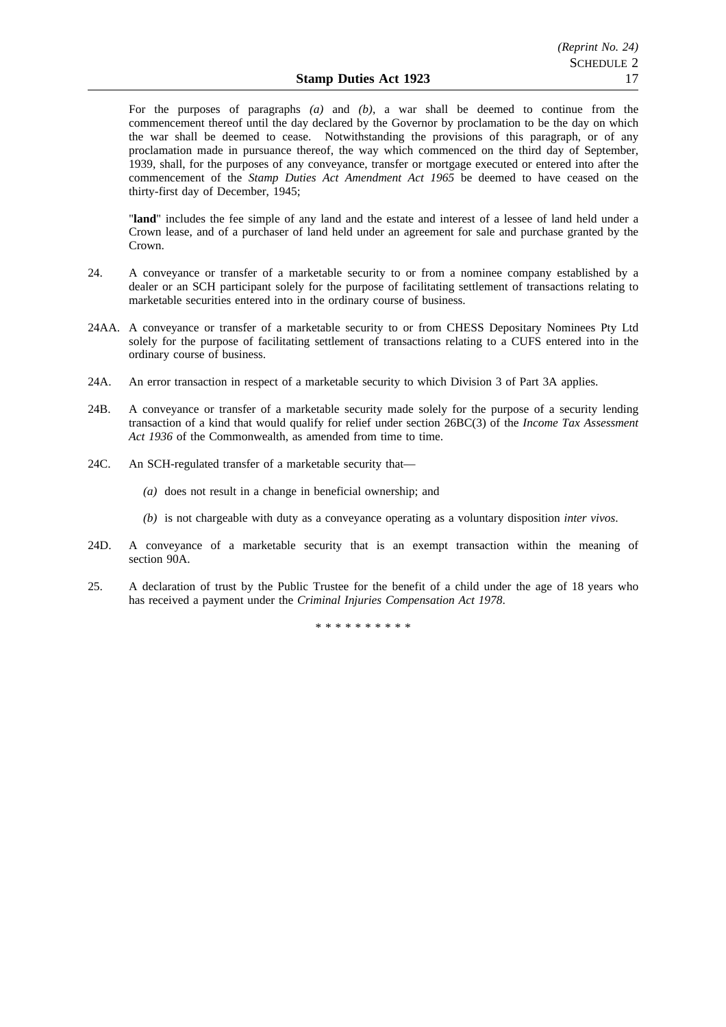For the purposes of paragraphs *(a)* and *(b)*, a war shall be deemed to continue from the commencement thereof until the day declared by the Governor by proclamation to be the day on which the war shall be deemed to cease. Notwithstanding the provisions of this paragraph, or of any proclamation made in pursuance thereof, the way which commenced on the third day of September, 1939, shall, for the purposes of any conveyance, transfer or mortgage executed or entered into after the commencement of the *Stamp Duties Act Amendment Act 1965* be deemed to have ceased on the thirty-first day of December, 1945;

"**land**" includes the fee simple of any land and the estate and interest of a lessee of land held under a Crown lease, and of a purchaser of land held under an agreement for sale and purchase granted by the Crown.

- 24. A conveyance or transfer of a marketable security to or from a nominee company established by a dealer or an SCH participant solely for the purpose of facilitating settlement of transactions relating to marketable securities entered into in the ordinary course of business.
- 24AA. A conveyance or transfer of a marketable security to or from CHESS Depositary Nominees Pty Ltd solely for the purpose of facilitating settlement of transactions relating to a CUFS entered into in the ordinary course of business.
- 24A. An error transaction in respect of a marketable security to which Division 3 of Part 3A applies.
- 24B. A conveyance or transfer of a marketable security made solely for the purpose of a security lending transaction of a kind that would qualify for relief under section 26BC(3) of the *Income Tax Assessment Act 1936* of the Commonwealth, as amended from time to time.
- 24C. An SCH-regulated transfer of a marketable security that—
	- *(a)* does not result in a change in beneficial ownership; and
	- *(b)* is not chargeable with duty as a conveyance operating as a voluntary disposition *inter vivos*.
- 24D. A conveyance of a marketable security that is an exempt transaction within the meaning of section 90A.
- 25. A declaration of trust by the Public Trustee for the benefit of a child under the age of 18 years who has received a payment under the *Criminal Injuries Compensation Act 1978*.

\*\*\*\*\*\*\*\*\*\*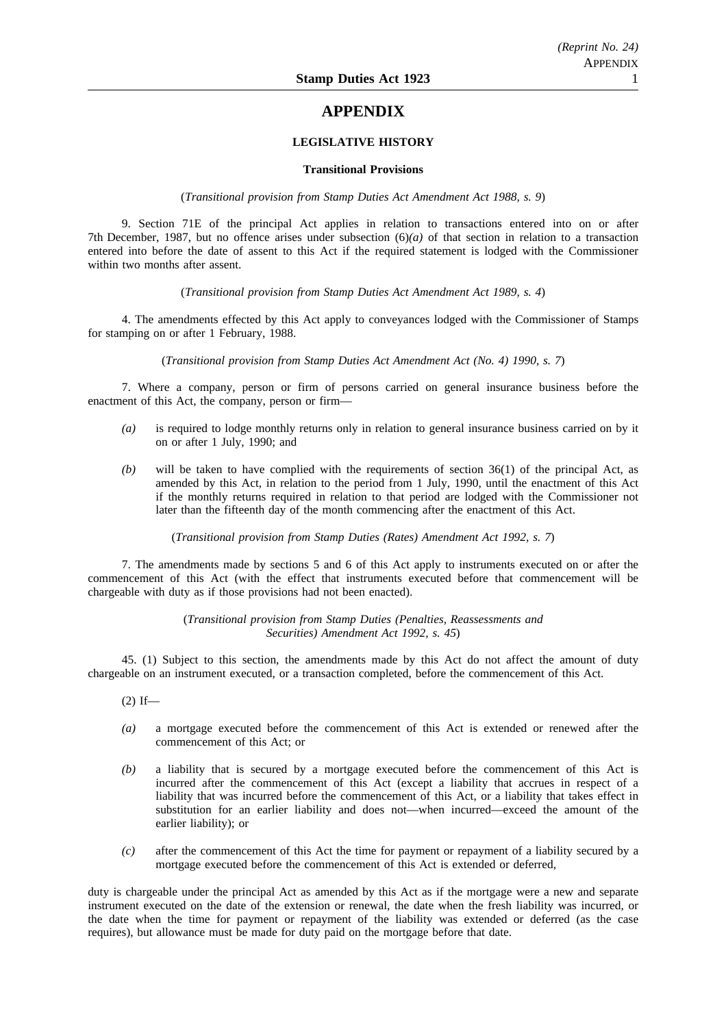# **APPENDIX**

# **LEGISLATIVE HISTORY**

### **Transitional Provisions**

(*Transitional provision from Stamp Duties Act Amendment Act 1988, s. 9*)

9. Section 71E of the principal Act applies in relation to transactions entered into on or after 7th December, 1987, but no offence arises under subsection (6)*(a)* of that section in relation to a transaction entered into before the date of assent to this Act if the required statement is lodged with the Commissioner within two months after assent.

(*Transitional provision from Stamp Duties Act Amendment Act 1989, s. 4*)

4. The amendments effected by this Act apply to conveyances lodged with the Commissioner of Stamps for stamping on or after 1 February, 1988.

(*Transitional provision from Stamp Duties Act Amendment Act (No. 4) 1990, s. 7*)

7. Where a company, person or firm of persons carried on general insurance business before the enactment of this Act, the company, person or firm—

- *(a)* is required to lodge monthly returns only in relation to general insurance business carried on by it on or after 1 July, 1990; and
- *(b)* will be taken to have complied with the requirements of section 36(1) of the principal Act, as amended by this Act, in relation to the period from 1 July, 1990, until the enactment of this Act if the monthly returns required in relation to that period are lodged with the Commissioner not later than the fifteenth day of the month commencing after the enactment of this Act.

(*Transitional provision from Stamp Duties (Rates) Amendment Act 1992, s. 7*)

7. The amendments made by sections 5 and 6 of this Act apply to instruments executed on or after the commencement of this Act (with the effect that instruments executed before that commencement will be chargeable with duty as if those provisions had not been enacted).

> (*Transitional provision from Stamp Duties (Penalties, Reassessments and Securities) Amendment Act 1992, s. 45*)

45. (1) Subject to this section, the amendments made by this Act do not affect the amount of duty chargeable on an instrument executed, or a transaction completed, before the commencement of this Act.

 $(2)$  If—

- *(a)* a mortgage executed before the commencement of this Act is extended or renewed after the commencement of this Act; or
- *(b)* a liability that is secured by a mortgage executed before the commencement of this Act is incurred after the commencement of this Act (except a liability that accrues in respect of a liability that was incurred before the commencement of this Act, or a liability that takes effect in substitution for an earlier liability and does not—when incurred—exceed the amount of the earlier liability); or
- *(c)* after the commencement of this Act the time for payment or repayment of a liability secured by a mortgage executed before the commencement of this Act is extended or deferred,

duty is chargeable under the principal Act as amended by this Act as if the mortgage were a new and separate instrument executed on the date of the extension or renewal, the date when the fresh liability was incurred, or the date when the time for payment or repayment of the liability was extended or deferred (as the case requires), but allowance must be made for duty paid on the mortgage before that date.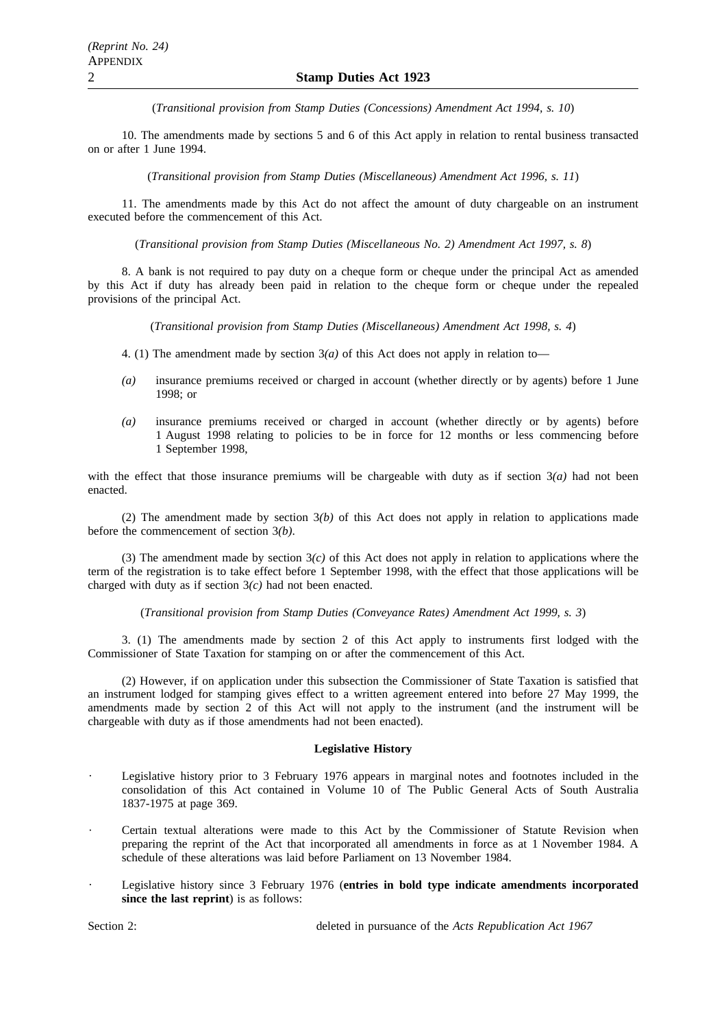(*Transitional provision from Stamp Duties (Concessions) Amendment Act 1994, s. 10*)

10. The amendments made by sections 5 and 6 of this Act apply in relation to rental business transacted on or after 1 June 1994.

(*Transitional provision from Stamp Duties (Miscellaneous) Amendment Act 1996, s. 11*)

11. The amendments made by this Act do not affect the amount of duty chargeable on an instrument executed before the commencement of this Act.

(*Transitional provision from Stamp Duties (Miscellaneous No. 2) Amendment Act 1997, s. 8*)

8. A bank is not required to pay duty on a cheque form or cheque under the principal Act as amended by this Act if duty has already been paid in relation to the cheque form or cheque under the repealed provisions of the principal Act.

(*Transitional provision from Stamp Duties (Miscellaneous) Amendment Act 1998, s. 4*)

- 4. (1) The amendment made by section  $3(a)$  of this Act does not apply in relation to—
- *(a)* insurance premiums received or charged in account (whether directly or by agents) before 1 June 1998; or
- *(a)* insurance premiums received or charged in account (whether directly or by agents) before 1 August 1998 relating to policies to be in force for 12 months or less commencing before 1 September 1998.

with the effect that those insurance premiums will be chargeable with duty as if section  $3(a)$  had not been enacted.

(2) The amendment made by section 3*(b)* of this Act does not apply in relation to applications made before the commencement of section 3*(b)*.

(3) The amendment made by section  $3(c)$  of this Act does not apply in relation to applications where the term of the registration is to take effect before 1 September 1998, with the effect that those applications will be charged with duty as if section 3*(c)* had not been enacted.

(*Transitional provision from Stamp Duties (Conveyance Rates) Amendment Act 1999, s. 3*)

3. (1) The amendments made by section 2 of this Act apply to instruments first lodged with the Commissioner of State Taxation for stamping on or after the commencement of this Act.

(2) However, if on application under this subsection the Commissioner of State Taxation is satisfied that an instrument lodged for stamping gives effect to a written agreement entered into before 27 May 1999, the amendments made by section 2 of this Act will not apply to the instrument (and the instrument will be chargeable with duty as if those amendments had not been enacted).

# **Legislative History**

- Legislative history prior to 3 February 1976 appears in marginal notes and footnotes included in the consolidation of this Act contained in Volume 10 of The Public General Acts of South Australia 1837-1975 at page 369.
- Certain textual alterations were made to this Act by the Commissioner of Statute Revision when preparing the reprint of the Act that incorporated all amendments in force as at 1 November 1984. A schedule of these alterations was laid before Parliament on 13 November 1984.
- Legislative history since 3 February 1976 (**entries in bold type indicate amendments incorporated since the last reprint**) is as follows:

Section 2: deleted in pursuance of the *Acts Republication Act 1967*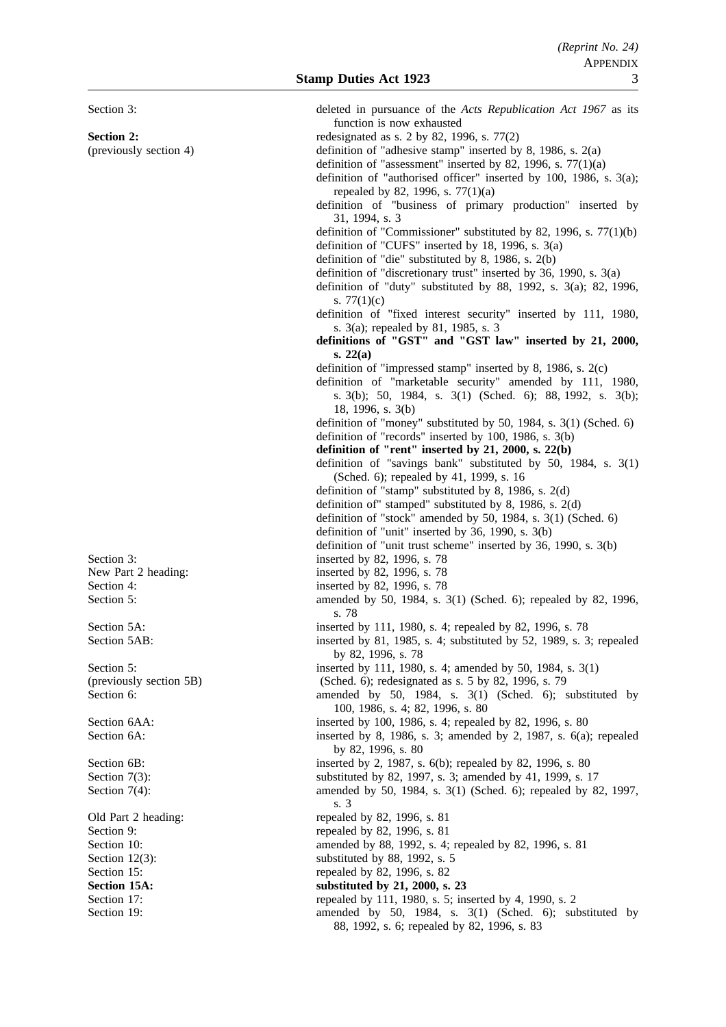function is now exhausted **Section 2:** redesignated as s. 2 by 82, 1996, s. 77(2) (previously section 4) definition of "adhesive stamp" inserted by 8, 1986, s. 2(a) definition of "assessment" inserted by 82, 1996, s.  $77(1)(a)$ definition of "authorised officer" inserted by 100, 1986, s. 3(a); repealed by 82, 1996, s. 77(1)(a) definition of "business of primary production" inserted by 31, 1994, s. 3 definition of "Commissioner" substituted by 82, 1996, s. 77(1)(b) definition of "CUFS" inserted by 18, 1996, s. 3(a) definition of "die" substituted by 8, 1986, s. 2(b) definition of "discretionary trust" inserted by 36, 1990, s. 3(a) definition of "duty" substituted by 88, 1992, s. 3(a); 82, 1996, s. 77(1)(c) definition of "fixed interest security" inserted by 111, 1980, s. 3(a); repealed by 81, 1985, s. 3 **definitions of "GST" and "GST law" inserted by 21, 2000, s. 22(a)** definition of "impressed stamp" inserted by 8, 1986, s. 2(c) definition of "marketable security" amended by 111, 1980, s. 3(b); 50, 1984, s. 3(1) (Sched. 6); 88, 1992, s. 3(b); 18, 1996, s. 3(b) definition of "money" substituted by 50, 1984, s. 3(1) (Sched. 6) definition of "records" inserted by 100, 1986, s. 3(b) **definition of "rent" inserted by 21, 2000, s. 22(b)** definition of "savings bank" substituted by 50, 1984, s. 3(1) (Sched. 6); repealed by 41, 1999, s. 16 definition of "stamp" substituted by 8, 1986, s. 2(d) definition of" stamped" substituted by 8, 1986, s. 2(d) definition of "stock" amended by 50, 1984, s. 3(1) (Sched. 6) definition of "unit" inserted by 36, 1990, s. 3(b) definition of "unit trust scheme" inserted by 36, 1990, s. 3(b) Section 3: inserted by 82, 1996, s. 78 New Part 2 heading: inserted by 82, 1996, s. 78 Section 4: inserted by 82, 1996, s. 78 Section 5: amended by 50, 1984, s. 3(1) (Sched. 6); repealed by 82, 1996, s. 78 Section 5A: inserted by 111, 1980, s. 4; repealed by 82, 1996, s. 78 Section 5AB: inserted by 81, 1985, s. 4; substituted by 52, 1989, s. 3; repealed by 82, 1996, s. 78 Section 5: inserted by 111, 1980, s. 4; amended by 50, 1984, s. 3(1)

(previously section 5B) (Sched. 6); redesignated as s. 5 by 82, 1996, s. 79 Section 6: amended by 50, 1984, s. 3(1) (Sched. 6); substituted by 50, 1984, s. 3(1) (Sched. 6); substituted by 100, 1986, s. 4; 82, 1996, s. 80 Section 6AA: inserted by 100, 1986, s. 4; repealed by 82, 1996, s. 80

Section 6A: inserted by 8, 1986, s. 3; amended by 2, 1987, s. 6(a); repealed by 82, 1996, s. 80

Section 6B: inserted by 2, 1987, s. 6(b); repealed by 82, 1996, s. 80

- Section 7(3): substituted by 82, 1997, s. 3; amended by 41, 1999, s. 17
- Section 7(4): amended by 50, 1984, s. 3(1) (Sched. 6); repealed by 82, 1997, s. 3

Old Part 2 heading: repealed by 82, 1996, s. 81

Section 9: repealed by 82, 1996, s. 81

Section 10: **amended** by 88, 1992, s. 4; repealed by 82, 1996, s. 81

Section 12(3): substituted by 88, 1992, s. 5

Section 17: repealed by 111, 1980, s. 5; inserted by 4, 1990, s. 2 Section 19: **amended** by 50, 1984, s. 3(1) (Sched. 6); substituted by 88, 1992, s. 6; repealed by 82, 1996, s. 83

Section 3: deleted in pursuance of the *Acts Republication Act 1967* as its

Section 15: repealed by 82, 1996, s. 82 Section 15A: substituted by 21, 2000, s. 23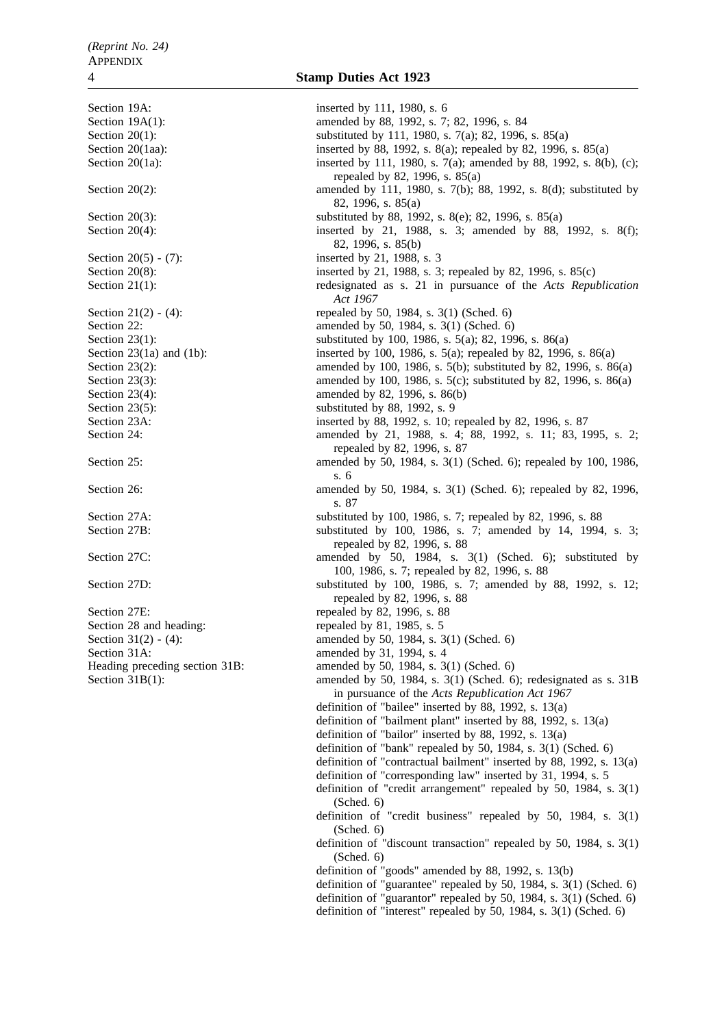Section 19A: inserted by 111, 1980, s. 6 Section 19A(1): amended by 88, 1992, s. 7; 82, 1996, s. 84 Section 20(1): substituted by 111, 1980, s. 7(a); 82, 1996, s. 85(a) Section 20(1aa): inserted by 88, 1992, s. 8(a); repealed by 82, 1996, s. 85(a) Section 20(1a): inserted by 111, 1980, s. 7(a); amended by 88, 1992, s. 8(b), (c); repealed by 82, 1996, s. 85(a) Section 20(2): amended by 111, 1980, s. 7(b); 88, 1992, s. 8(d); substituted by 82, 1996, s. 85(a) Section 20(3): substituted by 88, 1992, s. 8(e); 82, 1996, s. 85(a) Section 20(4): inserted by 21, 1988, s. 3; amended by 88, 1992, s. 8(f); 82, 1996, s. 85(b) Section 20(5) - (7): inserted by 21, 1988, s. 3 Section 20(8): inserted by 21, 1988, s. 3; repealed by 82, 1996, s. 85(c) Section 21(1): redesignated as s. 21 in pursuance of the *Acts Republication Act 1967* Section 21(2) - (4): repealed by 50, 1984, s. 3(1) (Sched. 6) Section 22: **amended by 50, 1984, s. 3(1) (Sched. 6)** Section 23(1):<br>Section 23(1a) and (1b):<br>Section 23(1a) and (1b):<br>Section 23(1a) and (1b):<br>Section 23(1a) and (1b):<br>Section 23(1a) and (1b): inserted by 100, 1986, s. 5(a); repealed by 82, 1996, s. 86(a) Section 23(2): amended by 100, 1986, s. 5(b); substituted by 82, 1996, s. 86(a) Section 23(3): amended by 100, 1986, s. 5(c); substituted by 82, 1996, s. 86(a) Section 23(4): amended by 82, 1996, s. 86(b) Section  $23(5)$ : substituted by 88, 1992, s. 9 Section 23A: inserted by 88, 1992, s. 10; repealed by 82, 1996, s. 87 Section 24: **amended** by 21, 1988, s. 4; 88, 1992, s. 11; 83, 1995, s. 2; repealed by 82, 1996, s. 87 Section 25: **amended** by 50, 1984, s. 3(1) (Sched. 6); repealed by 100, 1986, s. 6 Section 26: **amended** by 50, 1984, s. 3(1) (Sched. 6); repealed by 82, 1996, s. 87 Section 27A: substituted by 100, 1986, s. 7; repealed by 82, 1996, s. 88 Section 27B: Substituted by 100, 1986, s. 7; amended by 14, 1994, s. 3; repealed by 82, 1996, s. 88 Section 27C: amended by 50, 1984, s. 3(1) (Sched. 6); substituted by 50, 1984, s. 3(1) (Sched. 6); substituted by 100, 1986, s. 7; repealed by 82, 1996, s. 88 Section 27D: substituted by 100, 1986, s. 7; amended by 88, 1992, s. 12; repealed by 82, 1996, s. 88 Section 27E: repealed by 82, 1996, s. 88 Section 28 and heading: repealed by 81, 1985, s. 5 Section 31(2) - (4): amended by 50, 1984, s. 3(1) (Sched. 6) Section 31A: amended by 31, 1994, s. 4 Heading preceding section 31B: amended by 50, 1984, s. 3(1) (Sched. 6) Section 31B(1): amended by 50, 1984, s. 3(1) (Sched. 6); redesignated as s. 31B in pursuance of the *Acts Republication Act 1967* definition of "bailee" inserted by 88, 1992, s. 13(a) definition of "bailment plant" inserted by 88, 1992, s. 13(a) definition of "bailor" inserted by 88, 1992, s. 13(a) definition of "bank" repealed by 50, 1984, s. 3(1) (Sched. 6) definition of "contractual bailment" inserted by 88, 1992, s. 13(a) definition of "corresponding law" inserted by 31, 1994, s. 5 definition of "credit arrangement" repealed by 50, 1984, s. 3(1) (Sched. 6) definition of "credit business" repealed by 50, 1984, s. 3(1) (Sched. 6) definition of "discount transaction" repealed by 50, 1984, s. 3(1) (Sched. 6) definition of "goods" amended by 88, 1992, s. 13(b) definition of "guarantee" repealed by 50, 1984, s. 3(1) (Sched. 6) definition of "guarantor" repealed by 50, 1984, s. 3(1) (Sched. 6) definition of "interest" repealed by 50, 1984, s. 3(1) (Sched. 6)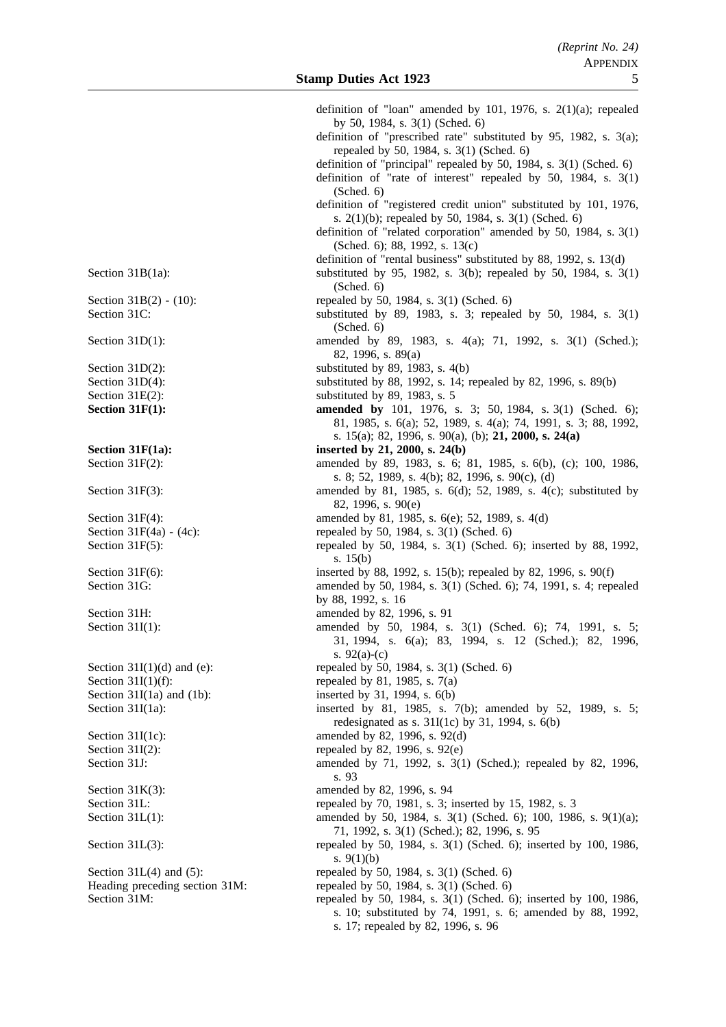| definition of "loan" amended by 101, 1976, s. $2(1)(a)$ ; repealed                               |
|--------------------------------------------------------------------------------------------------|
|                                                                                                  |
| by 50, 1984, s. 3(1) (Sched. 6)                                                                  |
| definition of "prescribed rate" substituted by 95, 1982, s. 3(a);                                |
| repealed by 50, 1984, s. 3(1) (Sched. 6)                                                         |
| definition of "principal" repealed by 50, 1984, s. 3(1) (Sched. 6)                               |
| definition of "rate of interest" repealed by $50$ , 1984, s. $3(1)$                              |
|                                                                                                  |
| (Sched. 6)                                                                                       |
| definition of "registered credit union" substituted by 101, 1976,                                |
| s. 2(1)(b); repealed by 50, 1984, s. 3(1) (Sched. 6)                                             |
| definition of "related corporation" amended by 50, 1984, s. 3(1)                                 |
| (Sched. 6); 88, 1992, s. 13(c)                                                                   |
| definition of "rental business" substituted by 88, 1992, s. 13(d)                                |
|                                                                                                  |
| substituted by 95, 1982, s. 3(b); repealed by 50, 1984, s. 3(1)                                  |
| (Sched. 6)                                                                                       |
| repealed by 50, 1984, s. 3(1) (Sched. 6)                                                         |
| substituted by 89, 1983, s. 3; repealed by 50, 1984, s. 3(1)                                     |
| (Sched. 6)                                                                                       |
| amended by 89, 1983, s. 4(a); 71, 1992, s. 3(1) (Sched.);                                        |
|                                                                                                  |
| 82, 1996, s. 89(a)                                                                               |
| substituted by 89, 1983, s. 4(b)                                                                 |
| substituted by 88, 1992, s. 14; repealed by 82, 1996, s. 89(b)                                   |
| substituted by 89, 1983, s. 5                                                                    |
| amended by 101, 1976, s. 3; 50, 1984, s. 3(1) (Sched. 6);                                        |
| 81, 1985, s. 6(a); 52, 1989, s. 4(a); 74, 1991, s. 3; 88, 1992,                                  |
| s. 15(a); 82, 1996, s. 90(a), (b); 21, 2000, s. 24(a)                                            |
|                                                                                                  |
| inserted by 21, 2000, s. 24(b)                                                                   |
| amended by 89, 1983, s. 6; 81, 1985, s. 6(b), (c); 100, 1986,                                    |
| s. 8; 52, 1989, s. 4(b); 82, 1996, s. 90(c), (d)                                                 |
| amended by 81, 1985, s. 6(d); 52, 1989, s. 4(c); substituted by                                  |
| 82, 1996, s. 90(e)                                                                               |
| amended by 81, 1985, s. 6(e); 52, 1989, s. 4(d)                                                  |
|                                                                                                  |
| repealed by 50, 1984, s. 3(1) (Sched. 6)                                                         |
| repealed by 50, 1984, s. 3(1) (Sched. 6); inserted by 88, 1992,                                  |
| s. $15(b)$                                                                                       |
| inserted by 88, 1992, s. 15(b); repealed by 82, 1996, s. 90(f)                                   |
| amended by 50, 1984, s. 3(1) (Sched. 6); 74, 1991, s. 4; repealed                                |
| by 88, 1992, s. 16                                                                               |
| amended by 82, 1996, s. 91                                                                       |
| amended by 50, 1984, s. 3(1) (Sched. 6); 74, 1991, s. 5;                                         |
|                                                                                                  |
| 31, 1994, s. 6(a); 83, 1994, s. 12 (Sched.); 82,<br>1996,                                        |
| s. 92(a)-(c)                                                                                     |
| repealed by 50, 1984, s. 3(1) (Sched. 6)                                                         |
| repealed by 81, 1985, s. 7(a)                                                                    |
|                                                                                                  |
|                                                                                                  |
| inserted by 31, 1994, s. 6(b)                                                                    |
| inserted by 81, 1985, s. 7(b); amended by 52, 1989, s. 5;                                        |
| redesignated as s. 31I(1c) by 31, 1994, s. 6(b)                                                  |
| amended by 82, 1996, s. 92(d)                                                                    |
| repealed by 82, 1996, s. 92(e)                                                                   |
|                                                                                                  |
| amended by 71, 1992, s. 3(1) (Sched.); repealed by 82, 1996,                                     |
| s. 93                                                                                            |
| amended by 82, 1996, s. 94                                                                       |
| repealed by 70, 1981, s. 3; inserted by 15, 1982, s. 3                                           |
| amended by 50, 1984, s. 3(1) (Sched. 6); 100, 1986, s. 9(1)(a);                                  |
| 71, 1992, s. 3(1) (Sched.); 82, 1996, s. 95                                                      |
| repealed by 50, 1984, s. 3(1) (Sched. 6); inserted by 100, 1986,                                 |
|                                                                                                  |
| s. $9(1)(b)$                                                                                     |
| repealed by 50, 1984, s. 3(1) (Sched. 6)                                                         |
| repealed by 50, 1984, s. 3(1) (Sched. 6)                                                         |
| repealed by 50, 1984, s. 3(1) (Sched. 6); inserted by 100, 1986,                                 |
| s. 10; substituted by 74, 1991, s. 6; amended by 88, 1992,<br>s. 17; repealed by 82, 1996, s. 96 |
|                                                                                                  |

Section  $31B(1a)$ : Section  $31B(2) - (10)$ : Section 31C: Section  $31D(1)$ : Section  $31D(2)$ : Section  $31D(4)$ : Section  $31E(2)$ : **Section 31F(1): Section 31F(1a):** Section  $31F(2)$ : Section  $31F(3)$ : Section  $31F(4)$ : Section  $31F(4a) - (4c)$ : Section  $31F(5)$ : Section  $31F(6)$ : Section 31G: Section 31H: Section  $31I(1)$ : Section  $31I(1)(d)$  and (e): Section  $31I(1)(f)$ : Section  $31I(1a)$  and  $(1b)$ : Section  $31I(1a)$ : Section  $31I(1c)$ : Section  $31I(2)$ : Section 31J: Section  $31K(3)$ : Section 31L: Section  $31L(1)$ : Section  $31L(3)$ : Section  $31L(4)$  and  $(5)$ : Heading preceding section 31M:

Section 31M: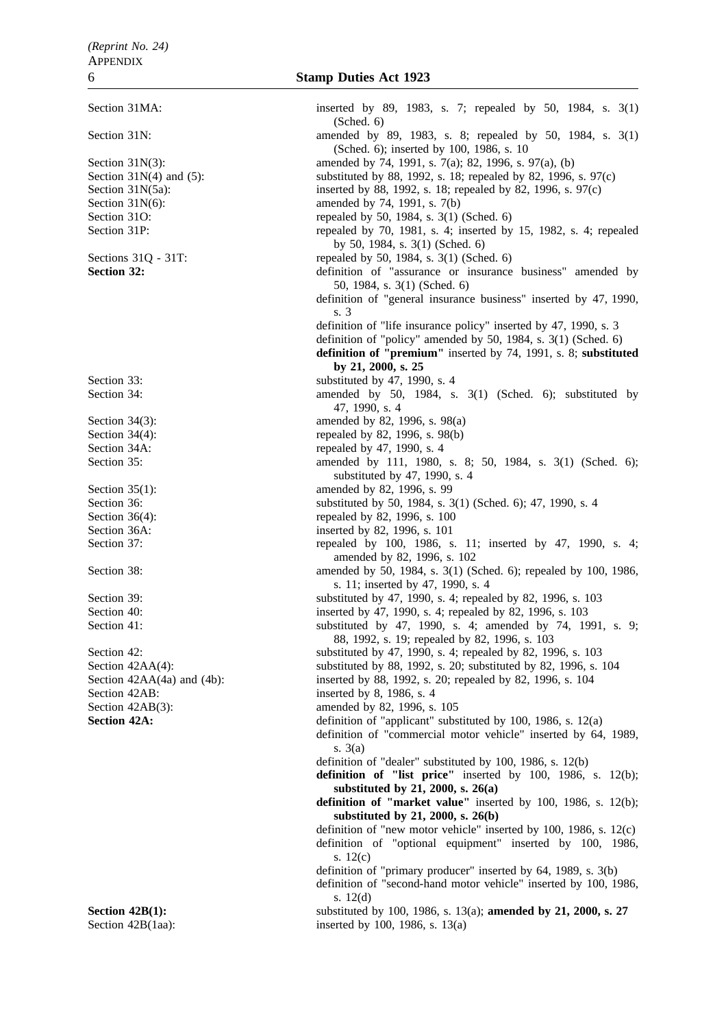Section 42AB: inserted by 8, 1986, s. 4

Section 31MA: inserted by 89, 1983, s. 7; repealed by 50, 1984, s. 3(1) (Sched. 6) Section 31N: **amended** by 89, 1983, s. 8; repealed by 50, 1984, s. 3(1) (Sched. 6); inserted by 100, 1986, s. 10 Section 31N(3): amended by 74, 1991, s. 7(a); 82, 1996, s. 97(a), (b) Section 31N(4) and (5): substituted by 88, 1992, s. 18; repealed by 82, 1996, s. 97(c) Section 31N(5a): inserted by 88, 1992, s. 18; repealed by 82, 1996, s. 97(c) Section 31N(6): amended by 74, 1991, s. 7(b) Section 31O: repealed by 50, 1984, s. 3(1) (Sched. 6) Section 31P: repealed by 70, 1981, s. 4; inserted by 15, 1982, s. 4; repealed by 50, 1984, s. 3(1) (Sched. 6) Sections 31Q - 31T:<br>
Section 32:<br>
Section 32:<br>  $\frac{3!}{2!}$  repealed by 50, 1984, s. 3(1) (Sched. 6) definition of "assurance or insurance business" amended by 50, 1984, s. 3(1) (Sched. 6) definition of "general insurance business" inserted by 47, 1990, s. 3 definition of "life insurance policy" inserted by 47, 1990, s. 3 definition of "policy" amended by 50, 1984, s. 3(1) (Sched. 6) **definition of "premium"** inserted by 74, 1991, s. 8; **substituted by 21, 2000, s. 25** Section 33:<br>Section 34:<br>Section 34:<br>Section 34:<br>Section 34:<br>Section 34: amended by 50, 1984, s.  $3(1)$  (Sched. 6); substituted by 47, 1990, s. 4 Section 34(3): amended by 82, 1996, s. 98(a) Section 34(4): repealed by 82, 1996, s. 98(b) Section 34A: repealed by 47, 1990, s. 4 Section 35: **amended** by 111, 1980, s. 8; 50, 1984, s. 3(1) (Sched. 6); substituted by 47, 1990, s. 4 Section 35(1): amended by 82, 1996, s. 99 Section 36: substituted by 50, 1984, s. 3(1) (Sched. 6); 47, 1990, s. 4 Section 36(4): repealed by 82, 1996, s. 100 Section 36A: inserted by 82, 1996, s. 101 Section 37: The section 37: The section 37:  $\frac{1}{3}$  repealed by 100, 1986, s. 11; inserted by 47, 1990, s. 4; amended by 82, 1996, s. 102 Section 38: **amended** by 50, 1984, s. 3(1) (Sched. 6); repealed by 100, 1986, s. 11; inserted by 47, 1990, s. 4 Section 39: substituted by 47, 1990, s. 4; repealed by 82, 1996, s. 103 Section 40: inserted by 47, 1990, s. 4; repealed by 82, 1996, s. 103 Section 41: substituted by 47, 1990, s. 4; amended by 74, 1991, s. 9; 88, 1992, s. 19; repealed by 82, 1996, s. 103 Section 42: substituted by 47, 1990, s. 4; repealed by 82, 1996, s. 103 Section 42AA(4): substituted by 88, 1992, s. 20; substituted by 82, 1996, s. 104 Section 42AA(4a) and (4b): inserted by 88, 1992, s. 20; repealed by 82, 1996, s. 104 Section 42AB(3): amended by 82, 1996, s. 105 **Section 42A:** definition of "applicant" substituted by 100, 1986, s. 12(a) definition of "commercial motor vehicle" inserted by 64, 1989, s. 3(a) definition of "dealer" substituted by 100, 1986, s. 12(b) **definition of "list price"** inserted by 100, 1986, s. 12(b); **substituted by 21, 2000, s. 26(a) definition of "market value"** inserted by 100, 1986, s. 12(b); **substituted by 21, 2000, s. 26(b)** definition of "new motor vehicle" inserted by 100, 1986, s. 12(c) definition of "optional equipment" inserted by 100, 1986, s. 12(c) definition of "primary producer" inserted by 64, 1989, s. 3(b) definition of "second-hand motor vehicle" inserted by 100, 1986, s. 12(d) **Section 42B(1):** substituted by 100, 1986, s. 13(a); **amended by 21, 2000, s. 27** Section 42B(1aa): inserted by 100, 1986, s. 13(a)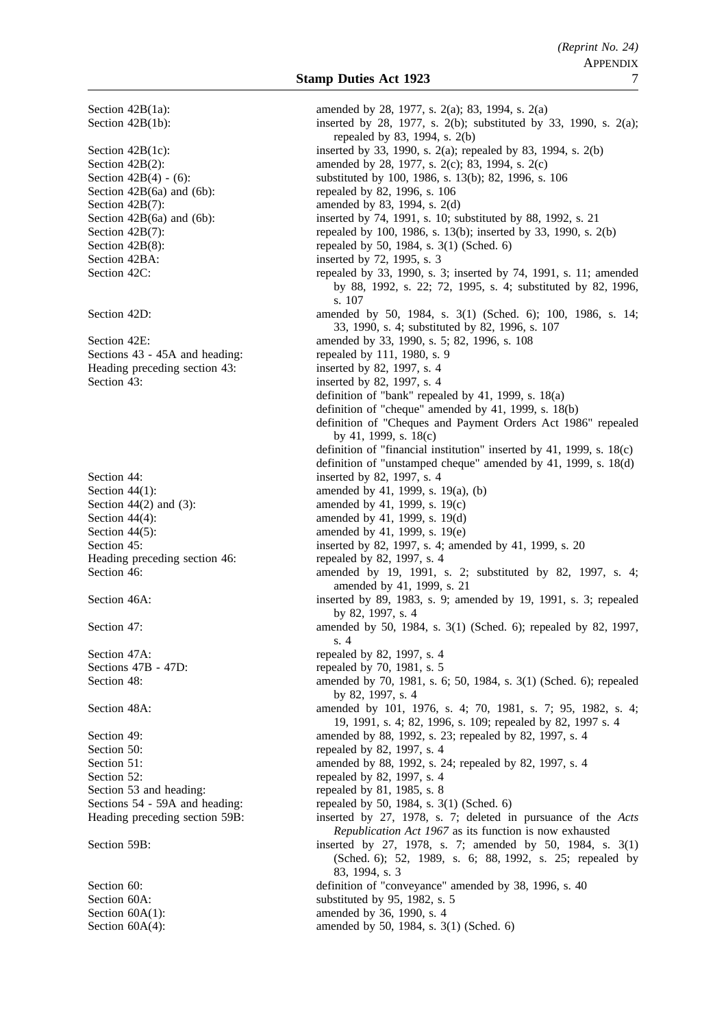Section 42B(1a): amended by 28, 1977, s. 2(a); 83, 1994, s. 2(a) Section 42B(1b): inserted by 28, 1977, s. 2(b); substituted by 33, 1990, s. 2(a); repealed by 83, 1994, s. 2(b) Section 42B(1c): inserted by 33, 1990, s. 2(a); repealed by 83, 1994, s. 2(b) Section 42B(2): amended by 28, 1977, s. 2(c); 83, 1994, s. 2(c) Section 42B(4) - (6): substituted by 100, 1986, s. 13(b); 82, 1996, s. 106 Section  $42B(6a)$  and  $(6b)$ : repealed by 82, 1996, s. 106 Section 42B(7): amended by 83, 1994, s. 2(d) Section 42B(6a) and (6b): inserted by 74, 1991, s. 10; substituted by 88, 1992, s. 21 Section 42B(7): repealed by 100, 1986, s. 13(b); inserted by 33, 1990, s. 2(b) Section 42B(8): repealed by 50, 1984, s. 3(1) (Sched. 6) Section 42BA: inserted by 72, 1995, s. 3 Section 42C: repealed by 33, 1990, s. 3; inserted by 74, 1991, s. 11; amended by 88, 1992, s. 22; 72, 1995, s. 4; substituted by 82, 1996, s. 107 Section 42D: amended by 50, 1984, s. 3(1) (Sched. 6); 100, 1986, s. 14; 33, 1990, s. 4; substituted by 82, 1996, s. 107 Section 42E: **amended** by 33, 1990, s. 5; 82, 1996, s. 108 Sections 43 - 45A and heading: repealed by 111, 1980, s. 9 Heading preceding section 43: inserted by 82, 1997, s. 4 Section 43: inserted by 82, 1997, s. 4 definition of "bank" repealed by 41, 1999, s. 18(a) definition of "cheque" amended by 41, 1999, s. 18(b) definition of "Cheques and Payment Orders Act 1986" repealed by 41, 1999, s. 18(c) definition of "financial institution" inserted by 41, 1999, s. 18(c) definition of "unstamped cheque" amended by 41, 1999, s. 18(d) Section 44: inserted by 82, 1997, s. 4 Section 44(1): amended by 41, 1999, s. 19(a), (b) Section 44(2) and (3): amended by 41, 1999, s. 19(c) Section 44(4): amended by 41, 1999, s. 19(d) Section 44(5): amended by 41, 1999, s. 19(e)<br>Section 45: inserted by 82, 1997, s. 4: ame inserted by 82, 1997, s. 4; amended by 41, 1999, s. 20 Heading preceding section 46: repealed by 82, 1997, s. 4 Section 46: **amended** by 19, 1991, s. 2; substituted by 82, 1997, s. 4; amended by 41, 1999, s. 21 Section 46A: inserted by 89, 1983, s. 9; amended by 19, 1991, s. 3; repealed by 82, 1997, s. 4 Section 47: **amended** by 50, 1984, s. 3(1) (Sched. 6); repealed by 82, 1997, s. 4 Section 47A: repealed by 82, 1997, s. 4 Sections 47B - 47D: repealed by 70, 1981, s. 5 Section 48: **amended** by 70, 1981, s. 6; 50, 1984, s. 3(1) (Sched. 6); repealed by 82, 1997, s. 4 Section 48A: amended by 101, 1976, s. 4; 70, 1981, s. 7; 95, 1982, s. 4; 9. 19, 1991, s. 4; 82, 1996, s. 109; repealed by 82, 1997 s. 4 Section 49: **amended** by 88, 1992, s. 23; repealed by 82, 1997, s. 4 Section 50: repealed by 82, 1997, s. 4 Section 51: **amended** by 88, 1992, s. 24; repealed by 82, 1997, s. 4 Section 52: repealed by 82, 1997, s. 4 Section 53 and heading: repealed by 81, 1985, s. 8 Sections 54 - 59A and heading: repealed by 50, 1984, s. 3(1) (Sched. 6) Heading preceding section 59B: inserted by 27, 1978, s. 7; deleted in pursuance of the *Acts Republication Act 1967* as its function is now exhausted Section 59B: inserted by 27, 1978, s. 7; amended by 50, 1984, s. 3(1) (Sched. 6); 52, 1989, s. 6; 88, 1992, s. 25; repealed by 83, 1994, s. 3 Section 60: definition of "conveyance" amended by 38, 1996, s. 40 Section 60A: substituted by 95, 1982, s. 5 Section 60A(1): amended by 36, 1990, s. 4

Section 60A(4): amended by 50, 1984, s. 3(1) (Sched. 6)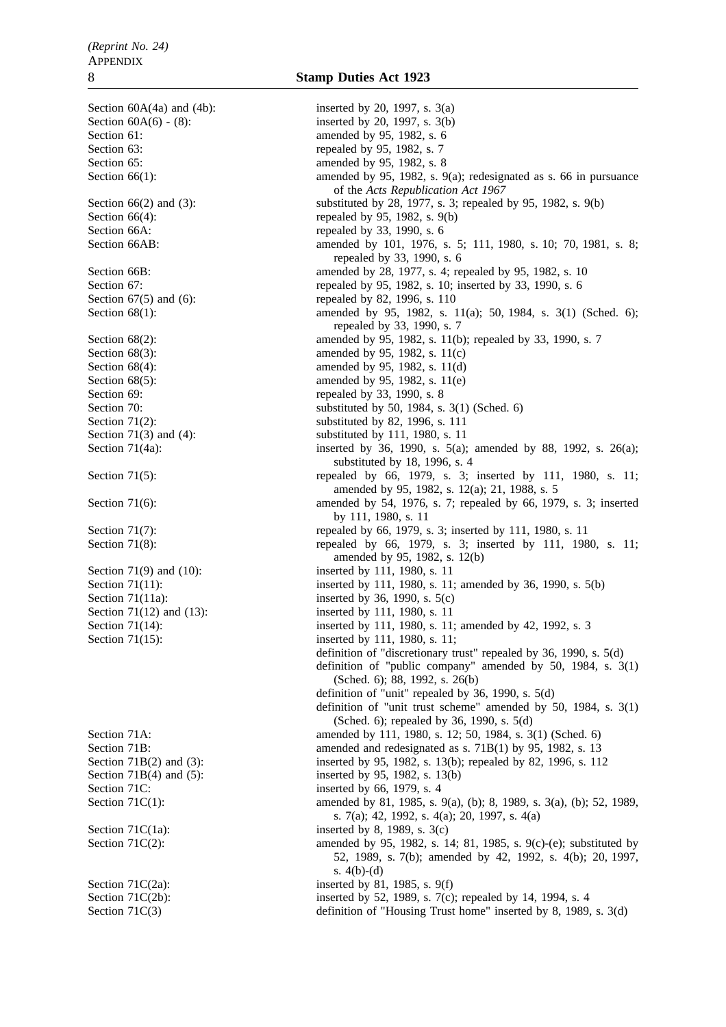Section  $60A(4a)$  and  $(4b)$ : inserted by 20, 1997, s. 3(a) Section  $60A(6) - (8)$ : inserted by 20, 1997, s. 3(b) Section 61: **amended** by 95, 1982, s. 6 Section 63: repealed by 95, 1982, s. 7 Section 65: **amended** by 95, 1982, s. 8 Section 66(1): amended by 95, 1982, s. 9(a); redesignated as s. 66 in pursuance of the *Acts Republication Act 1967* Section 66(2) and (3): substituted by 28, 1977, s. 3; repealed by 95, 1982, s. 9(b) Section  $66(4)$ : repealed by 95, 1982, s. 9(b) Section 66A: repealed by 33, 1990, s. 6 Section 66AB: amended by 101, 1976, s. 5; 111, 1980, s. 10; 70, 1981, s. 8; repealed by 33, 1990, s. 6 Section 66B: amended by 28, 1977, s. 4; repealed by 95, 1982, s. 10 Section 67: repealed by 95, 1982, s. 10; inserted by 33, 1990, s. 6 Section 67(5) and (6): repealed by 82, 1996, s. 110 Section 68(1): amended by 95, 1982, s. 11(a); 50, 1984, s. 3(1) (Sched. 6); repealed by 33, 1990, s. 7 Section 68(2): amended by 95, 1982, s. 11(b); repealed by 33, 1990, s. 7 Section 68(3): amended by 95, 1982, s. 11(c) Section 68(4): amended by 95, 1982, s. 11(d) Section 68(5): amended by 95, 1982, s. 11(e) Section 69: repealed by 33, 1990, s. 8 Section 70: substituted by 50, 1984, s. 3(1) (Sched. 6) Section 71(2): substituted by 82, 1996, s. 111 Section 71(3) and (4): substituted by 111, 1980, s. 11 Section 71(4a): inserted by 36, 1990, s. 5(a); amended by 88, 1992, s. 26(a); substituted by 18, 1996, s. 4 Section 71(5): repealed by 66, 1979, s. 3; inserted by 111, 1980, s. 11; amended by 95, 1982, s. 12(a); 21, 1988, s. 5 Section 71(6): amended by 54, 1976, s. 7; repealed by 66, 1979, s. 3; inserted by 111, 1980, s. 11 Section 71(7): repealed by 66, 1979, s. 3; inserted by 111, 1980, s. 11 Section 71(8): repealed by 66, 1979, s. 3; inserted by 111, 1980, s. 11; amended by 95, 1982, s. 12(b) Section 71(9) and (10): inserted by 111, 1980, s. 11 Section 71(11): inserted by 111, 1980, s. 11; amended by 36, 1990, s. 5(b) Section 71(11a): inserted by 36, 1990, s. 5(c) Section 71(12) and (13): inserted by 111, 1980, s. 11 Section 71(14): inserted by 111, 1980, s. 11; amended by 42, 1992, s. 3 Section 71(15): inserted by 111, 1980, s. 11; definition of "discretionary trust" repealed by 36, 1990, s. 5(d) definition of "public company" amended by 50, 1984, s. 3(1) (Sched. 6); 88, 1992, s. 26(b) definition of "unit" repealed by 36, 1990, s. 5(d) definition of "unit trust scheme" amended by 50, 1984, s. 3(1) (Sched. 6); repealed by 36, 1990, s. 5(d) Section 71A: amended by 111, 1980, s. 12; 50, 1984, s. 3(1) (Sched. 6) Section 71B: amended and redesignated as s. 71B(1) by 95, 1982, s. 13 Section 71B(2) and (3): inserted by 95, 1982, s. 13(b); repealed by 82, 1996, s. 112 Section 71B(4) and (5): inserted by 95, 1982, s. 13(b) Section 71C: inserted by 66, 1979, s. 4 Section 71C(1): amended by 81, 1985, s. 9(a), (b); 8, 1989, s. 3(a), (b); 52, 1989, s. 7(a); 42, 1992, s. 4(a); 20, 1997, s. 4(a) Section 71 $C(1a)$ : inserted by 8, 1989, s. 3(c) Section 71C(2): amended by 95, 1982, s. 14; 81, 1985, s. 9(c)-(e); substituted by 52, 1989, s. 7(b); amended by 42, 1992, s. 4(b); 20, 1997, s. 4(b)-(d) Section 71 $C(2a)$ : inserted by 81, 1985, s. 9(f) Section 71C(2b): inserted by 52, 1989, s. 7(c); repealed by 14, 1994, s. 4 Section 71C(3) definition of "Housing Trust home" inserted by 8, 1989, s. 3(d)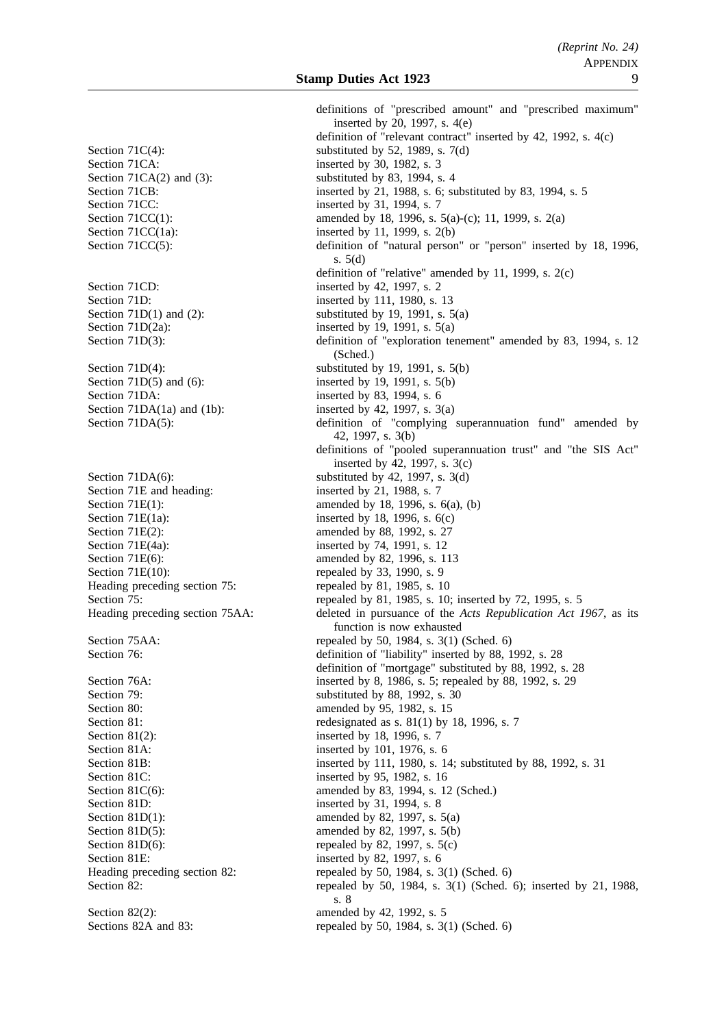Section 71CA: inserted by 30, 1982, s. 3 Section  $71CA(2)$  and  $(3)$ : substituted by 83, 1994, s. 4 Section 71CC: inserted by 31, 1994, s. 7 Section 71 $CC(1a)$ : inserted by 11, 1999, s. 2(b) Section 71CD: inserted by 42, 1997, s. 2 Section 71D: inserted by 111, 1980, s. 13 Section 71D(2a): inserted by 19, 1991, s.  $5(a)$ Section 71D(5) and (6): inserted by 19, 1991, s.  $5(b)$ Section 71DA: inserted by 83, 1994, s. 6 Section 71DA(1a) and (1b): inserted by 42, 1997, s.  $3(a)$ Section 71E and heading: inserted by 21, 1988, s. 7 Section 71E(1a): inserted by 18, 1996, s. 6(c) Section 71E(2): amended by 88, 1992, s. 27 Section 71E(4a): inserted by 74, 1991, s. 12 Section 71E(6): amended by 82, 1996, s. 113 Section  $71E(10)$ : repealed by 33, 1990, s. 9 Heading preceding section 75: repealed by 81, 1985, s. 10 Section 79: substituted by 88, 1992, s. 30 Section 80: **amended** by 95, 1982, s. 15 Section 81(2): inserted by 18, 1996, s. 7 Section 81A: inserted by 101, 1976, s. 6 Section 81C: inserted by 95, 1982, s. 16 Section 81D: inserted by 31, 1994, s. 8 Section 81D(1): amended by 82, 1997, s.  $5(a)$ Section 81D(5): amended by 82, 1997, s.  $5(b)$ Section 81D(6): repealed by 82, 1997, s.  $5(c)$ Section 81E: inserted by 82, 1997, s. 6 Section 82(2): amended by 42, 1992, s. 5

definitions of "prescribed amount" and "prescribed maximum" inserted by 20, 1997, s. 4(e) definition of "relevant contract" inserted by 42, 1992, s. 4(c) Section 71C(4): substituted by 52, 1989, s. 7(d) Section 71CB: inserted by 21, 1988, s. 6; substituted by 83, 1994, s. 5 Section 71CC(1): amended by 18, 1996, s. 5(a)-(c); 11, 1999, s. 2(a) Section 71CC(5): definition of "natural person" or "person" inserted by 18, 1996, s. 5(d) definition of "relative" amended by 11, 1999, s. 2(c) Section 71D(1) and (2): substituted by 19, 1991, s.  $5(a)$ Section 71D(3): definition of "exploration tenement" amended by 83, 1994, s. 12 (Sched.) Section  $71D(4)$ : substituted by 19, 1991, s.  $5(b)$ Section 71DA(5): definition of "complying superannuation fund" amended by 42, 1997, s. 3(b) definitions of "pooled superannuation trust" and "the SIS Act" inserted by  $\overline{42}$ , 1997, s. 3(c) Section 71DA(6): substituted by 42, 1997, s. 3(d) Section 71E(1): amended by 18, 1996, s.  $6(a)$ , (b) Section 75: repealed by 81, 1985, s. 10; inserted by 72, 1995, s. 5 Heading preceding section 75AA: deleted in pursuance of the *Acts Republication Act 1967*, as its function is now exhausted Section 75AA: repealed by 50, 1984, s. 3(1) (Sched. 6) Section 76: definition of "liability" inserted by 88, 1992, s. 28 definition of "mortgage" substituted by 88, 1992, s. 28 Section 76A: inserted by 8, 1986, s. 5; repealed by 88, 1992, s. 29 Section 81: redesignated as s. 81(1) by 18, 1996, s. 7 Section 81B: inserted by 111, 1980, s. 14; substituted by 88, 1992, s. 31 Section 81C(6): amended by 83, 1994, s. 12 (Sched.) Heading preceding section 82: repealed by 50, 1984, s. 3(1) (Sched. 6) Section 82: repealed by 50, 1984, s. 3(1) (Sched. 6); inserted by 21, 1988, s. 8 Sections 82A and 83: repealed by 50, 1984, s. 3(1) (Sched. 6)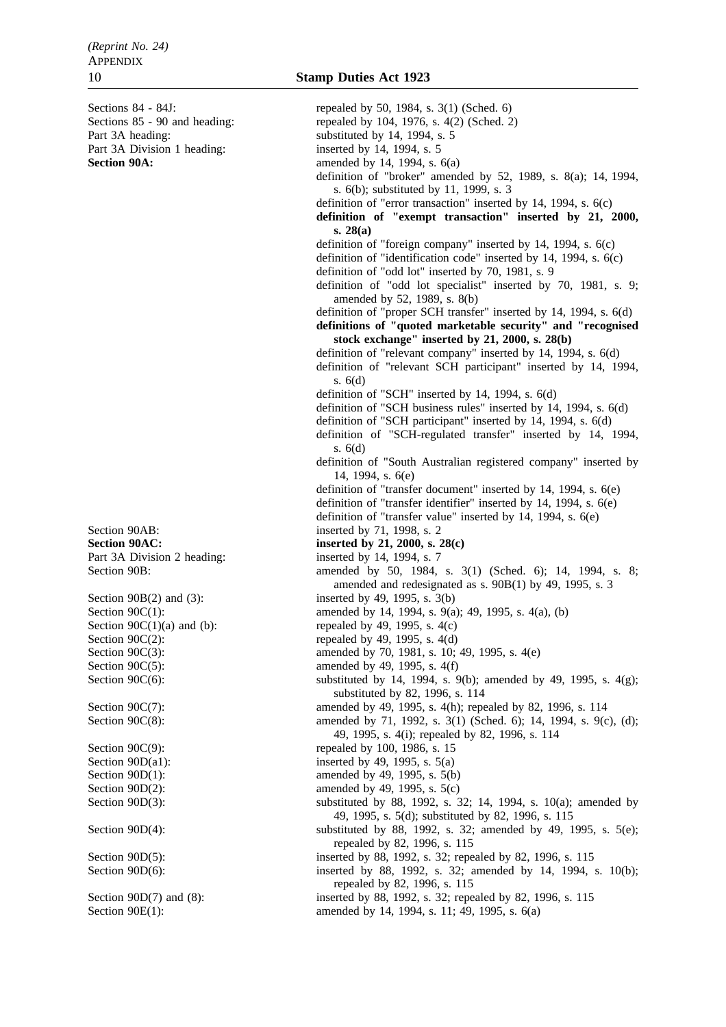Section 90E(1): amended by 14, 1994, s. 11; 49, 1995, s. 6(a)

Sections 84 - 84J: repealed by 50, 1984, s. 3(1) (Sched. 6) Sections 85 - 90 and heading: repealed by 104, 1976, s. 4(2) (Sched. 2) Part 3A heading: substituted by 14, 1994, s. 5 Part 3A Division 1 heading: inserted by 14, 1994, s. 5 **Section 90A:** amended by 14, 1994, s. 6(a) definition of "broker" amended by 52, 1989, s. 8(a); 14, 1994, s. 6(b); substituted by 11, 1999, s. 3 definition of "error transaction" inserted by 14, 1994, s. 6(c) **definition of "exempt transaction" inserted by 21, 2000, s. 28(a)** definition of "foreign company" inserted by 14, 1994, s. 6(c) definition of "identification code" inserted by 14, 1994, s. 6(c) definition of "odd lot" inserted by 70, 1981, s. 9 definition of "odd lot specialist" inserted by 70, 1981, s. 9; amended by 52, 1989, s. 8(b) definition of "proper SCH transfer" inserted by 14, 1994, s. 6(d) **definitions of "quoted marketable security" and "recognised stock exchange" inserted by 21, 2000, s. 28(b)** definition of "relevant company" inserted by 14, 1994, s. 6(d) definition of "relevant SCH participant" inserted by 14, 1994, s. 6(d) definition of "SCH" inserted by 14, 1994, s. 6(d) definition of "SCH business rules" inserted by 14, 1994, s. 6(d) definition of "SCH participant" inserted by 14, 1994, s. 6(d) definition of "SCH-regulated transfer" inserted by 14, 1994, s. 6(d) definition of "South Australian registered company" inserted by 14, 1994, s. 6(e) definition of "transfer document" inserted by 14, 1994, s. 6(e) definition of "transfer identifier" inserted by 14, 1994, s. 6(e) definition of "transfer value" inserted by 14, 1994, s. 6(e) Section 90AB: inserted by 71, 1998, s. 2 **Section 90AC: inserted by 21, 2000, s. 28(c)** Part 3A Division 2 heading: inserted by 14, 1994, s. 7 Section 90B: amended by 50, 1984, s. 3(1) (Sched. 6); 14, 1994, s. 8; amended and redesignated as s. 90B(1) by 49, 1995, s. 3 Section 90B(2) and (3): inserted by 49, 1995, s.  $3(b)$ Section 90C(1): amended by 14, 1994, s. 9(a); 49, 1995, s. 4(a), (b) Section  $90C(1)(a)$  and (b): repealed by 49, 1995, s. 4(c) Section  $90C(2)$ : repealed by 49, 1995, s. 4(d) Section 90C(3): amended by 70, 1981, s. 10; 49, 1995, s. 4(e) Section  $90C(5)$ : amended by 49, 1995, s. 4(f) Section 90C(6): substituted by 14, 1994, s. 9(b); amended by 49, 1995, s. 4(g); substituted by 82, 1996, s. 114 Section 90C(7): amended by 49, 1995, s. 4(h); repealed by 82, 1996, s. 114 Section 90C(8): amended by 71, 1992, s. 3(1) (Sched. 6); 14, 1994, s. 9(c), (d); 49, 1995, s. 4(i); repealed by 82, 1996, s. 114 Section 90C(9): repealed by 100, 1986, s. 15 Section 90 $D(a1)$ : inserted by 49, 1995, s. 5(a) Section  $90D(1)$ : amended by 49, 1995, s. 5(b) Section  $90D(2)$ : amended by 49, 1995, s. 5(c) Section 90D(3): substituted by 88, 1992, s. 32; 14, 1994, s. 10(a); amended by 49, 1995, s. 5(d); substituted by 82, 1996, s. 115 Section 90D(4): substituted by 88, 1992, s. 32; amended by 49, 1995, s. 5(e); repealed by 82, 1996, s. 115 Section 90D(5): inserted by 88, 1992, s. 32; repealed by 82, 1996, s. 115 Section 90D(6): inserted by 88, 1992, s. 32; amended by 14, 1994, s. 10(b); repealed by 82, 1996, s. 115 Section 90D(7) and (8): inserted by 88, 1992, s. 32; repealed by 82, 1996, s. 115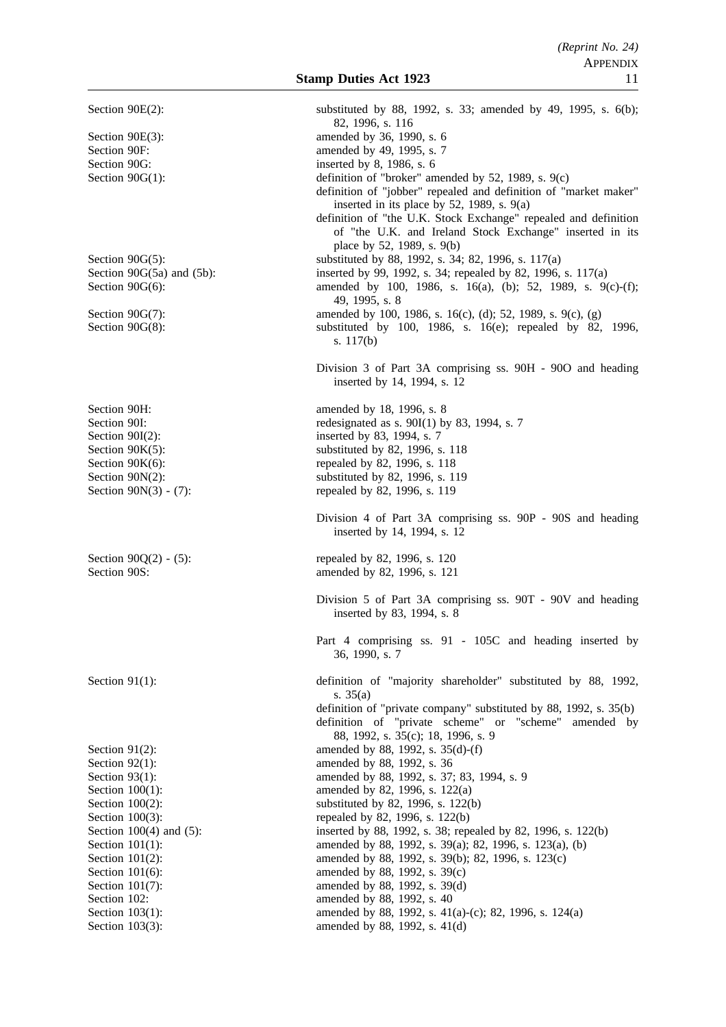Section 90E(3): amended by 36, 1990, s. 6 Section 90F: amended by 49, 1995, s. 7 Section 90G: inserted by 8, 1986, s. 6 Section 90H: amended by 18, 1996, s. 8 Section 90K(6): repealed by 82, 1996, s. 118 Section 90N(3) - (7): repealed by 82, 1996, s. 119 Section 90O(2) - (5): repealed by 82, 1996, s. 120 Section 90S: amended by 82, 1996, s. 121 Section 92(1): amended by 88, 1992, s. 36 Section 102: **amended** by 88, 1992, s. 40 Section 103(3): amended by 88, 1992, s. 41(d)

Section 90E(2): substituted by 88, 1992, s. 33; amended by 49, 1995, s. 6(b); 82, 1996, s. 116 Section 90G(1): definition of "broker" amended by 52, 1989, s. 9(c) definition of "jobber" repealed and definition of "market maker" inserted in its place by 52, 1989, s. 9(a) definition of "the U.K. Stock Exchange" repealed and definition of "the U.K. and Ireland Stock Exchange" inserted in its place by 52, 1989, s. 9(b) Section 90G(5): substituted by 88, 1992, s. 34; 82, 1996, s. 117(a) Section 90G(5a) and (5b): inserted by 99, 1992, s. 34; repealed by 82, 1996, s. 117(a) Section 90G(6): amended by 100, 1986, s. 16(a), (b); 52, 1989, s. 9(c)-(f); 49, 1995, s. 8 Section 90G(7): amended by 100, 1986, s. 16(c), (d); 52, 1989, s. 9(c), (g) Section 90G(8): substituted by 100, 1986, s. 16(e); repealed by 82, 1996, s. 117(b) Division 3 of Part 3A comprising ss. 90H - 90O and heading inserted by 14, 1994, s. 12 Section 90I: redesignated as s. 90I(1) by 83, 1994, s. 7<br>Section 90I(2): inserted by 83, 1994, s. 7 inserted by 83, 1994, s. 7 Section  $90K(5)$ : substituted by 82, 1996, s. 118 Section 90N(2): substituted by 82, 1996, s. 119 Division 4 of Part 3A comprising ss. 90P - 90S and heading inserted by 14, 1994, s. 12 Division 5 of Part 3A comprising ss. 90T - 90V and heading inserted by 83, 1994, s. 8 Part 4 comprising ss. 91 - 105C and heading inserted by 36, 1990, s. 7 Section 91(1): definition of "majority shareholder" substituted by 88, 1992, s. 35(a) definition of "private company" substituted by 88, 1992, s. 35(b) definition of "private scheme" or "scheme" amended by 88, 1992, s. 35(c); 18, 1996, s. 9 Section 91(2): amended by 88, 1992, s. 35(d)-(f) Section 93(1): amended by 88, 1992, s. 37; 83, 1994, s. 9 Section 100(1): amended by 82, 1996, s. 122(a) Section 100(2): substituted by 82, 1996, s. 122(b) Section 100(3): repealed by 82, 1996, s. 122(b) Section 100(4) and (5): inserted by 88, 1992, s. 38; repealed by 82, 1996, s. 122(b) Section 101(1): amended by 88, 1992, s. 39(a); 82, 1996, s. 123(a), (b) Section 101(2): amended by 88, 1992, s. 39(b); 82, 1996, s. 123(c) Section 101(6): amended by 88, 1992, s. 39(c) Section 101(7): amended by 88, 1992, s. 39(d) Section 103(1): amended by 88, 1992, s. 41(a)-(c); 82, 1996, s. 124(a)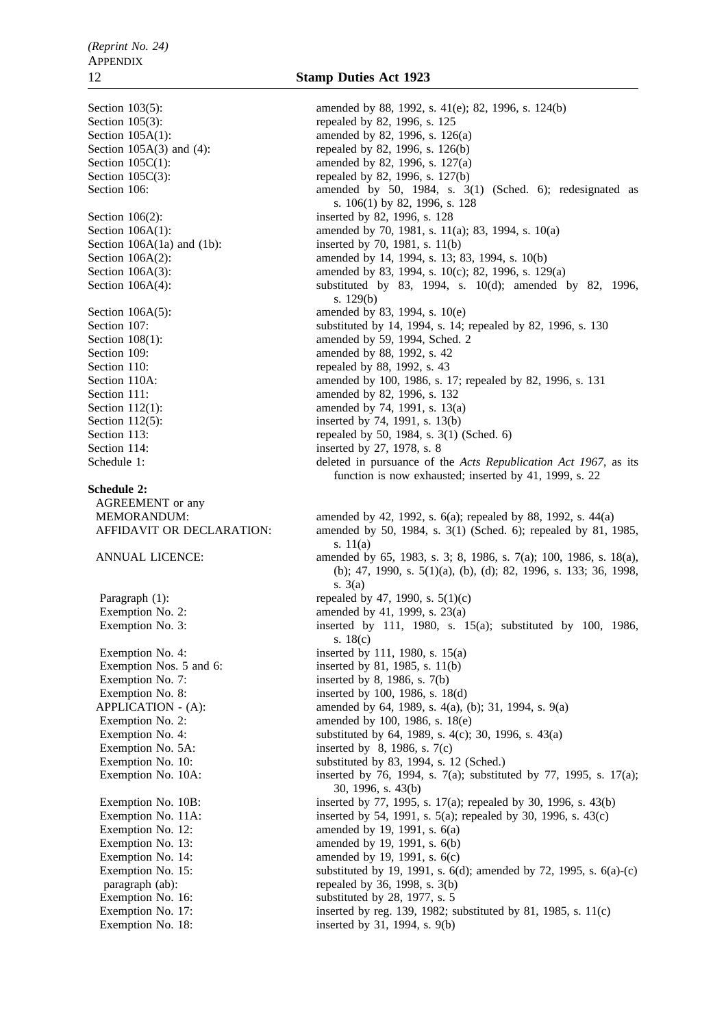Section 106(2): inserted by 82, 1996, s. 128 Section 109: **amended** by 88, 1992, s. 42 Section 110: repealed by 88, 1992, s. 43 Section 114: inserted by 27, 1978, s. 8 **Schedule 2:** AGREEMENT or any

### Exemption No. 18: inserted by 31, 1994, s. 9(b)

# 12 **Stamp Duties Act 1923**

Section 103(5): amended by 88, 1992, s. 41(e); 82, 1996, s. 124(b) Section 105(3): repealed by 82, 1996, s. 125 Section 105A(1): amended by 82, 1996, s. 126(a) Section 105A(3) and (4): repealed by 82, 1996, s. 126(b) Section 105C(1): amended by 82, 1996, s. 127(a) Section 105 $C(3)$ : repealed by 82, 1996, s. 127(b) Section 106: amended by 50, 1984, s. 3(1) (Sched. 6); redesignated as s. 106(1) by 82, 1996, s. 128 Section 106A(1): amended by 70, 1981, s. 11(a); 83, 1994, s. 10(a) Section  $106A(1a)$  and  $(1b)$ : inserted by 70, 1981, s. 11(b) Section 106A(2): amended by 14, 1994, s. 13; 83, 1994, s. 10(b) Section 106A(3): amended by 83, 1994, s. 10(c); 82, 1996, s. 129(a) Section 106A(4): substituted by 83, 1994, s. 10(d); amended by 82, 1996, s. 129(b) Section 106A(5): amended by 83, 1994, s. 10(e) Section 107: substituted by 14, 1994, s. 14; repealed by 82, 1996, s. 130 Section 108(1): amended by 59, 1994, Sched. 2 Section 110A: amended by 100, 1986, s. 17; repealed by 82, 1996, s. 131 Section 111: **amended** by 82, 1996, s. 132 Section 112(1): amended by 74, 1991, s. 13(a) Section 112(5): inserted by 74, 1991, s. 13(b) Section 113: repealed by 50, 1984, s. 3(1) (Sched. 6) Schedule 1: deleted in pursuance of the *Acts Republication Act 1967*, as its function is now exhausted; inserted by 41, 1999, s. 22 MEMORANDUM: amended by 42, 1992, s. 6(a); repealed by 88, 1992, s. 44(a) AFFIDAVIT OR DECLARATION: amended by 50, 1984, s. 3(1) (Sched. 6); repealed by 81, 1985, s. 11(a) ANNUAL LICENCE: amended by 65, 1983, s. 3; 8, 1986, s. 7(a); 100, 1986, s. 18(a), (b); 47, 1990, s. 5(1)(a), (b), (d); 82, 1996, s. 133; 36, 1998, s. 3(a) Paragraph (1): repealed by 47, 1990, s.  $5(1)(c)$ Exemption No. 2:  $\qquad \qquad \text{amended by 41, 1999, s. 23(a)}$ Exemption No. 3: inserted by 111, 1980, s. 15(a); substituted by 100, 1986, s. 18(c) Exemption No. 4: inserted by 111, 1980, s.  $15(a)$ Exemption Nos. 5 and 6: inserted by 81, 1985, s. 11(b) Exemption No. 7: inserted by 8, 1986, s. 7(b) Exemption No. 8: inserted by 100, 1986, s. 18(d) APPLICATION - (A): amended by 64, 1989, s. 4(a), (b); 31, 1994, s. 9(a) Exemption No. 2: amended by 100, 1986, s. 18(e)<br>Exemption No. 4: substituted by 64, 1989, s. 4(c); substituted by 64, 1989, s.  $4(c)$ ; 30, 1996, s.  $43(a)$ Exemption No. 5A: inserted by  $8$ , 1986, s. 7(c) Exemption No. 10: substituted by 83, 1994, s. 12 (Sched.) Exemption No. 10A: inserted by 76, 1994, s. 7(a); substituted by 77, 1995, s. 17(a); 30, 1996, s. 43(b) Exemption No. 10B: inserted by 77, 1995, s. 17(a); repealed by 30, 1996, s. 43(b) Exemption No. 11A: inserted by 54, 1991, s. 5(a); repealed by 30, 1996, s. 43(c) Exemption No. 12: **amended** by 19, 1991, s. 6(a) Exemption No. 13: amended by 19, 1991, s. 6(b)<br>Exemption No. 14: amended by 19, 1991, s. 6(c) amended by 19, 1991, s.  $6(c)$ Exemption No. 15: substituted by 19, 1991, s. 6(d); amended by 72, 1995, s. 6(a)-(c) paragraph (ab): repealed by 36, 1998, s. 3(b) Exemption No. 16: substituted by 28, 1977, s. 5 Exemption No. 17: inserted by reg. 139, 1982; substituted by 81, 1985, s. 11(c)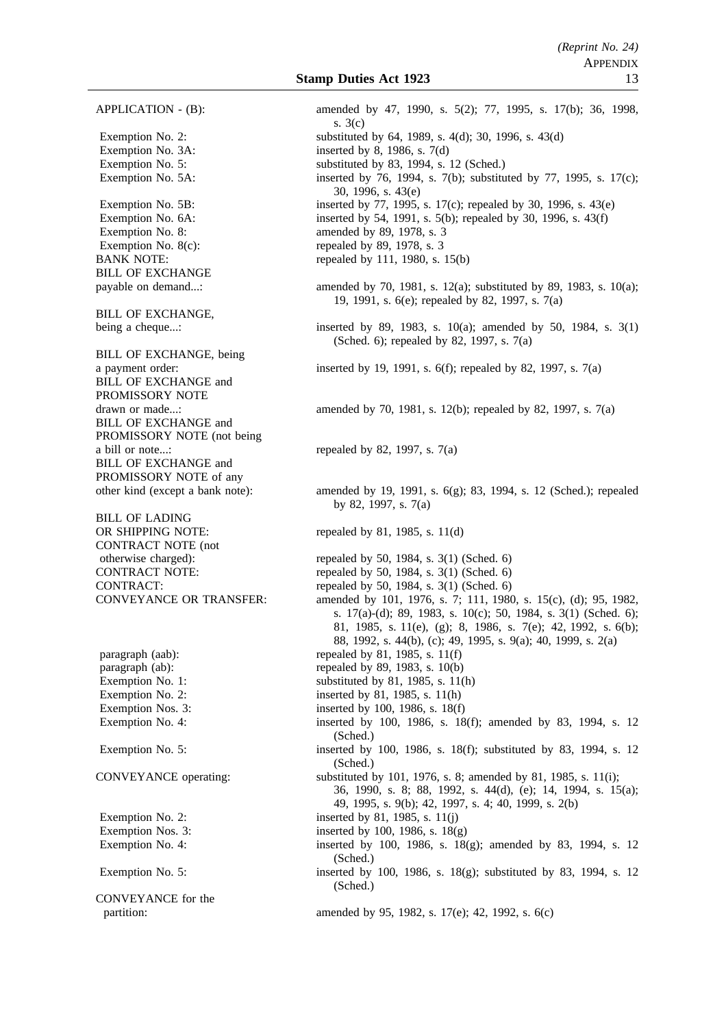BILL OF EXCHANGE

BILL OF EXCHANGE,

BILL OF EXCHANGE, being BILL OF EXCHANGE and PROMISSORY NOTE BILL OF EXCHANGE and PROMISSORY NOTE (not being a bill or note...: repealed by 82, 1997, s.  $7(a)$ BILL OF EXCHANGE and PROMISSORY NOTE of any

BILL OF LADING OR SHIPPING NOTE: repealed by 81, 1985, s. 11(d) CONTRACT NOTE (not

CONVEYANCE for the

APPLICATION - (B): amended by 47, 1990, s. 5(2); 77, 1995, s. 17(b); 36, 1998, s. 3(c) Exemption No. 2: substituted by 64, 1989, s. 4(d); 30, 1996, s. 43(d) Exemption No. 3A: inserted by 8, 1986, s. 7(d) Exemption No. 5: substituted by 83, 1994, s. 12 (Sched.) Exemption No. 5A: inserted by 76, 1994, s. 7(b); substituted by 77, 1995, s. 17(c); 30, 1996, s. 43(e) Exemption No. 5B: inserted by 77, 1995, s. 17(c); repealed by 30, 1996, s. 43(e) Exemption No. 6A: inserted by 54, 1991, s. 5(b); repealed by 30, 1996, s. 43(f) Exemption No. 8: amended by 89, 1978, s. 3 Exemption No.  $8(c)$ : repealed by  $89$ , 1978, s. 3 BANK NOTE: repealed by 111, 1980, s. 15(b) payable on demand...: amended by 70, 1981, s. 12(a); substituted by 89, 1983, s. 10(a); 19, 1991, s. 6(e); repealed by 82, 1997, s. 7(a) being a cheque...: inserted by 89, 1983, s. 10(a); amended by 50, 1984, s. 3(1) (Sched. 6); repealed by 82, 1997, s. 7(a) a payment order: inserted by 19, 1991, s. 6(f); repealed by 82, 1997, s. 7(a) drawn or made...: amended by 70, 1981, s. 12(b); repealed by 82, 1997, s. 7(a) other kind (except a bank note): amended by 19, 1991, s. 6(g); 83, 1994, s. 12 (Sched.); repealed by 82, 1997, s. 7(a) otherwise charged): repealed by 50, 1984, s. 3(1) (Sched. 6) CONTRACT NOTE: repealed by 50, 1984, s. 3(1) (Sched. 6) CONTRACT: repealed by 50, 1984, s. 3(1) (Sched. 6) CONVEYANCE OR TRANSFER: amended by 101, 1976, s. 7; 111, 1980, s. 15(c), (d); 95, 1982, s. 17(a)-(d); 89, 1983, s. 10(c); 50, 1984, s. 3(1) (Sched. 6); 81, 1985, s. 11(e), (g); 8, 1986, s. 7(e); 42, 1992, s. 6(b); 88, 1992, s. 44(b), (c); 49, 1995, s. 9(a); 40, 1999, s. 2(a) paragraph (aab): repealed by 81, 1985, s.  $11(f)$ paragraph (ab): repealed by 89, 1983, s. 10(b) Exemption No. 1: substituted by 81, 1985, s. 11(h) Exemption No. 2: inserted by 81, 1985, s.  $11(h)$ Exemption Nos. 3: inserted by 100, 1986, s. 18(f) Exemption No. 4: inserted by 100, 1986, s. 18(f); amended by 83, 1994, s. 12 (Sched.) Exemption No. 5: inserted by 100, 1986, s. 18(f); substituted by 83, 1994, s. 12 (Sched.) CONVEYANCE operating: substituted by 101, 1976, s. 8; amended by 81, 1985, s. 11(i); 36, 1990, s. 8; 88, 1992, s. 44(d), (e); 14, 1994, s. 15(a); 49, 1995, s. 9(b); 42, 1997, s. 4; 40, 1999, s. 2(b) Exemption No. 2: inserted by 81, 1985, s.  $11(j)$ Exemption Nos. 3: inserted by 100, 1986, s.  $18(g)$ Exemption No. 4: inserted by 100, 1986, s. 18(g); amended by 83, 1994, s. 12 (Sched.) Exemption No. 5: inserted by 100, 1986, s. 18(g); substituted by 83, 1994, s. 12 (Sched.) partition: amended by 95, 1982, s. 17(e); 42, 1992, s. 6(c)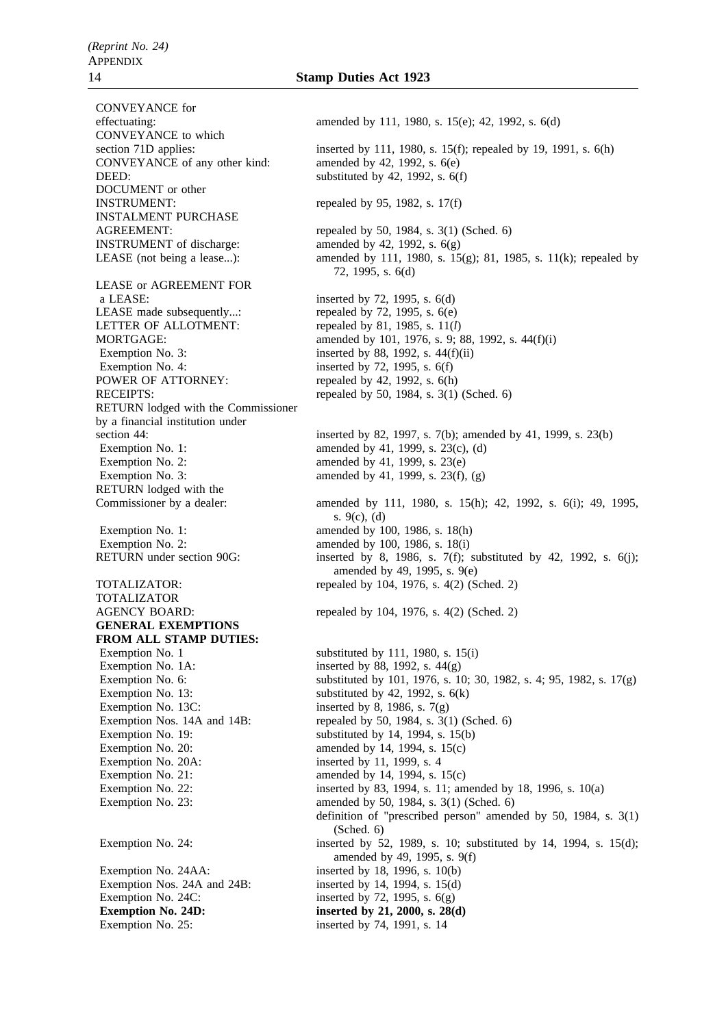CONVEYANCE for CONVEYANCE to which CONVEYANCE of any other kind: amended by 42, 1992, s. 6(e) DEED: substituted by 42, 1992, s. 6(f) DOCUMENT or other INSTRUMENT: repealed by 95, 1982, s.  $17(f)$ INSTALMENT PURCHASE INSTRUMENT of discharge: amended by 42, 1992, s. 6(g) LEASE or AGREEMENT FOR a LEASE: inserted by 72, 1995, s. 6(d) LEASE made subsequently...: repealed by 72, 1995, s. 6(e) LETTER OF ALLOTMENT: repealed by 81, 1985, s. 11(*l*) Exemption No. 3: inserted by 88, 1992, s. 44(f)(ii) Exemption No. 4: inserted by  $72$ ,  $1995$ , s.  $6(f)$ POWER OF ATTORNEY: repealed by 42, 1992, s. 6(h) RETURN lodged with the Commissioner by a financial institution under Exemption No. 1:  $\qquad \qquad \text{amended by 41, 1999, s. 23(c), (d)}$ Exemption No. 2: amended by 41, 1999, s.  $23(e)$ Exemption No. 3: amended by 41, 1999, s.  $23(f)$ , (g) RETURN lodged with the Exemption No. 1: amended by 100, 1986, s. 18(h) Exemption No. 2: amended by 100, 1986, s. 18(i) TOTALIZATOR **GENERAL EXEMPTIONS FROM ALL STAMP DUTIES:** Exemption No. 1 substituted by 111, 1980, s. 15(i) Exemption No. 1A: inserted by 88, 1992, s.  $44(g)$ Exemption No. 13: substituted by 42, 1992, s. 6(k)

Exemption No. 13C: inserted by 8, 1986, s.  $7(g)$ Exemption No. 20A: inserted by 11, 1999, s. 4

Exemption No. 24AA: inserted by 18, 1996, s. 10(b) Exemption Nos. 24A and 24B: inserted by 14, 1994, s. 15(d) Exemption No. 24C: inserted by 72, 1995, s.  $6(g)$ **Exemption No. 24D:** inserted by 21, 2000, s. 28(d) Exemption No. 25: inserted by 74, 1991, s. 14

effectuating: amended by 111, 1980, s. 15(e); 42, 1992, s. 6(d) section 71D applies: inserted by 111, 1980, s. 15(f); repealed by 19, 1991, s. 6(h) AGREEMENT: repealed by 50, 1984, s. 3(1) (Sched. 6) LEASE (not being a lease...): amended by 111, 1980, s. 15(g); 81, 1985, s. 11(k); repealed by 72, 1995, s. 6(d) MORTGAGE: amended by 101, 1976, s. 9; 88, 1992, s. 44(f)(i) RECEIPTS: repealed by 50, 1984, s. 3(1) (Sched. 6) section 44: inserted by 82, 1997, s. 7(b); amended by 41, 1999, s. 23(b) Commissioner by a dealer: amended by 111, 1980, s. 15(h); 42, 1992, s. 6(i); 49, 1995, s. 9(c), (d) RETURN under section 90G: inserted by 8, 1986, s. 7(f); substituted by 42, 1992, s.  $6(i)$ ; amended by 49, 1995, s. 9(e) TOTALIZATOR: repealed by 104, 1976, s. 4(2) (Sched. 2) AGENCY BOARD: repealed by 104, 1976, s. 4(2) (Sched. 2) Exemption No. 6: substituted by 101, 1976, s. 10; 30, 1982, s. 4; 95, 1982, s. 17(g) Exemption Nos. 14A and 14B: repealed by 50, 1984, s.  $3(1)$  (Sched. 6) Exemption No. 19: substituted by 14, 1994, s. 15(b) Exemption No. 20:  $\qquad \qquad \text{amended by 14, 1994, s. 15(c)}$ Exemption No. 21:  $\qquad \qquad \text{amended by 14, 1994, s. 15(c)}$ Exemption No. 22: inserted by 83, 1994, s. 11; amended by 18, 1996, s. 10(a) Exemption No. 23: **amended** by 50, 1984, s. 3(1) (Sched. 6) definition of "prescribed person" amended by 50, 1984, s. 3(1) (Sched. 6) Exemption No. 24: inserted by 52, 1989, s. 10; substituted by 14, 1994, s. 15(d); amended by 49, 1995, s. 9(f)